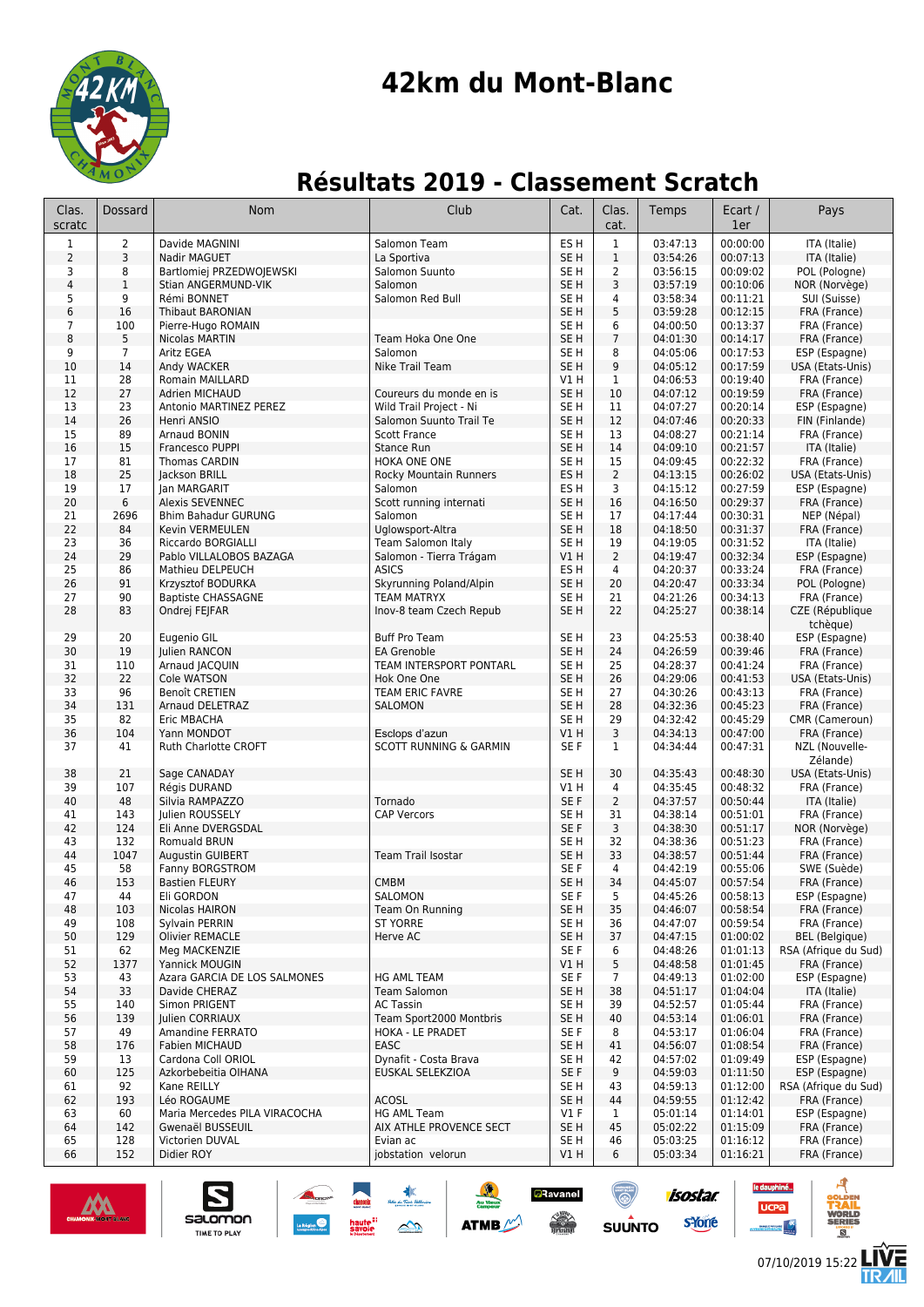

# **42km du Mont-Blanc**

## **Résultats 2019 - Classement Scratch**

| Clas.<br>scratc           | Dossard        | Nom                                         | Club                                                | Cat.                               | Clas.<br>cat.       | Temps                | Ecart /<br>1er       | Pays                           |
|---------------------------|----------------|---------------------------------------------|-----------------------------------------------------|------------------------------------|---------------------|----------------------|----------------------|--------------------------------|
| $\mathbf{1}$              | $\overline{2}$ | Davide MAGNINI                              | Salomon Team                                        | ES <sub>H</sub>                    | $\mathbf{1}$        | 03:47:13             | 00:00:00             | ITA (Italie)                   |
| $\overline{2}$            | 3              | Nadir MAGUET                                | La Sportiva                                         | SE <sub>H</sub>                    | $\,1$               | 03:54:26             | 00:07:13             | ITA (Italie)                   |
| 3                         | 8              | Bartlomiej PRZEDWOJEWSKI                    | Salomon Suunto                                      | SE <sub>H</sub>                    | 2                   | 03:56:15             | 00:09:02             | POL (Pologne)                  |
| $\sqrt{4}$                | 1              | Stian ANGERMUND-VIK                         | Salomon                                             | SE <sub>H</sub>                    | 3                   | 03:57:19             | 00:10:06             | NOR (Norvège)                  |
| 5                         | 9              | Rémi BONNET                                 | Salomon Red Bull                                    | SE <sub>H</sub>                    | 4                   | 03:58:34             | 00:11:21             | SUI (Suisse)                   |
| $\,6\,$<br>$\overline{7}$ | 16<br>100      | <b>Thibaut BARONIAN</b>                     |                                                     | SE <sub>H</sub><br>SE <sub>H</sub> | 5<br>6              | 03:59:28<br>04:00:50 | 00:12:15<br>00:13:37 | FRA (France)<br>FRA (France)   |
| 8                         | 5              | Pierre-Hugo ROMAIN<br>Nicolas MARTIN        | Team Hoka One One                                   | SE <sub>H</sub>                    | $\overline{7}$      | 04:01:30             | 00:14:17             | FRA (France)                   |
| 9                         | 7              | Aritz EGEA                                  | Salomon                                             | SE <sub>H</sub>                    | 8                   | 04:05:06             | 00:17:53             | ESP (Espagne)                  |
| 10                        | 14             | Andy WACKER                                 | Nike Trail Team                                     | SE <sub>H</sub>                    | 9                   | 04:05:12             | 00:17:59             | USA (Etats-Unis)               |
| 11                        | 28             | Romain MAILLARD                             |                                                     | V1 H                               | $\mathbf{1}$        | 04:06:53             | 00:19:40             | FRA (France)                   |
| 12                        | 27             | Adrien MICHAUD                              | Coureurs du monde en is                             | SE H                               | 10                  | 04:07:12             | 00:19:59             | FRA (France)                   |
| 13                        | 23             | Antonio MARTINEZ PEREZ                      | Wild Trail Project - Ni                             | SE H                               | 11                  | 04:07:27             | 00:20:14             | ESP (Espagne)                  |
| 14<br>15                  | 26<br>89       | Henri ANSIO<br>Arnaud BONIN                 | Salomon Suunto Trail Te<br><b>Scott France</b>      | SE <sub>H</sub><br>SE <sub>H</sub> | 12<br>13            | 04:07:46<br>04:08:27 | 00:20:33<br>00:21:14 | FIN (Finlande)                 |
| 16                        | 15             | Francesco PUPPI                             | Stance Run                                          | SE <sub>H</sub>                    | 14                  | 04:09:10             | 00:21:57             | FRA (France)<br>ITA (Italie)   |
| 17                        | 81             | Thomas CARDIN                               | <b>HOKA ONE ONE</b>                                 | SE <sub>H</sub>                    | 15                  | 04:09:45             | 00:22:32             | FRA (France)                   |
| 18                        | 25             | Jackson BRILL                               | Rocky Mountain Runners                              | ES <sub>H</sub>                    | $\overline{2}$      | 04:13:15             | 00:26:02             | USA (Etats-Unis)               |
| 19                        | 17             | Jan MARGARIT                                | Salomon                                             | ES <sub>H</sub>                    | 3                   | 04:15:12             | 00:27:59             | ESP (Espagne)                  |
| 20                        | $6\,$          | <b>Alexis SEVENNEC</b>                      | Scott running internati                             | SE <sub>H</sub>                    | 16                  | 04:16:50             | 00:29:37             | FRA (France)                   |
| 21                        | 2696           | <b>Bhim Bahadur GURUNG</b>                  | Salomon                                             | SE <sub>H</sub>                    | 17                  | 04:17:44             | 00:30:31             | NEP (Népal)                    |
| 22                        | 84             | Kevin VERMEULEN                             | Uglowsport-Altra                                    | SE <sub>H</sub>                    | 18                  | 04:18:50             | 00:31:37             | FRA (France)                   |
| 23                        | 36             | <b>Riccardo BORGIALLI</b>                   | Team Salomon Italy                                  | SE <sub>H</sub>                    | 19                  | 04:19:05             | 00:31:52             | ITA (Italie)                   |
| 24<br>25                  | 29<br>86       | Pablo VILLALOBOS BAZAGA<br>Mathieu DELPEUCH | Salomon - Tierra Trágam<br><b>ASICS</b>             | VIH<br>ES H                        | 2<br>$\overline{4}$ | 04:19:47<br>04:20:37 | 00:32:34<br>00:33:24 | ESP (Espagne)<br>FRA (France)  |
| 26                        | 91             | Krzysztof BODURKA                           | Skyrunning Poland/Alpin                             | SE H                               | 20                  | 04:20:47             | 00:33:34             | POL (Pologne)                  |
| 27                        | 90             | <b>Baptiste CHASSAGNE</b>                   | <b>TEAM MATRYX</b>                                  | SE <sub>H</sub>                    | 21                  | 04:21:26             | 00:34:13             | FRA (France)                   |
| 28                        | 83             | Ondrej FEJFAR                               | Inov-8 team Czech Repub                             | SE <sub>H</sub>                    | 22                  | 04:25:27             | 00:38:14             | CZE (République<br>tchèque)    |
| 29                        | 20             | Eugenio GIL                                 | <b>Buff Pro Team</b>                                | SE <sub>H</sub>                    | 23                  | 04:25:53             | 00:38:40             | ESP (Espagne)                  |
| 30                        | 19             | Julien RANCON                               | <b>EA Grenoble</b>                                  | SE <sub>H</sub>                    | 24                  | 04:26:59             | 00:39:46             | FRA (France)                   |
| 31                        | 110            | Arnaud JACQUIN                              | TEAM INTERSPORT PONTARL                             | SE <sub>H</sub>                    | 25                  | 04:28:37             | 00:41:24             | FRA (France)                   |
| 32                        | 22             | Cole WATSON                                 | Hok One One                                         | SE <sub>H</sub>                    | 26                  | 04:29:06             | 00:41:53             | USA (Etats-Unis)               |
| 33                        | 96             | <b>Benoît CRETIEN</b>                       | TEAM ERIC FAVRE                                     | SE <sub>H</sub>                    | 27                  | 04:30:26             | 00:43:13             | FRA (France)                   |
| 34                        | 131            | Arnaud DELETRAZ                             | SALOMON                                             | SE <sub>H</sub>                    | 28                  | 04:32:36             | 00:45:23             | FRA (France)                   |
| 35                        | 82             | Eric MBACHA                                 |                                                     | SE <sub>H</sub>                    | 29                  | 04:32:42             | 00:45:29             | CMR (Cameroun)                 |
| 36<br>37                  | 104<br>41      | Yann MONDOT<br>Ruth Charlotte CROFT         | Esclops d'azun<br><b>SCOTT RUNNING &amp; GARMIN</b> | VIH<br>SE F                        | 3<br>1              | 04:34:13<br>04:34:44 | 00:47:00<br>00:47:31 | FRA (France)<br>NZL (Nouvelle- |
| 38                        | 21             | Sage CANADAY                                |                                                     | SE <sub>H</sub>                    | 30                  | 04:35:43             | 00:48:30             | Zélande)<br>USA (Etats-Unis)   |
| 39                        | 107            | Régis DURAND                                |                                                     | V1 H                               | $\overline{4}$      | 04:35:45             | 00:48:32             | FRA (France)                   |
| 40                        | 48             | Silvia RAMPAZZO                             | Tornado                                             | SE F                               | $\overline{2}$      | 04:37:57             | 00:50:44             | ITA (Italie)                   |
| 41                        | 143            | Julien ROUSSELY                             | <b>CAP Vercors</b>                                  | SE <sub>H</sub>                    | 31                  | 04:38:14             | 00:51:01             | FRA (France)                   |
| 42                        | 124            | Eli Anne DVERGSDAL                          |                                                     | SE F                               | 3                   | 04:38:30             | 00:51:17             | NOR (Norvège)                  |
| 43                        | 132            | Romuald BRUN                                |                                                     | SE <sub>H</sub>                    | 32                  | 04:38:36             | 00:51:23             | FRA (France)                   |
| 44                        | 1047           | Augustin GUIBERT                            | Team Trail Isostar                                  | SE <sub>H</sub>                    | 33                  | 04:38:57             | 00:51:44             | FRA (France)                   |
| 45                        | 58             | Fanny BORGSTROM                             |                                                     | SE F                               | 4                   | 04:42:19             | 00:55:06             | SWE (Suède)                    |
| 46                        | 153            | <b>Bastien FLEURY</b><br>Eli GORDON         | <b>CMBM</b><br>SALOMON                              | SE <sub>H</sub><br>SE F            | 34                  | 04:45:07             | 00:57:54             | FRA (France)                   |
| 47<br>48                  | 44<br>103      | Nicolas HAIRON                              | Team On Running                                     | SE H                               | 5<br>35             | 04:45:26<br>04:46:07 | 00:58:13<br>00:58:54 | ESP (Espagne)<br>FRA (France)  |
| 49                        | 108            | Sylvain PERRIN                              | <b>ST YORRE</b>                                     | SE H                               | 36                  | 04:47:07             | 00:59:54             | FRA (France)                   |
| 50                        | 129            | <b>Olivier REMACLE</b>                      | Herve AC                                            | SE <sub>H</sub>                    | 37                  | 04:47:15             | 01:00:02             | <b>BEL</b> (Belgique)          |
| 51                        | 62             | Meg MACKENZIE                               |                                                     | SE F                               | 6                   | 04:48:26             | 01:01:13             | RSA (Afrique du Sud)           |
| 52                        | 1377           | Yannick MOUGIN                              |                                                     | V1 H                               | 5                   | 04:48:58             | 01:01:45             | FRA (France)                   |
| 53                        | 43             | Azara GARCIA DE LOS SALMONES                | <b>HG AML TEAM</b>                                  | SE F                               | $\overline{7}$      | 04:49:13             | 01:02:00             | ESP (Espagne)                  |
| 54                        | 33             | Davide CHERAZ                               | <b>Team Salomon</b>                                 | SE <sub>H</sub>                    | 38                  | 04:51:17             | 01:04:04             | ITA (Italie)                   |
| 55                        | 140            | Simon PRIGENT                               | AC Tassin                                           | SE H                               | 39                  | 04:52:57             | 01:05:44             | FRA (France)                   |
| 56<br>57                  | 139<br>49      | Julien CORRIAUX<br>Amandine FERRATO         | Team Sport2000 Montbris<br>HOKA - LE PRADET         | SE <sub>H</sub><br>SE F            | 40<br>8             | 04:53:14<br>04:53:17 | 01:06:01<br>01:06:04 | FRA (France)<br>FRA (France)   |
| 58                        | 176            | <b>Fabien MICHAUD</b>                       | EASC                                                | SE H                               | 41                  | 04:56:07             | 01:08:54             | FRA (France)                   |
| 59                        | 13             | Cardona Coll ORIOL                          | Dynafit - Costa Brava                               | SE H                               | 42                  | 04:57:02             | 01:09:49             | ESP (Espagne)                  |
| 60                        | 125            | Azkorbebeitia OIHANA                        | EUSKAL SELEKZIOA                                    | SE F                               | 9                   | 04:59:03             | 01:11:50             | ESP (Espagne)                  |
| 61                        | 92             | Kane REILLY                                 |                                                     | SE H                               | 43                  | 04:59:13             | 01:12:00             | RSA (Afrique du Sud)           |
| 62                        | 193            | Léo ROGAUME                                 | <b>ACOSL</b>                                        | SE <sub>H</sub>                    | 44                  | 04:59:55             | 01:12:42             | FRA (France)                   |
| 63                        | 60             | Maria Mercedes PILA VIRACOCHA               | HG AML Team                                         | $VI$ F                             | $\mathbf{1}$        | 05:01:14             | 01:14:01             | ESP (Espagne)                  |
| 64                        | 142            | Gwenaël BUSSEUIL                            | AIX ATHLE PROVENCE SECT                             | SE <sub>H</sub>                    | 45                  | 05:02:22             | 01:15:09             | FRA (France)                   |
| 65                        | 128            | Victorien DUVAL                             | Evian ac                                            | SE H                               | 46                  | 05:03:25             | 01:16:12             | FRA (France)                   |
| 66                        | 152            | Didier ROY                                  | jobstation velorun                                  | VIH                                | 6                   | 05:03:34             | 01:16:21             | FRA (France)                   |

 $\sum_{i=1}^{n}$ 



satomon

TIME TO PLAY

**isostar** 

syone

**SUUNTO** 

**a**Ravanel

 $\frac{1}{\sqrt{2}}$ 

ATMB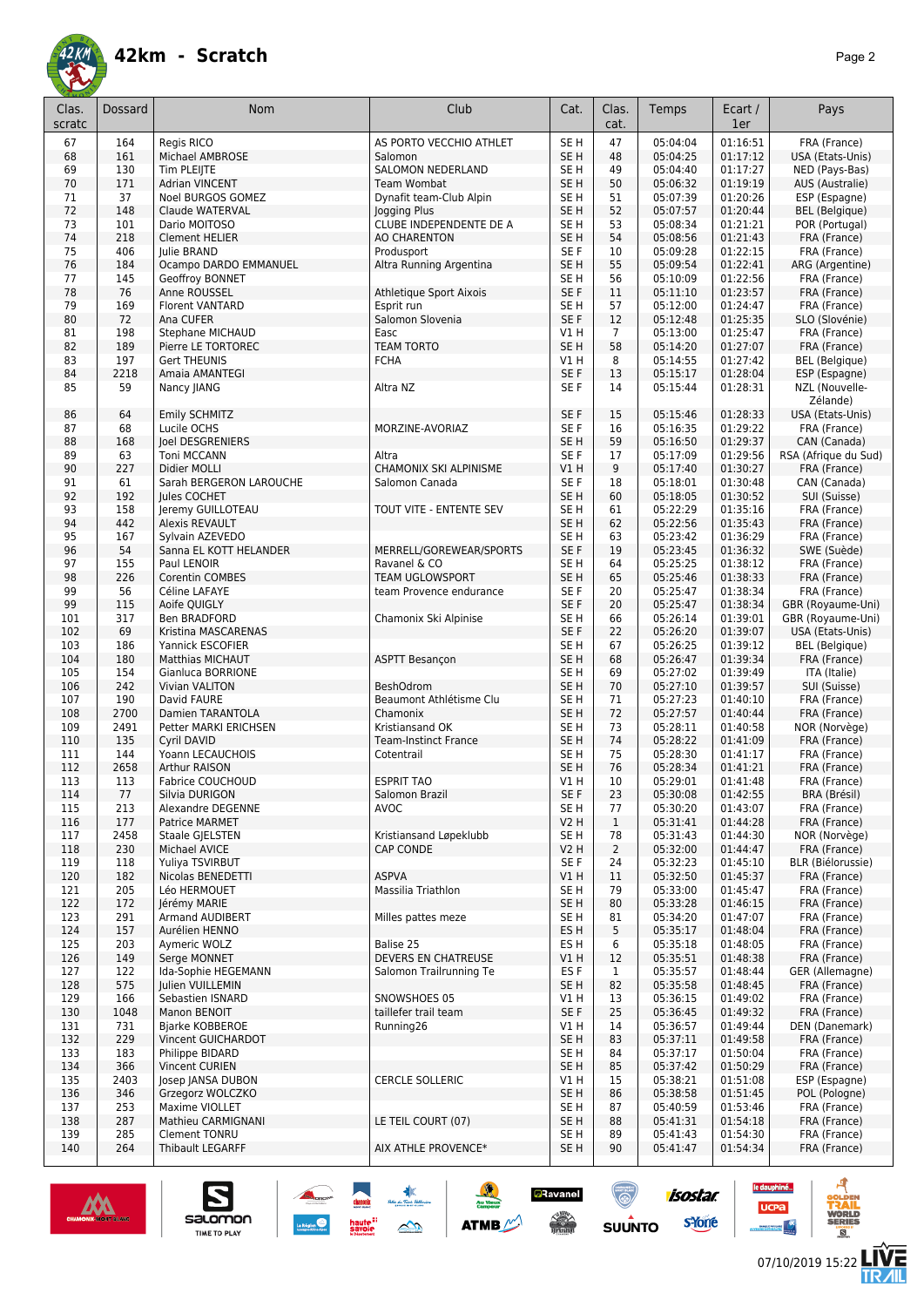

| Clas.<br>scratc | Dossard    | Nom                                  | Club                                | Cat.                               | Clas.<br>cat.  | Temps                | Ecart /<br>1er       | Pays                                     |
|-----------------|------------|--------------------------------------|-------------------------------------|------------------------------------|----------------|----------------------|----------------------|------------------------------------------|
| 67              | 164        | Regis RICO                           | AS PORTO VECCHIO ATHLET             | SE <sub>H</sub>                    | 47             | 05:04:04             | 01:16:51             | FRA (France)                             |
| 68              | 161        | <b>Michael AMBROSE</b>               | Salomon                             | SE <sub>H</sub>                    | 48             | 05:04:25             | 01:17:12             | USA (Etats-Unis)                         |
| 69              | 130        | Tim PLEIJTE                          | SALOMON NEDERLAND                   | SE H                               | 49             | 05:04:40             | 01:17:27             | NED (Pays-Bas)                           |
| 70              | 171        | <b>Adrian VINCENT</b>                | Team Wombat                         | SE <sub>H</sub>                    | 50             | 05:06:32             | 01:19:19             | AUS (Australie)                          |
| 71              | 37         | Noel BURGOS GOMEZ                    | Dynafit team-Club Alpin             | SE H                               | 51             | 05:07:39             | 01:20:26             | ESP (Espagne)                            |
| 72              | 148        | Claude WATERVAL                      | Jogging Plus                        | SE <sub>H</sub>                    | 52             | 05:07:57             | 01:20:44             | BEL (Belgique)                           |
| 73              | 101        | Dario MOITOSO                        | CLUBE INDEPENDENTE DE A             | SE <sub>H</sub>                    | 53             | 05:08:34             | 01:21:21             | POR (Portugal)                           |
| 74              | 218        | <b>Clement HELIER</b>                | AO CHARENTON                        | SE <sub>H</sub>                    | 54             | 05:08:56             | 01:21:43             | FRA (France)                             |
| 75              | 406        | Julie BRAND                          | Produsport                          | SE F                               | 10             | 05:09:28             | 01:22:15             | FRA (France)                             |
| 76              | 184        | Ocampo DARDO EMMANUEL                | Altra Running Argentina             | SE <sub>H</sub>                    | 55             | 05:09:54             | 01:22:41             | ARG (Argentine)                          |
| 77<br>78        | 145<br>76  | Geoffroy BONNET<br>Anne ROUSSEL      | Athletique Sport Aixois             | SE <sub>H</sub><br>SE <sub>F</sub> | 56<br>11       | 05:10:09<br>05:11:10 | 01:22:56<br>01:23:57 | FRA (France)<br>FRA (France)             |
| 79              | 169        | <b>Florent VANTARD</b>               | Esprit run                          | SE <sub>H</sub>                    | 57             | 05:12:00             | 01:24:47             | FRA (France)                             |
| 80              | 72         | Ana CUFER                            | Salomon Slovenia                    | SE F                               | 12             | 05:12:48             | 01:25:35             | SLO (Slovénie)                           |
| 81              | 198        | Stephane MICHAUD                     | Easc                                | V1H                                | $\overline{7}$ | 05:13:00             | 01:25:47             | FRA (France)                             |
| 82              | 189        | Pierre LE TORTOREC                   | <b>TEAM TORTO</b>                   | SE <sub>H</sub>                    | 58             | 05:14:20             | 01:27:07             | FRA (France)                             |
| 83              | 197        | <b>Gert THEUNIS</b>                  | <b>FCHA</b>                         | V1 H                               | 8              | 05:14:55             | 01:27:42             | <b>BEL</b> (Belgique)                    |
| 84              | 2218       | Amaia AMANTEGI                       |                                     | SE F                               | 13             | 05:15:17             | 01:28:04             | ESP (Espagne)                            |
| 85              | 59         | Nancy JIANG                          | Altra NZ                            | SE F                               | 14             | 05:15:44             | 01:28:31             | NZL (Nouvelle-<br>Zélande)               |
| 86              | 64         | <b>Emily SCHMITZ</b>                 |                                     | SE F                               | 15             | 05:15:46             | 01:28:33             | USA (Etats-Unis)                         |
| 87              | 68         | Lucile OCHS                          | MORZINE-AVORIAZ                     | SE <sub>F</sub>                    | 16             | 05:16:35             | 01:29:22             | FRA (France)                             |
| 88              | 168        | loel DESGRENIERS                     |                                     | SE <sub>H</sub>                    | 59             | 05:16:50             | 01:29:37             | CAN (Canada)                             |
| 89              | 63         | <b>Toni MCCANN</b>                   | Altra                               | SE F                               | 17             | 05:17:09             | 01:29:56             | RSA (Afrique du Sud)                     |
| 90              | 227        | Didier MOLLI                         | CHAMONIX SKI ALPINISME              | VIH                                | 9              | 05:17:40             | 01:30:27             | FRA (France)                             |
| 91              | 61         | Sarah BERGERON LAROUCHE              | Salomon Canada                      | SE F                               | 18             | 05:18:01             | 01:30:48<br>01:30:52 | CAN (Canada)                             |
| 92<br>93        | 192<br>158 | Jules COCHET                         | TOUT VITE - ENTENTE SEV             | SE <sub>H</sub><br>SE H            | 60<br>61       | 05:18:05<br>05:22:29 | 01:35:16             | SUI (Suisse)<br>FRA (France)             |
| 94              | 442        | Jeremy GUILLOTEAU<br>Alexis REVAULT  |                                     | SE <sub>H</sub>                    | 62             | 05:22:56             | 01:35:43             | FRA (France)                             |
| 95              | 167        | Sylvain AZEVEDO                      |                                     | SE H                               | 63             | 05:23:42             | 01:36:29             | FRA (France)                             |
| 96              | 54         | Sanna EL KOTT HELANDER               | MERRELL/GOREWEAR/SPORTS             | SE F                               | 19             | 05:23:45             | 01:36:32             | SWE (Suède)                              |
| 97              | 155        | Paul LENOIR                          | Ravanel & CO                        | SE <sub>H</sub>                    | 64             | 05:25:25             | 01:38:12             | FRA (France)                             |
| 98              | 226        | <b>Corentin COMBES</b>               | <b>TEAM UGLOWSPORT</b>              | SE <sub>H</sub>                    | 65             | 05:25:46             | 01:38:33             | FRA (France)                             |
| 99              | 56         | Céline LAFAYE                        | team Provence endurance             | SE <sub>F</sub>                    | 20             | 05:25:47             | 01:38:34             | FRA (France)                             |
| 99              | 115        | Aoife QUIGLY                         |                                     | SE F                               | 20             | 05:25:47             | 01:38:34             | GBR (Royaume-Uni)                        |
| 101             | 317        | Ben BRADFORD                         | Chamonix Ski Alpinise               | SE <sub>H</sub>                    | 66             | 05:26:14             | 01:39:01             | GBR (Royaume-Uni)                        |
| 102             | 69         | Kristina MASCARENAS                  |                                     | SE F                               | 22             | 05:26:20             | 01:39:07             | USA (Etats-Unis)                         |
| 103             | 186        | Yannick ESCOFIER                     |                                     | SE H                               | 67             | 05:26:25             | 01:39:12             | <b>BEL</b> (Belgique)                    |
| 104             | 180        | <b>Matthias MICHAUT</b>              | <b>ASPTT Besançon</b>               | SE <sub>H</sub>                    | 68             | 05:26:47             | 01:39:34             | FRA (France)                             |
| 105             | 154        | Gianluca BORRIONE                    |                                     | SE H                               | 69             | 05:27:02             | 01:39:49             | ITA (Italie)                             |
| 106             | 242<br>190 | Vivian VALITON                       | <b>BeshOdrom</b>                    | SE H                               | 70<br>71       | 05:27:10             | 01:39:57             | SUI (Suisse)<br>FRA (France)             |
| 107<br>108      | 2700       | David FAURE<br>Damien TARANTOLA      | Beaumont Athlétisme Clu<br>Chamonix | SE <sub>H</sub><br>SE <sub>H</sub> | 72             | 05:27:23<br>05:27:57 | 01:40:10<br>01:40:44 | FRA (France)                             |
| 109             | 2491       | Petter MARKI ERICHSEN                | Kristiansand OK                     | SE <sub>H</sub>                    | 73             | 05:28:11             | 01:40:58             | NOR (Norvège)                            |
| 110             | 135        | Cyril DAVID                          | <b>Team-Instinct France</b>         | SE <sub>H</sub>                    | 74             | 05:28:22             | 01:41:09             | FRA (France)                             |
| 111             | 144        | Yoann LECAUCHOIS                     | Cotentrail                          | SE <sub>H</sub>                    | 75             | 05:28:30             | 01:41:17             | FRA (France)                             |
| 112             | 2658       | Arthur RAISON                        |                                     | SE <sub>H</sub>                    | 76             | 05:28:34             | 01:41:21             | FRA (France)                             |
| 113             | 113        | <b>Fabrice COUCHOUD</b>              | <b>ESPRIT TAO</b>                   | V1H                                | 10             | 05:29:01             | 01:41:48             | FRA (France)                             |
| 114             | 77         | Silvia DURIGON                       | Salomon Brazil                      | SE F                               | 23             | 05:30:08             | 01:42:55             | BRA (Brésil)                             |
| 115             | 213        | Alexandre DEGENNE                    | AVOC                                | SE H                               | 77             | 05:30:20             | 01:43:07             | FRA (France)                             |
| 116             | 177        | Patrice MARMET                       |                                     | <b>V2 H</b>                        | $\mathbf{1}$   | 05:31:41             | 01:44:28             | FRA (France)                             |
| 117             | 2458       | Staale GJELSTEN                      | Kristiansand Løpeklubb              | SE H                               | 78             | 05:31:43             | 01:44:30             | NOR (Norvège)                            |
| 118             | 230        | Michael AVICE                        | <b>CAP CONDE</b>                    | V2 H                               | $\overline{2}$ | 05:32:00             | 01:44:47             | FRA (France)                             |
| 119<br>120      | 118<br>182 | Yuliya TSVIRBUT<br>Nicolas BENEDETTI | <b>ASPVA</b>                        | SE F<br>V1 H                       | 24<br>11       | 05:32:23<br>05:32:50 | 01:45:10<br>01:45:37 | <b>BLR</b> (Biélorussie)<br>FRA (France) |
| 121             | 205        | Léo HERMOUET                         | Massilia Triathlon                  | SE H                               | 79             | 05:33:00             | 01:45:47             | FRA (France)                             |
| 122             | 172        | Jérémy MARIE                         |                                     | SE H                               | 80             | 05:33:28             | 01:46:15             | FRA (France)                             |
| 123             | 291        | <b>Armand AUDIBERT</b>               | Milles pattes meze                  | SE H                               | 81             | 05:34:20             | 01:47:07             | FRA (France)                             |
| 124             | 157        | Aurélien HENNO                       |                                     | ES H                               | 5              | 05:35:17             | 01:48:04             | FRA (France)                             |
| 125             | 203        | Aymeric WOLZ                         | Balise 25                           | ES H                               | 6              | 05:35:18             | 01:48:05             | FRA (France)                             |
| 126             | 149        | Serge MONNET                         | DEVERS EN CHATREUSE                 | V1H                                | 12             | 05:35:51             | 01:48:38             | FRA (France)                             |
| 127             | 122        | Ida-Sophie HEGEMANN                  | Salomon Trailrunning Te             | ES <sub>F</sub>                    | $\mathbf{1}$   | 05:35:57             | 01:48:44             | GER (Allemagne)                          |
| 128             | 575        | <b>Iulien VUILLEMIN</b>              |                                     | SE <sub>H</sub>                    | 82             | 05:35:58             | 01:48:45             | FRA (France)                             |
| 129             | 166        | Sebastien ISNARD                     | SNOWSHOES 05                        | V1 H                               | 13             | 05:36:15             | 01:49:02             | FRA (France)                             |
| 130             | 1048       | Manon BENOIT                         | taillefer trail team                | SE F                               | 25             | 05:36:45             | 01:49:32             | FRA (France)                             |
| 131             | 731        | <b>Bjarke KOBBEROE</b>               | Running26                           | V1H                                | 14             | 05:36:57             | 01:49:44             | DEN (Danemark)                           |
| 132             | 229        | Vincent GUICHARDOT                   |                                     | SE <sub>H</sub>                    | 83             | 05:37:11             | 01:49:58<br>01:50:04 | FRA (France)                             |
| 133<br>134      | 183<br>366 | Philippe BIDARD<br>Vincent CURIEN    |                                     | SE H<br>SE <sub>H</sub>            | 84<br>85       | 05:37:17<br>05:37:42 | 01:50:29             | FRA (France)<br>FRA (France)             |
| 135             | 2403       | Josep JANSA DUBON                    | <b>CERCLE SOLLERIC</b>              | V1H                                | 15             | 05:38:21             | 01:51:08             | ESP (Espagne)                            |
| 136             | 346        | Grzegorz WOLCZKO                     |                                     | SE <sub>H</sub>                    | 86             | 05:38:58             | 01:51:45             | POL (Pologne)                            |
| 137             | 253        | Maxime VIOLLET                       |                                     | SE H                               | 87             | 05:40:59             | 01:53:46             | FRA (France)                             |
| 138             | 287        | Mathieu CARMIGNANI                   | LE TEIL COURT (07)                  | SE <sub>H</sub>                    | 88             | 05:41:31             | 01:54:18             | FRA (France)                             |
| 139             | 285        | <b>Clement TONRU</b>                 |                                     | SE H                               | 89             | 05:41:43             | 01:54:30             | FRA (France)                             |
| 140             | 264        | Thibault LEGARFF                     | AIX ATHLE PROVENCE*                 | SE H                               | 90             | 05:41:47             | 01:54:34             | FRA (France)                             |

 $\rightarrow$ 

 $\frac{1}{2}$ 

**ATMB** 

 $\bigcirc$ 

**SUUNTO** 

**a**Ravanel

 $\frac{1}{\sqrt{2}}$ 

isostar.

sYone



 $\n \ \, \underbrace{\sum\limits_{\text{SALOMOM}}$ 

 $\sum_{i=1}^{n}$ 

le dauphiné...

ucpa

**Continue** 



**AT<br>OLDEN**<br>**TRAIL** 

WORLD<br>SERIES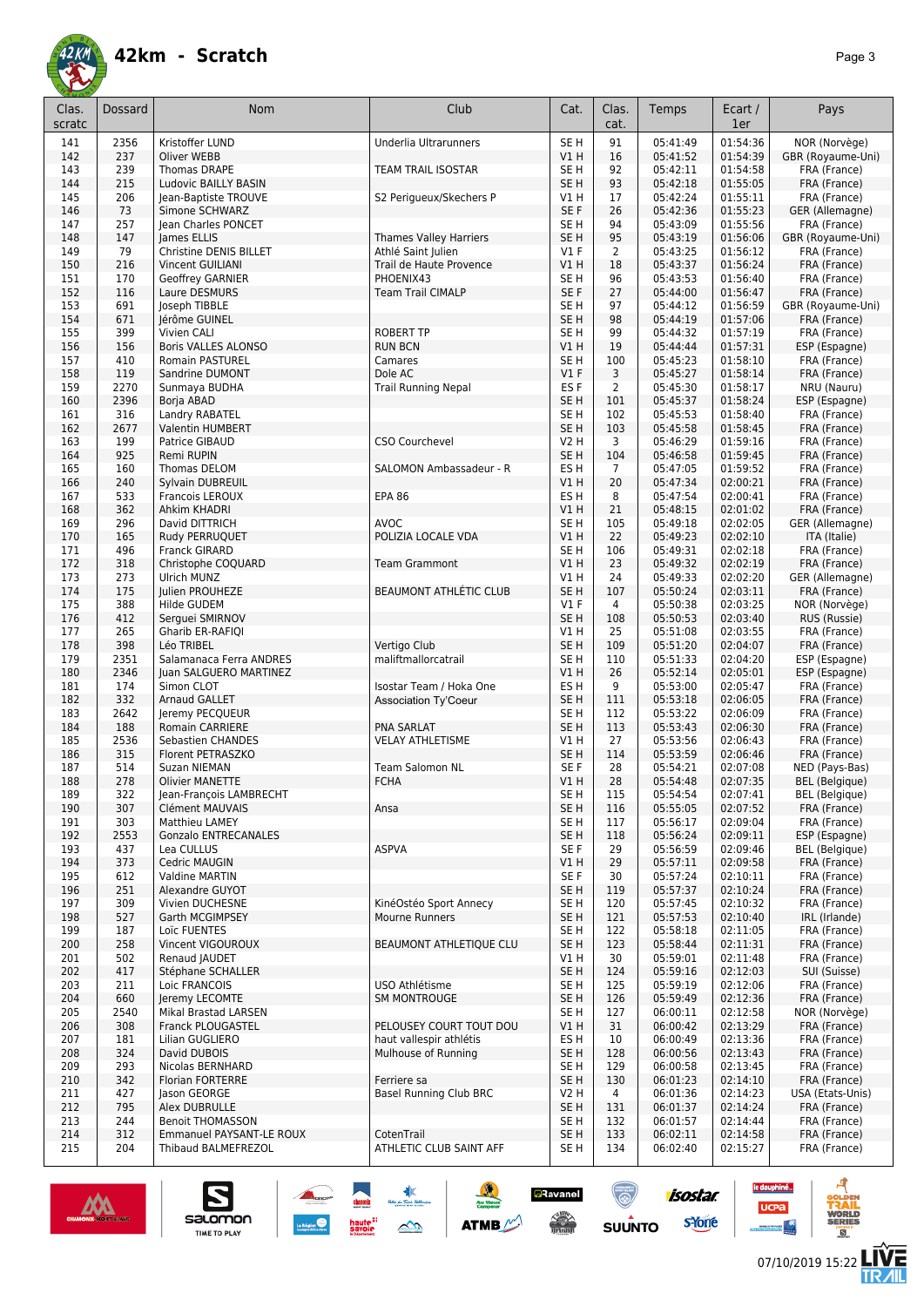

| Clas.<br>scratc | Dossard     | <b>Nom</b>                                   | Club                                  | Cat.                               | Clas.<br>cat.  | Temps                | Ecart /<br>1er       | Pays                              |
|-----------------|-------------|----------------------------------------------|---------------------------------------|------------------------------------|----------------|----------------------|----------------------|-----------------------------------|
| 141             | 2356        | Kristoffer LUND                              | Underlia Ultrarunners                 | SE <sub>H</sub>                    | 91             | 05:41:49             | 01:54:36             | NOR (Norvège)                     |
| 142             | 237         | Oliver WEBB                                  |                                       | V1H                                | 16             | 05:41:52             | 01:54:39             | GBR (Royaume-Uni)                 |
| 143             | 239         | Thomas DRAPE                                 | TEAM TRAIL ISOSTAR                    | SE <sub>H</sub>                    | 92             | 05:42:11             | 01:54:58             | FRA (France)                      |
| 144<br>145      | 215<br>206  | Ludovic BAILLY BASIN<br>Jean-Baptiste TROUVE | S2 Perigueux/Skechers P               | SE <sub>H</sub><br>V1 H            | 93<br>17       | 05:42:18<br>05:42:24 | 01:55:05<br>01:55:11 | FRA (France)<br>FRA (France)      |
| 146             | 73          | Simone SCHWARZ                               |                                       | SE F                               | 26             | 05:42:36             | 01:55:23             | GER (Allemagne)                   |
| 147             | 257         | Jean Charles PONCET                          |                                       | SE <sub>H</sub>                    | 94             | 05:43:09             | 01:55:56             | FRA (France)                      |
| 148             | 147         | James ELLIS                                  | Thames Valley Harriers                | SE <sub>H</sub>                    | 95             | 05:43:19             | 01:56:06             | GBR (Royaume-Uni)                 |
| 149             | 79          | Christine DENIS BILLET                       | Athlé Saint Julien                    | $VI$ F                             | $\overline{2}$ | 05:43:25             | 01:56:12             | FRA (France)                      |
| 150             | 216         | Vincent GUILIANI                             | Trail de Haute Provence               | V1H                                | 18             | 05:43:37             | 01:56:24             | FRA (France)                      |
| 151<br>152      | 170<br>116  | Geoffrey GARNIER                             | PHOENIX43<br><b>Team Trail CIMALP</b> | SE <sub>H</sub><br>SE <sub>F</sub> | 96<br>27       | 05:43:53<br>05:44:00 | 01:56:40<br>01:56:47 | FRA (France)                      |
| 153             | 691         | Laure DESMURS<br>Joseph TIBBLE               |                                       | SE <sub>H</sub>                    | 97             | 05:44:12             | 01:56:59             | FRA (France)<br>GBR (Royaume-Uni) |
| 154             | 671         | Jérôme GUINEL                                |                                       | SE <sub>H</sub>                    | 98             | 05:44:19             | 01:57:06             | FRA (France)                      |
| 155             | 399         | Vivien CALI                                  | <b>ROBERT TP</b>                      | SE <sub>H</sub>                    | 99             | 05:44:32             | 01:57:19             | FRA (France)                      |
| 156             | 156         | Boris VALLES ALONSO                          | <b>RUN BCN</b>                        | VIH                                | 19             | 05:44:44             | 01:57:31             | ESP (Espagne)                     |
| 157             | 410         | Romain PASTUREL                              | Camares                               | SE <sub>H</sub>                    | 100            | 05:45:23             | 01:58:10             | FRA (France)                      |
| 158             | 119         | Sandrine DUMONT                              | Dole AC                               | V1F                                | 3              | 05:45:27             | 01:58:14             | FRA (France)                      |
| 159             | 2270        | Sunmaya BUDHA                                | <b>Trail Running Nepal</b>            | ES <sub>F</sub>                    | $\overline{2}$ | 05:45:30             | 01:58:17             | NRU (Nauru)                       |
| 160<br>161      | 2396<br>316 | Borja ABAD<br>Landry RABATEL                 |                                       | SE <sub>H</sub><br>SE <sub>H</sub> | 101<br>102     | 05:45:37<br>05:45:53 | 01:58:24<br>01:58:40 | ESP (Espagne)<br>FRA (France)     |
| 162             | 2677        | <b>Valentin HUMBERT</b>                      |                                       | SE <sub>H</sub>                    | 103            | 05:45:58             | 01:58:45             | FRA (France)                      |
| 163             | 199         | Patrice GIBAUD                               | CSO Courchevel                        | <b>V2 H</b>                        | 3              | 05:46:29             | 01:59:16             | FRA (France)                      |
| 164             | 925         | Remi RUPIN                                   |                                       | SE <sub>H</sub>                    | 104            | 05:46:58             | 01:59:45             | FRA (France)                      |
| 165             | 160         | Thomas DELOM                                 | SALOMON Ambassadeur - R               | ES H                               | $\overline{7}$ | 05:47:05             | 01:59:52             | FRA (France)                      |
| 166             | 240         | Sylvain DUBREUIL                             |                                       | V1H                                | 20             | 05:47:34             | 02:00:21             | FRA (France)                      |
| 167             | 533         | Francois LEROUX                              | <b>EPA 86</b>                         | ES H                               | 8              | 05:47:54             | 02:00:41             | FRA (France)                      |
| 168             | 362         | Ahkim KHADRI                                 |                                       | VIH                                | 21             | 05:48:15             | 02:01:02             | FRA (France)                      |
| 169<br>170      | 296<br>165  | David DITTRICH                               | <b>AVOC</b><br>POLIZIA LOCALE VDA     | SE <sub>H</sub><br>VIH             | 105<br>22      | 05:49:18<br>05:49:23 | 02:02:05<br>02:02:10 | GER (Allemagne)                   |
| 171             | 496         | Rudy PERRUQUET<br><b>Franck GIRARD</b>       |                                       | SE <sub>H</sub>                    | 106            | 05:49:31             | 02:02:18             | ITA (Italie)<br>FRA (France)      |
| 172             | 318         | Christophe COQUARD                           | <b>Team Grammont</b>                  | VIH                                | 23             | 05:49:32             | 02:02:19             | FRA (France)                      |
| 173             | 273         | Ulrich MUNZ                                  |                                       | <b>V1 H</b>                        | 24             | 05:49:33             | 02:02:20             | GER (Allemagne)                   |
| 174             | 175         | Julien PROUHEZE                              | <b>BEAUMONT ATHLÉTIC CLUB</b>         | SE <sub>H</sub>                    | 107            | 05:50:24             | 02:03:11             | FRA (France)                      |
| 175             | 388         | Hilde GUDEM                                  |                                       | $VI$ F                             | 4              | 05:50:38             | 02:03:25             | NOR (Norvège)                     |
| 176             | 412         | Serguei SMIRNOV                              |                                       | SE <sub>H</sub>                    | 108            | 05:50:53             | 02:03:40             | RUS (Russie)                      |
| 177<br>178      | 265<br>398  | Gharib ER-RAFIQI                             | Vertigo Club                          | V1H<br>SE <sub>H</sub>             | 25<br>109      | 05:51:08             | 02:03:55             | FRA (France)                      |
| 179             | 2351        | Léo TRIBEL<br>Salamanaca Ferra ANDRES        | maliftmallorcatrail                   | SE <sub>H</sub>                    | 110            | 05:51:20<br>05:51:33 | 02:04:07<br>02:04:20 | FRA (France)<br>ESP (Espagne)     |
| 180             | 2346        | Juan SALGUERO MARTINEZ                       |                                       | VIH                                | 26             | 05:52:14             | 02:05:01             | ESP (Espagne)                     |
| 181             | 174         | Simon CLOT                                   | Isostar Team / Hoka One               | ES H                               | 9              | 05:53:00             | 02:05:47             | FRA (France)                      |
| 182             | 332         | Arnaud GALLET                                | <b>Association Ty'Coeur</b>           | SE <sub>H</sub>                    | 111            | 05:53:18             | 02:06:05             | FRA (France)                      |
| 183             | 2642        | Jeremy PECQUEUR                              |                                       | SE <sub>H</sub>                    | 112            | 05:53:22             | 02:06:09             | FRA (France)                      |
| 184             | 188         | <b>Romain CARRIERE</b>                       | <b>PNA SARLAT</b>                     | SE <sub>H</sub>                    | 113            | 05:53:43             | 02:06:30             | FRA (France)                      |
| 185             | 2536        | Sebastien CHANDES                            | VELAY ATHLETISME                      | V1H                                | 27             | 05:53:56             | 02:06:43             | FRA (France)                      |
| 186<br>187      | 315<br>514  | Florent PETRASZKO<br>Suzan NIEMAN            | Team Salomon NL                       | SE <sub>H</sub><br>SE F            | 114<br>28      | 05:53:59<br>05:54:21 | 02:06:46<br>02:07:08 | FRA (France)<br>NED (Pays-Bas)    |
| 188             | 278         | <b>Olivier MANETTE</b>                       | <b>FCHA</b>                           | V1H                                | 28             | 05:54:48             | 02:07:35             | <b>BEL</b> (Belgique)             |
| 189             | 322         | Jean-François LAMBRECHT                      |                                       | SE <sub>H</sub>                    | 115            | 05:54:54             | 02:07:41             | <b>BEL</b> (Belgique)             |
| 190             | 307         | Clément MAUVAIS                              | Ansa                                  | SE <sub>H</sub>                    | 116            | 05:55:05             | 02:07:52             | FRA (France)                      |
| 191             | 303         | Matthieu LAMEY                               |                                       | SE <sub>H</sub>                    | 117            | 05:56:17             | 02:09:04             | FRA (France)                      |
| 192             | 2553        | <b>Gonzalo ENTRECANALES</b>                  |                                       | SE <sub>H</sub>                    | 118            | 05:56:24             | 02:09:11             | ESP (Espagne)                     |
| 193             | 437<br>373  | Lea CULLUS<br>Cedric MAUGIN                  | <b>ASPVA</b>                          | SE F                               | 29             | 05:56:59             | 02:09:46<br>02:09:58 | <b>BEL</b> (Belgique)             |
| 194<br>195      | 612         | Valdine MARTIN                               |                                       | V1H<br>SE F                        | 29<br>30       | 05:57:11<br>05:57:24 | 02:10:11             | FRA (France)<br>FRA (France)      |
| 196             | 251         | Alexandre GUYOT                              |                                       | SE <sub>H</sub>                    | 119            | 05:57:37             | 02:10:24             | FRA (France)                      |
| 197             | 309         | Vivien DUCHESNE                              | KinéOstéo Sport Annecy                | SE <sub>H</sub>                    | 120            | 05:57:45             | 02:10:32             | FRA (France)                      |
| 198             | 527         | Garth MCGIMPSEY                              | Mourne Runners                        | SE <sub>H</sub>                    | 121            | 05:57:53             | 02:10:40             | IRL (Irlande)                     |
| 199             | 187         | Loïc FUENTES                                 |                                       | SE <sub>H</sub>                    | 122            | 05:58:18             | 02:11:05             | FRA (France)                      |
| 200             | 258         | Vincent VIGOUROUX                            | BEAUMONT ATHLETIQUE CLU               | SE <sub>H</sub>                    | 123            | 05:58:44             | 02:11:31             | FRA (France)                      |
| 201<br>202      | 502<br>417  | Renaud JAUDET<br>Stéphane SCHALLER           |                                       | V1 H<br>SE <sub>H</sub>            | 30<br>124      | 05:59:01<br>05:59:16 | 02:11:48<br>02:12:03 | FRA (France)<br>SUI (Suisse)      |
| 203             | 211         | Loic FRANCOIS                                | USO Athlétisme                        | SE <sub>H</sub>                    | 125            | 05:59:19             | 02:12:06             | FRA (France)                      |
| 204             | 660         | Jeremy LECOMTE                               | SM MONTROUGE                          | SE <sub>H</sub>                    | 126            | 05:59:49             | 02:12:36             | FRA (France)                      |
| 205             | 2540        | Mikal Brastad LARSEN                         |                                       | SE <sub>H</sub>                    | 127            | 06:00:11             | 02:12:58             | NOR (Norvège)                     |
| 206             | 308         | Franck PLOUGASTEL                            | PELOUSEY COURT TOUT DOU               | V1 H                               | 31             | 06:00:42             | 02:13:29             | FRA (France)                      |
| 207             | 181         | Lilian GUGLIERO                              | haut vallespir athlétis               | ES H                               | 10             | 06:00:49             | 02:13:36             | FRA (France)                      |
| 208             | 324<br>293  | David DUBOIS                                 | Mulhouse of Running                   | SE <sub>H</sub>                    | 128            | 06:00:56             | 02:13:43<br>02:13:45 | FRA (France)<br>FRA (France)      |
| 209<br>210      | 342         | Nicolas BERNHARD<br>Florian FORTERRE         | Ferriere sa                           | SE <sub>H</sub><br>SE <sub>H</sub> | 129<br>130     | 06:00:58<br>06:01:23 | 02:14:10             | FRA (France)                      |
| 211             | 427         | lason GEORGE                                 | Basel Running Club BRC                | <b>V2 H</b>                        | 4              | 06:01:36             | 02:14:23             | USA (Etats-Unis)                  |
| 212             | 795         | Alex DUBRULLE                                |                                       | SE <sub>H</sub>                    | 131            | 06:01:37             | 02:14:24             | FRA (France)                      |
| 213             | 244         | <b>Benoit THOMASSON</b>                      |                                       | SE <sub>H</sub>                    | 132            | 06:01:57             | 02:14:44             | FRA (France)                      |
| 214             | 312         | Emmanuel PAYSANT-LE ROUX                     | CotenTrail                            | SE <sub>H</sub>                    | 133            | 06:02:11             | 02:14:58             | FRA (France)                      |
| 215             | 204         | Thibaud BALMEFREZOL                          | ATHLETIC CLUB SAINT AFF               | SE <sub>H</sub>                    | 134            | 06:02:40             | 02:15:27             | FRA (France)                      |

 $\rightarrow$ 

 $\frac{1}{2}$ 

**ATMB** 



 $\n \ \, \underbrace{\sum\limits_{\text{SALOMOM}}$ 

 $\sum_{i=1}^{n}$ 

le dauphiné...

ucpa

**Continue** 

**isostar** 

sYone

 $\bigcirc$ 

**SUUNTO** 

**a**Ravanel

 $\frac{1}{\sqrt{2}}$ 



WORLD<br>SERIES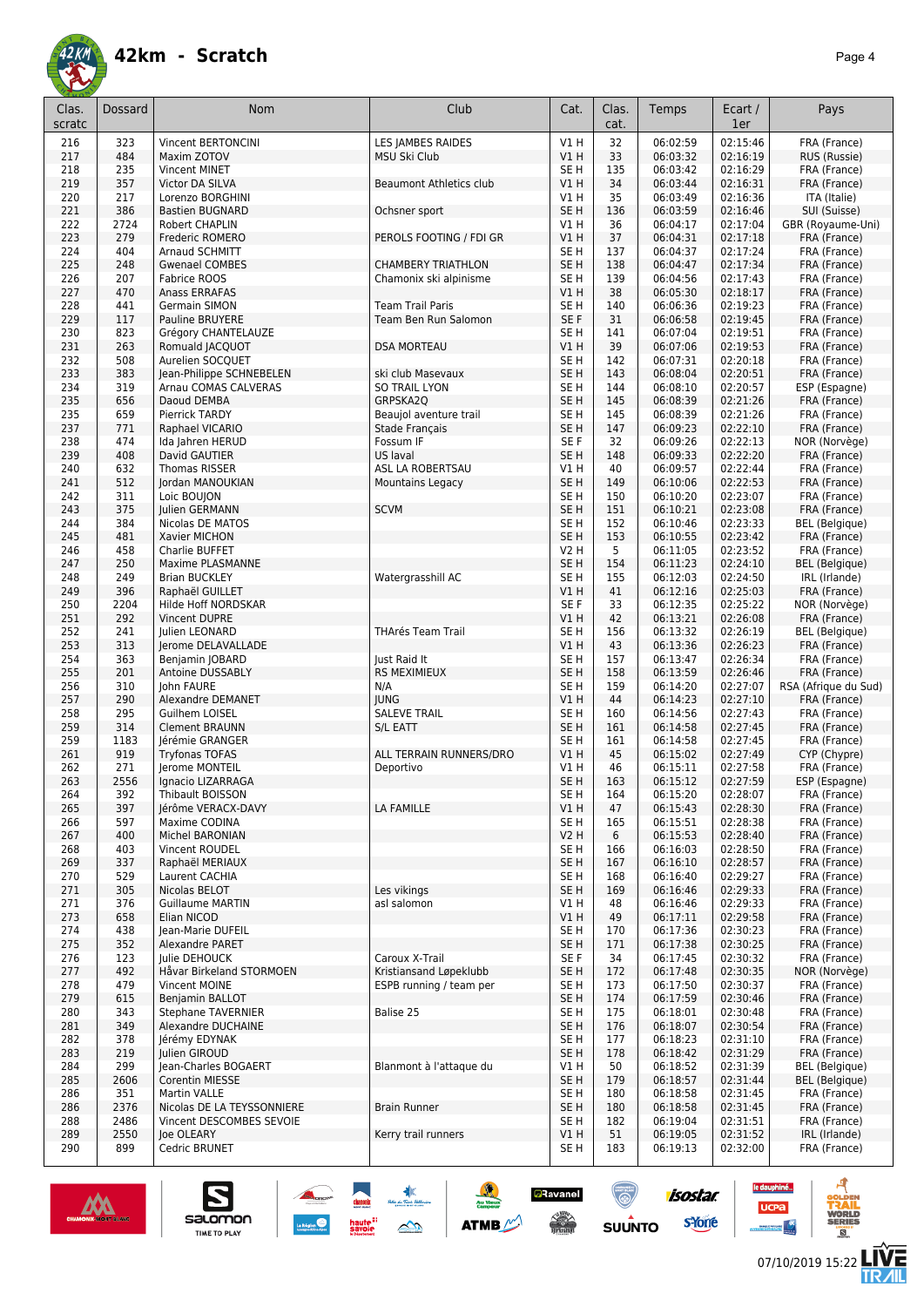

| Clas.<br>scratc | Dossard     | Nom                                        | Club                           | Cat.                    | Clas.<br>cat. | Temps                | Ecart /<br>1er       | Pays                                  |
|-----------------|-------------|--------------------------------------------|--------------------------------|-------------------------|---------------|----------------------|----------------------|---------------------------------------|
| 216             | 323         | Vincent BERTONCINI                         | LES JAMBES RAIDES              | V1H                     | 32            | 06:02:59             | 02:15:46             | FRA (France)                          |
| 217             | 484         | Maxim ZOTOV                                | <b>MSU Ski Club</b>            | V1H                     | 33            | 06:03:32             | 02:16:19             | RUS (Russie)                          |
| 218             | 235         | <b>Vincent MINET</b>                       |                                | SE H                    | 135           | 06:03:42             | 02:16:29             | FRA (France)                          |
| 219             | 357         | Victor DA SILVA                            | <b>Beaumont Athletics club</b> | V1H                     | 34            | 06:03:44             | 02:16:31             | FRA (France)                          |
| 220             | 217         | Lorenzo BORGHINI                           |                                | V1 H                    | 35            | 06:03:49             | 02:16:36             | ITA (Italie)                          |
| 221             | 386         | <b>Bastien BUGNARD</b>                     | Ochsner sport                  | SE <sub>H</sub>         | 136           | 06:03:59             | 02:16:46             | SUI (Suisse)                          |
| 222             | 2724        | Robert CHAPLIN                             |                                | V1H                     | 36            | 06:04:17             | 02:17:04             | GBR (Royaume-Uni)                     |
| 223             | 279         | Frederic ROMERO                            | PEROLS FOOTING / FDI GR        | VIH                     | 37            | 06:04:31             | 02:17:18             | FRA (France)                          |
| 224             | 404         | Arnaud SCHMITT                             |                                | SE H                    | 137           | 06:04:37             | 02:17:24             | FRA (France)                          |
| 225             | 248         | <b>Gwenael COMBES</b>                      | <b>CHAMBERY TRIATHLON</b>      | SE <sub>H</sub>         | 138           | 06:04:47             | 02:17:34             | FRA (France)                          |
| 226             | 207         | Fabrice ROOS                               | Chamonix ski alpinisme         | SE H                    | 139           | 06:04:56             | 02:17:43             | FRA (France)                          |
| 227             | 470         | Anass ERRAFAS                              | <b>Team Trail Paris</b>        | V1H                     | 38            | 06:05:30             | 02:18:17             | FRA (France)                          |
| 228<br>229      | 441<br>117  | <b>Germain SIMON</b><br>Pauline BRUYERE    | Team Ben Run Salomon           | SE <sub>H</sub><br>SE F | 140<br>31     | 06:06:36<br>06:06:58 | 02:19:23<br>02:19:45 | FRA (France)<br>FRA (France)          |
| 230             | 823         | Grégory CHANTELAUZE                        |                                | SE <sub>H</sub>         | 141           | 06:07:04             | 02:19:51             | FRA (France)                          |
| 231             | 263         | Romuald JACQUOT                            | <b>DSA MORTEAU</b>             | V1H                     | 39            | 06:07:06             | 02:19:53             | FRA (France)                          |
| 232             | 508         | Aurelien SOCQUET                           |                                | SE <sub>H</sub>         | 142           | 06:07:31             | 02:20:18             | FRA (France)                          |
| 233             | 383         | Jean-Philippe SCHNEBELEN                   | ski club Masevaux              | SE <sub>H</sub>         | 143           | 06:08:04             | 02:20:51             | FRA (France)                          |
| 234             | 319         | Arnau COMAS CALVERAS                       | <b>SO TRAIL LYON</b>           | SE <sub>H</sub>         | 144           | 06:08:10             | 02:20:57             | ESP (Espagne)                         |
| 235             | 656         | Daoud DEMBA                                | GRPSKA2Q                       | SE <sub>H</sub>         | 145           | 06:08:39             | 02:21:26             | FRA (France)                          |
| 235             | 659         | Pierrick TARDY                             | Beaujol aventure trail         | SE H                    | 145           | 06:08:39             | 02:21:26             | FRA (France)                          |
| 237             | 771         | Raphael VICARIO                            | Stade Français                 | SE H                    | 147           | 06:09:23             | 02:22:10             | FRA (France)                          |
| 238             | 474         | Ida Jahren HERUD                           | Fossum IF                      | SE F                    | 32            | 06:09:26             | 02:22:13             | NOR (Norvège)                         |
| 239             | 408         | David GAUTIER                              | US laval                       | SE <sub>H</sub>         | 148           | 06:09:33             | 02:22:20             | FRA (France)                          |
| 240             | 632         | <b>Thomas RISSER</b>                       | ASL LA ROBERTSAU               | V1H                     | 40            | 06:09:57             | 02:22:44             | FRA (France)                          |
| 241             | 512         | Jordan MANOUKIAN                           | <b>Mountains Legacy</b>        | SE <sub>H</sub>         | 149           | 06:10:06             | 02:22:53             | FRA (France)                          |
| 242             | 311         | Loic BOUJON                                |                                | SE H                    | 150           | 06:10:20             | 02:23:07             | FRA (France)                          |
| 243             | 375         | Julien GERMANN                             | <b>SCVM</b>                    | SE <sub>H</sub>         | 151           | 06:10:21             | 02:23:08             | FRA (France)                          |
| 244             | 384         | Nicolas DE MATOS                           |                                | SE H                    | 152           | 06:10:46             | 02:23:33             | <b>BEL</b> (Belgique)                 |
| 245             | 481         | Xavier MICHON                              |                                | SE <sub>H</sub>         | 153           | 06:10:55             | 02:23:42             | FRA (France)                          |
| 246             | 458         | Charlie BUFFET                             |                                | V2 H                    | 5             | 06:11:05             | 02:23:52             | FRA (France)                          |
| 247             | 250         | Maxime PLASMANNE                           |                                | SE <sub>H</sub>         | 154           | 06:11:23             | 02:24:10             | <b>BEL</b> (Belgique)                 |
| 248             | 249         | <b>Brian BUCKLEY</b>                       | Watergrasshill AC              | SE <sub>H</sub>         | 155           | 06:12:03             | 02:24:50             | IRL (Irlande)                         |
| 249             | 396<br>2204 | Raphaël GUILLET                            |                                | VIH<br>SE F             | 41<br>33      | 06:12:16             | 02:25:03<br>02:25:22 | FRA (France)                          |
| 250<br>251      | 292         | Hilde Hoff NORDSKAR<br>Vincent DUPRE       |                                | V1 H                    | 42            | 06:12:35             |                      | NOR (Norvège)                         |
| 252             | 241         | Julien LEONARD                             | <b>THArés Team Trail</b>       | SE <sub>H</sub>         | 156           | 06:13:21<br>06:13:32 | 02:26:08<br>02:26:19 | FRA (France)<br><b>BEL</b> (Belgique) |
| 253             | 313         | Jerome DELAVALLADE                         |                                | V1H                     | 43            | 06:13:36             | 02:26:23             | FRA (France)                          |
| 254             | 363         | Benjamin JOBARD                            | Just Raid It                   | SE <sub>H</sub>         | 157           | 06:13:47             | 02:26:34             | FRA (France)                          |
| 255             | 201         | Antoine DUSSABLY                           | RS MEXIMIEUX                   | SE <sub>H</sub>         | 158           | 06:13:59             | 02:26:46             | FRA (France)                          |
| 256             | 310         | John FAURE                                 | N/A                            | SE H                    | 159           | 06:14:20             | 02:27:07             | RSA (Afrique du Sud)                  |
| 257             | 290         | Alexandre DEMANET                          | <b>JUNG</b>                    | V1H                     | 44            | 06:14:23             | 02:27:10             | FRA (France)                          |
| 258             | 295         | Guilhem LOISEL                             | <b>SALEVE TRAIL</b>            | SE <sub>H</sub>         | 160           | 06:14:56             | 02:27:43             | FRA (France)                          |
| 259             | 314         | <b>Clement BRAUNN</b>                      | S/L EATT                       | SE <sub>H</sub>         | 161           | 06:14:58             | 02:27:45             | FRA (France)                          |
| 259             | 1183        | Jérémie GRANGER                            |                                | SE H                    | 161           | 06:14:58             | 02:27:45             | FRA (France)                          |
| 261             | 919         | <b>Tryfonas TOFAS</b>                      | ALL TERRAIN RUNNERS/DRO        | VIH                     | 45            | 06:15:02             | 02:27:49             | CYP (Chypre)                          |
| 262             | 271         | Jerome MONTEIL                             | Deportivo                      | V1 H                    | 46            | 06:15:11             | 02:27:58             | FRA (France)                          |
| 263             | 2556        | Ignacio LIZARRAGA                          |                                | SE <sub>H</sub>         | 163           | 06:15:12             | 02:27:59             | ESP (Espagne)                         |
| 264             | 392         | Thibault BOISSON                           |                                | SE H                    | 164           | 06:15:20             | 02:28:07             | FRA (France)                          |
| 265             | 397         | Jérôme VERACX-DAVY                         | LA FAMILLE                     | V1 H                    | 47            | 06:15:43             | 02:28:30             | FRA (France)                          |
| 266<br>267      | 597<br>400  | Maxime CODINA<br>Michel BARONIAN           |                                | SE <sub>H</sub><br>V2 H | 165<br>6      | 06:15:51<br>06:15:53 | 02:28:38<br>02:28:40 | FRA (France)<br>FRA (France)          |
| 268             | 403         | Vincent ROUDEL                             |                                | SE H                    | 166           | 06:16:03             | 02:28:50             | FRA (France)                          |
| 269             | 337         | Raphaël MERIAUX                            |                                | SE <sub>H</sub>         | 167           | 06:16:10             | 02:28:57             | FRA (France)                          |
| 270             | 529         | Laurent CACHIA                             |                                | SE H                    | 168           | 06:16:40             | 02:29:27             | FRA (France)                          |
| 271             | 305         | Nicolas BELOT                              | Les vikings                    | SE <sub>H</sub>         | 169           | 06:16:46             | 02:29:33             | FRA (France)                          |
| 271             | 376         | <b>Guillaume MARTIN</b>                    | asl salomon                    | V1H                     | 48            | 06:16:46             | 02:29:33             | FRA (France)                          |
| 273             | 658         | Elian NICOD                                |                                | V1H                     | 49            | 06:17:11             | 02:29:58             | FRA (France)                          |
| 274             | 438         | Jean-Marie DUFEIL                          |                                | SE H                    | 170           | 06:17:36             | 02:30:23             | FRA (France)                          |
| 275             | 352         | Alexandre PARET                            |                                | SE <sub>H</sub>         | 171           | 06:17:38             | 02:30:25             | FRA (France)                          |
| 276             | 123         | Julie DEHOUCK                              | Caroux X-Trail                 | SE F                    | 34            | 06:17:45             | 02:30:32             | FRA (France)                          |
| 277             | 492         | Håvar Birkeland STORMOEN                   | Kristiansand Løpeklubb         | SE <sub>H</sub>         | 172           | 06:17:48             | 02:30:35             | NOR (Norvège)                         |
| 278             | 479         | Vincent MOINE                              | ESPB running / team per        | SE H                    | 173           | 06:17:50             | 02:30:37             | FRA (France)                          |
| 279             | 615         | Benjamin BALLOT                            |                                | SE <sub>H</sub>         | 174           | 06:17:59             | 02:30:46             | FRA (France)                          |
| 280             | 343         | <b>Stephane TAVERNIER</b>                  | Balise 25                      | SE H                    | 175           | 06:18:01             | 02:30:48             | FRA (France)                          |
| 281             | 349         | Alexandre DUCHAINE                         |                                | SE <sub>H</sub>         | 176           | 06:18:07             | 02:30:54             | FRA (France)                          |
| 282             | 378         | Jérémy EDYNAK                              |                                | SE H                    | 177           | 06:18:23             | 02:31:10             | FRA (France)                          |
| 283             | 219         | Julien GIROUD                              |                                | SE <sub>H</sub>         | 178           | 06:18:42             | 02:31:29             | FRA (France)                          |
| 284             | 299         | Jean-Charles BOGAERT                       | Blanmont à l'attaque du        | V1 H                    | 50            | 06:18:52             | 02:31:39             | <b>BEL</b> (Belgique)                 |
| 285             | 2606        | Corentin MIESSE                            |                                | SE <sub>H</sub>         | 179           | 06:18:57             | 02:31:44             | <b>BEL</b> (Belgique)                 |
| 286<br>286      | 351<br>2376 | Martin VALLE<br>Nicolas DE LA TEYSSONNIERE | <b>Brain Runner</b>            | SE H<br>SE H            | 180<br>180    | 06:18:58<br>06:18:58 | 02:31:45<br>02:31:45 | FRA (France)<br>FRA (France)          |
| 288             | 2486        | Vincent DESCOMBES SEVOIE                   |                                | SE H                    | 182           | 06:19:04             | 02:31:51             | FRA (France)                          |
| 289             | 2550        | loe OLEARY                                 | Kerry trail runners            | V1H                     | 51            | 06:19:05             | 02:31:52             | IRL (Irlande)                         |
| 290             | 899         | Cedric BRUNET                              |                                | SE H                    | 183           | 06:19:13             | 02:32:00             | FRA (France)                          |

 $\rightarrow$ 

 $\frac{1}{2}$ 

**ATMB** 



 $\n \ \, \underbrace{\sum\limits_{\text{SALOMOM}}$ 

 $\sum_{i=1}^{n}$ 



**isostar** 

sYone

 $\bigcirc$ 

**SUUNTO** 

**a**Ravanel

 $\frac{1}{\sqrt{2}}$ 

le dauphiné...

ucpa

**Continue** 



**AT<br>SOLDEN<br>FRAIL**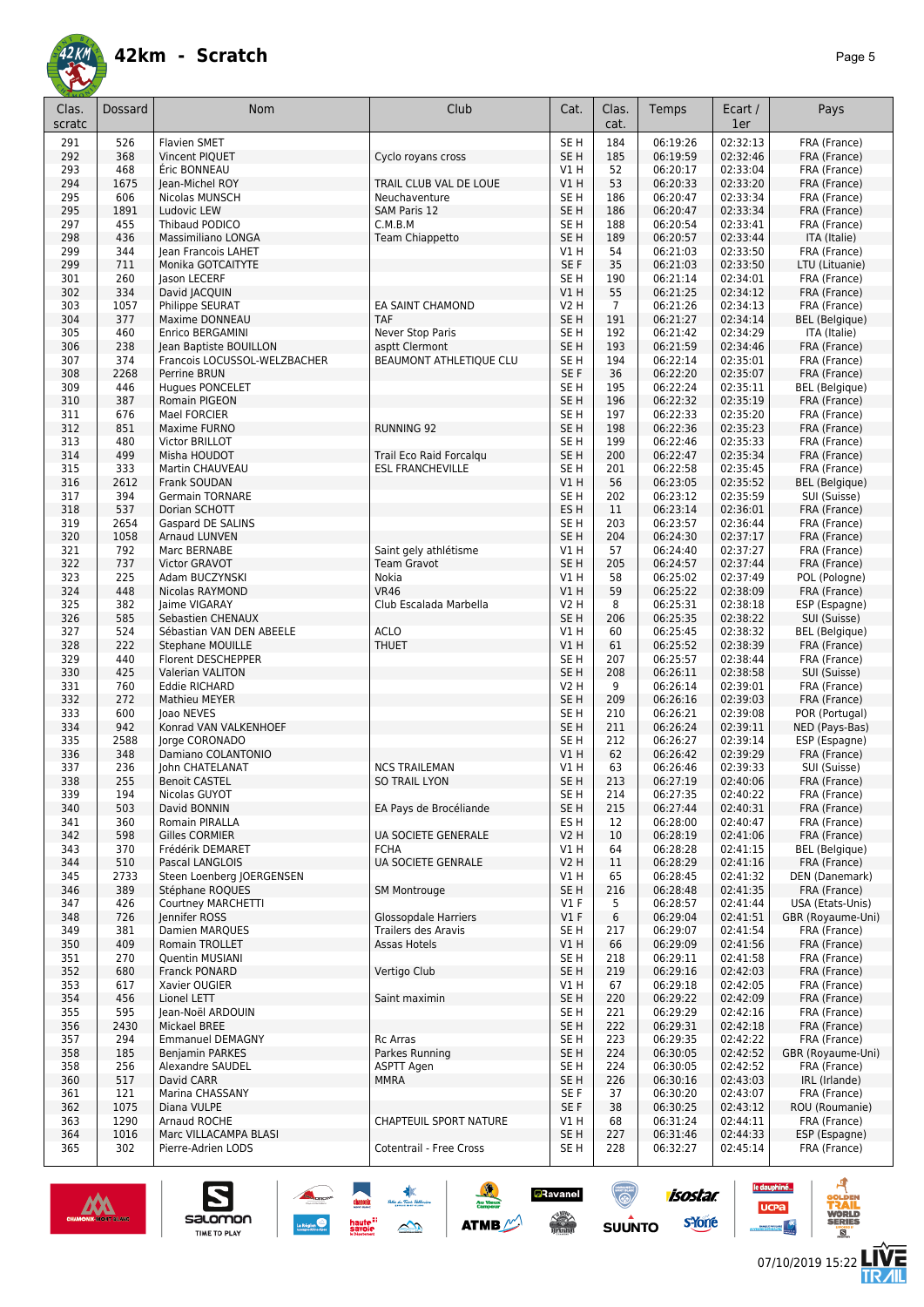

| Clas.<br>scratc | Dossard    | Nom                                      | Club                                        | Cat.                    | Clas.<br>cat.  | Temps                | Ecart /<br>1er       | Pays                           |
|-----------------|------------|------------------------------------------|---------------------------------------------|-------------------------|----------------|----------------------|----------------------|--------------------------------|
| 291             | 526        | <b>Flavien SMET</b>                      |                                             | SE <sub>H</sub>         | 184            | 06:19:26             | 02:32:13             | FRA (France)                   |
| 292             | 368        | Vincent PIQUET                           | Cyclo royans cross                          | SE <sub>H</sub>         | 185            | 06:19:59             | 02:32:46             | FRA (France)                   |
| 293             | 468        | Éric BONNEAU                             |                                             | V1H                     | 52             | 06:20:17             | 02:33:04             | FRA (France)                   |
| 294             | 1675       | Jean-Michel ROY                          | TRAIL CLUB VAL DE LOUE                      | VIH                     | 53             | 06:20:33             | 02:33:20             | FRA (France)                   |
| 295             | 606        | Nicolas MUNSCH                           | Neuchaventure                               | SE <sub>H</sub>         | 186            | 06:20:47             | 02:33:34             | FRA (France)                   |
| 295             | 1891       | Ludovic LEW                              | SAM Paris 12                                | SE <sub>H</sub>         | 186            | 06:20:47             | 02:33:34             | FRA (France)                   |
| 297             | 455        | Thibaud PODICO                           | C.M.B.M                                     | SE <sub>H</sub>         | 188            | 06:20:54             | 02:33:41             | FRA (France)                   |
| 298             | 436        | Massimiliano LONGA                       | Team Chiappetto                             | SE <sub>H</sub>         | 189            | 06:20:57             | 02:33:44             | ITA (Italie)                   |
| 299<br>299      | 344<br>711 | Jean Francois LAHET<br>Monika GOTCAITYTE |                                             | V1 H<br>SE F            | 54<br>35       | 06:21:03<br>06:21:03 | 02:33:50<br>02:33:50 | FRA (France)                   |
| 301             | 260        | Jason LECERF                             |                                             | SE H                    | 190            | 06:21:14             | 02:34:01             | LTU (Lituanie)<br>FRA (France) |
| 302             | 334        | David JACQUIN                            |                                             | VIH                     | 55             | 06:21:25             | 02:34:12             | FRA (France)                   |
| 303             | 1057       | Philippe SEURAT                          | EA SAINT CHAMOND                            | <b>V2 H</b>             | $\overline{7}$ | 06:21:26             | 02:34:13             | FRA (France)                   |
| 304             | 377        | Maxime DONNEAU                           | <b>TAF</b>                                  | SE <sub>H</sub>         | 191            | 06:21:27             | 02:34:14             | <b>BEL</b> (Belgique)          |
| 305             | 460        | Enrico BERGAMINI                         | Never Stop Paris                            | SE H                    | 192            | 06:21:42             | 02:34:29             | ITA (Italie)                   |
| 306             | 238        | Jean Baptiste BOUILLON                   | asptt Clermont                              | SE <sub>H</sub>         | 193            | 06:21:59             | 02:34:46             | FRA (France)                   |
| 307             | 374        | Francois LOCUSSOL-WELZBACHER             | BEAUMONT ATHLETIQUE CLU                     | SE H                    | 194            | 06:22:14             | 02:35:01             | FRA (France)                   |
| 308             | 2268       | Perrine BRUN                             |                                             | SE F                    | 36             | 06:22:20             | 02:35:07             | FRA (France)                   |
| 309             | 446        | <b>Hugues PONCELET</b>                   |                                             | SE <sub>H</sub>         | 195            | 06:22:24             | 02:35:11             | <b>BEL</b> (Belgique)          |
| 310<br>311      | 387<br>676 | Romain PIGEON<br>Mael FORCIER            |                                             | SE <sub>H</sub><br>SE H | 196<br>197     | 06:22:32<br>06:22:33 | 02:35:19<br>02:35:20 | FRA (France)<br>FRA (France)   |
| 312             | 851        | Maxime FURNO                             | <b>RUNNING 92</b>                           | SE <sub>H</sub>         | 198            | 06:22:36             | 02:35:23             | FRA (France)                   |
| 313             | 480        | Victor BRILLOT                           |                                             | SE <sub>H</sub>         | 199            | 06:22:46             | 02:35:33             | FRA (France)                   |
| 314             | 499        | Misha HOUDOT                             | Trail Eco Raid Forcalgu                     | SE <sub>H</sub>         | 200            | 06:22:47             | 02:35:34             | FRA (France)                   |
| 315             | 333        | <b>Martin CHAUVEAU</b>                   | <b>ESL FRANCHEVILLE</b>                     | SE H                    | 201            | 06:22:58             | 02:35:45             | FRA (France)                   |
| 316             | 2612       | Frank SOUDAN                             |                                             | VIH                     | 56             | 06:23:05             | 02:35:52             | <b>BEL</b> (Belgique)          |
| 317             | 394        | <b>Germain TORNARE</b>                   |                                             | SE H                    | 202            | 06:23:12             | 02:35:59             | SUI (Suisse)                   |
| 318             | 537        | Dorian SCHOTT                            |                                             | ES <sub>H</sub>         | 11             | 06:23:14             | 02:36:01             | FRA (France)                   |
| 319             | 2654       | Gaspard DE SALINS                        |                                             | SE H                    | 203            | 06:23:57             | 02:36:44             | FRA (France)                   |
| 320             | 1058       | <b>Arnaud LUNVEN</b>                     |                                             | SE <sub>H</sub><br>V1H  | 204            | 06:24:30             | 02:37:17             | FRA (France)                   |
| 321<br>322      | 792<br>737 | Marc BERNABE<br>Victor GRAVOT            | Saint gely athlétisme<br><b>Team Gravot</b> | SE <sub>H</sub>         | 57<br>205      | 06:24:40<br>06:24:57 | 02:37:27<br>02:37:44 | FRA (France)<br>FRA (France)   |
| 323             | 225        | Adam BUCZYNSKI                           | Nokia                                       | V1 H                    | 58             | 06:25:02             | 02:37:49             | POL (Pologne)                  |
| 324             | 448        | Nicolas RAYMOND                          | <b>VR46</b>                                 | VIH                     | 59             | 06:25:22             | 02:38:09             | FRA (France)                   |
| 325             | 382        | Jaime VIGARAY                            | Club Escalada Marbella                      | <b>V2 H</b>             | 8              | 06:25:31             | 02:38:18             | ESP (Espagne)                  |
| 326             | 585        | Sebastien CHENAUX                        |                                             | SE <sub>H</sub>         | 206            | 06:25:35             | 02:38:22             | SUI (Suisse)                   |
| 327             | 524        | Sébastian VAN DEN ABEELE                 | <b>ACLO</b>                                 | V1 H                    | 60             | 06:25:45             | 02:38:32             | <b>BEL</b> (Belgique)          |
| 328             | 222        | <b>Stephane MOUILLE</b>                  | <b>THUET</b>                                | V1 H                    | 61             | 06:25:52             | 02:38:39             | FRA (France)                   |
| 329             | 440        | Florent DESCHEPPER                       |                                             | SE H                    | 207            | 06:25:57             | 02:38:44             | FRA (France)                   |
| 330             | 425        | <b>Valerian VALITON</b>                  |                                             | SE <sub>H</sub>         | 208            | 06:26:11             | 02:38:58             | SUI (Suisse)                   |
| 331<br>332      | 760<br>272 | Eddie RICHARD<br>Mathieu MEYER           |                                             | V2 H<br>SE <sub>H</sub> | 9<br>209       | 06:26:14<br>06:26:16 | 02:39:01<br>02:39:03 | FRA (France)<br>FRA (France)   |
| 333             | 600        | Joao NEVES                               |                                             | SE <sub>H</sub>         | 210            | 06:26:21             | 02:39:08             | POR (Portugal)                 |
| 334             | 942        | Konrad VAN VALKENHOEF                    |                                             | SE <sub>H</sub>         | 211            | 06:26:24             | 02:39:11             | NED (Pays-Bas)                 |
| 335             | 2588       | Jorge CORONADO                           |                                             | SE H                    | 212            | 06:26:27             | 02:39:14             | ESP (Espagne)                  |
| 336             | 348        | Damiano COLANTONIO                       |                                             | VIH                     | 62             | 06:26:42             | 02:39:29             | FRA (France)                   |
| 337             | 236        | John CHATELANAT                          | <b>NCS TRAILEMAN</b>                        | V1 H                    | 63             | 06:26:46             | 02:39:33             | SUI (Suisse)                   |
| 338             | 255        | <b>Benoit CASTEL</b>                     | <b>SO TRAIL LYON</b>                        | SE <sub>H</sub>         | 213            | 06:27:19             | 02:40:06             | FRA (France)                   |
| 339             | 194        | Nicolas GUYOT                            |                                             | SE H                    | 214            | 06:27:35             | 02:40:22             | FRA (France)                   |
| 340<br>341      | 503<br>360 | David BONNIN<br>Romain PIRALLA           | EA Pays de Brocéliande                      | SE H<br>ES H            | 215<br>12      | 06:27:44<br>06:28:00 | 02:40:31<br>02:40:47 | FRA (France)<br>FRA (France)   |
| 342             | 598        | Gilles CORMIER                           | UA SOCIETE GENERALE                         | V <sub>2</sub> H        | 10             | 06:28:19             | 02:41:06             | FRA (France)                   |
| 343             | 370        | Frédérik DEMARET                         | <b>FCHA</b>                                 | V1 H                    | 64             | 06:28:28             | 02:41:15             | BEL (Belgique)                 |
| 344             | 510        | Pascal LANGLOIS                          | UA SOCIETE GENRALE                          | <b>V2 H</b>             | 11             | 06:28:29             | 02:41:16             | FRA (France)                   |
| 345             | 2733       | Steen Loenberg JOERGENSEN                |                                             | V1 H                    | 65             | 06:28:45             | 02:41:32             | DEN (Danemark)                 |
| 346             | 389        | Stéphane ROQUES                          | <b>SM Montrouge</b>                         | SE <sub>H</sub>         | 216            | 06:28:48             | 02:41:35             | FRA (France)                   |
| 347             | 426        | Courtney MARCHETTI                       |                                             | $VI$ F                  | 5              | 06:28:57             | 02:41:44             | USA (Etats-Unis)               |
| 348             | 726        | Jennifer ROSS                            | <b>Glossopdale Harriers</b>                 | $VI$ F                  | 6              | 06:29:04             | 02:41:51             | GBR (Royaume-Uni)              |
| 349             | 381        | Damien MARQUES                           | Trailers des Aravis                         | SE H                    | 217            | 06:29:07             | 02:41:54             | FRA (France)                   |
| 350<br>351      | 409<br>270 | Romain TROLLET<br>Quentin MUSIANI        | Assas Hotels                                | V1H<br>SE <sub>H</sub>  | 66<br>218      | 06:29:09<br>06:29:11 | 02:41:56<br>02:41:58 | FRA (France)<br>FRA (France)   |
| 352             | 680        | <b>Franck PONARD</b>                     | Vertigo Club                                | SE <sub>H</sub>         | 219            | 06:29:16             | 02:42:03             | FRA (France)                   |
| 353             | 617        | Xavier OUGIER                            |                                             | V1 H                    | 67             | 06:29:18             | 02:42:05             | FRA (France)                   |
| 354             | 456        | Lionel LETT                              | Saint maximin                               | SE H                    | 220            | 06:29:22             | 02:42:09             | FRA (France)                   |
| 355             | 595        | Jean-Noël ARDOUIN                        |                                             | SE H                    | 221            | 06:29:29             | 02:42:16             | FRA (France)                   |
| 356             | 2430       | Mickael BREE                             |                                             | SE <sub>H</sub>         | 222            | 06:29:31             | 02:42:18             | FRA (France)                   |
| 357             | 294        | Emmanuel DEMAGNY                         | Rc Arras                                    | SE <sub>H</sub>         | 223            | 06:29:35             | 02:42:22             | FRA (France)                   |
| 358             | 185        | Benjamin PARKES                          | Parkes Running                              | SE <sub>H</sub>         | 224            | 06:30:05             | 02:42:52             | GBR (Royaume-Uni)              |
| 358             | 256        | Alexandre SAUDEL                         | ASPTT Agen                                  | SE H                    | 224            | 06:30:05             | 02:42:52             | FRA (France)                   |
| 360<br>361      | 517<br>121 | David CARR<br>Marina CHASSANY            | <b>MMRA</b>                                 | SE <sub>H</sub><br>SE F | 226<br>37      | 06:30:16<br>06:30:20 | 02:43:03<br>02:43:07 | IRL (Irlande)<br>FRA (France)  |
| 362             | 1075       | Diana VULPE                              |                                             | SE F                    | 38             | 06:30:25             | 02:43:12             | ROU (Roumanie)                 |
| 363             | 1290       | Arnaud ROCHE                             | CHAPTEUIL SPORT NATURE                      | V1 H                    | 68             | 06:31:24             | 02:44:11             | FRA (France)                   |
| 364             | 1016       | Marc VILLACAMPA BLASI                    |                                             | SE <sub>H</sub>         | 227            | 06:31:46             | 02:44:33             | ESP (Espagne)                  |
| 365             | 302        | Pierre-Adrien LODS                       | Cotentrail - Free Cross                     | SE H                    | 228            | 06:32:27             | 02:45:14             | FRA (France)                   |

 $\rightarrow$ 

 $\frac{1}{2}$ 

**ATMB** 

**a**Ravanel

 $\frac{1}{\sqrt{2}}$ 

 $\odot$ 

**SUUNTO** 



 $\sum_{\text{SALOMOM}}$ 

 $\sum_{i=1}^{n}$ 

le dauphiné...

ucpa

**Continue** 

isostar.

sYone

**AT<br>SOLDEN<br>FRAIL** 

**WORLD**<br>SERIES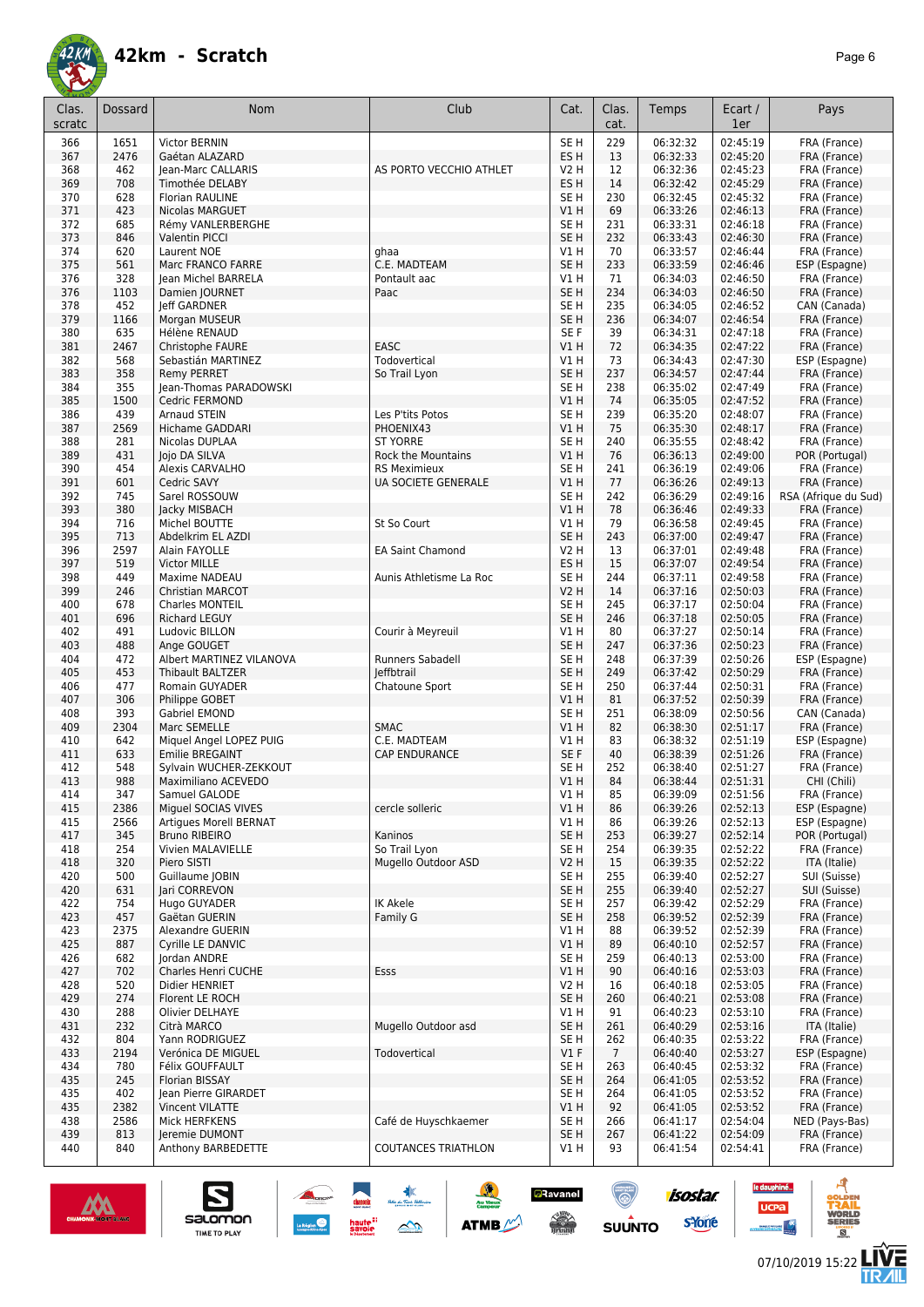

| Clas.<br>scratc | Dossard     | Nom                                        | Club                                 | Cat.                               | Clas.<br>cat.   | Temps                | Ecart /<br>1er       | Pays                         |
|-----------------|-------------|--------------------------------------------|--------------------------------------|------------------------------------|-----------------|----------------------|----------------------|------------------------------|
| 366             | 1651        | <b>Victor BERNIN</b>                       |                                      | SE <sub>H</sub>                    | 229             | 06:32:32             | 02:45:19             | FRA (France)                 |
| 367             | 2476        | Gaétan ALAZARD                             |                                      | ES <sub>H</sub>                    | 13              | 06:32:33             | 02:45:20             | FRA (France)                 |
| 368             | 462         | Jean-Marc CALLARIS                         | AS PORTO VECCHIO ATHLET              | V2 H                               | 12              | 06:32:36             | 02:45:23             | FRA (France)                 |
| 369             | 708         | Timothée DELABY                            |                                      | ES <sub>H</sub>                    | 14              | 06:32:42             | 02:45:29             | FRA (France)                 |
| 370             | 628         | <b>Florian RAULINE</b>                     |                                      | SE <sub>H</sub>                    | 230             | 06:32:45             | 02:45:32             | FRA (France)                 |
| 371             | 423         | <b>Nicolas MARGUET</b>                     |                                      | VIH                                | 69              | 06:33:26             | 02:46:13             | FRA (France)                 |
| 372<br>373      | 685<br>846  | Rémy VANLERBERGHE<br><b>Valentin PICCI</b> |                                      | SE <sub>H</sub><br>SE <sub>H</sub> | 231<br>232      | 06:33:31<br>06:33:43 | 02:46:18<br>02:46:30 | FRA (France)<br>FRA (France) |
| 374             | 620         | Laurent NOE                                | ghaa                                 | V1 H                               | 70              | 06:33:57             | 02:46:44             | FRA (France)                 |
| 375             | 561         | Marc FRANCO FARRE                          | C.E. MADTEAM                         | SE <sub>H</sub>                    | 233             | 06:33:59             | 02:46:46             | ESP (Espagne)                |
| 376             | 328         | Jean Michel BARRELA                        | Pontault aac                         | V1H                                | 71              | 06:34:03             | 02:46:50             | FRA (France)                 |
| 376             | 1103        | Damien JOURNET                             | Paac                                 | SE <sub>H</sub>                    | 234             | 06:34:03             | 02:46:50             | FRA (France)                 |
| 378             | 452         | leff GARDNER                               |                                      | SE <sub>H</sub>                    | 235             | 06:34:05             | 02:46:52             | CAN (Canada)                 |
| 379             | 1166        | Morgan MUSEUR                              |                                      | SE <sub>H</sub>                    | 236             | 06:34:07             | 02:46:54             | FRA (France)                 |
| 380             | 635         | Hélène RENAUD                              |                                      | SE <sub>F</sub>                    | 39              | 06:34:31             | 02:47:18             | FRA (France)                 |
| 381             | 2467        | Christophe FAURE                           | EASC                                 | VIH                                | 72              | 06:34:35             | 02:47:22             | FRA (France)                 |
| 382             | 568         | Sebastián MARTINEZ                         | Todovertical                         | V1 H                               | 73              | 06:34:43             | 02:47:30             | ESP (Espagne)                |
| 383<br>384      | 358<br>355  | Remy PERRET                                | So Trail Lyon                        | SE <sub>H</sub><br>SE H            | 237<br>238      | 06:34:57<br>06:35:02 | 02:47:44<br>02:47:49 | FRA (France)                 |
| 385             | 1500        | Jean-Thomas PARADOWSKI<br>Cedric FERMOND   |                                      | V1 H                               | 74              | 06:35:05             | 02:47:52             | FRA (France)<br>FRA (France) |
| 386             | 439         | Arnaud STEIN                               | Les P'tits Potos                     | SE H                               | 239             | 06:35:20             | 02:48:07             | FRA (France)                 |
| 387             | 2569        | Hichame GADDARI                            | PHOENIX43                            | VIH                                | 75              | 06:35:30             | 02:48:17             | FRA (France)                 |
| 388             | 281         | Nicolas DUPLAA                             | <b>ST YORRE</b>                      | SE H                               | 240             | 06:35:55             | 02:48:42             | FRA (France)                 |
| 389             | 431         | Jojo DA SILVA                              | <b>Rock the Mountains</b>            | VIH                                | 76              | 06:36:13             | 02:49:00             | POR (Portugal)               |
| 390             | 454         | Alexis CARVALHO                            | <b>RS Meximieux</b>                  | SE H                               | 241             | 06:36:19             | 02:49:06             | FRA (France)                 |
| 391             | 601         | Cedric SAVY                                | UA SOCIETE GENERALE                  | VIH                                | 77              | 06:36:26             | 02:49:13             | FRA (France)                 |
| 392             | 745         | Sarel ROSSOUW                              |                                      | SE H                               | 242             | 06:36:29             | 02:49:16             | RSA (Afrique du Sud)         |
| 393             | 380         | Jacky MISBACH                              |                                      | V1H                                | 78              | 06:36:46             | 02:49:33             | FRA (France)                 |
| 394             | 716         | Michel BOUTTE                              | St So Court                          | V1 H                               | 79              | 06:36:58             | 02:49:45             | FRA (France)                 |
| 395             | 713         | Abdelkrim EL AZDI                          |                                      | SE <sub>H</sub>                    | 243             | 06:37:00             | 02:49:47             | FRA (France)                 |
| 396<br>397      | 2597<br>519 | Alain FAYOLLE<br><b>Victor MILLE</b>       | <b>EA Saint Chamond</b>              | V2 H<br>ES <sub>H</sub>            | 13<br>15        | 06:37:01<br>06:37:07 | 02:49:48<br>02:49:54 | FRA (France)<br>FRA (France) |
| 398             | 449         | Maxime NADEAU                              | Aunis Athletisme La Roc              | SE H                               | 244             | 06:37:11             | 02:49:58             | FRA (France)                 |
| 399             | 246         | <b>Christian MARCOT</b>                    |                                      | V2 H                               | 14              | 06:37:16             | 02:50:03             | FRA (France)                 |
| 400             | 678         | Charles MONTEIL                            |                                      | SE <sub>H</sub>                    | 245             | 06:37:17             | 02:50:04             | FRA (France)                 |
| 401             | 696         | <b>Richard LEGUY</b>                       |                                      | SE <sub>H</sub>                    | 246             | 06:37:18             | 02:50:05             | FRA (France)                 |
| 402             | 491         | Ludovic BILLON                             | Courir à Meyreuil                    | V1H                                | 80              | 06:37:27             | 02:50:14             | FRA (France)                 |
| 403             | 488         | Ange GOUGET                                |                                      | SE <sub>H</sub>                    | 247             | 06:37:36             | 02:50:23             | FRA (France)                 |
| 404             | 472         | Albert MARTINEZ VILANOVA                   | Runners Sabadell                     | SE <sub>H</sub>                    | 248             | 06:37:39             | 02:50:26             | ESP (Espagne)                |
| 405             | 453         | <b>Thibault BALTZER</b>                    | leffbtrail                           | SE <sub>H</sub>                    | 249             | 06:37:42             | 02:50:29             | FRA (France)                 |
| 406             | 477         | Romain GUYADER                             | Chatoune Sport                       | SE <sub>H</sub>                    | 250             | 06:37:44             | 02:50:31             | FRA (France)                 |
| 407             | 306         | Philippe GOBET                             |                                      | V1H                                | 81              | 06:37:52             | 02:50:39             | FRA (France)                 |
| 408<br>409      | 393<br>2304 | Gabriel EMOND<br>Marc SEMELLE              | <b>SMAC</b>                          | SE <sub>H</sub><br>V1 H            | 251<br>82       | 06:38:09<br>06:38:30 | 02:50:56<br>02:51:17 | CAN (Canada)<br>FRA (France) |
| 410             | 642         | Miquel Angel LOPEZ PUIG                    | C.E. MADTEAM                         | V1 H                               | 83              | 06:38:32             | 02:51:19             | ESP (Espagne)                |
| 411             | 633         | Emilie BREGAINT                            | CAP ENDURANCE                        | SE F                               | 40              | 06:38:39             | 02:51:26             | FRA (France)                 |
| 412             | 548         | Sylvain WUCHER-ZEKKOUT                     |                                      | SE H                               | 252             | 06:38:40             | 02:51:27             | FRA (France)                 |
| 413             | 988         | Maximiliano ACEVEDO                        |                                      | VIH                                | 84              | 06:38:44             | 02:51:31             | CHI (Chili)                  |
| 414             | 347         | Samuel GALODE                              |                                      | V1 H                               | 85              | 06:39:09             | 02:51:56             | FRA (France)                 |
| 415             | 2386        | Miguel SOCIAS VIVES                        | cercle solleric                      | V1H                                | 86              | 06:39:26             | 02:52:13             | ESP (Espagne)                |
| 415             | 2566        | <b>Artiques Morell BERNAT</b>              |                                      | V1 H                               | 86              | 06:39:26             | 02:52:13             | ESP (Espagne)                |
| 417             | 345         | <b>Bruno RIBEIRO</b>                       | Kaninos                              | SE <sub>H</sub>                    | 253             | 06:39:27             | 02:52:14             | POR (Portugal)               |
| 418<br>418      | 254<br>320  | Vivien MALAVIELLE<br>Piero SISTI           | So Trail Lyon<br>Mugello Outdoor ASD | SE H<br><b>V2 H</b>                | 254<br>15       | 06:39:35<br>06:39:35 | 02:52:22<br>02:52:22 | FRA (France)<br>ITA (Italie) |
| 420             | 500         | Guillaume JOBIN                            |                                      | SE H                               | 255             | 06:39:40             | 02:52:27             | SUI (Suisse)                 |
| 420             | 631         | Jari CORREVON                              |                                      | SE H                               | 255             | 06:39:40             | 02:52:27             | SUI (Suisse)                 |
| 422             | 754         | Hugo GUYADER                               | <b>IK Akele</b>                      | SE H                               | 257             | 06:39:42             | 02:52:29             | FRA (France)                 |
| 423             | 457         | Gaëtan GUERIN                              | Family G                             | SE <sub>H</sub>                    | 258             | 06:39:52             | 02:52:39             | FRA (France)                 |
| 423             | 2375        | Alexandre GUERIN                           |                                      | VIH                                | 88              | 06:39:52             | 02:52:39             | FRA (France)                 |
| 425             | 887         | Cyrille LE DANVIC                          |                                      | V1H                                | 89              | 06:40:10             | 02:52:57             | FRA (France)                 |
| 426             | 682         | Jordan ANDRE                               |                                      | SE H                               | 259             | 06:40:13             | 02:53:00             | FRA (France)                 |
| 427             | 702         | Charles Henri CUCHE                        | Esss                                 | V1H                                | 90              | 06:40:16             | 02:53:03             | FRA (France)                 |
| 428             | 520         | Didier HENRIET                             |                                      | V2 H                               | 16              | 06:40:18             | 02:53:05             | FRA (France)                 |
| 429             | 274         | Florent LE ROCH                            |                                      | SE <sub>H</sub>                    | 260             | 06:40:21             | 02:53:08             | FRA (France)                 |
| 430<br>431      | 288<br>232  | Olivier DELHAYE<br>Citrà MARCO             | Mugello Outdoor asd                  | V1 H<br>SE <sub>H</sub>            | 91<br>261       | 06:40:23<br>06:40:29 | 02:53:10<br>02:53:16 | FRA (France)<br>ITA (Italie) |
| 432             | 804         | Yann RODRIGUEZ                             |                                      | SE H                               | 262             | 06:40:35             | 02:53:22             | FRA (France)                 |
| 433             | 2194        | Verónica DE MIGUEL                         | Todovertical                         | $VI$ F                             | $7\overline{ }$ | 06:40:40             | 02:53:27             | ESP (Espagne)                |
| 434             | 780         | Félix GOUFFAULT                            |                                      | SE H                               | 263             | 06:40:45             | 02:53:32             | FRA (France)                 |
| 435             | 245         | Florian BISSAY                             |                                      | SE H                               | 264             | 06:41:05             | 02:53:52             | FRA (France)                 |
| 435             | 402         | Jean Pierre GIRARDET                       |                                      | SE H                               | 264             | 06:41:05             | 02:53:52             | FRA (France)                 |
| 435             | 2382        | Vincent VILATTE                            |                                      | V1H                                | 92              | 06:41:05             | 02:53:52             | FRA (France)                 |
| 438             | 2586        | Mick HERFKENS                              | Café de Huyschkaemer                 | SE H                               | 266             | 06:41:17             | 02:54:04             | NED (Pays-Bas)               |
| 439             | 813         | Jeremie DUMONT                             |                                      | SE <sub>H</sub>                    | 267             | 06:41:22             | 02:54:09             | FRA (France)                 |
| 440             | 840         | Anthony BARBEDETTE                         | <b>COUTANCES TRIATHLON</b>           | V1 H                               | 93              | 06:41:54             | 02:54:41             | FRA (France)                 |

 $\rightarrow$ 

 $\frac{1}{2}$ 

**ATMB** 



 $\n \ \, \underbrace{\sum\limits_{\text{SALOMOM}}$ 

 $\liminf_{k \to \infty} \sup_{\theta \in \Theta_k} \frac{\theta_k}{\theta_k}$ 

le dauphiné...

ucpa

**Continue** 

**isostar** 

sYone

 $\bigcirc$ 

**SUUNTO** 

**a**Ravanel

 $\frac{1}{\sqrt{2}}$ 

년<br>older<br>**RAI** 

**WORLD**<br>SERIES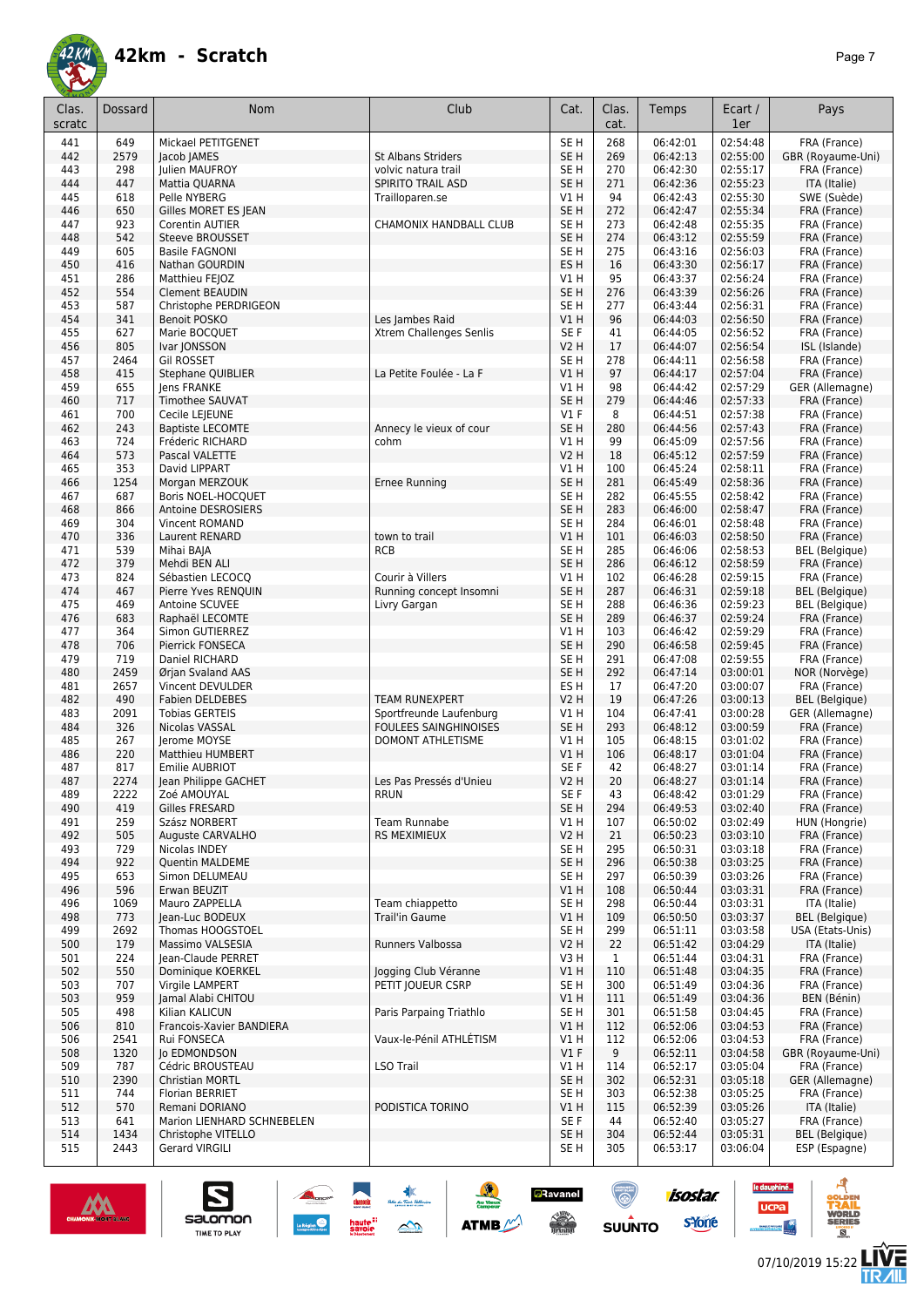

| Clas.<br>scratc | Dossard     | <b>Nom</b>                                   | Club                                    | Cat.                               | Clas.<br>cat. | Temps                | Ecart /<br>1er       | Pays                                           |
|-----------------|-------------|----------------------------------------------|-----------------------------------------|------------------------------------|---------------|----------------------|----------------------|------------------------------------------------|
| 441             | 649         | Mickael PETITGENET                           |                                         | SE <sub>H</sub>                    | 268           | 06:42:01             | 02:54:48             | FRA (France)                                   |
| 442             | 2579        | Jacob JAMES                                  | <b>St Albans Striders</b>               | SE <sub>H</sub>                    | 269           | 06:42:13             | 02:55:00             | GBR (Royaume-Uni)                              |
| 443             | 298         | Julien MAUFROY                               | volvic natura trail                     | SE <sub>H</sub>                    | 270           | 06:42:30             | 02:55:17             | FRA (France)                                   |
| 444             | 447         | Mattia QUARNA                                | SPIRITO TRAIL ASD                       | SE <sub>H</sub>                    | 271           | 06:42:36             | 02:55:23             | ITA (Italie)                                   |
| 445             | 618         | Pelle NYBERG                                 | Trailloparen.se                         | V1 H                               | 94            | 06:42:43             | 02:55:30             | SWE (Suède)                                    |
| 446<br>447      | 650<br>923  | Gilles MORET ES JEAN<br>Corentin AUTIER      | CHAMONIX HANDBALL CLUB                  | SE <sub>H</sub><br>SE <sub>H</sub> | 272<br>273    | 06:42:47<br>06:42:48 | 02:55:34<br>02:55:35 | FRA (France)<br>FRA (France)                   |
| 448             | 542         | <b>Steeve BROUSSET</b>                       |                                         | SE <sub>H</sub>                    | 274           | 06:43:12             | 02:55:59             | FRA (France)                                   |
| 449             | 605         | <b>Basile FAGNONI</b>                        |                                         | SE <sub>H</sub>                    | 275           | 06:43:16             | 02:56:03             | FRA (France)                                   |
| 450             | 416         | Nathan GOURDIN                               |                                         | ES <sub>H</sub>                    | 16            | 06:43:30             | 02:56:17             | FRA (France)                                   |
| 451             | 286         | Matthieu FEJOZ                               |                                         | V1 H                               | 95            | 06:43:37             | 02:56:24             | FRA (France)                                   |
| 452             | 554         | Clement BEAUDIN                              |                                         | SE <sub>H</sub>                    | 276           | 06:43:39             | 02:56:26             | FRA (France)                                   |
| 453             | 587         | Christophe PERDRIGEON                        |                                         | SE <sub>H</sub>                    | 277           | 06:43:44             | 02:56:31             | FRA (France)                                   |
| 454             | 341         | Benoit POSKO                                 | Les Jambes Raid                         | V1H                                | 96            | 06:44:03             | 02:56:50             | FRA (France)                                   |
| 455             | 627         | Marie BOCQUET                                | Xtrem Challenges Senlis                 | SE F                               | 41            | 06:44:05             | 02:56:52             | FRA (France)                                   |
| 456             | 805         | Ivar JONSSON                                 |                                         | <b>V2 H</b>                        | 17            | 06:44:07             | 02:56:54             | ISL (Islande)                                  |
| 457             | 2464        | <b>Gil ROSSET</b>                            |                                         | SE <sub>H</sub>                    | 278           | 06:44:11             | 02:56:58             | FRA (France)                                   |
| 458             | 415         | Stephane QUIBLIER                            | La Petite Foulée - La F                 | V1H                                | 97            | 06:44:17             | 02:57:04             | FRA (France)                                   |
| 459             | 655<br>717  | Jens FRANKE<br><b>Timothee SAUVAT</b>        |                                         | V1H<br>SE <sub>H</sub>             | 98<br>279     | 06:44:42<br>06:44:46 | 02:57:29<br>02:57:33 | GER (Allemagne)<br>FRA (France)                |
| 460<br>461      | 700         | Cecile LEJEUNE                               |                                         | $VI$ F                             | 8             | 06:44:51             | 02:57:38             | FRA (France)                                   |
| 462             | 243         | <b>Baptiste LECOMTE</b>                      | Annecy le vieux of cour                 | SE <sub>H</sub>                    | 280           | 06:44:56             | 02:57:43             | FRA (France)                                   |
| 463             | 724         | Fréderic RICHARD                             | cohm                                    | V1 H                               | 99            | 06:45:09             | 02:57:56             | FRA (France)                                   |
| 464             | 573         | Pascal VALETTE                               |                                         | V2 H                               | 18            | 06:45:12             | 02:57:59             | FRA (France)                                   |
| 465             | 353         | David LIPPART                                |                                         | V1 H                               | 100           | 06:45:24             | 02:58:11             | FRA (France)                                   |
| 466             | 1254        | Morgan MERZOUK                               | <b>Ernee Running</b>                    | SE <sub>H</sub>                    | 281           | 06:45:49             | 02:58:36             | FRA (France)                                   |
| 467             | 687         | Boris NOEL-HOCQUET                           |                                         | SE <sub>H</sub>                    | 282           | 06:45:55             | 02:58:42             | FRA (France)                                   |
| 468             | 866         | Antoine DESROSIERS                           |                                         | SE <sub>H</sub>                    | 283           | 06:46:00             | 02:58:47             | FRA (France)                                   |
| 469             | 304         | Vincent ROMAND                               |                                         | SE H                               | 284           | 06:46:01             | 02:58:48             | FRA (France)                                   |
| 470             | 336         | Laurent RENARD                               | town to trail                           | V1H                                | 101           | 06:46:03             | 02:58:50             | FRA (France)                                   |
| 471             | 539         | Mihai BAJA                                   | <b>RCB</b>                              | SE <sub>H</sub>                    | 285           | 06:46:06             | 02:58:53             | <b>BEL</b> (Belgique)                          |
| 472             | 379         | Mehdi BEN ALI                                |                                         | SE <sub>H</sub>                    | 286           | 06:46:12             | 02:58:59             | FRA (France)                                   |
| 473<br>474      | 824<br>467  | Sébastien LECOCQ<br>Pierre Yves RENQUIN      | Courir à Villers                        | V1H<br>SE <sub>H</sub>             | 102<br>287    | 06:46:28<br>06:46:31 | 02:59:15<br>02:59:18 | FRA (France)                                   |
| 475             | 469         | Antoine SCUVEE                               | Running concept Insomni<br>Livry Gargan | SE H                               | 288           | 06:46:36             | 02:59:23             | <b>BEL</b> (Belgique)<br><b>BEL</b> (Belgique) |
| 476             | 683         | Raphaël LECOMTE                              |                                         | SE <sub>H</sub>                    | 289           | 06:46:37             | 02:59:24             | FRA (France)                                   |
| 477             | 364         | Simon GUTIERREZ                              |                                         | V1 H                               | 103           | 06:46:42             | 02:59:29             | FRA (France)                                   |
| 478             | 706         | Pierrick FONSECA                             |                                         | SE <sub>H</sub>                    | 290           | 06:46:58             | 02:59:45             | FRA (France)                                   |
| 479             | 719         | Daniel RICHARD                               |                                         | SE <sub>H</sub>                    | 291           | 06:47:08             | 02:59:55             | FRA (France)                                   |
| 480             | 2459        | Ørjan Svaland AAS                            |                                         | SE <sub>H</sub>                    | 292           | 06:47:14             | 03:00:01             | NOR (Norvège)                                  |
| 481             | 2657        | Vincent DEVULDER                             |                                         | ES <sub>H</sub>                    | 17            | 06:47:20             | 03:00:07             | FRA (France)                                   |
| 482             | 490         | <b>Fabien DELDEBES</b>                       | <b>TEAM RUNEXPERT</b>                   | <b>V2 H</b>                        | 19            | 06:47:26             | 03:00:13             | <b>BEL</b> (Belgique)                          |
| 483             | 2091        | <b>Tobias GERTEIS</b>                        | Sportfreunde Laufenburg                 | V1H                                | 104           | 06:47:41             | 03:00:28             | GER (Allemagne)                                |
| 484             | 326         | Nicolas VASSAL                               | <b>FOULEES SAINGHINOISES</b>            | SE <sub>H</sub>                    | 293           | 06:48:12             | 03:00:59             | FRA (France)                                   |
| 485<br>486      | 267<br>220  | lerome MOYSE<br><b>Matthieu HUMBERT</b>      | DOMONT ATHLETISME                       | V1H<br>VIH                         | 105<br>106    | 06:48:15<br>06:48:17 | 03:01:02<br>03:01:04 | FRA (France)<br>FRA (France)                   |
| 487             | 817         | Emilie AUBRIOT                               |                                         | SE F                               | 42            | 06:48:27             | 03:01:14             | FRA (France)                                   |
| 487             | 2274        | Jean Philippe GACHET                         | Les Pas Pressés d'Unieu                 | V2 H                               | 20            | 06:48:27             | 03:01:14             | FRA (France)                                   |
| 489             | 2222        | Zoé AMOUYAL                                  | RRUN                                    | SE F                               | 43            | 06:48:42             | 03:01:29             | FRA (France)                                   |
| 490             | 419         | Gilles FRESARD                               |                                         | SE <sub>H</sub>                    | 294           | 06:49:53             | 03:02:40             | FRA (France)                                   |
| 491             | 259         | Szász NORBERT                                | Team Runnabe                            | V1 H                               | 107           | 06:50:02             | 03:02:49             | HUN (Hongrie)                                  |
| 492             | 505         | Auguste CARVALHO                             | RS MEXIMIEUX                            | <b>V2 H</b>                        | 21            | 06:50:23             | 03:03:10             | FRA (France)                                   |
| 493             | 729         | Nicolas INDEY                                |                                         | SE H                               | 295           | 06:50:31             | 03:03:18             | FRA (France)                                   |
| 494             | 922         | <b>Ouentin MALDEME</b>                       |                                         | SE <sub>H</sub>                    | 296           | 06:50:38             | 03:03:25             | FRA (France)                                   |
| 495             | 653         | Simon DELUMEAU                               |                                         | SE H                               | 297           | 06:50:39             | 03:03:26             | FRA (France)                                   |
| 496             | 596         | Erwan BEUZIT                                 | Team chiappetto                         | V1H                                | 108           | 06:50:44             | 03:03:31             | FRA (France)                                   |
| 496<br>498      | 1069<br>773 | Mauro ZAPPELLA<br>lean-Luc BODEUX            | <b>Trail'in Gaume</b>                   | SE <sub>H</sub><br>VIH             | 298<br>109    | 06:50:44<br>06:50:50 | 03:03:31<br>03:03:37 | ITA (Italie)<br><b>BEL</b> (Belgique)          |
| 499             | 2692        | Thomas HOOGSTOEL                             |                                         | SE H                               | 299           | 06:51:11             | 03:03:58             | USA (Etats-Unis)                               |
| 500             | 179         | Massimo VALSESIA                             | Runners Valbossa                        | <b>V2 H</b>                        | 22            | 06:51:42             | 03:04:29             | ITA (Italie)                                   |
| 501             | 224         | Jean-Claude PERRET                           |                                         | V3H                                | $\mathbf{1}$  | 06:51:44             | 03:04:31             | FRA (France)                                   |
| 502             | 550         | Dominique KOERKEL                            | Jogging Club Véranne                    | V1H                                | 110           | 06:51:48             | 03:04:35             | FRA (France)                                   |
| 503             | 707         | Virgile LAMPERT                              | PETIT JOUEUR CSRP                       | SE H                               | 300           | 06:51:49             | 03:04:36             | FRA (France)                                   |
| 503             | 959         | Jamal Alabi CHITOU                           |                                         | V1 H                               | 111           | 06:51:49             | 03:04:36             | BEN (Bénin)                                    |
| 505             | 498         | Kilian KALICUN                               | Paris Parpaing Triathlo                 | SE <sub>H</sub>                    | 301           | 06:51:58             | 03:04:45             | FRA (France)                                   |
| 506             | 810         | Francois-Xavier BANDIERA                     |                                         | V1H                                | 112           | 06:52:06             | 03:04:53             | FRA (France)                                   |
| 506             | 2541        | Rui FONSECA                                  | Vaux-le-Pénil ATHLÉTISM                 | V1 H                               | 112           | 06:52:06             | 03:04:53             | FRA (France)                                   |
| 508             | 1320        | <b>Jo EDMONDSON</b>                          |                                         | V1F                                | 9             | 06:52:11             | 03:04:58             | GBR (Royaume-Uni)                              |
| 509             | 787         | Cédric BROUSTEAU                             | LSO Trail                               | V1 H                               | 114           | 06:52:17             | 03:05:04             | FRA (France)                                   |
| 510             | 2390        | Christian MORTL                              |                                         | SE <sub>H</sub>                    | 302           | 06:52:31             | 03:05:18             | GER (Allemagne)                                |
| 511             | 744         | <b>Florian BERRIET</b>                       |                                         | SE <sub>H</sub>                    | 303           | 06:52:38             | 03:05:25             | FRA (France)                                   |
| 512<br>513      | 570<br>641  | Remani DORIANO<br>Marion LIENHARD SCHNEBELEN | PODISTICA TORINO                        | V1H<br>SE F                        | 115<br>44     | 06:52:39<br>06:52:40 | 03:05:26<br>03:05:27 | ITA (Italie)<br>FRA (France)                   |
| 514             | 1434        | Christophe VITELLO                           |                                         | SE <sub>H</sub>                    | 304           | 06:52:44             | 03:05:31             | <b>BEL</b> (Belgique)                          |
| 515             | 2443        | Gerard VIRGILI                               |                                         | SE H                               | 305           | 06:53:17             | 03:06:04             | ESP (Espagne)                                  |
|                 |             |                                              |                                         |                                    |               |                      |                      |                                                |

ال<mark>≱</mark><br>سمجد سه



 $\n \ \, \underbrace{\sum\limits_{\text{SALOMOM}}$ 



 $\bigcirc$ 

**a**Ravanel

le dauphiné...

**isostar**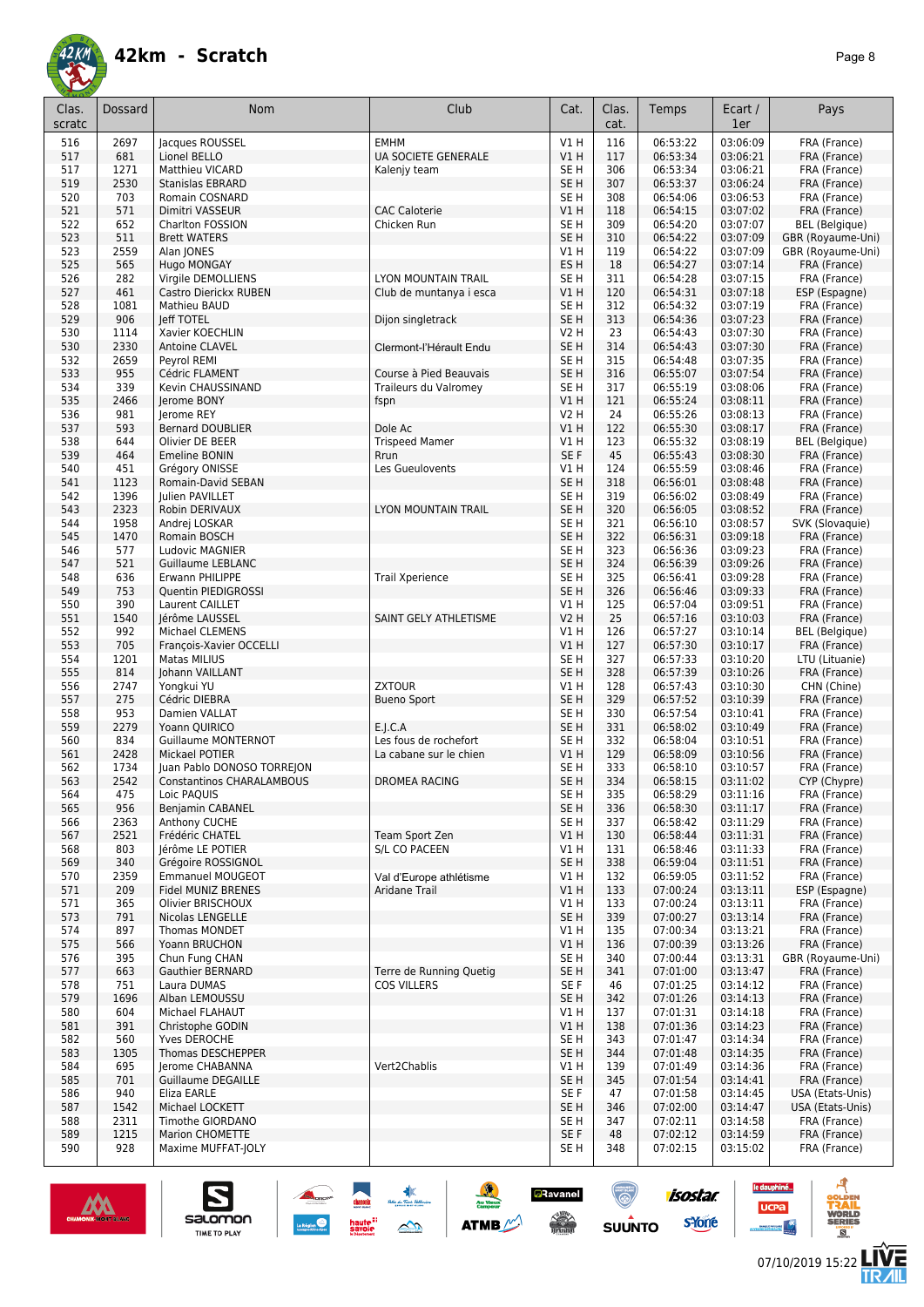

| Clas.<br>scratc | Dossard      | Nom                                         | Club                                          | Cat.                               | Clas.<br>cat. | Temps                | Ecart /<br>1er       | Pays                                  |
|-----------------|--------------|---------------------------------------------|-----------------------------------------------|------------------------------------|---------------|----------------------|----------------------|---------------------------------------|
| 516             | 2697         | Jacques ROUSSEL                             | EMHM                                          | V1H                                | 116           | 06:53:22             | 03:06:09             | FRA (France)                          |
| 517             | 681          | Lionel BELLO                                | UA SOCIETE GENERALE                           | VIH                                | 117           | 06:53:34             | 03:06:21             | FRA (France)                          |
| 517             | 1271         | Matthieu VICARD                             | Kalenjy team                                  | SE <sub>H</sub>                    | 306           | 06:53:34             | 03:06:21             | FRA (France)                          |
| 519             | 2530         | <b>Stanislas EBRARD</b>                     |                                               | SE <sub>H</sub>                    | 307           | 06:53:37             | 03:06:24             | FRA (France)                          |
| 520<br>521      | 703<br>571   | Romain COSNARD                              | <b>CAC Caloterie</b>                          | SE <sub>H</sub><br>VIH             | 308           | 06:54:06<br>06:54:15 | 03:06:53<br>03:07:02 | FRA (France)                          |
| 522             | 652          | Dimitri VASSEUR<br>Charlton FOSSION         | Chicken Run                                   | SE <sub>H</sub>                    | 118<br>309    | 06:54:20             | 03:07:07             | FRA (France)<br><b>BEL</b> (Belgique) |
| 523             | 511          | <b>Brett WATERS</b>                         |                                               | SE <sub>H</sub>                    | 310           | 06:54:22             | 03:07:09             | GBR (Royaume-Uni)                     |
| 523             | 2559         | Alan JONES                                  |                                               | V1 H                               | 119           | 06:54:22             | 03:07:09             | GBR (Royaume-Uni)                     |
| 525             | 565          | Hugo MONGAY                                 |                                               | ES <sub>H</sub>                    | 18            | 06:54:27             | 03:07:14             | FRA (France)                          |
| 526             | 282          | Virgile DEMOLLIENS                          | <b>LYON MOUNTAIN TRAIL</b>                    | SE <sub>H</sub>                    | 311           | 06:54:28             | 03:07:15             | FRA (France)                          |
| 527             | 461          | Castro Dierickx RUBEN                       | Club de muntanya i esca                       | V1H                                | 120           | 06:54:31             | 03:07:18             | ESP (Espagne)                         |
| 528             | 1081         | <b>Mathieu BAUD</b>                         |                                               | SE <sub>H</sub>                    | 312           | 06:54:32             | 03:07:19             | FRA (France)                          |
| 529             | 906          | Jeff TOTEL                                  | Dijon singletrack                             | SE <sub>H</sub>                    | 313           | 06:54:36             | 03:07:23             | FRA (France)                          |
| 530<br>530      | 1114<br>2330 | Xavier KOECHLIN<br>Antoine CLAVEL           |                                               | <b>V2 H</b><br>SE <sub>H</sub>     | 23<br>314     | 06:54:43<br>06:54:43 | 03:07:30<br>03:07:30 | FRA (France)<br>FRA (France)          |
| 532             | 2659         | Peyrol REMI                                 | Clermont-l'Hérault Endu                       | SE <sub>H</sub>                    | 315           | 06:54:48             | 03:07:35             | FRA (France)                          |
| 533             | 955          | Cédric FLAMENT                              | Course à Pied Beauvais                        | SE <sub>H</sub>                    | 316           | 06:55:07             | 03:07:54             | FRA (France)                          |
| 534             | 339          | Kevin CHAUSSINAND                           | Traileurs du Valromey                         | SE <sub>H</sub>                    | 317           | 06:55:19             | 03:08:06             | FRA (France)                          |
| 535             | 2466         | Jerome BONY                                 | fspn                                          | VIH                                | 121           | 06:55:24             | 03:08:11             | FRA (France)                          |
| 536             | 981          | Jerome REY                                  |                                               | <b>V2 H</b>                        | 24            | 06:55:26             | 03:08:13             | FRA (France)                          |
| 537             | 593          | <b>Bernard DOUBLIER</b>                     | Dole Ac                                       | VIH                                | 122           | 06:55:30             | 03:08:17             | FRA (France)                          |
| 538             | 644          | Olivier DE BEER                             | <b>Trispeed Mamer</b>                         | V1 H                               | 123           | 06:55:32             | 03:08:19             | BEL (Belgique)                        |
| 539             | 464          | <b>Emeline BONIN</b>                        | Rrun                                          | SE F                               | 45            | 06:55:43             | 03:08:30             | FRA (France)                          |
| 540<br>541      | 451<br>1123  | Grégory ONISSE<br><b>Romain-David SEBAN</b> | Les Gueulovents                               | V1H<br>SE <sub>H</sub>             | 124<br>318    | 06:55:59<br>06:56:01 | 03:08:46<br>03:08:48 | FRA (France)                          |
| 542             | 1396         | Julien PAVILLET                             |                                               | SE <sub>H</sub>                    | 319           | 06:56:02             | 03:08:49             | FRA (France)<br>FRA (France)          |
| 543             | 2323         | Robin DERIVAUX                              | LYON MOUNTAIN TRAIL                           | SE <sub>H</sub>                    | 320           | 06:56:05             | 03:08:52             | FRA (France)                          |
| 544             | 1958         | Andrej LOSKAR                               |                                               | SE <sub>H</sub>                    | 321           | 06:56:10             | 03:08:57             | SVK (Slovaquie)                       |
| 545             | 1470         | Romain BOSCH                                |                                               | SE <sub>H</sub>                    | 322           | 06:56:31             | 03:09:18             | FRA (France)                          |
| 546             | 577          | Ludovic MAGNIER                             |                                               | SE <sub>H</sub>                    | 323           | 06:56:36             | 03:09:23             | FRA (France)                          |
| 547             | 521          | Guillaume LEBLANC                           |                                               | SE <sub>H</sub>                    | 324           | 06:56:39             | 03:09:26             | FRA (France)                          |
| 548             | 636          | Erwann PHILIPPE                             | <b>Trail Xperience</b>                        | SE <sub>H</sub>                    | 325           | 06:56:41             | 03:09:28             | FRA (France)                          |
| 549             | 753          | Quentin PIEDIGROSSI                         |                                               | SE <sub>H</sub>                    | 326           | 06:56:46             | 03:09:33             | FRA (France)                          |
| 550<br>551      | 390<br>1540  | Laurent CAILLET<br>Jérôme LAUSSEL           | SAINT GELY ATHLETISME                         | V1H<br><b>V2 H</b>                 | 125<br>25     | 06:57:04<br>06:57:16 | 03:09:51<br>03:10:03 | FRA (France)<br>FRA (France)          |
| 552             | 992          | Michael CLEMENS                             |                                               | V1H                                | 126           | 06:57:27             | 03:10:14             | <b>BEL</b> (Belgique)                 |
| 553             | 705          | François-Xavier OCCELLI                     |                                               | V1H                                | 127           | 06:57:30             | 03:10:17             | FRA (France)                          |
| 554             | 1201         | Matas MILIUS                                |                                               | SE <sub>H</sub>                    | 327           | 06:57:33             | 03:10:20             | LTU (Lituanie)                        |
| 555             | 814          | Johann VAILLANT                             |                                               | SE <sub>H</sub>                    | 328           | 06:57:39             | 03:10:26             | FRA (France)                          |
| 556             | 2747         | Yongkui YU                                  | <b>ZXTOUR</b>                                 | V1 H                               | 128           | 06:57:43             | 03:10:30             | CHN (Chine)                           |
| 557             | 275          | Cédric DIEBRA                               | <b>Bueno Sport</b>                            | SE <sub>H</sub>                    | 329           | 06:57:52             | 03:10:39             | FRA (France)                          |
| 558             | 953          | Damien VALLAT                               |                                               | SE <sub>H</sub>                    | 330           | 06:57:54             | 03:10:41             | FRA (France)                          |
| 559<br>560      | 2279<br>834  | Yoann QUIRICO<br><b>Guillaume MONTERNOT</b> | E.I.C.A<br>Les fous de rochefort              | SE H<br>SE <sub>H</sub>            | 331<br>332    | 06:58:02<br>06:58:04 | 03:10:49<br>03:10:51 | FRA (France)<br>FRA (France)          |
| 561             | 2428         | Mickael POTIER                              | La cabane sur le chien                        | V1 H                               | 129           | 06:58:09             | 03:10:56             | FRA (France)                          |
| 562             | 1734         | Juan Pablo DONOSO TORREJON                  |                                               | SE <sub>H</sub>                    | 333           | 06:58:10             | 03:10:57             | FRA (France)                          |
| 563             | 2542         | <b>Constantinos CHARALAMBOUS</b>            | DROMEA RACING                                 | SE <sub>H</sub>                    | 334           | 06:58:15             | 03:11:02             | CYP (Chypre)                          |
| 564             | 475          | LOIC PAQUIS                                 |                                               | SE H                               | 335           | 06:58:29             | 03:11:16             | FRA (France)                          |
| 565             | 956          | Benjamin CABANEL                            |                                               | SE <sub>H</sub>                    | 336           | 06:58:30             | 03:11:17             | FRA (France)                          |
| 566             | 2363         | Anthony CUCHE                               |                                               | SE <sub>H</sub>                    | 337           | 06:58:42             | 03:11:29             | FRA (France)                          |
| 567             | 2521         | Frédéric CHATEL                             | Team Sport Zen                                | V1H                                | 130           | 06:58:44             | 03:11:31             | FRA (France)                          |
| 568<br>569      | 803<br>340   | Jérôme LE POTIER<br>Grégoire ROSSIGNOL      | S/L CO PACEEN                                 | V1 H<br>SE <sub>H</sub>            | 131<br>338    | 06:58:46<br>06:59:04 | 03:11:33<br>03:11:51 | FRA (France)<br>FRA (France)          |
| 570             | 2359         | <b>Emmanuel MOUGEOT</b>                     | Val d'Europe athlétisme                       | V1H                                | 132           | 06:59:05             | 03:11:52             | FRA (France)                          |
| 571             | 209          | Fidel MUNIZ BRENES                          | Aridane Trail                                 | V1H                                | 133           | 07:00:24             | 03:13:11             | ESP (Espagne)                         |
| 571             | 365          | Olivier BRISCHOUX                           |                                               | V1 H                               | 133           | 07:00:24             | 03:13:11             | FRA (France)                          |
| 573             | 791          | Nicolas LENGELLE                            |                                               | SE <sub>H</sub>                    | 339           | 07:00:27             | 03:13:14             | FRA (France)                          |
| 574             | 897          | Thomas MONDET                               |                                               | V1 H                               | 135           | 07:00:34             | 03:13:21             | FRA (France)                          |
| 575             | 566          | Yoann BRUCHON                               |                                               | V1H                                | 136           | 07:00:39             | 03:13:26             | FRA (France)                          |
| 576             | 395          | Chun Fung CHAN                              |                                               | SE <sub>H</sub>                    | 340           | 07:00:44             | 03:13:31             | GBR (Royaume-Uni)                     |
| 577<br>578      | 663          | <b>Gauthier BERNARD</b><br>Laura DUMAS      | Terre de Running Quetig<br><b>COS VILLERS</b> | SE <sub>H</sub>                    | 341           | 07:01:00             | 03:13:47<br>03:14:12 | FRA (France)<br>FRA (France)          |
| 579             | 751<br>1696  | Alban LEMOUSSU                              |                                               | SE F<br>SE <sub>H</sub>            | 46<br>342     | 07:01:25<br>07:01:26 | 03:14:13             | FRA (France)                          |
| 580             | 604          | Michael FLAHAUT                             |                                               | V1 H                               | 137           | 07:01:31             | 03:14:18             | FRA (France)                          |
| 581             | 391          | Christophe GODIN                            |                                               | V1H                                | 138           | 07:01:36             | 03:14:23             | FRA (France)                          |
| 582             | 560          | Yves DEROCHE                                |                                               | SE <sub>H</sub>                    | 343           | 07:01:47             | 03:14:34             | FRA (France)                          |
| 583             | 1305         | Thomas DESCHEPPER                           |                                               | SE <sub>H</sub>                    | 344           | 07:01:48             | 03:14:35             | FRA (France)                          |
| 584             | 695          | Jerome CHABANNA                             | Vert2Chablis                                  | V1 H                               | 139           | 07:01:49             | 03:14:36             | FRA (France)                          |
| 585             | 701          | Guillaume DEGAILLE                          |                                               | SE H                               | 345           | 07:01:54             | 03:14:41             | FRA (France)                          |
| 586             | 940          | Eliza EARLE                                 |                                               | SE F                               | 47            | 07:01:58             | 03:14:45             | USA (Etats-Unis)                      |
| 587<br>588      | 1542<br>2311 | Michael LOCKETT<br>Timothe GIORDANO         |                                               | SE <sub>H</sub><br>SE <sub>H</sub> | 346<br>347    | 07:02:00<br>07:02:11 | 03:14:47<br>03:14:58 | USA (Etats-Unis)<br>FRA (France)      |
| 589             | 1215         | <b>Marion CHOMETTE</b>                      |                                               | SE F                               | 48            | 07:02:12             | 03:14:59             | FRA (France)                          |
| 590             | 928          | Maxime MUFFAT-JOLY                          |                                               | SE H                               | 348           | 07:02:15             | 03:15:02             | FRA (France)                          |
|                 |              |                                             |                                               |                                    |               |                      |                      |                                       |

 $\rightarrow$ 

 $\frac{1}{2}$ 

**ATMB** 



 $\n \ \, \underbrace{\sum\limits_{\text{SALOMOM}}$ 

 $\liminf_{k \to \infty} \sup_{\theta \in \Theta_k} \frac{\theta_k}{\theta_k}$ 

le dauphiné...

ucpa

**Continue** 

**isostar** 

sYone

 $\bigcirc$ 

**SUUNTO** 

**a**Ravanel

 $\frac{1}{\sqrt{2}}$ 

WORLD<br>SERIES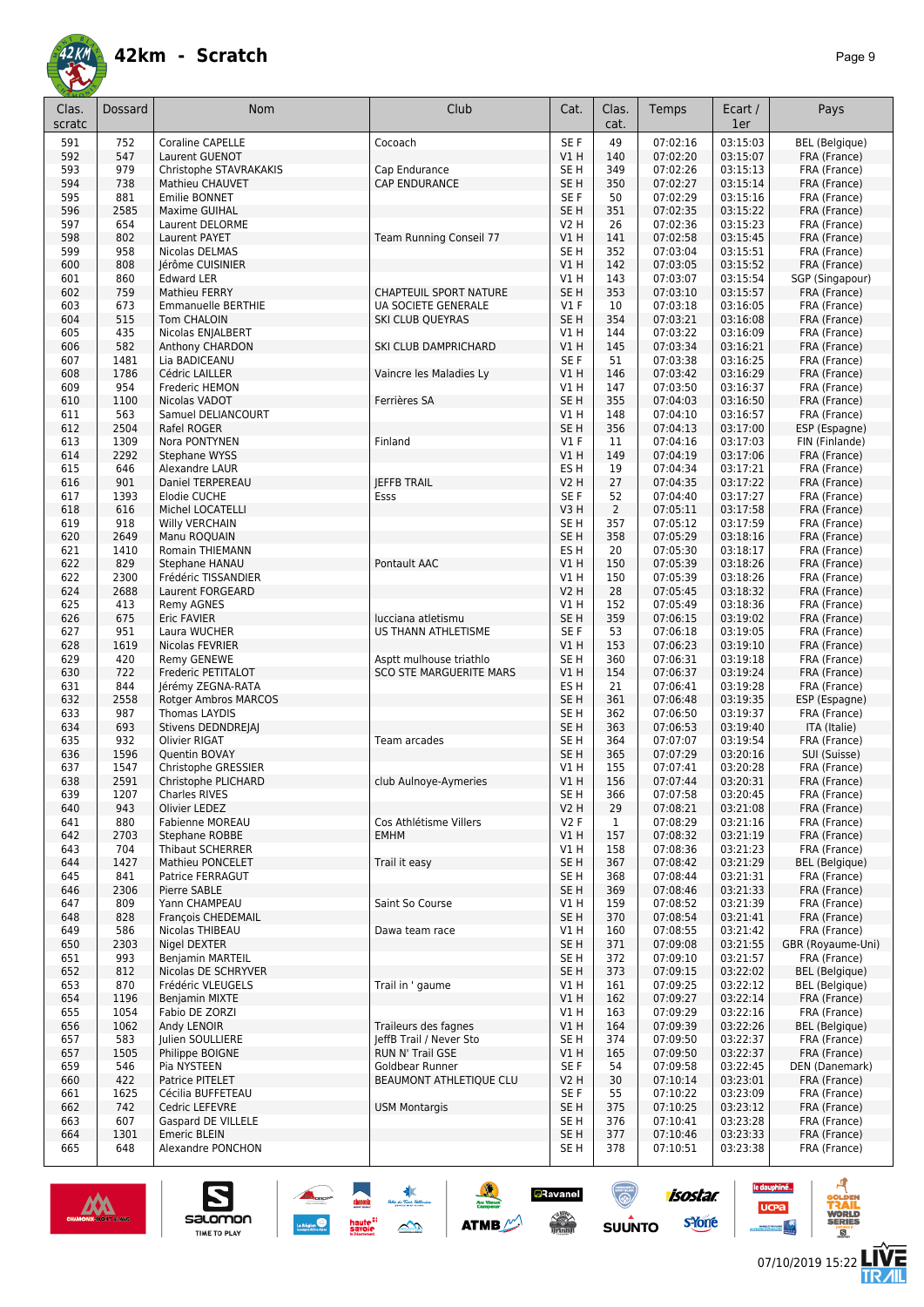

| Clas.<br>scratc | Dossard     | Nom                                     | Club                           | Cat.                    | Clas.<br>cat.  | Temps                | Ecart /<br>1er       | Pays                              |
|-----------------|-------------|-----------------------------------------|--------------------------------|-------------------------|----------------|----------------------|----------------------|-----------------------------------|
| 591             | 752         | <b>Coraline CAPELLE</b>                 | Cocoach                        | SE F                    | 49             | 07:02:16             | 03:15:03             | <b>BEL</b> (Belgique)             |
| 592             | 547         | Laurent GUENOT                          |                                | V1 H                    | 140            | 07:02:20             | 03:15:07             | FRA (France)                      |
| 593             | 979         | Christophe STAVRAKAKIS                  | Cap Endurance                  | SE <sub>H</sub>         | 349            | 07:02:26             | 03:15:13             | FRA (France)                      |
| 594             | 738         | Mathieu CHAUVET                         | <b>CAP ENDURANCE</b>           | SE <sub>H</sub>         | 350            | 07:02:27             | 03:15:14             | FRA (France)                      |
| 595             | 881         | <b>Emilie BONNET</b>                    |                                | SE F                    | 50             | 07:02:29             | 03:15:16             | FRA (France)                      |
| 596             | 2585        | Maxime GUIHAL                           |                                | SE <sub>H</sub>         | 351            | 07:02:35             | 03:15:22             | FRA (France)                      |
| 597             | 654         | Laurent DELORME                         |                                | V2 H                    | 26             | 07:02:36             | 03:15:23             | FRA (France)                      |
| 598             | 802         | Laurent PAYET                           | Team Running Conseil 77        | V1H                     | 141            | 07:02:58             | 03:15:45             | FRA (France)                      |
| 599             | 958         | Nicolas DELMAS                          |                                | SE <sub>H</sub>         | 352            | 07:03:04             | 03:15:51             | FRA (France)                      |
| 600             | 808         | lérôme CUISINIER                        |                                | V1H                     | 142            | 07:03:05             | 03:15:52             | FRA (France)                      |
| 601             | 860         | <b>Edward LER</b>                       |                                | V1 H                    | 143            | 07:03:07             | 03:15:54             | SGP (Singapour)                   |
| 602             | 759         | <b>Mathieu FERRY</b>                    | <b>CHAPTEUIL SPORT NATURE</b>  | SE <sub>H</sub>         | 353            | 07:03:10             | 03:15:57             | FRA (France)                      |
| 603             | 673         | <b>Emmanuelle BERTHIE</b>               | <b>UA SOCIETE GENERALE</b>     | $VI$ F                  | 10             | 07:03:18             | 03:16:05             | FRA (France)                      |
| 604             | 515         | Tom CHALOIN                             | SKI CLUB QUEYRAS               | SE <sub>H</sub>         | 354            | 07:03:21             | 03:16:08             | FRA (France)                      |
| 605             | 435         | Nicolas ENJALBERT                       |                                | V1 H                    | 144            | 07:03:22<br>07:03:34 | 03:16:09             | FRA (France)                      |
| 606<br>607      | 582<br>1481 | Anthony CHARDON<br>Lia BADICEANU        | SKI CLUB DAMPRICHARD           | V1H<br>SE F             | 145<br>51      | 07:03:38             | 03:16:21<br>03:16:25 | FRA (France)                      |
| 608             | 1786        | Cédric LAILLER                          | Vaincre les Maladies Ly        | V1H                     | 146            | 07:03:42             | 03:16:29             | FRA (France)<br>FRA (France)      |
| 609             | 954         | Frederic HEMON                          |                                | V1 H                    | 147            | 07:03:50             | 03:16:37             | FRA (France)                      |
| 610             | 1100        | Nicolas VADOT                           | Ferrières SA                   | SE <sub>H</sub>         | 355            | 07:04:03             | 03:16:50             | FRA (France)                      |
| 611             | 563         | Samuel DELIANCOURT                      |                                | V1 H                    | 148            | 07:04:10             | 03:16:57             | FRA (France)                      |
| 612             | 2504        | Rafel ROGER                             |                                | SE <sub>H</sub>         | 356            | 07:04:13             | 03:17:00             | ESP (Espagne)                     |
| 613             | 1309        | Nora PONTYNEN                           | Finland                        | $VI$ F                  | 11             | 07:04:16             | 03:17:03             | FIN (Finlande)                    |
| 614             | 2292        | Stephane WYSS                           |                                | V1 H                    | 149            | 07:04:19             | 03:17:06             | FRA (France)                      |
| 615             | 646         | Alexandre LAUR                          |                                | ES H                    | 19             | 07:04:34             | 03:17:21             | FRA (France)                      |
| 616             | 901         | Daniel TERPEREAU                        | <b>JEFFB TRAIL</b>             | V2 H                    | 27             | 07:04:35             | 03:17:22             | FRA (France)                      |
| 617             | 1393        | Elodie CUCHE                            | Esss                           | SE F                    | 52             | 07:04:40             | 03:17:27             | FRA (France)                      |
| 618             | 616         | Michel LOCATELLI                        |                                | V3H                     | $\overline{2}$ | 07:05:11             | 03:17:58             | FRA (France)                      |
| 619             | 918         | Willy VERCHAIN                          |                                | SE <sub>H</sub>         | 357            | 07:05:12             | 03:17:59             | FRA (France)                      |
| 620             | 2649        | Manu ROQUAIN                            |                                | SE <sub>H</sub>         | 358            | 07:05:29             | 03:18:16             | FRA (France)                      |
| 621             | 1410        | <b>Romain THIEMANN</b>                  |                                | ES <sub>H</sub>         | 20             | 07:05:30             | 03:18:17             | FRA (France)                      |
| 622             | 829         | Stephane HANAU                          | Pontault AAC                   | V1H                     | 150            | 07:05:39             | 03:18:26             | FRA (France)                      |
| 622             | 2300        | Frédéric TISSANDIER                     |                                | V1H                     | 150            | 07:05:39             | 03:18:26             | FRA (France)                      |
| 624             | 2688        | Laurent FORGEARD                        |                                | <b>V2 H</b>             | 28             | 07:05:45             | 03:18:32             | FRA (France)                      |
| 625             | 413         | Remy AGNES                              |                                | V1 H                    | 152            | 07:05:49             | 03:18:36             | FRA (France)                      |
| 626             | 675         | <b>Eric FAVIER</b>                      | lucciana atletismu             | SE <sub>H</sub>         | 359            | 07:06:15             | 03:19:02             | FRA (France)                      |
| 627             | 951         | Laura WUCHER                            | US THANN ATHLETISME            | SE F                    | 53             | 07:06:18             | 03:19:05             | FRA (France)                      |
| 628             | 1619        | Nicolas FEVRIER                         |                                | V1 H                    | 153            | 07:06:23             | 03:19:10             | FRA (France)                      |
| 629             | 420<br>722  | Remy GENEWE                             | Asptt mulhouse triathlo        | SE H                    | 360            | 07:06:31             | 03:19:18<br>03:19:24 | FRA (France)                      |
| 630<br>631      | 844         | Frederic PETITALOT<br>Jérémy ZEGNA-RATA | <b>SCO STE MARGUERITE MARS</b> | V1 H<br>ES <sub>H</sub> | 154<br>21      | 07:06:37<br>07:06:41 | 03:19:28             | FRA (France)<br>FRA (France)      |
| 632             | 2558        | Rotger Ambros MARCOS                    |                                | SE <sub>H</sub>         | 361            | 07:06:48             | 03:19:35             | ESP (Espagne)                     |
| 633             | 987         | <b>Thomas LAYDIS</b>                    |                                | SE <sub>H</sub>         | 362            | 07:06:50             | 03:19:37             | FRA (France)                      |
| 634             | 693         | Stivens DEDNDREJAJ                      |                                | SE <sub>H</sub>         | 363            | 07:06:53             | 03:19:40             | ITA (Italie)                      |
| 635             | 932         | <b>Olivier RIGAT</b>                    | Team arcades                   | SE <sub>H</sub>         | 364            | 07:07:07             | 03:19:54             | FRA (France)                      |
| 636             | 1596        | Quentin BOVAY                           |                                | SE <sub>H</sub>         | 365            | 07:07:29             | 03:20:16             | SUI (Suisse)                      |
| 637             | 1547        | Christophe GRESSIER                     |                                | V1 H                    | 155            | 07:07:41             | 03:20:28             | FRA (France)                      |
| 638             | 2591        | Christophe PLICHARD                     | club Aulnoye-Aymeries          | V1 H                    | 156            | 07:07:44             | 03:20:31             | FRA (France)                      |
| 639             | 1207        | <b>Charles RIVES</b>                    |                                | SE H                    | 366            | 07:07:58             | 03:20:45             | FRA (France)                      |
| 640             | 943         | Olivier LEDEZ                           |                                | <b>V2 H</b>             | 29             | 07:08:21             | 03:21:08             | FRA (France)                      |
| 641             | 880         | Fabienne MOREAU                         | Cos Athlétisme Villers         | V2F                     | $\mathbf{1}$   | 07:08:29             | 03:21:16             | FRA (France)                      |
| 642             | 2703        | Stephane ROBBE                          | <b>EMHM</b>                    | VIH                     | 157            | 07:08:32             | 03:21:19             | FRA (France)                      |
| 643             | 704         | <b>Thibaut SCHERRER</b>                 |                                | V1 H                    | 158            | 07:08:36             | 03:21:23             | FRA (France)                      |
| 644             | 1427        | Mathieu PONCELET                        | Trail it easy                  | SE <sub>H</sub>         | 367            | 07:08:42             | 03:21:29             | <b>BEL</b> (Belgique)             |
| 645             | 841         | Patrice FERRAGUT                        |                                | SE <sub>H</sub>         | 368            | 07:08:44             | 03:21:31             | FRA (France)                      |
| 646             | 2306        | Pierre SABLE                            |                                | SE <sub>H</sub>         | 369            | 07:08:46             | 03:21:33             | FRA (France)                      |
| 647             | 809         | Yann CHAMPEAU                           | Saint So Course                | V1H                     | 159            | 07:08:52             | 03:21:39             | FRA (France)                      |
| 648             | 828         | François CHEDEMAIL                      |                                | SE <sub>H</sub>         | 370            | 07:08:54<br>07:08:55 | 03:21:41<br>03:21:42 | FRA (France)                      |
| 649             | 586         | Nicolas THIBEAU<br>Nigel DEXTER         | Dawa team race                 | VIH<br>SE <sub>H</sub>  | 160            | 07:09:08             | 03:21:55             | FRA (France)                      |
| 650<br>651      | 2303<br>993 | <b>Benjamin MARTEIL</b>                 |                                | SE H                    | 371<br>372     | 07:09:10             | 03:21:57             | GBR (Royaume-Uni)<br>FRA (France) |
| 652             | 812         | Nicolas DE SCHRYVER                     |                                | SE H                    | 373            | 07:09:15             | 03:22:02             | <b>BEL</b> (Belgique)             |
| 653             | 870         | Frédéric VLEUGELS                       | Trail in ' gaume               | VIH                     | 161            | 07:09:25             | 03:22:12             | <b>BEL</b> (Belgique)             |
| 654             | 1196        | Benjamin MIXTE                          |                                | V1H                     | 162            | 07:09:27             | 03:22:14             | FRA (France)                      |
| 655             | 1054        | Fabio DE ZORZI                          |                                | V1 H                    | 163            | 07:09:29             | 03:22:16             | FRA (France)                      |
| 656             | 1062        | Andy LENOIR                             | Traileurs des fagnes           | V1H                     | 164            | 07:09:39             | 03:22:26             | <b>BEL</b> (Belgique)             |
| 657             | 583         | Julien SOULLIERE                        | JeffB Trail / Never Sto        | SE <sub>H</sub>         | 374            | 07:09:50             | 03:22:37             | FRA (France)                      |
| 657             | 1505        | Philippe BOIGNE                         | RUN N' Trail GSE               | V1H                     | 165            | 07:09:50             | 03:22:37             | FRA (France)                      |
| 659             | 546         | Pia NYSTEEN                             | Goldbear Runner                | SE F                    | 54             | 07:09:58             | 03:22:45             | DEN (Danemark)                    |
| 660             | 422         | Patrice PITELET                         | BEAUMONT ATHLETIQUE CLU        | V2 H                    | 30             | 07:10:14             | 03:23:01             | FRA (France)                      |
| 661             | 1625        | Cécilia BUFFETEAU                       |                                | SE F                    | 55             | 07:10:22             | 03:23:09             | FRA (France)                      |
| 662             | 742         | Cedric LEFEVRE                          | <b>USM Montargis</b>           | SE H                    | 375            | 07:10:25             | 03:23:12             | FRA (France)                      |
| 663             | 607         | Gaspard DE VILLELE                      |                                | SE H                    | 376            | 07:10:41             | 03:23:28             | FRA (France)                      |
| 664             | 1301        | <b>Emeric BLEIN</b>                     |                                | SE H                    | 377            | 07:10:46             | 03:23:33             | FRA (France)                      |
| 665             | 648         | Alexandre PONCHON                       |                                | SE H                    | 378            | 07:10:51             | 03:23:38             | FRA (France)                      |

 $\rightarrow$ 

 $\frac{1}{2}$ 

**ATMB** 



 $\n \ \, \underbrace{\sum\limits_{\text{SALOMOM}}$ 

 $\sum_{i=1}^{n}$ 

**isostar** 

sYone

 $\bigcirc$ 

**SUUNTO** 

**a**Ravanel

 $\frac{1}{\sqrt{2}}$ 

le dauphiné...

**UCPa** 

**Continue** 



**AT<br>SOLDEN<br>FRAIL** 

**WORLD**<br>SERIES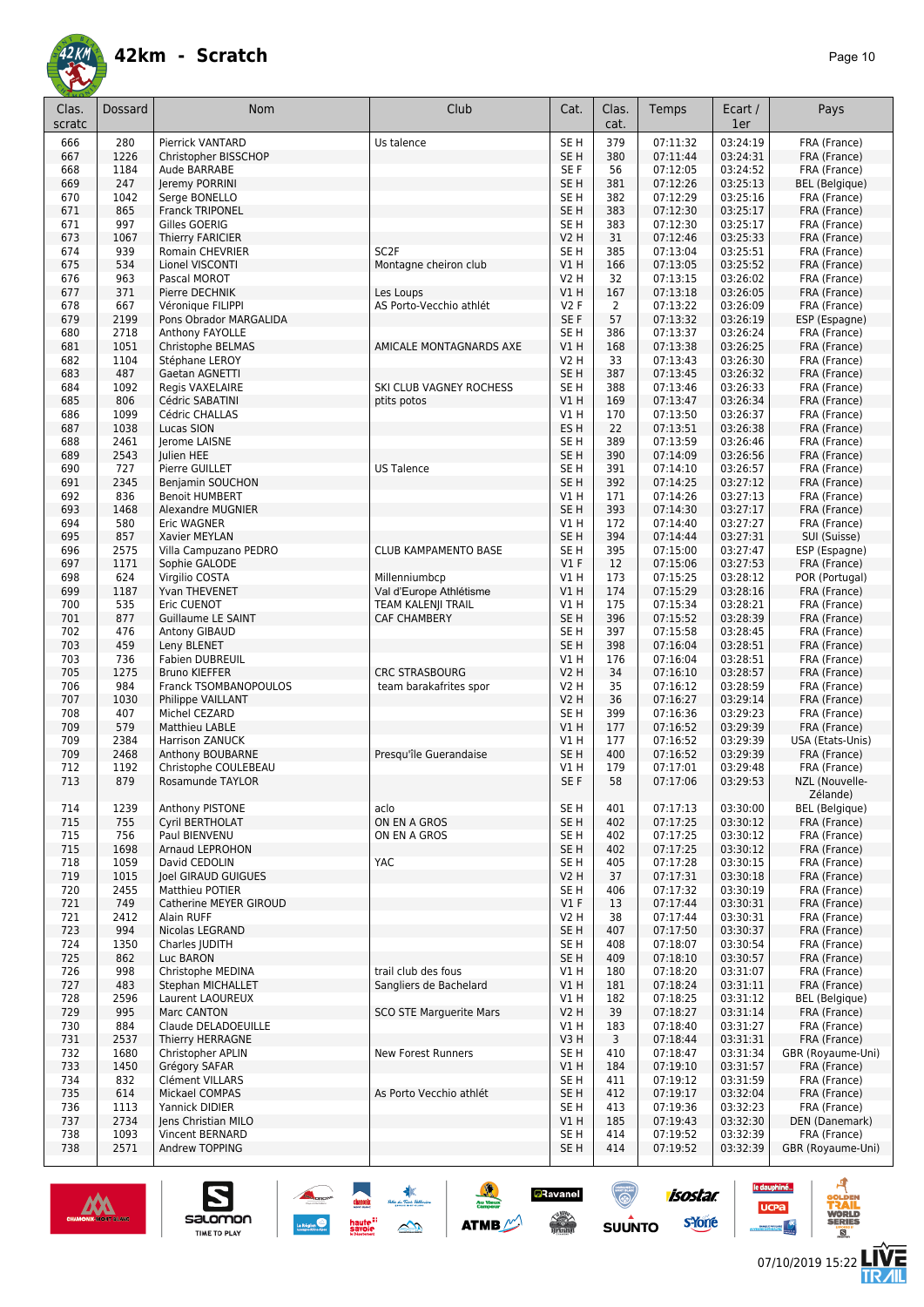

| Clas.      | Dossard      | <b>Nom</b>                                    | Club                                            | Cat.                               | Clas.      | Temps                | Ecart /              | Pays                                  |
|------------|--------------|-----------------------------------------------|-------------------------------------------------|------------------------------------|------------|----------------------|----------------------|---------------------------------------|
| scratc     |              |                                               |                                                 |                                    | cat.       |                      | 1er                  |                                       |
| 666        | 280          | Pierrick VANTARD                              | Us talence                                      | SE <sub>H</sub>                    | 379        | 07:11:32             | 03:24:19             | FRA (France)                          |
| 667        | 1226         | Christopher BISSCHOP                          |                                                 | SE <sub>H</sub>                    | 380        | 07:11:44             | 03:24:31             | FRA (France)                          |
| 668        | 1184         | Aude BARRABE                                  |                                                 | SE F                               | 56         | 07:12:05             | 03:24:52             | FRA (France)                          |
| 669<br>670 | 247<br>1042  | Jeremy PORRINI<br>Serge BONELLO               |                                                 | SE <sub>H</sub><br>SE <sub>H</sub> | 381<br>382 | 07:12:26<br>07:12:29 | 03:25:13<br>03:25:16 | <b>BEL</b> (Belgique)<br>FRA (France) |
| 671        | 865          | <b>Franck TRIPONEL</b>                        |                                                 | SE <sub>H</sub>                    | 383        | 07:12:30             | 03:25:17             | FRA (France)                          |
| 671        | 997          | Gilles GOERIG                                 |                                                 | SE <sub>H</sub>                    | 383        | 07:12:30             | 03:25:17             | FRA (France)                          |
| 673        | 1067         | <b>Thierry FARICIER</b>                       |                                                 | V2 H                               | 31         | 07:12:46             | 03:25:33             | FRA (France)                          |
| 674        | 939          | Romain CHEVRIER                               | SC <sub>2</sub> F                               | SE H                               | 385        | 07:13:04             | 03:25:51             | FRA (France)                          |
| 675        | 534          | Lionel VISCONTI                               | Montagne cheiron club                           | VIH                                | 166        | 07:13:05             | 03:25:52             | FRA (France)                          |
| 676        | 963          | Pascal MOROT                                  |                                                 | V2 H                               | 32         | 07:13:15             | 03:26:02             | FRA (France)                          |
| 677        | 371          | Pierre DECHNIK                                | Les Loups                                       | V1 H                               | 167        | 07:13:18             | 03:26:05             | FRA (France)                          |
| 678<br>679 | 667<br>2199  | Véronique FILIPPI<br>Pons Obrador MARGALIDA   | AS Porto-Vecchio athlét                         | V2F<br>SE <sub>F</sub>             | 2<br>57    | 07:13:22<br>07:13:32 | 03:26:09             | FRA (France)                          |
| 680        | 2718         | Anthony FAYOLLE                               |                                                 | SE <sub>H</sub>                    | 386        | 07:13:37             | 03:26:19<br>03:26:24 | ESP (Espagne)<br>FRA (France)         |
| 681        | 1051         | Christophe BELMAS                             | AMICALE MONTAGNARDS AXE                         | V1H                                | 168        | 07:13:38             | 03:26:25             | FRA (France)                          |
| 682        | 1104         | Stéphane LEROY                                |                                                 | V2 H                               | 33         | 07:13:43             | 03:26:30             | FRA (France)                          |
| 683        | 487          | Gaetan AGNETTI                                |                                                 | SE <sub>H</sub>                    | 387        | 07:13:45             | 03:26:32             | FRA (France)                          |
| 684        | 1092         | Regis VAXELAIRE                               | SKI CLUB VAGNEY ROCHESS                         | SE <sub>H</sub>                    | 388        | 07:13:46             | 03:26:33             | FRA (France)                          |
| 685        | 806          | Cédric SABATINI                               | ptits potos                                     | <b>V1 H</b>                        | 169        | 07:13:47             | 03:26:34             | FRA (France)                          |
| 686        | 1099         | Cédric CHALLAS                                |                                                 | V1 H                               | 170        | 07:13:50             | 03:26:37             | FRA (France)                          |
| 687<br>688 | 1038<br>2461 | Lucas SION<br>Jerome LAISNE                   |                                                 | ES <sub>H</sub><br>SE H            | 22<br>389  | 07:13:51<br>07:13:59 | 03:26:38<br>03:26:46 | FRA (France)<br>FRA (France)          |
| 689        | 2543         | Julien HEE                                    |                                                 | SE <sub>H</sub>                    | 390        | 07:14:09             | 03:26:56             | FRA (France)                          |
| 690        | 727          | Pierre GUILLET                                | <b>US Talence</b>                               | SE H                               | 391        | 07:14:10             | 03:26:57             | FRA (France)                          |
| 691        | 2345         | Benjamin SOUCHON                              |                                                 | SE <sub>H</sub>                    | 392        | 07:14:25             | 03:27:12             | FRA (France)                          |
| 692        | 836          | <b>Benoit HUMBERT</b>                         |                                                 | V1 H                               | 171        | 07:14:26             | 03:27:13             | FRA (France)                          |
| 693        | 1468         | <b>Alexandre MUGNIER</b>                      |                                                 | SE <sub>H</sub>                    | 393        | 07:14:30             | 03:27:17             | FRA (France)                          |
| 694        | 580          | Eric WAGNER                                   |                                                 | V1 H                               | 172        | 07:14:40             | 03:27:27             | FRA (France)                          |
| 695        | 857          | Xavier MEYLAN                                 |                                                 | SE <sub>H</sub>                    | 394        | 07:14:44             | 03:27:31             | SUI (Suisse)                          |
| 696<br>697 | 2575<br>1171 | Villa Campuzano PEDRO<br>Sophie GALODE        | CLUB KAMPAMENTO BASE                            | SE <sub>H</sub><br>$VI$ F          | 395<br>12  | 07:15:00<br>07:15:06 | 03:27:47<br>03:27:53 | ESP (Espagne)<br>FRA (France)         |
| 698        | 624          | Virgilio COSTA                                | Millenniumbcp                                   | V1H                                | 173        | 07:15:25             | 03:28:12             | POR (Portugal)                        |
| 699        | 1187         | Yvan THEVENET                                 | Val d'Europe Athlétisme                         | VIH                                | 174        | 07:15:29             | 03:28:16             | FRA (France)                          |
| 700        | 535          | Eric CUENOT                                   | TEAM KALENJI TRAIL                              | V1 H                               | 175        | 07:15:34             | 03:28:21             | FRA (France)                          |
| 701        | 877          | Guillaume LE SAINT                            | <b>CAF CHAMBERY</b>                             | SE <sub>H</sub>                    | 396        | 07:15:52             | 03:28:39             | FRA (France)                          |
| 702        | 476          | Antony GIBAUD                                 |                                                 | SE H                               | 397        | 07:15:58             | 03:28:45             | FRA (France)                          |
| 703        | 459          | Leny BLENET                                   |                                                 | SE <sub>H</sub>                    | 398        | 07:16:04             | 03:28:51             | FRA (France)                          |
| 703        | 736          | Fabien DUBREUIL                               |                                                 | V1 H                               | 176        | 07:16:04             | 03:28:51             | FRA (France)                          |
| 705<br>706 | 1275<br>984  | <b>Bruno KIEFFER</b><br>Franck TSOMBANOPOULOS | <b>CRC STRASBOURG</b><br>team barakafrites spor | <b>V2 H</b><br><b>V2 H</b>         | 34<br>35   | 07:16:10<br>07:16:12 | 03:28:57<br>03:28:59 | FRA (France)<br>FRA (France)          |
| 707        | 1030         | Philippe VAILLANT                             |                                                 | <b>V2 H</b>                        | 36         | 07:16:27             | 03:29:14             | FRA (France)                          |
| 708        | 407          | Michel CEZARD                                 |                                                 | SE <sub>H</sub>                    | 399        | 07:16:36             | 03:29:23             | FRA (France)                          |
| 709        | 579          | Matthieu LABLE                                |                                                 | <b>V1 H</b>                        | 177        | 07:16:52             | 03:29:39             | FRA (France)                          |
| 709        | 2384         | Harrison ZANUCK                               |                                                 | V1H                                | 177        | 07:16:52             | 03:29:39             | USA (Etats-Unis)                      |
| 709        | 2468         | Anthony BOUBARNE                              | Presqu'île Guerandaise                          | SE <sub>H</sub>                    | 400        | 07:16:52             | 03:29:39             | FRA (France)                          |
| 712        | 1192         | Christophe COULEBEAU                          |                                                 | V1 H                               | 179        | 07:17:01             | 03:29:48             | FRA (France)                          |
| 713        | 879          | Rosamunde TAYLOR                              |                                                 | SE F                               | 58         | 07:17:06             | 03:29:53             | NZL (Nouvelle-<br>Zélande)            |
| 714        | 1239         | Anthony PISTONE                               | aclo                                            | SE <sub>H</sub>                    | 401        | 07:17:13             | 03:30:00             | BEL (Belgique)                        |
| 715        | 755          | Cyril BERTHOLAT                               | ON EN A GROS                                    | SE <sub>H</sub>                    | 402        | 07:17:25             | 03:30:12             | FRA (France)                          |
| 715        | 756          | Paul BIENVENU                                 | ON EN A GROS                                    | SE H                               | 402        | 07:17:25             | 03:30:12             | FRA (France)                          |
| 715        | 1698         | Arnaud LEPROHON                               |                                                 | SE H                               | 402        | 07:17:25             | 03:30:12             | FRA (France)                          |
| 718        | 1059         | David CEDOLIN                                 | YAC                                             | SE H                               | 405        | 07:17:28             | 03:30:15             | FRA (France)                          |
| 719        | 1015         | Joel GIRAUD GUIGUES                           |                                                 | V2 H                               | 37         | 07:17:31             | 03:30:18             | FRA (France)                          |
| 720<br>721 | 2455<br>749  | Matthieu POTIER<br>Catherine MEYER GIROUD     |                                                 | SE H<br>$VI$ F                     | 406<br>13  | 07:17:32<br>07:17:44 | 03:30:19<br>03:30:31 | FRA (France)<br>FRA (France)          |
| 721        | 2412         | Alain RUFF                                    |                                                 | V2 H                               | 38         | 07:17:44             | 03:30:31             | FRA (France)                          |
| 723        | 994          | Nicolas LEGRAND                               |                                                 | SE H                               | 407        | 07:17:50             | 03:30:37             | FRA (France)                          |
| 724        | 1350         | Charles IUDITH                                |                                                 | SE H                               | 408        | 07:18:07             | 03:30:54             | FRA (France)                          |
| 725        | 862          | Luc BARON                                     |                                                 | SE H                               | 409        | 07:18:10             | 03:30:57             | FRA (France)                          |
| 726        | 998          | Christophe MEDINA                             | trail club des fous                             | V1 H                               | 180        | 07:18:20             | 03:31:07             | FRA (France)                          |
| 727        | 483          | Stephan MICHALLET                             | Sangliers de Bachelard                          | V1H                                | 181        | 07:18:24             | 03:31:11             | FRA (France)                          |
| 728<br>729 | 2596<br>995  | Laurent LAOUREUX<br>Marc CANTON               | <b>SCO STE Marguerite Mars</b>                  | V1 H<br><b>V2 H</b>                | 182<br>39  | 07:18:25<br>07:18:27 | 03:31:12<br>03:31:14 | <b>BEL</b> (Belgique)<br>FRA (France) |
| 730        | 884          | Claude DELADOEUILLE                           |                                                 | V1 H                               | 183        | 07:18:40             | 03:31:27             | FRA (France)                          |
| 731        | 2537         | Thierry HERRAGNE                              |                                                 | V3H                                | 3          | 07:18:44             | 03:31:31             | FRA (France)                          |
| 732        | 1680         | Christopher APLIN                             | New Forest Runners                              | SE H                               | 410        | 07:18:47             | 03:31:34             | GBR (Royaume-Uni)                     |
| 733        | 1450         | Grégory SAFAR                                 |                                                 | V1H                                | 184        | 07:19:10             | 03:31:57             | FRA (France)                          |
| 734        | 832          | Clément VILLARS                               |                                                 | SE H                               | 411        | 07:19:12             | 03:31:59             | FRA (France)                          |
| 735        | 614          | Mickael COMPAS                                | As Porto Vecchio athlét                         | SE H                               | 412        | 07:19:17             | 03:32:04             | FRA (France)                          |
| 736<br>737 | 1113<br>2734 | Yannick DIDIER<br>Jens Christian MILO         |                                                 | SE H<br>V1 H                       | 413<br>185 | 07:19:36<br>07:19:43 | 03:32:23<br>03:32:30 | FRA (France)<br>DEN (Danemark)        |
| 738        | 1093         | Vincent BERNARD                               |                                                 | SE H                               | 414        | 07:19:52             | 03:32:39             | FRA (France)                          |
| 738        | 2571         | Andrew TOPPING                                |                                                 | SE H                               | 414        | 07:19:52             | 03:32:39             | GBR (Royaume-Uni)                     |
|            |              |                                               |                                                 |                                    |            |                      |                      |                                       |

≫<br>ستمب

 $\rightarrow$ 

**ATMB** 

**a**Ravanel

**SERVICE** 

 $\bigcirc$ 

**SUUNTO** 



 $\sum_{\text{SALOMOM}}$ 

**isostar** 

sYone

le dauphiné...

**UCPa** 

*<u>Antibook</u>* 



**AT<br>SOLDEN**<br>FRAIL

**VORLD**<br>ERIES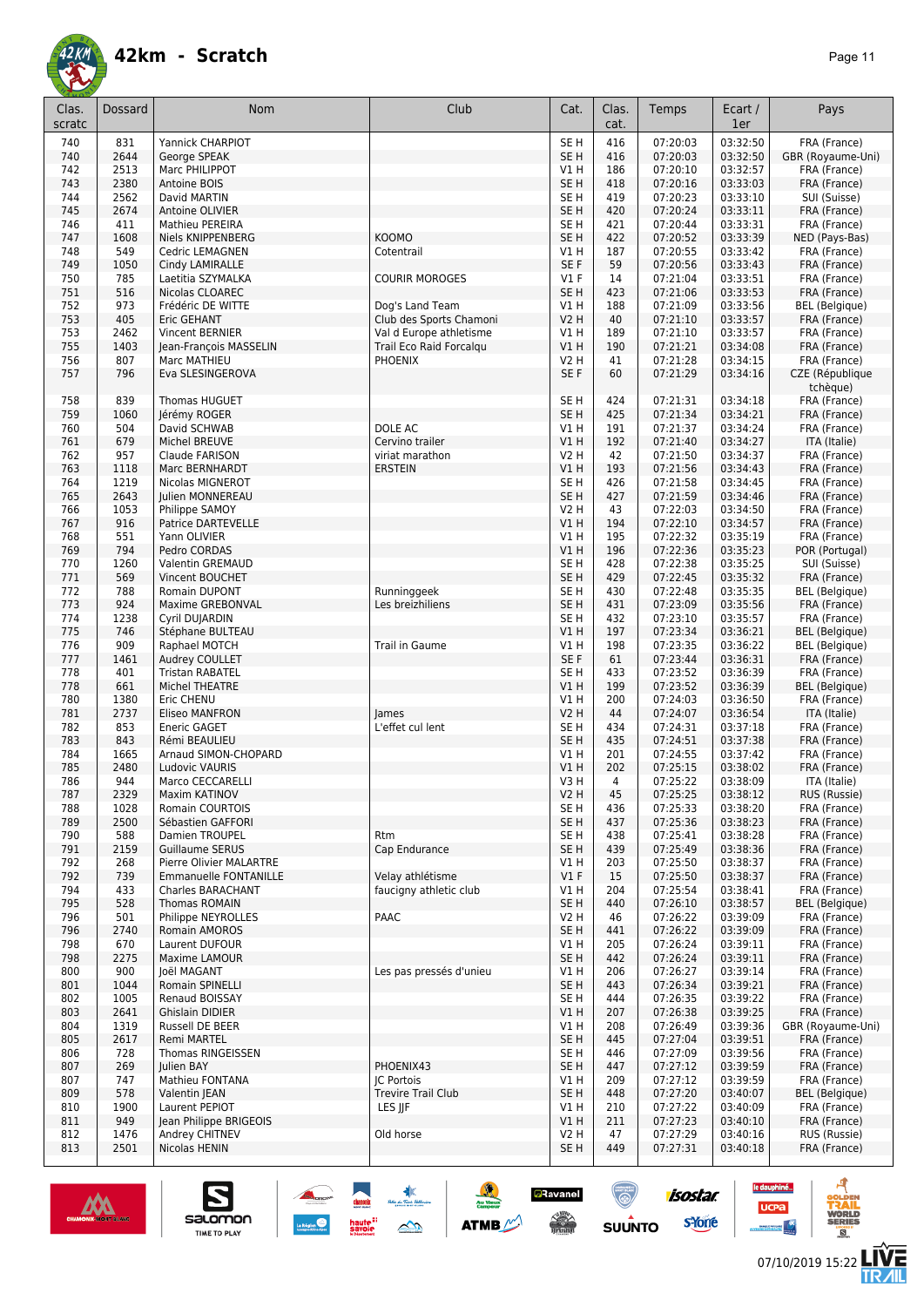

#### **42km - Scratch** *Page 11*

| Clas.<br>scratc | Dossard     | Nom                               | Club                      | Cat.                    | Clas.<br>cat. | Temps                | Ecart /<br>1er       | Pays                                           |
|-----------------|-------------|-----------------------------------|---------------------------|-------------------------|---------------|----------------------|----------------------|------------------------------------------------|
| 740             | 831         | <b>Yannick CHARPIOT</b>           |                           | SE <sub>H</sub>         | 416           | 07:20:03             | 03:32:50             | FRA (France)                                   |
| 740             | 2644        | George SPEAK                      |                           | SE <sub>H</sub>         | 416           | 07:20:03             | 03:32:50             | GBR (Royaume-Uni)                              |
| 742             | 2513        | Marc PHILIPPOT                    |                           | V1 H                    | 186           | 07:20:10             | 03:32:57             | FRA (France)                                   |
| 743             | 2380        | Antoine BOIS                      |                           | SE <sub>H</sub>         | 418           | 07:20:16             | 03:33:03             | FRA (France)                                   |
| 744             | 2562        | David MARTIN                      |                           | SE H                    | 419           | 07:20:23             | 03:33:10             | SUI (Suisse)                                   |
| 745             | 2674        | Antoine OLIVIER                   |                           | SE <sub>H</sub>         | 420           | 07:20:24             | 03:33:11             | FRA (France)                                   |
| 746             | 411         | Mathieu PEREIRA                   |                           | SE <sub>H</sub>         | 421           | 07:20:44             | 03:33:31             | FRA (France)                                   |
| 747             | 1608        | Niels KNIPPENBERG                 | <b>KOOMO</b>              | SE <sub>H</sub>         | 422           | 07:20:52             | 03:33:39             | NED (Pays-Bas)                                 |
| 748             | 549         | <b>Cedric LEMAGNEN</b>            | Cotentrail                | V1 H                    | 187           | 07:20:55             | 03:33:42             | FRA (France)                                   |
| 749             | 1050        | Cindy LAMIRALLE                   |                           | SE F                    | 59            | 07:20:56             | 03:33:43             | FRA (France)                                   |
| 750             | 785         | Laetitia SZYMALKA                 | <b>COURIR MOROGES</b>     | $VI$ F                  | 14            | 07:21:04             | 03:33:51             | FRA (France)                                   |
| 751             | 516         | Nicolas CLOAREC                   |                           | SE <sub>H</sub>         | 423           | 07:21:06             | 03:33:53             | FRA (France)                                   |
| 752             | 973         | Frédéric DE WITTE                 | Dog's Land Team           | V1H                     | 188           | 07:21:09             | 03:33:56             | <b>BEL</b> (Belgique)                          |
| 753             | 405         | Eric GEHANT                       | Club des Sports Chamoni   | <b>V2 H</b>             | 40            | 07:21:10             | 03:33:57             | FRA (France)                                   |
| 753             | 2462        | <b>Vincent BERNIER</b>            | Val d Europe athletisme   | V1 H                    | 189           | 07:21:10             | 03:33:57             | FRA (France)                                   |
| 755             | 1403<br>807 | Jean-François MASSELIN            | Trail Eco Raid Forcalgu   | VIH                     | 190           | 07:21:21             | 03:34:08             | FRA (France)                                   |
| 756<br>757      | 796         | Marc MATHIEU<br>Eva SLESINGEROVA  | PHOENIX                   | V2 H<br>SE F            | 41<br>60      | 07:21:28<br>07:21:29 | 03:34:15<br>03:34:16 | FRA (France)<br>CZE (République                |
|                 |             |                                   |                           |                         |               |                      |                      | tchèque)                                       |
| 758             | 839         | Thomas HUGUET                     |                           | SE <sub>H</sub>         | 424           | 07:21:31             | 03:34:18             | FRA (France)                                   |
| 759             | 1060        | Jérémy ROGER                      |                           | SE <sub>H</sub>         | 425           | 07:21:34             | 03:34:21             | FRA (France)                                   |
| 760             | 504         | David SCHWAB                      | DOLE AC                   | V1H                     | 191           | 07:21:37             | 03:34:24             | FRA (France)                                   |
| 761             | 679         | Michel BREUVE                     | Cervino trailer           | VIH                     | 192           | 07:21:40             | 03:34:27             | ITA (Italie)                                   |
| 762             | 957         | Claude FARISON                    | viriat marathon           | <b>V2 H</b>             | 42            | 07:21:50             | 03:34:37             | FRA (France)                                   |
| 763             | 1118        | Marc BERNHARDT                    | <b>ERSTEIN</b>            | V1H                     | 193           | 07:21:56             | 03:34:43             | FRA (France)                                   |
| 764             | 1219        | Nicolas MIGNEROT                  |                           | SE <sub>H</sub>         | 426           | 07:21:58             | 03:34:45             | FRA (France)                                   |
| 765             | 2643        | Julien MONNEREAU                  |                           | SE <sub>H</sub>         | 427           | 07:21:59             | 03:34:46             | FRA (France)                                   |
| 766             | 1053        | Philippe SAMOY                    |                           | V2 H                    | 43            | 07:22:03             | 03:34:50             | FRA (France)                                   |
| 767             | 916         | Patrice DARTEVELLE                |                           | V1 H                    | 194           | 07:22:10             | 03:34:57             | FRA (France)                                   |
| 768             | 551         | Yann OLIVIER                      |                           | V1 H                    | 195           | 07:22:32             | 03:35:19             | FRA (France)                                   |
| 769             | 794         | Pedro CORDAS                      |                           | VIH                     | 196           | 07:22:36             | 03:35:23             | POR (Portugal)                                 |
| 770             | 1260        | Valentin GREMAUD                  |                           | SE <sub>H</sub>         | 428           | 07:22:38             | 03:35:25             | SUI (Suisse)                                   |
| 771             | 569         | Vincent BOUCHET                   |                           | SE <sub>H</sub>         | 429           | 07:22:45             | 03:35:32             | FRA (France)                                   |
| 772             | 788         | Romain DUPONT                     | Runninggeek               | SE H                    | 430           | 07:22:48             | 03:35:35             | <b>BEL</b> (Belgique)                          |
| 773             | 924         | Maxime GREBONVAL                  | Les breizhiliens          | SE <sub>H</sub>         | 431           | 07:23:09             | 03:35:56             | FRA (France)                                   |
| 774<br>775      | 1238<br>746 | Cyril DUJARDIN                    |                           | SE <sub>H</sub><br>V1H  | 432<br>197    | 07:23:10<br>07:23:34 | 03:35:57<br>03:36:21 | FRA (France)                                   |
| 776             | 909         | Stéphane BULTEAU<br>Raphael MOTCH | Trail in Gaume            | V1 H                    | 198           | 07:23:35             | 03:36:22             | <b>BEL</b> (Belgique)<br><b>BEL</b> (Belgique) |
| 777             | 1461        | Audrey COULLET                    |                           | SE F                    | 61            | 07:23:44             | 03:36:31             | FRA (France)                                   |
| 778             | 401         | <b>Tristan RABATEL</b>            |                           | SE H                    | 433           | 07:23:52             | 03:36:39             | FRA (France)                                   |
| 778             | 661         | Michel THEATRE                    |                           | V1H                     | 199           | 07:23:52             | 03:36:39             | <b>BEL</b> (Belgique)                          |
| 780             | 1380        | Eric CHENU                        |                           | V1 H                    | 200           | 07:24:03             | 03:36:50             | FRA (France)                                   |
| 781             | 2737        | Eliseo MANFRON                    | lames                     | <b>V2 H</b>             | 44            | 07:24:07             | 03:36:54             | ITA (Italie)                                   |
| 782             | 853         | <b>Eneric GAGET</b>               | L'effet cul lent          | SE H                    | 434           | 07:24:31             | 03:37:18             | FRA (France)                                   |
| 783             | 843         | Rémi BEAULIEU                     |                           | SE <sub>H</sub>         | 435           | 07:24:51             | 03:37:38             | FRA (France)                                   |
| 784             | 1665        | Arnaud SIMON-CHOPARD              |                           | V1 H                    | 201           | 07:24:55             | 03:37:42             | FRA (France)                                   |
| 785             | 2480        | Ludovic VAURIS                    |                           | V1 H                    | 202           | 07:25:15             | 03:38:02             | FRA (France)                                   |
| 786             | 944         | Marco CECCARELLI                  |                           | V3H                     | 4             | 07:25:22             | 03:38:09             | ITA (Italie)                                   |
| 787             | 2329        | Maxim KATINOV                     |                           | V2H                     | 45            | 07:25:25             | 03:38:12             | RUS (Russie)                                   |
| 788             | 1028        | Romain COURTOIS                   |                           | SE H                    | 436           | 07:25:33             | 03:38:20             | FRA (France)                                   |
| 789             | 2500        | Sébastien GAFFORI                 | Rtm                       | SE <sub>H</sub>         | 437           | 07:25:36             | 03:38:23             | FRA (France)<br>FRA (France)                   |
| 790<br>791      | 588<br>2159 | Damien TROUPEL<br>Guillaume SERUS | Cap Endurance             | SE H                    | 438           | 07:25:41             | 03:38:28<br>03:38:36 | FRA (France)                                   |
| 792             | 268         | Pierre Olivier MALARTRE           |                           | SE H<br>V1 H            | 439<br>203    | 07:25:49<br>07:25:50 | 03:38:37             | FRA (France)                                   |
| 792             | 739         | <b>Emmanuelle FONTANILLE</b>      | Velay athlétisme          | $VI$ F                  | 15            | 07:25:50             | 03:38:37             | FRA (France)                                   |
| 794             | 433         | <b>Charles BARACHANT</b>          | faucigny athletic club    | V1 H                    | 204           | 07:25:54             | 03:38:41             | FRA (France)                                   |
| 795             | 528         | Thomas ROMAIN                     |                           | SE <sub>H</sub>         | 440           | 07:26:10             | 03:38:57             | <b>BEL</b> (Belgique)                          |
| 796             | 501         | Philippe NEYROLLES                | PAAC                      | V2 H                    | 46            | 07:26:22             | 03:39:09             | FRA (France)                                   |
| 796             | 2740        | Romain AMOROS                     |                           | SE <sub>H</sub>         | 441           | 07:26:22             | 03:39:09             | FRA (France)                                   |
| 798             | 670         | Laurent DUFOUR                    |                           | V1 H                    | 205           | 07:26:24             | 03:39:11             | FRA (France)                                   |
| 798             | 2275        | Maxime LAMOUR                     |                           | SE <sub>H</sub>         | 442           | 07:26:24             | 03:39:11             | FRA (France)                                   |
| 800             | 900         | loël MAGANT                       | Les pas pressés d'unieu   | V1 H                    | 206           | 07:26:27             | 03:39:14             | FRA (France)                                   |
| 801             | 1044        | Romain SPINELLI                   |                           | SE <sub>H</sub>         | 443           | 07:26:34             | 03:39:21             | FRA (France)                                   |
| 802             | 1005        | Renaud BOISSAY                    |                           | SE H                    | 444           | 07:26:35             | 03:39:22             | FRA (France)                                   |
| 803             | 2641        | Ghislain DIDIER                   |                           | V1H                     | 207           | 07:26:38             | 03:39:25             | FRA (France)                                   |
| 804             | 1319        | Russell DE BEER                   |                           | V1 H                    | 208           | 07:26:49             | 03:39:36             | GBR (Royaume-Uni)                              |
| 805             | 2617        | Remi MARTEL                       |                           | SE <sub>H</sub>         | 445           | 07:27:04             | 03:39:51             | FRA (France)                                   |
| 806<br>807      | 728         | Thomas RINGEISSEN                 | PHOENIX43                 | SE H                    | 446<br>447    | 07:27:09<br>07:27:12 | 03:39:56<br>03:39:59 | FRA (France)                                   |
| 807             | 269<br>747  | Julien BAY<br>Mathieu FONTANA     | <b>IC Portois</b>         | SE <sub>H</sub><br>V1 H | 209           | 07:27:12             | 03:39:59             | FRA (France)<br>FRA (France)                   |
| 809             | 578         | Valentin JEAN                     | <b>Trevire Trail Club</b> | SE <sub>H</sub>         | 448           | 07:27:20             | 03:40:07             | <b>BEL</b> (Belgique)                          |
| 810             | 1900        | Laurent PEPIOT                    | LES JJF                   | V1 H                    | 210           | 07:27:22             | 03:40:09             | FRA (France)                                   |
| 811             | 949         | Jean Philippe BRIGEOIS            |                           | V1H                     | 211           | 07:27:23             | 03:40:10             | FRA (France)                                   |
| 812             | 1476        | Andrey CHITNEV                    | Old horse                 | V2 H                    | 47            | 07:27:29             | 03:40:16             | RUS (Russie)                                   |
| 813             | 2501        | Nicolas HENIN                     |                           | SE H                    | 449           | 07:27:31             | 03:40:18             | FRA (France)                                   |
|                 |             |                                   |                           |                         |               |                      |                      |                                                |

 $*$ 

 $\rightarrow$ 

 $\frac{1}{\sqrt{2}}$ 

ATMB

**a**Ravanel

 $\frac{1}{\sqrt{2}}$ 

 $\bigcirc$ 

**SUUNTO** 



 $\sum_{\text{SALOMOM}}$ 

**isostar** 

svore

le dauphiné...

**UCPa** 

**Excession Contract** 



년<br>older<br>**RAI** 

**VORLD**<br>ERIES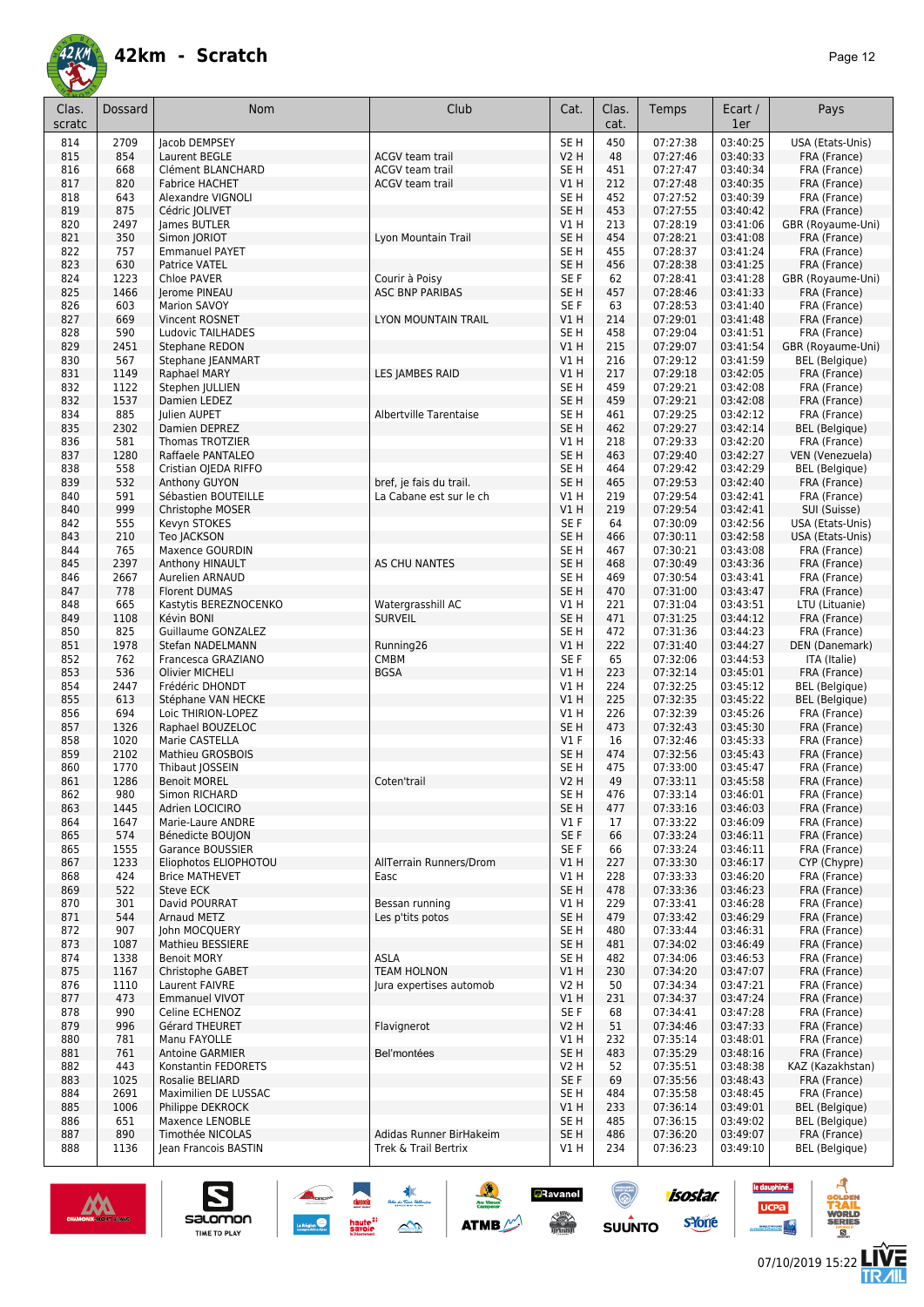

| Clas.<br>scratc | <b>Dossard</b> | <b>Nom</b>                                     | Club                            | Cat.                               | Clas.<br>cat. | Temps                | Ecart /<br>1er       | Pays                                  |
|-----------------|----------------|------------------------------------------------|---------------------------------|------------------------------------|---------------|----------------------|----------------------|---------------------------------------|
| 814             | 2709           | Jacob DEMPSEY                                  |                                 | SE <sub>H</sub>                    | 450           | 07:27:38             | 03:40:25             | USA (Etats-Unis)                      |
| 815             | 854            | Laurent BEGLE                                  | <b>ACGV team trail</b>          | <b>V2 H</b>                        | 48            | 07:27:46             | 03:40:33             | FRA (France)                          |
| 816             | 668            | Clément BLANCHARD                              | <b>ACGV team trail</b>          | SE H                               | 451           | 07:27:47             | 03:40:34             | FRA (France)                          |
| 817             | 820            | <b>Fabrice HACHET</b>                          | <b>ACGV team trail</b>          | V1 H                               | 212           | 07:27:48             | 03:40:35             | FRA (France)                          |
| 818             | 643            | Alexandre VIGNOLI                              |                                 | SE H                               | 452           | 07:27:52             | 03:40:39             | FRA (France)                          |
| 819<br>820      | 875<br>2497    | Cédric JOLIVET                                 |                                 | SE <sub>H</sub><br>V1H             | 453<br>213    | 07:27:55             | 03:40:42<br>03:41:06 | FRA (France)                          |
| 821             | 350            | James BUTLER<br>Simon JORIOT                   | Lyon Mountain Trail             | SE <sub>H</sub>                    | 454           | 07:28:19<br>07:28:21 | 03:41:08             | GBR (Royaume-Uni)<br>FRA (France)     |
| 822             | 757            | <b>Emmanuel PAYET</b>                          |                                 | SE <sub>H</sub>                    | 455           | 07:28:37             | 03:41:24             | FRA (France)                          |
| 823             | 630            | Patrice VATEL                                  |                                 | SE <sub>H</sub>                    | 456           | 07:28:38             | 03:41:25             | FRA (France)                          |
| 824             | 1223           | Chloe PAVER                                    | Courir à Poisy                  | SE F                               | 62            | 07:28:41             | 03:41:28             | GBR (Royaume-Uni)                     |
| 825             | 1466           | Jerome PINEAU                                  | <b>ASC BNP PARIBAS</b>          | SE <sub>H</sub>                    | 457           | 07:28:46             | 03:41:33             | FRA (France)                          |
| 826             | 603            | Marion SAVOY                                   |                                 | SE F                               | 63            | 07:28:53             | 03:41:40             | FRA (France)                          |
| 827             | 669            | Vincent ROSNET                                 | LYON MOUNTAIN TRAIL             | V1 H                               | 214           | 07:29:01             | 03:41:48             | FRA (France)                          |
| 828             | 590            | Ludovic TAILHADES                              |                                 | SE H                               | 458           | 07:29:04             | 03:41:51             | FRA (France)                          |
| 829             | 2451           | Stephane REDON                                 |                                 | VIH                                | 215           | 07:29:07             | 03:41:54             | GBR (Royaume-Uni)                     |
| 830             | 567            | Stephane JEANMART                              |                                 | V1 H                               | 216           | 07:29:12             | 03:41:59             | <b>BEL</b> (Belgique)                 |
| 831             | 1149           | Raphael MARY                                   | LES JAMBES RAID                 | V1 H                               | 217           | 07:29:18             | 03:42:05             | FRA (France)                          |
| 832             | 1122           | Stephen JULLIEN                                |                                 | SE <sub>H</sub>                    | 459           | 07:29:21             | 03:42:08             | FRA (France)                          |
| 832<br>834      | 1537<br>885    | Damien LEDEZ<br>Julien AUPET                   | Albertville Tarentaise          | SE <sub>H</sub><br>SE <sub>H</sub> | 459<br>461    | 07:29:21<br>07:29:25 | 03:42:08<br>03:42:12 | FRA (France)<br>FRA (France)          |
| 835             | 2302           | Damien DEPREZ                                  |                                 | SE <sub>H</sub>                    | 462           | 07:29:27             | 03:42:14             | <b>BEL</b> (Belgique)                 |
| 836             | 581            | Thomas TROTZIER                                |                                 | V1H                                | 218           | 07:29:33             | 03:42:20             | FRA (France)                          |
| 837             | 1280           | Raffaele PANTALEO                              |                                 | SE <sub>H</sub>                    | 463           | 07:29:40             | 03:42:27             | VEN (Venezuela)                       |
| 838             | 558            | Cristian OJEDA RIFFO                           |                                 | SE <sub>H</sub>                    | 464           | 07:29:42             | 03:42:29             | <b>BEL</b> (Belgique)                 |
| 839             | 532            | Anthony GUYON                                  | bref, je fais du trail.         | SE <sub>H</sub>                    | 465           | 07:29:53             | 03:42:40             | FRA (France)                          |
| 840             | 591            | Sébastien BOUTEILLE                            | La Cabane est sur le ch         | V1 H                               | 219           | 07:29:54             | 03:42:41             | FRA (France)                          |
| 840             | 999            | Christophe MOSER                               |                                 | V1 H                               | 219           | 07:29:54             | 03:42:41             | SUI (Suisse)                          |
| 842             | 555            | Kevyn STOKES                                   |                                 | SE F                               | 64            | 07:30:09             | 03:42:56             | USA (Etats-Unis)                      |
| 843             | 210            | Teo JACKSON                                    |                                 | SE <sub>H</sub>                    | 466           | 07:30:11             | 03:42:58             | USA (Etats-Unis)                      |
| 844             | 765            | Maxence GOURDIN                                |                                 | SE <sub>H</sub>                    | 467           | 07:30:21             | 03:43:08             | FRA (France)                          |
| 845             | 2397           | Anthony HINAULT                                | AS CHU NANTES                   | SE <sub>H</sub>                    | 468           | 07:30:49             | 03:43:36             | FRA (France)                          |
| 846             | 2667           | Aurelien ARNAUD                                |                                 | SE <sub>H</sub>                    | 469           | 07:30:54             | 03:43:41             | FRA (France)                          |
| 847             | 778            | <b>Florent DUMAS</b>                           |                                 | SE <sub>H</sub>                    | 470           | 07:31:00             | 03:43:47             | FRA (France)                          |
| 848             | 665            | Kastytis BEREZNOCENKO                          | Watergrasshill AC               | V1H                                | 221           | 07:31:04             | 03:43:51             | LTU (Lituanie)                        |
| 849             | 1108           | Kévin BONI                                     | <b>SURVEIL</b>                  | SE <sub>H</sub>                    | 471           | 07:31:25             | 03:44:12             | FRA (France)                          |
| 850             | 825            | Guillaume GONZALEZ                             |                                 | SE <sub>H</sub>                    | 472           | 07:31:36             | 03:44:23             | FRA (France)                          |
| 851             | 1978           | Stefan NADELMANN                               | Running26                       | VIH                                | 222           | 07:31:40             | 03:44:27             | DEN (Danemark)                        |
| 852             | 762<br>536     | Francesca GRAZIANO                             | <b>CMBM</b>                     | SE F                               | 65            | 07:32:06             | 03:44:53             | ITA (Italie)                          |
| 853<br>854      | 2447           | Olivier MICHELI<br>Frédéric DHONDT             | <b>BGSA</b>                     | VIH<br>V1 H                        | 223<br>224    | 07:32:14<br>07:32:25 | 03:45:01<br>03:45:12 | FRA (France)<br><b>BEL</b> (Belgique) |
| 855             | 613            | Stéphane VAN HECKE                             |                                 | V1H                                | 225           | 07:32:35             | 03:45:22             | <b>BEL</b> (Belgique)                 |
| 856             | 694            | Loic THIRION-LOPEZ                             |                                 | V1H                                | 226           | 07:32:39             | 03:45:26             | FRA (France)                          |
| 857             | 1326           | Raphael BOUZELOC                               |                                 | SE <sub>H</sub>                    | 473           | 07:32:43             | 03:45:30             | FRA (France)                          |
| 858             | 1020           | Marie CASTELLA                                 |                                 | $VI$ F                             | 16            | 07:32:46             | 03:45:33             | FRA (France)                          |
| 859             | 2102           | Mathieu GROSBOIS                               |                                 | SE <sub>H</sub>                    | 474           | 07:32:56             | 03:45:43             | FRA (France)                          |
| 860             | 1770           | Thibaut JOSSEIN                                |                                 | SE H                               | 475           | 07:33:00             | 03:45:47             | FRA (France)                          |
| 861             | 1286           | <b>Benoit MOREL</b>                            | Coten'trail                     | <b>V2 H</b>                        | 49            | 07:33:11             | 03:45:58             | FRA (France)                          |
| 862             | 980            | Simon RICHARD                                  |                                 | SE <sub>H</sub>                    | 476           | 07:33:14             | 03:46:01             | FRA (France)                          |
| 863             | 1445           | Adrien LOCICIRO                                |                                 | SE <sub>H</sub>                    | 477           | 07:33:16             | 03:46:03             | FRA (France)                          |
| 864             | 1647           | Marie-Laure ANDRE                              |                                 | $VI$ F                             | 17            | 07:33:22             | 03:46:09             | FRA (France)                          |
| 865             | 574            | Bénedicte BOUJON                               |                                 | SE F                               | 66            | 07:33:24             | 03:46:11             | FRA (France)                          |
| 865             | 1555<br>1233   | Garance BOUSSIER                               |                                 | SE F                               | 66            | 07:33:24             | 03:46:11             | FRA (France)                          |
| 867<br>868      | 424            | Eliophotos ELIOPHOTOU<br><b>Brice MATHEVET</b> | AllTerrain Runners/Drom<br>Easc | V1H<br>V1 H                        | 227<br>228    | 07:33:30<br>07:33:33 | 03:46:17<br>03:46:20 | CYP (Chypre)<br>FRA (France)          |
| 869             | 522            | <b>Steve ECK</b>                               |                                 | SE <sub>H</sub>                    | 478           | 07:33:36             | 03:46:23             | FRA (France)                          |
| 870             | 301            | David POURRAT                                  | Bessan running                  | V1 H                               | 229           | 07:33:41             | 03:46:28             | FRA (France)                          |
| 871             | 544            | <b>Arnaud METZ</b>                             | Les p'tits potos                | SE <sub>H</sub>                    | 479           | 07:33:42             | 03:46:29             | FRA (France)                          |
| 872             | 907            | John MOCQUERY                                  |                                 | SE <sub>H</sub>                    | 480           | 07:33:44             | 03:46:31             | FRA (France)                          |
| 873             | 1087           | Mathieu BESSIERE                               |                                 | SE <sub>H</sub>                    | 481           | 07:34:02             | 03:46:49             | FRA (France)                          |
| 874             | 1338           | <b>Benoit MORY</b>                             | <b>ASLA</b>                     | SE H                               | 482           | 07:34:06             | 03:46:53             | FRA (France)                          |
| 875             | 1167           | Christophe GABET                               | <b>TEAM HOLNON</b>              | V1 H                               | 230           | 07:34:20             | 03:47:07             | FRA (France)                          |
| 876             | 1110           | Laurent FAIVRE                                 | Jura expertises automob         | V2 H                               | 50            | 07:34:34             | 03:47:21             | FRA (France)                          |
| 877             | 473            | <b>Emmanuel VIVOT</b>                          |                                 | V1H                                | 231           | 07:34:37             | 03:47:24             | FRA (France)                          |
| 878             | 990            | Celine ECHENOZ                                 |                                 | SE F                               | 68            | 07:34:41             | 03:47:28             | FRA (France)                          |
| 879             | 996            | Gérard THEURET                                 | Flavignerot                     | <b>V2 H</b>                        | 51            | 07:34:46             | 03:47:33             | FRA (France)                          |
| 880             | 781            | Manu FAYOLLE                                   |                                 | V1 H                               | 232           | 07:35:14             | 03:48:01             | FRA (France)                          |
| 881             | 761            | <b>Antoine GARMIER</b>                         | Bel'montées                     | SE <sub>H</sub>                    | 483           | 07:35:29             | 03:48:16             | FRA (France)                          |
| 882             | 443            | Konstantin FEDORETS                            |                                 | <b>V2 H</b>                        | 52            | 07:35:51             | 03:48:38             | KAZ (Kazakhstan)                      |
| 883             | 1025           | Rosalie BELIARD                                |                                 | SE F                               | 69            | 07:35:56             | 03:48:43             | FRA (France)                          |
| 884<br>885      | 2691<br>1006   | Maximilien DE LUSSAC<br>Philippe DEKROCK       |                                 | SE <sub>H</sub><br>V1H             | 484<br>233    | 07:35:58<br>07:36:14 | 03:48:45<br>03:49:01 | FRA (France)<br><b>BEL</b> (Belgique) |
| 886             | 651            | Maxence LENOBLE                                |                                 | SE <sub>H</sub>                    | 485           | 07:36:15             | 03:49:02             | <b>BEL</b> (Belgique)                 |
| 887             | 890            | Timothée NICOLAS                               | Adidas Runner BirHakeim         | SE <sub>H</sub>                    | 486           | 07:36:20             | 03:49:07             | FRA (France)                          |
| 888             | 1136           | Jean Francois BASTIN                           | Trek & Trail Bertrix            | V1 H                               | 234           | 07:36:23             | 03:49:10             | <b>BEL</b> (Belgique)                 |
|                 |                |                                                |                                 |                                    |               |                      |                      |                                       |

 $\rightarrow$ 

 $\frac{1}{\sqrt{2}}$ 

ATMB



 $\n \ \, \underbrace{\sum\limits_{\text{SALOMOM}}$ 

le dauphiné...

**UCPa** 

*<u>Antibook</u>* 

**isostar** 

svore

(@)

**SUUNTO** 

**a**Ravanel

 $\frac{1}{\sqrt{2}}$ 



**AT<br>OLDEN**<br>TRAIL

**VORLD**<br>ERIES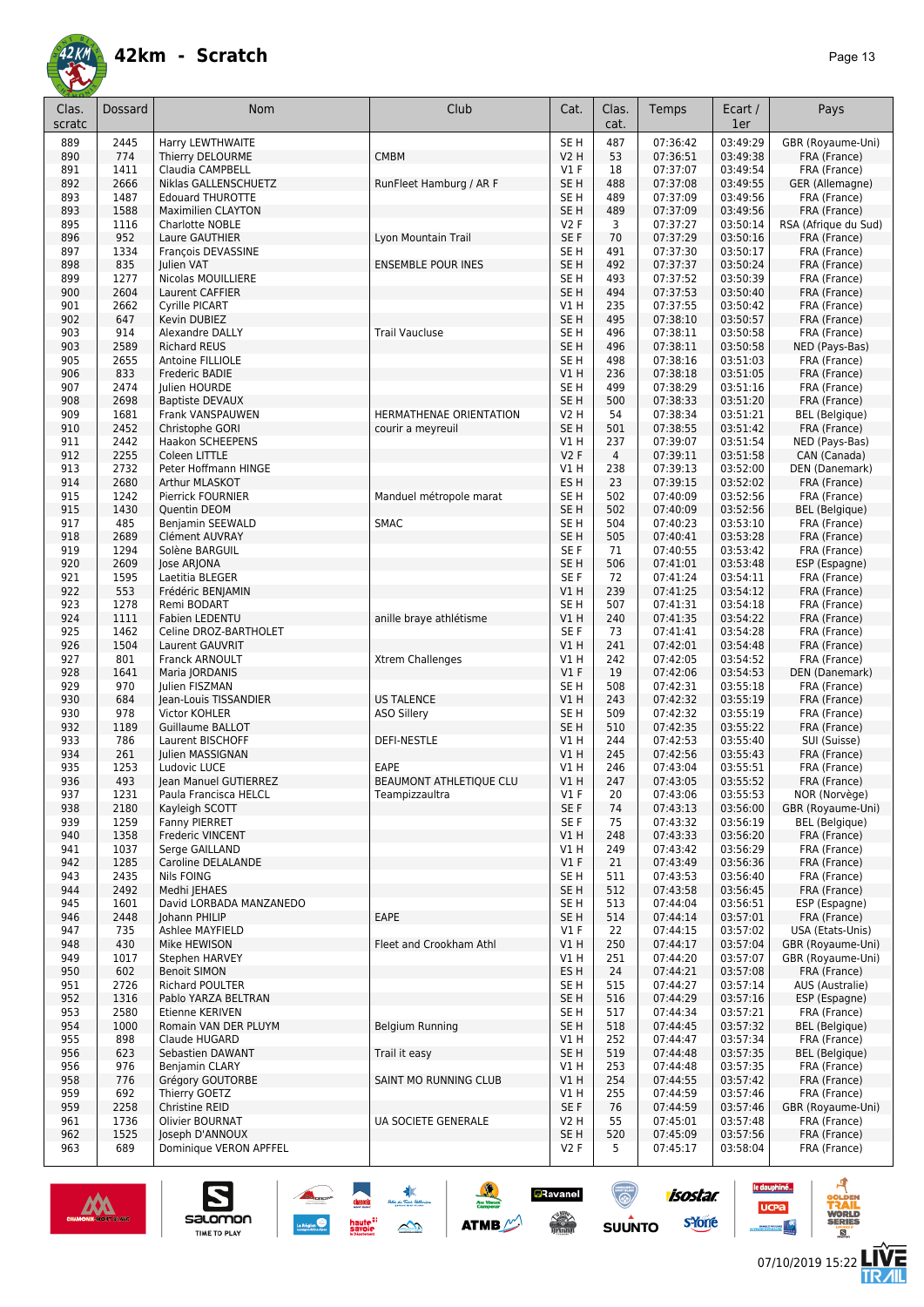

| Clas.<br>scratc | Dossard      | Nom                                             | Club                           | Cat.                               | Clas.<br>cat.  | Temps                | Ecart /<br>1er       | Pays                                  |
|-----------------|--------------|-------------------------------------------------|--------------------------------|------------------------------------|----------------|----------------------|----------------------|---------------------------------------|
| 889             | 2445         | <b>Harry LEWTHWAITE</b>                         |                                | SE <sub>H</sub>                    | 487            | 07:36:42             | 03:49:29             | GBR (Royaume-Uni)                     |
| 890             | 774          | Thierry DELOURME                                | <b>CMBM</b>                    | <b>V2 H</b>                        | 53             | 07:36:51             | 03:49:38             | FRA (France)                          |
| 891             | 1411         | Claudia CAMPBELL                                |                                | $VI$ F                             | 18             | 07:37:07             | 03:49:54             | FRA (France)                          |
| 892<br>893      | 2666<br>1487 | Niklas GALLENSCHUETZ<br><b>Edouard THUROTTE</b> | RunFleet Hamburg / AR F        | SE <sub>H</sub><br>SE <sub>H</sub> | 488<br>489     | 07:37:08<br>07:37:09 | 03:49:55<br>03:49:56 | GER (Allemagne)<br>FRA (France)       |
| 893             | 1588         | <b>Maximilien CLAYTON</b>                       |                                | SE <sub>H</sub>                    | 489            | 07:37:09             | 03:49:56             | FRA (France)                          |
| 895             | 1116         | <b>Charlotte NOBLE</b>                          |                                | V2F                                | 3              | 07:37:27             | 03:50:14             | RSA (Afrique du Sud)                  |
| 896             | 952          | Laure GAUTHIER                                  | Lyon Mountain Trail            | SE <sub>F</sub>                    | 70             | 07:37:29             | 03:50:16             | FRA (France)                          |
| 897             | 1334         | François DEVASSINE                              |                                | SE <sub>H</sub>                    | 491            | 07:37:30             | 03:50:17             | FRA (France)                          |
| 898             | 835          | <b>Julien VAT</b>                               | <b>ENSEMBLE POUR INES</b>      | SE <sub>H</sub>                    | 492            | 07:37:37             | 03:50:24             | FRA (France)                          |
| 899<br>900      | 1277<br>2604 | <b>Nicolas MOUILLIERE</b><br>Laurent CAFFIER    |                                | SE <sub>H</sub><br>SE <sub>H</sub> | 493<br>494     | 07:37:52<br>07:37:53 | 03:50:39<br>03:50:40 | FRA (France)                          |
| 901             | 2662         | <b>Cyrille PICART</b>                           |                                | V1H                                | 235            | 07:37:55             | 03:50:42             | FRA (France)<br>FRA (France)          |
| 902             | 647          | Kevin DUBIEZ                                    |                                | SE <sub>H</sub>                    | 495            | 07:38:10             | 03:50:57             | FRA (France)                          |
| 903             | 914          | Alexandre DALLY                                 | <b>Trail Vaucluse</b>          | SE H                               | 496            | 07:38:11             | 03:50:58             | FRA (France)                          |
| 903             | 2589         | <b>Richard REUS</b>                             |                                | SE <sub>H</sub>                    | 496            | 07:38:11             | 03:50:58             | NED (Pays-Bas)                        |
| 905             | 2655         | Antoine FILLIOLE                                |                                | SE <sub>H</sub>                    | 498            | 07:38:16             | 03:51:03             | FRA (France)                          |
| 906             | 833          | Frederic BADIE                                  |                                | V1H                                | 236            | 07:38:18             | 03:51:05             | FRA (France)                          |
| 907             | 2474<br>2698 | Julien HOURDE                                   |                                | SE <sub>H</sub>                    | 499            | 07:38:29             | 03:51:16             | FRA (France)                          |
| 908<br>909      | 1681         | <b>Baptiste DEVAUX</b><br>Frank VANSPAUWEN      | <b>HERMATHENAE ORIENTATION</b> | SE <sub>H</sub><br><b>V2 H</b>     | 500<br>54      | 07:38:33<br>07:38:34 | 03:51:20<br>03:51:21 | FRA (France)<br><b>BEL</b> (Belgique) |
| 910             | 2452         | Christophe GORI                                 | courir a meyreuil              | SE <sub>H</sub>                    | 501            | 07:38:55             | 03:51:42             | FRA (France)                          |
| 911             | 2442         | <b>Haakon SCHEEPENS</b>                         |                                | V1H                                | 237            | 07:39:07             | 03:51:54             | NED (Pays-Bas)                        |
| 912             | 2255         | Coleen LITTLE                                   |                                | V2F                                | $\overline{4}$ | 07:39:11             | 03:51:58             | CAN (Canada)                          |
| 913             | 2732         | Peter Hoffmann HINGE                            |                                | V1H                                | 238            | 07:39:13             | 03:52:00             | DEN (Danemark)                        |
| 914             | 2680         | Arthur MLASKOT                                  |                                | ES <sub>H</sub>                    | 23             | 07:39:15             | 03:52:02             | FRA (France)                          |
| 915             | 1242         | Pierrick FOURNIER                               | Manduel métropole marat        | SE H                               | 502            | 07:40:09             | 03:52:56             | FRA (France)                          |
| 915             | 1430<br>485  | Quentin DEOM<br><b>Benjamin SEEWALD</b>         | <b>SMAC</b>                    | SE <sub>H</sub><br>SE <sub>H</sub> | 502<br>504     | 07:40:09             | 03:52:56             | <b>BEL</b> (Belgique)<br>FRA (France) |
| 917<br>918      | 2689         | Clément AUVRAY                                  |                                | SE <sub>H</sub>                    | 505            | 07:40:23<br>07:40:41 | 03:53:10<br>03:53:28 | FRA (France)                          |
| 919             | 1294         | Solène BARGUIL                                  |                                | SE F                               | 71             | 07:40:55             | 03:53:42             | FRA (France)                          |
| 920             | 2609         | Jose ARJONA                                     |                                | SE <sub>H</sub>                    | 506            | 07:41:01             | 03:53:48             | ESP (Espagne)                         |
| 921             | 1595         | Laetitia BLEGER                                 |                                | SE <sub>F</sub>                    | 72             | 07:41:24             | 03:54:11             | FRA (France)                          |
| 922             | 553          | Frédéric BENJAMIN                               |                                | VIH                                | 239            | 07:41:25             | 03:54:12             | FRA (France)                          |
| 923             | 1278         | Remi BODART                                     |                                | SE <sub>H</sub>                    | 507            | 07:41:31             | 03:54:18             | FRA (France)                          |
| 924             | 1111         | Fabien LEDENTU                                  | anille braye athlétisme        | V1H                                | 240            | 07:41:35             | 03:54:22             | FRA (France)                          |
| 925             | 1462<br>1504 | Celine DROZ-BARTHOLET                           |                                | SE F                               | 73<br>241      | 07:41:41             | 03:54:28<br>03:54:48 | FRA (France)                          |
| 926<br>927      | 801          | Laurent GAUVRIT<br>Franck ARNOULT               | Xtrem Challenges               | V1 H<br>V1H                        | 242            | 07:42:01<br>07:42:05 | 03:54:52             | FRA (France)<br>FRA (France)          |
| 928             | 1641         | Maria JORDANIS                                  |                                | $VI$ F                             | 19             | 07:42:06             | 03:54:53             | DEN (Danemark)                        |
| 929             | 970          | Julien FISZMAN                                  |                                | SE <sub>H</sub>                    | 508            | 07:42:31             | 03:55:18             | FRA (France)                          |
| 930             | 684          | Jean-Louis TISSANDIER                           | <b>US TALENCE</b>              | VIH                                | 243            | 07:42:32             | 03:55:19             | FRA (France)                          |
| 930             | 978          | <b>Victor KOHLER</b>                            | <b>ASO Sillery</b>             | SE <sub>H</sub>                    | 509            | 07:42:32             | 03:55:19             | FRA (France)                          |
| 932             | 1189         | Guillaume BALLOT                                |                                | SE <sub>H</sub>                    | 510            | 07:42:35             | 03:55:22             | FRA (France)                          |
| 933<br>934      | 786<br>261   | Laurent BISCHOFF<br>Julien MASSIGNAN            | <b>DEFI-NESTLE</b>             | V1H<br>V1 H                        | 244<br>245     | 07:42:53<br>07:42:56 | 03:55:40<br>03:55:43 | SUI (Suisse)<br>FRA (France)          |
| 935             | 1253         | Ludovic LUCE                                    | EAPE                           | V1 H                               | 246            | 07:43:04             | 03:55:51             | FRA (France)                          |
| 936             | 493          | Jean Manuel GUTIERREZ                           | <b>BEAUMONT ATHLETIOUE CLU</b> | V1 H                               | 247            | 07:43:05             | 03:55:52             | FRA (France)                          |
| 937             | 1231         | Paula Francisca HELCL                           | Teampizzaultra                 | $VI$ F                             | 20             | 07:43:06             | 03:55:53             | NOR (Norvège)                         |
| 938             | 2180         | Kayleigh SCOTT                                  |                                | SE F                               | 74             | 07:43:13             | 03:56:00             | GBR (Royaume-Uni)                     |
| 939             | 1259         | Fanny PIERRET                                   |                                | SE F                               | 75             | 07:43:32             | 03:56:19             | <b>BEL</b> (Belgique)                 |
| 940             | 1358         | Frederic VINCENT                                |                                | V1 H                               | 248            | 07:43:33             | 03:56:20             | FRA (France)                          |
| 941<br>942      | 1037<br>1285 | Serge GAILLAND<br>Caroline DELALANDE            |                                | V1 H<br>$VI$ F                     | 249<br>21      | 07:43:42<br>07:43:49 | 03:56:29<br>03:56:36 | FRA (France)<br>FRA (France)          |
| 943             | 2435         | Nils FOING                                      |                                | SE H                               | 511            | 07:43:53             | 03:56:40             | FRA (France)                          |
| 944             | 2492         | Medhi JEHAES                                    |                                | SE <sub>H</sub>                    | 512            | 07:43:58             | 03:56:45             | FRA (France)                          |
| 945             | 1601         | David LORBADA MANZANEDO                         |                                | SE <sub>H</sub>                    | 513            | 07:44:04             | 03:56:51             | ESP (Espagne)                         |
| 946             | 2448         | Johann PHILIP                                   | EAPE                           | SE <sub>H</sub>                    | 514            | 07:44:14             | 03:57:01             | FRA (France)                          |
| 947             | 735          | Ashlee MAYFIELD                                 |                                | $VI$ F                             | 22             | 07:44:15             | 03:57:02             | USA (Etats-Unis)                      |
| 948             | 430          | Mike HEWISON                                    | Fleet and Crookham Athl        | VIH                                | 250            | 07:44:17             | 03:57:04             | GBR (Royaume-Uni)                     |
| 949<br>950      | 1017<br>602  | Stephen HARVEY<br><b>Benoit SIMON</b>           |                                | V1 H<br>ES <sub>H</sub>            | 251<br>24      | 07:44:20<br>07:44:21 | 03:57:07<br>03:57:08 | GBR (Royaume-Uni)<br>FRA (France)     |
| 951             | 2726         | <b>Richard POULTER</b>                          |                                | SE <sub>H</sub>                    | 515            | 07:44:27             | 03:57:14             | AUS (Australie)                       |
| 952             | 1316         | Pablo YARZA BELTRAN                             |                                | SE H                               | 516            | 07:44:29             | 03:57:16             | ESP (Espagne)                         |
| 953             | 2580         | Etienne KERIVEN                                 |                                | SE H                               | 517            | 07:44:34             | 03:57:21             | FRA (France)                          |
| 954             | 1000         | Romain VAN DER PLUYM                            | <b>Belgium Running</b>         | SE H                               | 518            | 07:44:45             | 03:57:32             | BEL (Belgique)                        |
| 955             | 898          | Claude HUGARD                                   |                                | V1 H                               | 252            | 07:44:47             | 03:57:34             | FRA (France)                          |
| 956             | 623          | Sebastien DAWANT                                | Trail it easy                  | SE <sub>H</sub>                    | 519            | 07:44:48             | 03:57:35             | <b>BEL</b> (Belgique)                 |
| 956<br>958      | 976          | Benjamin CLARY                                  |                                | V1 H                               | 253<br>254     | 07:44:48             | 03:57:35<br>03:57:42 | FRA (France)                          |
| 959             | 776<br>692   | Grégory GOUTORBE<br>Thierry GOETZ               | SAINT MO RUNNING CLUB          | V1H<br>V1 H                        | 255            | 07:44:55<br>07:44:59 | 03:57:46             | FRA (France)<br>FRA (France)          |
| 959             | 2258         | Christine REID                                  |                                | SE F                               | 76             | 07:44:59             | 03:57:46             | GBR (Royaume-Uni)                     |
| 961             | 1736         | Olivier BOURNAT                                 | UA SOCIETE GENERALE            | V2 H                               | 55             | 07:45:01             | 03:57:48             | FRA (France)                          |
| 962             | 1525         | Joseph D'ANNOUX                                 |                                | SE <sub>H</sub>                    | 520            | 07:45:09             | 03:57:56             | FRA (France)                          |
| 963             | 689          | Dominique VERON APFFEL                          |                                | V2F                                | 5              | 07:45:17             | 03:58:04             | FRA (France)                          |

 $\frac{1}{2}$ 

 $\rightarrow$ 

**ATMB** 



 $\n \ \, \underbrace{\sum\limits_{\text{SALOMOM}}$ 



G

le dauphiné...

**UCPa** 

isostar.

svore

 $\bigcirc$ 

**SUUNTO** 

**a**Ravanel

 $\frac{1}{\sqrt{2}}$ 



ه

**VORLD**<br>ERIES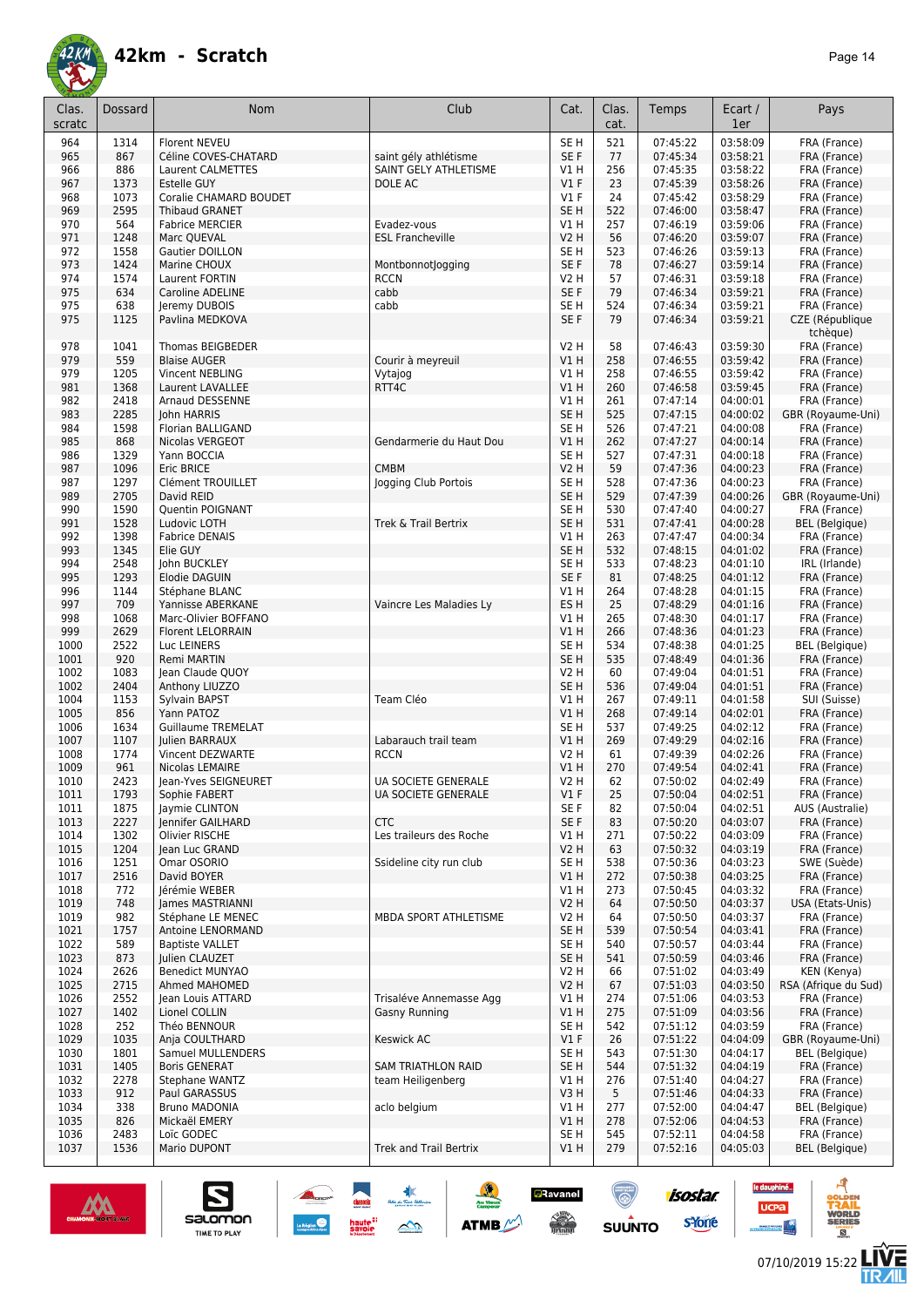

| Clas.<br>scratc | Dossard      | Nom                                       | Club                             | Cat.                               | Clas.<br>cat. | Temps                | Ecart /<br>1er       | Pays                                |
|-----------------|--------------|-------------------------------------------|----------------------------------|------------------------------------|---------------|----------------------|----------------------|-------------------------------------|
| 964             | 1314         | <b>Florent NEVEU</b>                      |                                  | SE <sub>H</sub>                    | 521           | 07:45:22             | 03:58:09             | FRA (France)                        |
| 965             | 867          | Céline COVES-CHATARD                      | saint gély athlétisme            | SE F                               | 77            | 07:45:34             | 03:58:21             | FRA (France)                        |
| 966<br>967      | 886<br>1373  | Laurent CALMETTES<br>Estelle GUY          | SAINT GELY ATHLETISME<br>DOLE AC | V1H<br>$VI$ F                      | 256<br>23     | 07:45:35<br>07:45:39 | 03:58:22<br>03:58:26 | FRA (France)<br>FRA (France)        |
| 968             | 1073         | Coralie CHAMARD BOUDET                    |                                  | $VI$ F                             | 24            | 07:45:42             | 03:58:29             | FRA (France)                        |
| 969             | 2595         | <b>Thibaud GRANET</b>                     |                                  | SE <sub>H</sub>                    | 522           | 07:46:00             | 03:58:47             | FRA (France)                        |
| 970             | 564          | <b>Fabrice MERCIER</b>                    | Evadez-vous                      | V1H                                | 257           | 07:46:19             | 03:59:06             | FRA (France)                        |
| 971             | 1248         | Marc QUEVAL                               | <b>ESL Francheville</b>          | <b>V2 H</b>                        | 56            | 07:46:20             | 03:59:07             | FRA (France)                        |
| 972<br>973      | 1558<br>1424 | Gautier DOILLON<br>Marine CHOUX           | Montbonnotlogging                | SE <sub>H</sub><br>SE <sub>F</sub> | 523<br>78     | 07:46:26<br>07:46:27 | 03:59:13<br>03:59:14 | FRA (France)<br>FRA (France)        |
| 974             | 1574         | Laurent FORTIN                            | <b>RCCN</b>                      | V2 H                               | 57            | 07:46:31             | 03:59:18             | FRA (France)                        |
| 975             | 634          | Caroline ADELINE                          | cabb                             | SE <sub>F</sub>                    | 79            | 07:46:34             | 03:59:21             | FRA (France)                        |
| 975             | 638          | Jeremy DUBOIS                             | cabb                             | SE <sub>H</sub>                    | 524           | 07:46:34             | 03:59:21             | FRA (France)                        |
| 975             | 1125         | Pavlina MEDKOVA                           |                                  | SE F                               | 79            | 07:46:34             | 03:59:21             | CZE (République<br>tchèque)         |
| 978             | 1041         | Thomas BEIGBEDER                          |                                  | V2 H                               | 58            | 07:46:43             | 03:59:30             | FRA (France)                        |
| 979<br>979      | 559<br>1205  | <b>Blaise AUGER</b><br>Vincent NEBLING    | Courir à meyreuil<br>Vytajog     | VIH<br><b>V1 H</b>                 | 258<br>258    | 07:46:55<br>07:46:55 | 03:59:42<br>03:59:42 | FRA (France)<br>FRA (France)        |
| 981             | 1368         | Laurent LAVALLEE                          | RTT4C                            | <b>V1 H</b>                        | 260           | 07:46:58             | 03:59:45             | FRA (France)                        |
| 982             | 2418         | Arnaud DESSENNE                           |                                  | V1H                                | 261           | 07:47:14             | 04:00:01             | FRA (France)                        |
| 983             | 2285         | John HARRIS                               |                                  | SE <sub>H</sub>                    | 525           | 07:47:15             | 04:00:02             | GBR (Royaume-Uni)                   |
| 984             | 1598         | Florian BALLIGAND                         |                                  | SE <sub>H</sub>                    | 526           | 07:47:21             | 04:00:08             | FRA (France)                        |
| 985             | 868<br>1329  | Nicolas VERGEOT<br>Yann BOCCIA            | Gendarmerie du Haut Dou          | <b>V1 H</b><br>SE <sub>H</sub>     | 262<br>527    | 07:47:27<br>07:47:31 | 04:00:14<br>04:00:18 | FRA (France)<br>FRA (France)        |
| 986<br>987      | 1096         | Eric BRICE                                | <b>CMBM</b>                      | <b>V2 H</b>                        | 59            | 07:47:36             | 04:00:23             | FRA (France)                        |
| 987             | 1297         | Clément TROUILLET                         | logging Club Portois             | SE H                               | 528           | 07:47:36             | 04:00:23             | FRA (France)                        |
| 989             | 2705         | David REID                                |                                  | SE <sub>H</sub>                    | 529           | 07:47:39             | 04:00:26             | GBR (Royaume-Uni)                   |
| 990             | 1590         | <b>Ouentin POIGNANT</b>                   |                                  | SE H                               | 530           | 07:47:40             | 04:00:27             | FRA (France)                        |
| 991             | 1528         | Ludovic LOTH                              | Trek & Trail Bertrix             | SE H                               | 531           | 07:47:41             | 04:00:28             | <b>BEL</b> (Belgique)               |
| 992             | 1398         | <b>Fabrice DENAIS</b>                     |                                  | V1H                                | 263           | 07:47:47             | 04:00:34             | FRA (France)                        |
| 993<br>994      | 1345<br>2548 | Elie GUY<br>John BUCKLEY                  |                                  | SE <sub>H</sub><br>SE <sub>H</sub> | 532<br>533    | 07:48:15<br>07:48:23 | 04:01:02<br>04:01:10 | FRA (France)<br>IRL (Irlande)       |
| 995             | 1293         | Elodie DAGUIN                             |                                  | SE F                               | 81            | 07:48:25             | 04:01:12             | FRA (France)                        |
| 996             | 1144         | Stéphane BLANC                            |                                  | V1 H                               | 264           | 07:48:28             | 04:01:15             | FRA (France)                        |
| 997             | 709          | Yannisse ABERKANE                         | Vaincre Les Maladies Ly          | ES <sub>H</sub>                    | 25            | 07:48:29             | 04:01:16             | FRA (France)                        |
| 998             | 1068         | Marc-Olivier BOFFANO                      |                                  | V1H                                | 265           | 07:48:30             | 04:01:17             | FRA (France)                        |
| 999<br>1000     | 2629<br>2522 | <b>Florent LELORRAIN</b><br>Luc LEINERS   |                                  | VIH<br>SE <sub>H</sub>             | 266<br>534    | 07:48:36<br>07:48:38 | 04:01:23<br>04:01:25 | FRA (France)<br>BEL (Belgique)      |
| 1001            | 920          | Remi MARTIN                               |                                  | SE <sub>H</sub>                    | 535           | 07:48:49             | 04:01:36             | FRA (France)                        |
| 1002            | 1083         | Jean Claude QUOY                          |                                  | V2 H                               | 60            | 07:49:04             | 04:01:51             | FRA (France)                        |
| 1002            | 2404         | Anthony LIUZZO                            |                                  | SE H                               | 536           | 07:49:04             | 04:01:51             | FRA (France)                        |
| 1004            | 1153         | Sylvain BAPST                             | Team Cléo                        | V1H                                | 267           | 07:49:11             | 04:01:58             | SUI (Suisse)                        |
| 1005<br>1006    | 856<br>1634  | Yann PATOZ<br><b>Guillaume TREMELAT</b>   |                                  | V1 H<br>SE <sub>H</sub>            | 268<br>537    | 07:49:14<br>07:49:25 | 04:02:01<br>04:02:12 | FRA (France)<br>FRA (France)        |
| 1007            | 1107         | Julien BARRAUX                            | Labarauch trail team             | V1H                                | 269           | 07:49:29             | 04:02:16             | FRA (France)                        |
| 1008            | 1774         | Vincent DEZWARTE                          | <b>RCCN</b>                      | V2 H                               | 61            | 07:49:39             | 04:02:26             | FRA (France)                        |
| 1009            | 961          | Nicolas LEMAIRE                           |                                  | V1H                                | 270           | 07:49:54             | 04:02:41             | FRA (France)                        |
| 1010            | 2423         | Jean-Yves SEIGNEURET                      | <b>UA SOCIETE GENERALE</b>       | V2 H                               | 62            | 07:50:02             | 04:02:49             | FRA (France)                        |
| 1011            | 1793         | Sophie FABERT                             | <b>UA SOCIETE GENERALE</b>       | V1F<br>SE F                        | 25            | 07:50:04             | 04:02:51<br>04:02:51 | FRA (France)                        |
| 1011<br>1013    | 1875<br>2227 | Jaymie CLINTON<br>Jennifer GAILHARD       | <b>CTC</b>                       | SE F                               | 82<br>83      | 07:50:04<br>07:50:20 | 04:03:07             | AUS (Australie)<br>FRA (France)     |
| 1014            | 1302         | Olivier RISCHE                            | Les traileurs des Roche          | V1H                                | 271           | 07:50:22             | 04:03:09             | FRA (France)                        |
| 1015            | 1204         | Jean Luc GRAND                            |                                  | V2H                                | 63            | 07:50:32             | 04:03:19             | FRA (France)                        |
| 1016            | 1251         | Omar OSORIO                               | Ssideline city run club          | SE H                               | 538           | 07:50:36             | 04:03:23             | SWE (Suède)                         |
| 1017<br>1018    | 2516<br>772  | David BOYER<br>Jérémie WEBER              |                                  | V1H<br>VIH                         | 272<br>273    | 07:50:38<br>07:50:45 | 04:03:25<br>04:03:32 | FRA (France)<br>FRA (France)        |
| 1019            | 748          | James MASTRIANNI                          |                                  | V2H                                | 64            | 07:50:50             | 04:03:37             | USA (Etats-Unis)                    |
| 1019            | 982          | Stéphane LE MENEC                         | MBDA SPORT ATHLETISME            | V2 H                               | 64            | 07:50:50             | 04:03:37             | FRA (France)                        |
| 1021            | 1757         | Antoine LENORMAND                         |                                  | SE H                               | 539           | 07:50:54             | 04:03:41             | FRA (France)                        |
| 1022            | 589          | <b>Baptiste VALLET</b>                    |                                  | SE <sub>H</sub>                    | 540           | 07:50:57             | 04:03:44             | FRA (France)                        |
| 1023            | 873          | Julien CLAUZET                            |                                  | SE <sub>H</sub>                    | 541           | 07:50:59             | 04:03:46             | FRA (France)                        |
| 1024<br>1025    | 2626<br>2715 | <b>Benedict MUNYAO</b><br>Ahmed MAHOMED   |                                  | V2 H<br>V2 H                       | 66<br>67      | 07:51:02<br>07:51:03 | 04:03:49<br>04:03:50 | KEN (Kenya)<br>RSA (Afrique du Sud) |
| 1026            | 2552         | Jean Louis ATTARD                         | Trisaléve Annemasse Agg          | V1H                                | 274           | 07:51:06             | 04:03:53             | FRA (France)                        |
| 1027            | 1402         | Lionel COLLIN                             | Gasny Running                    | VIH                                | 275           | 07:51:09             | 04:03:56             | FRA (France)                        |
| 1028            | 252          | Théo BENNOUR                              |                                  | SE H                               | 542           | 07:51:12             | 04:03:59             | FRA (France)                        |
| 1029            | 1035         | Anja COULTHARD                            | Keswick AC                       | $VI$ F                             | 26            | 07:51:22             | 04:04:09             | GBR (Royaume-Uni)                   |
| 1030            | 1801<br>1405 | Samuel MULLENDERS<br><b>Boris GENERAT</b> | <b>SAM TRIATHLON RAID</b>        | SE <sub>H</sub>                    | 543<br>544    | 07:51:30<br>07:51:32 | 04:04:17<br>04:04:19 | <b>BEL</b> (Belgique)               |
| 1031<br>1032    | 2278         | Stephane WANTZ                            | team Heiligenberg                | SE H<br>V1 H                       | 276           | 07:51:40             | 04:04:27             | FRA (France)<br>FRA (France)        |
| 1033            | 912          | Paul GARASSUS                             |                                  | V3H                                | 5             | 07:51:46             | 04:04:33             | FRA (France)                        |
| 1034            | 338          | <b>Bruno MADONIA</b>                      | aclo belgium                     | V1H                                | 277           | 07:52:00             | 04:04:47             | <b>BEL</b> (Belgique)               |
| 1035            | 826          | Mickaël EMERY                             |                                  | VIH                                | 278           | 07:52:06             | 04:04:53             | FRA (France)                        |
| 1036            | 2483         | Loïc GODEC                                |                                  | SE <sub>H</sub>                    | 545           | 07:52:11             | 04:04:58             | FRA (France)                        |
| 1037            | 1536         | Mario DUPONT                              | <b>Trek and Trail Bertrix</b>    | V1H                                | 279           | 07:52:16             | 04:05:03             | <b>BEL</b> (Belgique)               |



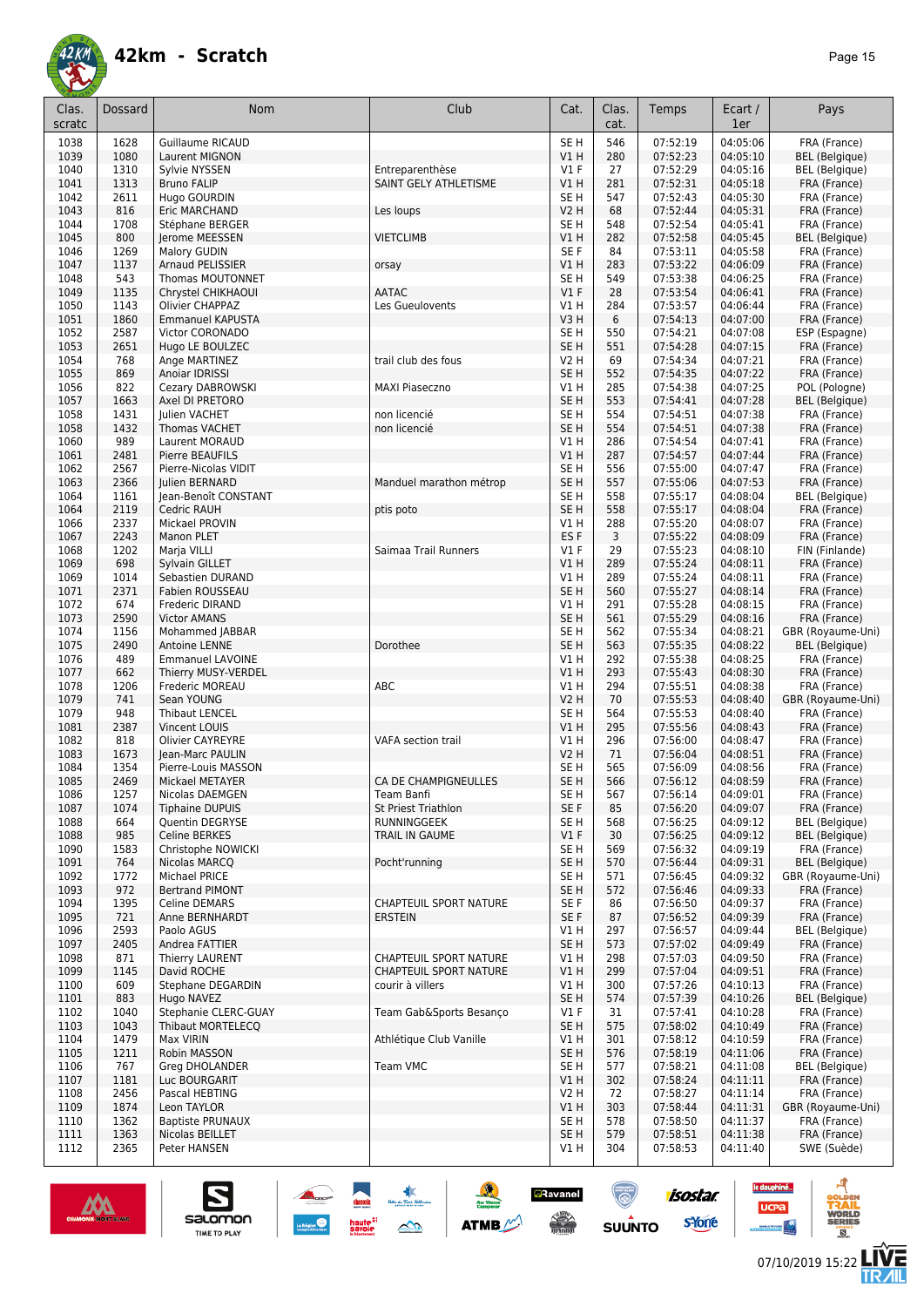

| Clas.<br>scratc | Dossard      | Nom                                     | Club                                             | Cat.                           | Clas.<br>cat. | Temps                | Ecart /<br>1er       | Pays                                   |
|-----------------|--------------|-----------------------------------------|--------------------------------------------------|--------------------------------|---------------|----------------------|----------------------|----------------------------------------|
| 1038            | 1628         | <b>Guillaume RICAUD</b>                 |                                                  | SE <sub>H</sub>                | 546           | 07:52:19             | 04:05:06             | FRA (France)                           |
| 1039            | 1080         | Laurent MIGNON                          |                                                  | V1 H                           | 280           | 07:52:23             | 04:05:10             | <b>BEL</b> (Belgique)                  |
| 1040            | 1310         | Sylvie NYSSEN                           | Entreparenthèse                                  | $VI$ F                         | 27            | 07:52:29             | 04:05:16             | <b>BEL</b> (Belgique)                  |
| 1041            | 1313         | <b>Bruno FALIP</b>                      | SAINT GELY ATHLETISME                            | VIH                            | 281           | 07:52:31             | 04:05:18             | FRA (France)                           |
| 1042            | 2611         | Hugo GOURDIN                            |                                                  | SE <sub>H</sub>                | 547           | 07:52:43             | 04:05:30             | FRA (France)                           |
| 1043<br>1044    | 816<br>1708  | Eric MARCHAND                           | Les loups                                        | <b>V2 H</b><br>SE <sub>H</sub> | 68<br>548     | 07:52:44<br>07:52:54 | 04:05:31<br>04:05:41 | FRA (France)                           |
| 1045            | 800          | Stéphane BERGER<br>Jerome MEESSEN       | <b>VIETCLIMB</b>                                 | V1H                            | 282           | 07:52:58             | 04:05:45             | FRA (France)<br><b>BEL</b> (Belgique)  |
| 1046            | 1269         | <b>Malory GUDIN</b>                     |                                                  | SE <sub>F</sub>                | 84            | 07:53:11             | 04:05:58             | FRA (France)                           |
| 1047            | 1137         | Arnaud PELISSIER                        | orsay                                            | V1H                            | 283           | 07:53:22             | 04:06:09             | FRA (France)                           |
| 1048            | 543          | <b>Thomas MOUTONNET</b>                 |                                                  | SE <sub>H</sub>                | 549           | 07:53:38             | 04:06:25             | FRA (France)                           |
| 1049            | 1135         | Chrystel CHIKHAOUI                      | <b>AATAC</b>                                     | $VI$ F                         | 28            | 07:53:54             | 04:06:41             | FRA (France)                           |
| 1050            | 1143         | Olivier CHAPPAZ                         | Les Gueulovents                                  | V1 H                           | 284           | 07:53:57             | 04:06:44             | FRA (France)                           |
| 1051            | 1860         | <b>Emmanuel KAPUSTA</b>                 |                                                  | V3 H                           | 6             | 07:54:13             | 04:07:00             | FRA (France)                           |
| 1052            | 2587         | Victor CORONADO                         |                                                  | SE <sub>H</sub>                | 550           | 07:54:21             | 04:07:08             | ESP (Espagne)                          |
| 1053            | 2651         | Hugo LE BOULZEC                         |                                                  | SE <sub>H</sub>                | 551           | 07:54:28             | 04:07:15             | FRA (France)                           |
| 1054            | 768          | Ange MARTINEZ                           | trail club des fous                              | V2 H                           | 69            | 07:54:34             | 04:07:21             | FRA (France)                           |
| 1055            | 869          | Anoiar IDRISSI                          |                                                  | SE <sub>H</sub>                | 552           | 07:54:35             | 04:07:22             | FRA (France)                           |
| 1056<br>1057    | 822<br>1663  | Cezary DABROWSKI<br>Axel DI PRETORO     | <b>MAXI Piaseczno</b>                            | V1 H<br>SE <sub>H</sub>        | 285<br>553    | 07:54:38<br>07:54:41 | 04:07:25<br>04:07:28 | POL (Pologne)<br><b>BEL</b> (Belgique) |
| 1058            | 1431         | Julien VACHET                           | non licencié                                     | SE <sub>H</sub>                | 554           | 07:54:51             | 04:07:38             | FRA (France)                           |
| 1058            | 1432         | Thomas VACHET                           | non licencié                                     | SE <sub>H</sub>                | 554           | 07:54:51             | 04:07:38             | FRA (France)                           |
| 1060            | 989          | Laurent MORAUD                          |                                                  | V1 H                           | 286           | 07:54:54             | 04:07:41             | FRA (France)                           |
| 1061            | 2481         | Pierre BEAUFILS                         |                                                  | V1 H                           | 287           | 07:54:57             | 04:07:44             | FRA (France)                           |
| 1062            | 2567         | Pierre-Nicolas VIDIT                    |                                                  | SE <sub>H</sub>                | 556           | 07:55:00             | 04:07:47             | FRA (France)                           |
| 1063            | 2366         | Julien BERNARD                          | Manduel marathon métrop                          | SE <sub>H</sub>                | 557           | 07:55:06             | 04:07:53             | FRA (France)                           |
| 1064            | 1161         | Jean-Benoît CONSTANT                    |                                                  | SE <sub>H</sub>                | 558           | 07:55:17             | 04:08:04             | BEL (Belgique)                         |
| 1064            | 2119         | Cedric RAUH                             | ptis poto                                        | SE <sub>H</sub>                | 558           | 07:55:17             | 04:08:04             | FRA (France)                           |
| 1066            | 2337         | Mickael PROVIN                          |                                                  | V1 H                           | 288           | 07:55:20             | 04:08:07             | FRA (France)                           |
| 1067            | 2243         | Manon PLET                              |                                                  | ES <sub>F</sub>                | 3             | 07:55:22             | 04:08:09             | FRA (France)                           |
| 1068            | 1202         | Marja VILLI                             | Saimaa Trail Runners                             | V1F                            | 29            | 07:55:23             | 04:08:10             | FIN (Finlande)                         |
| 1069            | 698          | Sylvain GILLET                          |                                                  | V1H                            | 289           | 07:55:24             | 04:08:11             | FRA (France)                           |
| 1069            | 1014<br>2371 | Sebastien DURAND<br>Fabien ROUSSEAU     |                                                  | V1H<br>SE <sub>H</sub>         | 289<br>560    | 07:55:24<br>07:55:27 | 04:08:11<br>04:08:14 | FRA (France)                           |
| 1071<br>1072    | 674          | Frederic DIRAND                         |                                                  | V1 H                           | 291           | 07:55:28             | 04:08:15             | FRA (France)<br>FRA (France)           |
| 1073            | 2590         | <b>Victor AMANS</b>                     |                                                  | SE <sub>H</sub>                | 561           | 07:55:29             | 04:08:16             | FRA (France)                           |
| 1074            | 1156         | Mohammed JABBAR                         |                                                  | SE H                           | 562           | 07:55:34             | 04:08:21             | GBR (Royaume-Uni)                      |
| 1075            | 2490         | <b>Antoine LENNE</b>                    | Dorothee                                         | SE <sub>H</sub>                | 563           | 07:55:35             | 04:08:22             | <b>BEL</b> (Belgique)                  |
| 1076            | 489          | <b>Emmanuel LAVOINE</b>                 |                                                  | V1H                            | 292           | 07:55:38             | 04:08:25             | FRA (France)                           |
| 1077            | 662          | Thierry MUSY-VERDEL                     |                                                  | V1 H                           | 293           | 07:55:43             | 04:08:30             | FRA (France)                           |
| 1078            | 1206         | Frederic MOREAU                         | ABC                                              | V1H                            | 294           | 07:55:51             | 04:08:38             | FRA (France)                           |
| 1079            | 741          | Sean YOUNG                              |                                                  | <b>V2 H</b>                    | 70            | 07:55:53             | 04:08:40             | GBR (Royaume-Uni)                      |
| 1079            | 948          | <b>Thibaut LENCEL</b>                   |                                                  | SE <sub>H</sub>                | 564           | 07:55:53             | 04:08:40             | FRA (France)                           |
| 1081            | 2387         | Vincent LOUIS                           |                                                  | V1 H                           | 295           | 07:55:56             | 04:08:43             | FRA (France)                           |
| 1082            | 818          | <b>Olivier CAYREYRE</b>                 | VAFA section trail                               | V1 H                           | 296           | 07:56:00             | 04:08:47             | FRA (France)                           |
| 1083<br>1084    | 1673         | Jean-Marc PAULIN<br>Pierre-Louis MASSON |                                                  | <b>V2 H</b><br>SE <sub>H</sub> | 71<br>565     | 07:56:04<br>07:56:09 | 04:08:51<br>04:08:56 | FRA (France)                           |
| 1085            | 1354<br>2469 | Mickael METAYER                         | CA DE CHAMPIGNEULLES                             | SE <sub>H</sub>                | 566           | 07:56:12             | 04:08:59             | FRA (France)<br>FRA (France)           |
| 1086            | 1257         | Nicolas DAEMGEN                         | Team Banfi                                       | SE H                           | 567           | 07:56:14             | 04:09:01             | FRA (France)                           |
| 1087            | 1074         | <b>Tiphaine DUPUIS</b>                  | St Priest Triathlon                              | SE F                           | 85            | 07:56:20             | 04:09:07             | FRA (France)                           |
| 1088            | 664          | Quentin DEGRYSE                         | RUNNINGGEEK                                      | SE H                           | 568           | 07:56:25             | 04:09:12             | <b>BEL</b> (Belgique)                  |
| 1088            | 985          | Celine BERKES                           | TRAIL IN GAUME                                   | $VI$ F                         | 30            | 07:56:25             | 04:09:12             | <b>BEL</b> (Belgique)                  |
| 1090            | 1583         | Christophe NOWICKI                      |                                                  | SE H                           | 569           | 07:56:32             | 04:09:19             | FRA (France)                           |
| 1091            | 764          | Nicolas MARCO                           | Pocht'running                                    | SE <sub>H</sub>                | 570           | 07:56:44             | 04:09:31             | <b>BEL</b> (Belgique)                  |
| 1092            | 1772         | Michael PRICE                           |                                                  | SE H                           | 571           | 07:56:45             | 04:09:32             | GBR (Royaume-Uni)                      |
| 1093            | 972          | <b>Bertrand PIMONT</b>                  |                                                  | SE <sub>H</sub>                | 572           | 07:56:46             | 04:09:33             | FRA (France)                           |
| 1094            | 1395         | Celine DEMARS                           | CHAPTEUIL SPORT NATURE                           | SE F                           | 86            | 07:56:50             | 04:09:37             | FRA (France)                           |
| 1095            | 721          | Anne BERNHARDT                          | <b>ERSTEIN</b>                                   | SE F                           | 87            | 07:56:52             | 04:09:39             | FRA (France)                           |
| 1096            | 2593         | Paolo AGUS                              |                                                  | V1 H                           | 297           | 07:56:57             | 04:09:44             | <b>BEL</b> (Belgique)                  |
| 1097            | 2405         | Andrea FATTIER                          |                                                  | SE H                           | 573           | 07:57:02             | 04:09:49             | FRA (France)                           |
| 1098            | 871          | Thierry LAURENT<br>David ROCHE          | CHAPTEUIL SPORT NATURE<br>CHAPTEUIL SPORT NATURE | V1 H                           | 298           | 07:57:03             | 04:09:50<br>04:09:51 | FRA (France)<br>FRA (France)           |
| 1099<br>1100    | 1145<br>609  | Stephane DEGARDIN                       | courir à villers                                 | V1 H<br>V1 H                   | 299<br>300    | 07:57:04<br>07:57:26 | 04:10:13             | FRA (France)                           |
| 1101            | 883          | Hugo NAVEZ                              |                                                  | SE H                           | 574           | 07:57:39             | 04:10:26             | BEL (Belgique)                         |
| 1102            | 1040         | Stephanie CLERC-GUAY                    | Team Gab&Sports Besanço                          | $VI$ F                         | 31            | 07:57:41             | 04:10:28             | FRA (France)                           |
| 1103            | 1043         | <b>Thibaut MORTELECQ</b>                |                                                  | SE <sub>H</sub>                | 575           | 07:58:02             | 04:10:49             | FRA (France)                           |
| 1104            | 1479         | Max VIRIN                               | Athlétique Club Vanille                          | V1 H                           | 301           | 07:58:12             | 04:10:59             | FRA (France)                           |
| 1105            | 1211         | Robin MASSON                            |                                                  | SE <sub>H</sub>                | 576           | 07:58:19             | 04:11:06             | FRA (France)                           |
| 1106            | 767          | Greg DHOLANDER                          | Team VMC                                         | SE H                           | 577           | 07:58:21             | 04:11:08             | <b>BEL</b> (Belgique)                  |
| 1107            | 1181         | Luc BOURGARIT                           |                                                  | V1 H                           | 302           | 07:58:24             | 04:11:11             | FRA (France)                           |
| 1108            | 2456         | Pascal HEBTING                          |                                                  | V2 H                           | 72            | 07:58:27             | 04:11:14             | FRA (France)                           |
| 1109            | 1874         | Leon TAYLOR                             |                                                  | V1 H                           | 303           | 07:58:44             | 04:11:31             | GBR (Royaume-Uni)                      |
| 1110            | 1362         | <b>Baptiste PRUNAUX</b>                 |                                                  | SE H                           | 578           | 07:58:50             | 04:11:37             | FRA (France)                           |
| 1111            | 1363         | Nicolas BEILLET                         |                                                  | SE <sub>H</sub>                | 579           | 07:58:51             | 04:11:38             | FRA (France)                           |
| 1112            | 2365         | Peter HANSEN                            |                                                  | V1 H                           | 304           | 07:58:53             | 04:11:40             | SWE (Suède)                            |

 $\rightarrow$ 

ATMB



 $\sum_{\text{SALOMOM}}$ 



**isostar** 

svore

(@)

**SUUNTO** 

**a**Ravanel

 $\frac{1}{\sqrt{2}}$ 

le dauphiné...

**UCPa** 

**Excession Contract** 



م<br>أولية

**VORLD**<br>ERIES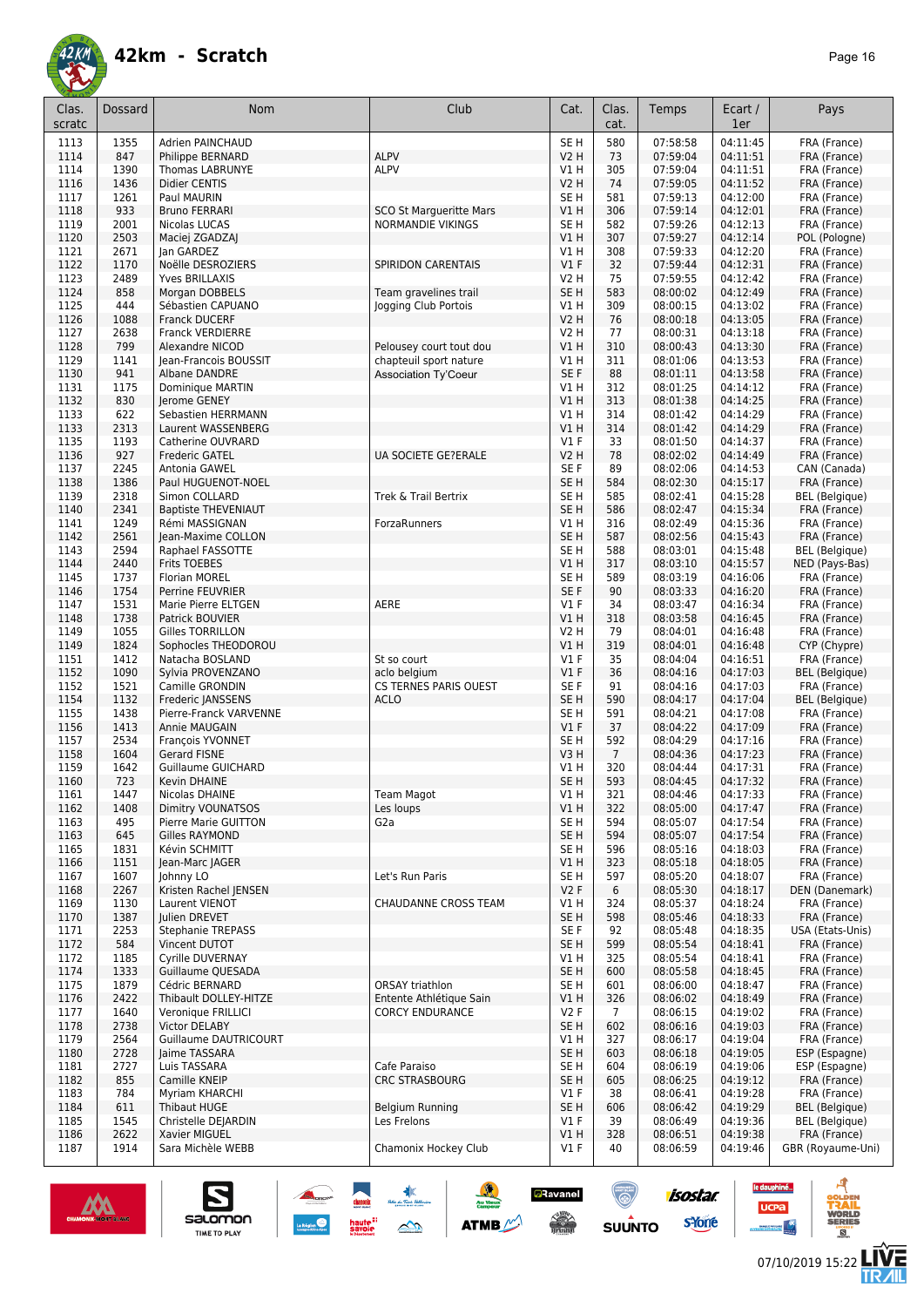

| Clas.<br>scratc | Dossard      | Nom                                         | Club                                              | Cat.                       | Clas.<br>cat.          | Temps                | Ecart /<br>1er       | Pays                                  |
|-----------------|--------------|---------------------------------------------|---------------------------------------------------|----------------------------|------------------------|----------------------|----------------------|---------------------------------------|
| 1113            | 1355         | Adrien PAINCHAUD                            |                                                   | SE <sub>H</sub>            | 580                    | 07:58:58             | 04:11:45             | FRA (France)                          |
| 1114            | 847          | Philippe BERNARD                            | <b>ALPV</b>                                       | <b>V2 H</b>                | 73                     | 07:59:04             | 04:11:51             | FRA (France)                          |
| 1114            | 1390         | Thomas LABRUNYE                             | <b>ALPV</b>                                       | V1 H                       | 305                    | 07:59:04             | 04:11:51             | FRA (France)                          |
| 1116<br>1117    | 1436<br>1261 | <b>Didier CENTIS</b><br>Paul MAURIN         |                                                   | V2 H<br>SE <sub>H</sub>    | 74<br>581              | 07:59:05<br>07:59:13 | 04:11:52<br>04:12:00 | FRA (France)<br>FRA (France)          |
| 1118            | 933          | <b>Bruno FERRARI</b>                        | SCO St Margueritte Mars                           | V1 H                       | 306                    | 07:59:14             | 04:12:01             | FRA (France)                          |
| 1119            | 2001         | Nicolas LUCAS                               | <b>NORMANDIE VIKINGS</b>                          | SE <sub>H</sub>            | 582                    | 07:59:26             | 04:12:13             | FRA (France)                          |
| 1120            | 2503         | Maciej ZGADZAJ                              |                                                   | V1H                        | 307                    | 07:59:27             | 04:12:14             | POL (Pologne)                         |
| 1121            | 2671         | lan GARDEZ                                  |                                                   | V1 H                       | 308                    | 07:59:33             | 04:12:20             | FRA (France)                          |
| 1122<br>1123    | 1170<br>2489 | Noëlle DESROZIERS<br>Yves BRILLAXIS         | <b>SPIRIDON CARENTAIS</b>                         | $VI$ F<br>V <sub>2</sub> H | 32<br>75               | 07:59:44<br>07:59:55 | 04:12:31<br>04:12:42 | FRA (France)<br>FRA (France)          |
| 1124            | 858          | Morgan DOBBELS                              | Team gravelines trail                             | SE <sub>H</sub>            | 583                    | 08:00:02             | 04:12:49             | FRA (France)                          |
| 1125            | 444          | Sébastien CAPUANO                           | Jogging Club Portois                              | V1H                        | 309                    | 08:00:15             | 04:13:02             | FRA (France)                          |
| 1126            | 1088         | <b>Franck DUCERF</b>                        |                                                   | <b>V2 H</b>                | 76                     | 08:00:18             | 04:13:05             | FRA (France)                          |
| 1127            | 2638         | <b>Franck VERDIERRE</b>                     |                                                   | <b>V2 H</b>                | 77                     | 08:00:31             | 04:13:18             | FRA (France)                          |
| 1128<br>1129    | 799<br>1141  | Alexandre NICOD<br>Jean-Francois BOUSSIT    | Pelousey court tout dou<br>chapteuil sport nature | VIH<br>V1 H                | 310<br>311             | 08:00:43<br>08:01:06 | 04:13:30<br>04:13:53 | FRA (France)<br>FRA (France)          |
| 1130            | 941          | Albane DANDRE                               | <b>Association Ty'Coeur</b>                       | SE F                       | 88                     | 08:01:11             | 04:13:58             | FRA (France)                          |
| 1131            | 1175         | Dominique MARTIN                            |                                                   | V1H                        | 312                    | 08:01:25             | 04:14:12             | FRA (France)                          |
| 1132            | 830          | Jerome GENEY                                |                                                   | V1H                        | 313                    | 08:01:38             | 04:14:25             | FRA (France)                          |
| 1133            | 622          | Sebastien HERRMANN                          |                                                   | V1 H                       | 314                    | 08:01:42             | 04:14:29             | FRA (France)                          |
| 1133<br>1135    | 2313<br>1193 | Laurent WASSENBERG<br>Catherine OUVRARD     |                                                   | V1H<br>$VI$ F              | 314<br>33              | 08:01:42<br>08:01:50 | 04:14:29<br>04:14:37 | FRA (France)<br>FRA (France)          |
| 1136            | 927          | <b>Frederic GATEL</b>                       | <b>UA SOCIETE GE?ERALE</b>                        | <b>V2 H</b>                | 78                     | 08:02:02             | 04:14:49             | FRA (France)                          |
| 1137            | 2245         | Antonia GAWEL                               |                                                   | SE F                       | 89                     | 08:02:06             | 04:14:53             | CAN (Canada)                          |
| 1138            | 1386         | Paul HUGUENOT-NOEL                          |                                                   | SE <sub>H</sub>            | 584                    | 08:02:30             | 04:15:17             | FRA (France)                          |
| 1139            | 2318         | Simon COLLARD                               | Trek & Trail Bertrix                              | SE <sub>H</sub>            | 585                    | 08:02:41             | 04:15:28             | BEL (Belgique)                        |
| 1140            | 2341<br>1249 | <b>Baptiste THEVENIAUT</b>                  | ForzaRunners                                      | SE <sub>H</sub><br>V1 H    | 586<br>316             | 08:02:47             | 04:15:34             | FRA (France)                          |
| 1141<br>1142    | 2561         | Rémi MASSIGNAN<br>Jean-Maxime COLLON        |                                                   | SE <sub>H</sub>            | 587                    | 08:02:49<br>08:02:56 | 04:15:36<br>04:15:43 | FRA (France)<br>FRA (France)          |
| 1143            | 2594         | Raphael FASSOTTE                            |                                                   | SE <sub>H</sub>            | 588                    | 08:03:01             | 04:15:48             | BEL (Belgique)                        |
| 1144            | 2440         | <b>Frits TOEBES</b>                         |                                                   | V1H                        | 317                    | 08:03:10             | 04:15:57             | NED (Pays-Bas)                        |
| 1145            | 1737         | <b>Florian MOREL</b>                        |                                                   | SE <sub>H</sub>            | 589                    | 08:03:19             | 04:16:06             | FRA (France)                          |
| 1146<br>1147    | 1754<br>1531 | Perrine FEUVRIER<br>Marie Pierre ELTGEN     | AERE                                              | SE F<br>$VI$ F             | 90<br>34               | 08:03:33<br>08:03:47 | 04:16:20<br>04:16:34 | FRA (France)                          |
| 1148            | 1738         | Patrick BOUVIER                             |                                                   | V1H                        | 318                    | 08:03:58             | 04:16:45             | FRA (France)<br>FRA (France)          |
| 1149            | 1055         | Gilles TORRILLON                            |                                                   | <b>V2 H</b>                | 79                     | 08:04:01             | 04:16:48             | FRA (France)                          |
| 1149            | 1824         | Sophocles THEODOROU                         |                                                   | <b>V1 H</b>                | 319                    | 08:04:01             | 04:16:48             | CYP (Chypre)                          |
| 1151            | 1412         | Natacha BOSLAND                             | St so court                                       | $VI$ F                     | 35                     | 08:04:04             | 04:16:51             | FRA (France)                          |
| 1152            | 1090         | Sylvia PROVENZANO                           | aclo belgium                                      | $VI$ F<br>SE <sub>F</sub>  | 36                     | 08:04:16             | 04:17:03             | <b>BEL</b> (Belgique)                 |
| 1152<br>1154    | 1521<br>1132 | Camille GRONDIN<br>Frederic JANSSENS        | CS TERNES PARIS OUEST<br><b>ACLO</b>              | SE <sub>H</sub>            | 91<br>590              | 08:04:16<br>08:04:17 | 04:17:03<br>04:17:04 | FRA (France)<br><b>BEL</b> (Belgique) |
| 1155            | 1438         | Pierre-Franck VARVENNE                      |                                                   | SE <sub>H</sub>            | 591                    | 08:04:21             | 04:17:08             | FRA (France)                          |
| 1156            | 1413         | Annie MAUGAIN                               |                                                   | $VI$ F                     | 37                     | 08:04:22             | 04:17:09             | FRA (France)                          |
| 1157            | 2534         | François YVONNET                            |                                                   | SE <sub>H</sub>            | 592                    | 08:04:29             | 04:17:16             | FRA (France)                          |
| 1158<br>1159    | 1604<br>1642 | <b>Gerard FISNE</b><br>Guillaume GUICHARD   |                                                   | V3H<br>V1 H                | $\overline{7}$<br>320  | 08:04:36<br>08:04:44 | 04:17:23<br>04:17:31 | FRA (France)<br>FRA (France)          |
| 1160            | 723          | Kevin DHAINE                                |                                                   | SE <sub>H</sub>            | 593                    | 08:04:45             | 04:17:32             | FRA (France)                          |
| 1161            | 1447         | Nicolas DHAINE                              | <b>Team Magot</b>                                 | V1H                        | 321                    | 08:04:46             | 04:17:33             | FRA (France)                          |
| 1162            | 1408         | <b>Dimitry VOUNATSOS</b>                    | Les loups                                         | VIH                        | 322                    | 08:05:00             | 04:17:47             | FRA (France)                          |
| 1163            | 495          | Pierre Marie GUITTON                        | G2a                                               | SE <sub>H</sub>            | 594                    | 08:05:07             | 04:17:54             | FRA (France)                          |
| 1163<br>1165    | 645<br>1831  | Gilles RAYMOND<br>Kévin SCHMITT             |                                                   | SE H<br>SE H               | 594<br>596             | 08:05:07<br>08:05:16 | 04:17:54<br>04:18:03 | FRA (France)<br>FRA (France)          |
| 1166            | 1151         | Jean-Marc JAGER                             |                                                   | V1 H                       | 323                    | 08:05:18             | 04:18:05             | FRA (France)                          |
| 1167            | 1607         | Johnny LO                                   | Let's Run Paris                                   | SE H                       | 597                    | 08:05:20             | 04:18:07             | FRA (France)                          |
| 1168            | 2267         | Kristen Rachel JENSEN                       |                                                   | V2F                        | 6                      | 08:05:30             | 04:18:17             | DEN (Danemark)                        |
| 1169            | 1130         | Laurent VIENOT                              | CHAUDANNE CROSS TEAM                              | V1 H                       | 324                    | 08:05:37             | 04:18:24             | FRA (France)                          |
| 1170<br>1171    | 1387<br>2253 | Julien DREVET<br><b>Stephanie TREPASS</b>   |                                                   | SE <sub>H</sub><br>SE F    | 598<br>92              | 08:05:46<br>08:05:48 | 04:18:33<br>04:18:35 | FRA (France)<br>USA (Etats-Unis)      |
| 1172            | 584          | Vincent DUTOT                               |                                                   | SE <sub>H</sub>            | 599                    | 08:05:54             | 04:18:41             | FRA (France)                          |
| 1172            | 1185         | Cyrille DUVERNAY                            |                                                   | V1 H                       | 325                    | 08:05:54             | 04:18:41             | FRA (France)                          |
| 1174            | 1333         | Guillaume OUESADA                           |                                                   | SE <sub>H</sub>            | 600                    | 08:05:58             | 04:18:45             | FRA (France)                          |
| 1175            | 1879         | Cédric BERNARD                              | <b>ORSAY triathlon</b>                            | SE H                       | 601                    | 08:06:00             | 04:18:47             | FRA (France)                          |
| 1176<br>1177    | 2422<br>1640 | Thibault DOLLEY-HITZE<br>Veronique FRILLICI | Entente Athlétique Sain<br><b>CORCY ENDURANCE</b> | V1 H<br>V2F                | 326<br>$7\overline{ }$ | 08:06:02<br>08:06:15 | 04:18:49<br>04:19:02 | FRA (France)<br>FRA (France)          |
| 1178            | 2738         | Victor DELABY                               |                                                   | SE H                       | 602                    | 08:06:16             | 04:19:03             | FRA (France)                          |
| 1179            | 2564         | Guillaume DAUTRICOURT                       |                                                   | V1 H                       | 327                    | 08:06:17             | 04:19:04             | FRA (France)                          |
| 1180            | 2728         | Jaime TASSARA                               |                                                   | SE <sub>H</sub>            | 603                    | 08:06:18             | 04:19:05             | ESP (Espagne)                         |
| 1181            | 2727         | Luis TASSARA                                | Cafe Paraiso                                      | SE H                       | 604                    | 08:06:19<br>08:06:25 | 04:19:06             | ESP (Espagne)                         |
| 1182<br>1183    | 855<br>784   | Camille KNEIP<br>Myriam KHARCHI             | <b>CRC STRASBOURG</b>                             | SE H<br>$VI$ F             | 605<br>38              | 08:06:41             | 04:19:12<br>04:19:28 | FRA (France)<br>FRA (France)          |
| 1184            | 611          | <b>Thibaut HUGE</b>                         | Belgium Running                                   | SE <sub>H</sub>            | 606                    | 08:06:42             | 04:19:29             | BEL (Belgique)                        |
| 1185            | 1545         | Christelle DEJARDIN                         | Les Frelons                                       | $VI$ F                     | 39                     | 08:06:49             | 04:19:36             | BEL (Belgique)                        |
| 1186            | 2622         | Xavier MIGUEL                               |                                                   | V1H                        | 328                    | 08:06:51             | 04:19:38             | FRA (France)                          |
| 1187            | 1914         | Sara Michèle WEBB                           | Chamonix Hockey Club                              | $VI$ F                     | 40                     | 08:06:59             | 04:19:46             | GBR (Royaume-Uni)                     |

 $\ast$ 

 $\rightarrow$ 

**a**Ravanel



 $\sum_{\text{SALOMOM}}$ 



 $\bigcirc$ 

isostar.



le dauphiné...

**UCPa** 

A<br>oup

**VORLD**<br>ERIES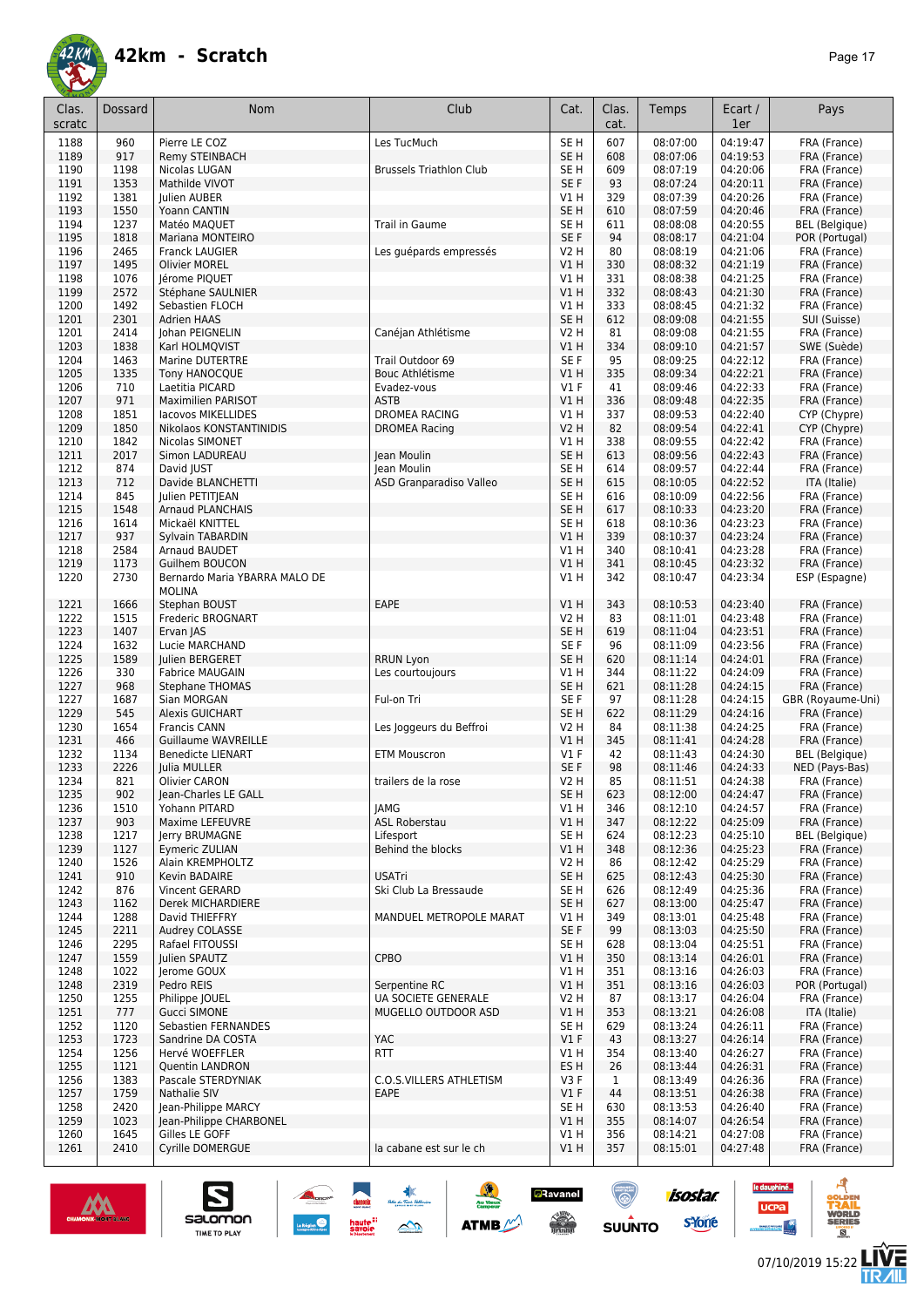

| Clas.<br>scratc | Dossard      | <b>Nom</b>                                     | Club                                   | Cat.                               | Clas.<br>cat. | Temps                | Ecart /<br>1er       | Pays                              |
|-----------------|--------------|------------------------------------------------|----------------------------------------|------------------------------------|---------------|----------------------|----------------------|-----------------------------------|
| 1188            | 960          | Pierre LE COZ                                  | Les TucMuch                            | SE <sub>H</sub>                    | 607           | 08:07:00             | 04:19:47             | FRA (France)                      |
| 1189            | 917          | Remy STEINBACH                                 |                                        | SE <sub>H</sub>                    | 608           | 08:07:06             | 04:19:53             | FRA (France)                      |
| 1190<br>1191    | 1198<br>1353 | Nicolas LUGAN<br>Mathilde VIVOT                | <b>Brussels Triathlon Club</b>         | SE <sub>H</sub><br>SE <sub>F</sub> | 609<br>93     | 08:07:19<br>08:07:24 | 04:20:06<br>04:20:11 | FRA (France)<br>FRA (France)      |
| 1192            | 1381         | Julien AUBER                                   |                                        | V1 H                               | 329           | 08:07:39             | 04:20:26             | FRA (France)                      |
| 1193            | 1550         | Yoann CANTIN                                   |                                        | SE <sub>H</sub>                    | 610           | 08:07:59             | 04:20:46             | FRA (France)                      |
| 1194            | 1237         | Matéo MAQUET                                   | <b>Trail in Gaume</b>                  | SE <sub>H</sub>                    | 611           | 08:08:08             | 04:20:55             | BEL (Belgique)                    |
| 1195            | 1818         | Mariana MONTEIRO                               |                                        | SE <sub>F</sub>                    | 94            | 08:08:17             | 04:21:04             | POR (Portugal)                    |
| 1196            | 2465         | <b>Franck LAUGIER</b>                          | Les quépards empressés                 | V2 H                               | 80            | 08:08:19             | 04:21:06             | FRA (France)                      |
| 1197            | 1495         | <b>Olivier MOREL</b><br>lérome PIOUET          |                                        | V1 H                               | 330           | 08:08:32             | 04:21:19             | FRA (France)                      |
| 1198<br>1199    | 1076<br>2572 | Stéphane SAULNIER                              |                                        | V1 H<br>V1 H                       | 331<br>332    | 08:08:38<br>08:08:43 | 04:21:25<br>04:21:30 | FRA (France)<br>FRA (France)      |
| 1200            | 1492         | Sebastien FLOCH                                |                                        | V1H                                | 333           | 08:08:45             | 04:21:32             | FRA (France)                      |
| 1201            | 2301         | <b>Adrien HAAS</b>                             |                                        | SE <sub>H</sub>                    | 612           | 08:09:08             | 04:21:55             | SUI (Suisse)                      |
| 1201            | 2414         | Johan PEIGNELIN                                | Canéjan Athlétisme                     | <b>V2 H</b>                        | 81            | 08:09:08             | 04:21:55             | FRA (France)                      |
| 1203            | 1838         | Karl HOLMQVIST                                 |                                        | V1H                                | 334           | 08:09:10             | 04:21:57             | SWE (Suède)                       |
| 1204            | 1463         | Marine DUTERTRE                                | Trail Outdoor 69                       | SE F                               | 95            | 08:09:25             | 04:22:12             | FRA (France)                      |
| 1205            | 1335<br>710  | Tony HANOCQUE                                  | Bouc Athlétisme                        | V1 H<br>V1F                        | 335<br>41     | 08:09:34             | 04:22:21<br>04:22:33 | FRA (France)                      |
| 1206<br>1207    | 971          | Laetitia PICARD<br><b>Maximilien PARISOT</b>   | Evadez-vous<br><b>ASTB</b>             | V1 H                               | 336           | 08:09:46<br>08:09:48 | 04:22:35             | FRA (France)<br>FRA (France)      |
| 1208            | 1851         | lacovos MIKELLIDES                             | <b>DROMEA RACING</b>                   | V1 H                               | 337           | 08:09:53             | 04:22:40             | CYP (Chypre)                      |
| 1209            | 1850         | Nikolaos KONSTANTINIDIS                        | <b>DROMEA Racing</b>                   | <b>V2 H</b>                        | 82            | 08:09:54             | 04:22:41             | CYP (Chypre)                      |
| 1210            | 1842         | Nicolas SIMONET                                |                                        | V1 H                               | 338           | 08:09:55             | 04:22:42             | FRA (France)                      |
| 1211            | 2017         | Simon LADUREAU                                 | Jean Moulin                            | SE <sub>H</sub>                    | 613           | 08:09:56             | 04:22:43             | FRA (France)                      |
| 1212            | 874          | David JUST                                     | Jean Moulin                            | SE H                               | 614           | 08:09:57             | 04:22:44             | FRA (France)                      |
| 1213<br>1214    | 712<br>845   | Davide BLANCHETTI<br>Julien PETITJEAN          | ASD Granparadiso Valleo                | SE <sub>H</sub><br>SE <sub>H</sub> | 615<br>616    | 08:10:05<br>08:10:09 | 04:22:52<br>04:22:56 | ITA (Italie)<br>FRA (France)      |
| 1215            | 1548         | <b>Arnaud PLANCHAIS</b>                        |                                        | SE <sub>H</sub>                    | 617           | 08:10:33             | 04:23:20             | FRA (France)                      |
| 1216            | 1614         | Mickaël KNITTEL                                |                                        | SE <sub>H</sub>                    | 618           | 08:10:36             | 04:23:23             | FRA (France)                      |
| 1217            | 937          | Sylvain TABARDIN                               |                                        | V1H                                | 339           | 08:10:37             | 04:23:24             | FRA (France)                      |
| 1218            | 2584         | Arnaud BAUDET                                  |                                        | V1 H                               | 340           | 08:10:41             | 04:23:28             | FRA (France)                      |
| 1219            | 1173         | Guilhem BOUCON                                 |                                        | V1H                                | 341           | 08:10:45             | 04:23:32             | FRA (France)                      |
| 1220            | 2730         | Bernardo Maria YBARRA MALO DE<br><b>MOLINA</b> |                                        | V1 H                               | 342           | 08:10:47             | 04:23:34             | ESP (Espagne)                     |
| 1221            | 1666         | Stephan BOUST                                  | EAPE                                   | V1 H                               | 343           | 08:10:53             | 04:23:40             | FRA (France)                      |
| 1222            | 1515         | Frederic BROGNART                              |                                        | V2 H                               | 83            | 08:11:01             | 04:23:48             | FRA (France)                      |
| 1223            | 1407         | Ervan JAS                                      |                                        | SE <sub>H</sub>                    | 619           | 08:11:04             | 04:23:51             | FRA (France)                      |
| 1224            | 1632         | Lucie MARCHAND                                 |                                        | SE F                               | 96            | 08:11:09             | 04:23:56             | FRA (France)                      |
| 1225            | 1589         | Julien BERGERET                                | <b>RRUN Lyon</b>                       | SE <sub>H</sub>                    | 620           | 08:11:14             | 04:24:01             | FRA (France)                      |
| 1226            | 330          | <b>Fabrice MAUGAIN</b>                         | Les courtoujours                       | V1 H                               | 344           | 08:11:22             | 04:24:09             | FRA (France)                      |
| 1227<br>1227    | 968<br>1687  | <b>Stephane THOMAS</b><br>Sian MORGAN          | Ful-on Tri                             | SE <sub>H</sub><br>SE <sub>F</sub> | 621<br>97     | 08:11:28<br>08:11:28 | 04:24:15<br>04:24:15 | FRA (France)<br>GBR (Royaume-Uni) |
| 1229            | 545          | <b>Alexis GUICHART</b>                         |                                        | SE <sub>H</sub>                    | 622           | 08:11:29             | 04:24:16             | FRA (France)                      |
| 1230            | 1654         | <b>Francis CANN</b>                            | Les Joggeurs du Beffroi                | V2 H                               | 84            | 08:11:38             | 04:24:25             | FRA (France)                      |
| 1231            | 466          | <b>Guillaume WAVREILLE</b>                     |                                        | V1H                                | 345           | 08:11:41             | 04:24:28             | FRA (France)                      |
| 1232            | 1134         | <b>Benedicte LIENART</b>                       | <b>ETM Mouscron</b>                    | $VI$ F                             | 42            | 08:11:43             | 04:24:30             | BEL (Belgique)                    |
| 1233            | 2226         | Julia MULLER                                   |                                        | SE <sub>F</sub>                    | 98            | 08:11:46             | 04:24:33             | NED (Pays-Bas)                    |
| 1234<br>1235    | 821<br>902   | <b>Olivier CARON</b><br>Jean-Charles LE GALL   | trailers de la rose                    | V2 H<br>SE H                       | 85<br>623     | 08:11:51<br>08:12:00 | 04:24:38<br>04:24:47 | FRA (France)<br>FRA (France)      |
| 1236            | 1510         | Yohann PITARD                                  | <b>JAMG</b>                            | V1 H                               | 346           | 08:12:10             | 04:24:57             | FRA (France)                      |
| 1237            | 903          | Maxime LEFEUVRE                                | <b>ASL Roberstau</b>                   | V1 H                               | 347           | 08:12:22             | 04:25:09             | FRA (France)                      |
| 1238            | 1217         | Jerry BRUMAGNE                                 | Lifesport                              | SE H                               | 624           | 08:12:23             | 04:25:10             | <b>BEL</b> (Belgique)             |
| 1239            | 1127         | <b>Eymeric ZULIAN</b>                          | Behind the blocks                      | V1 H                               | 348           | 08:12:36             | 04:25:23             | FRA (France)                      |
| 1240            | 1526         | Alain KREMPHOLTZ                               |                                        | V2 H                               | 86            | 08:12:42             | 04:25:29             | FRA (France)                      |
| 1241<br>1242    | 910<br>876   | Kevin BADAIRE<br>Vincent GERARD                | <b>USATri</b><br>Ski Club La Bressaude | SE <sub>H</sub><br>SE H            | 625<br>626    | 08:12:43<br>08:12:49 | 04:25:30<br>04:25:36 | FRA (France)<br>FRA (France)      |
| 1243            | 1162         | <b>Derek MICHARDIERE</b>                       |                                        | SE <sub>H</sub>                    | 627           | 08:13:00             | 04:25:47             | FRA (France)                      |
| 1244            | 1288         | David THIEFFRY                                 | MANDUEL METROPOLE MARAT                | V1 H                               | 349           | 08:13:01             | 04:25:48             | FRA (France)                      |
| 1245            | 2211         | Audrey COLASSE                                 |                                        | SE F                               | 99            | 08:13:03             | 04:25:50             | FRA (France)                      |
| 1246            | 2295         | Rafael FITOUSSI                                |                                        | SE H                               | 628           | 08:13:04             | 04:25:51             | FRA (France)                      |
| 1247            | 1559         | Julien SPAUTZ                                  | CPBO                                   | V1 H                               | 350           | 08:13:14             | 04:26:01             | FRA (France)                      |
| 1248            | 1022         | Jerome GOUX                                    |                                        | V1 H                               | 351           | 08:13:16             | 04:26:03             | FRA (France)                      |
| 1248<br>1250    | 2319<br>1255 | Pedro REIS<br>Philippe JOUEL                   | Serpentine RC<br>UA SOCIETE GENERALE   | V1 H<br>V2 H                       | 351<br>87     | 08:13:16<br>08:13:17 | 04:26:03<br>04:26:04 | POR (Portugal)<br>FRA (France)    |
| 1251            | 777          | <b>Gucci SIMONE</b>                            | MUGELLO OUTDOOR ASD                    | V1 H                               | 353           | 08:13:21             | 04:26:08             | ITA (Italie)                      |
| 1252            | 1120         | Sebastien FERNANDES                            |                                        | SE H                               | 629           | 08:13:24             | 04:26:11             | FRA (France)                      |
| 1253            | 1723         | Sandrine DA COSTA                              | YAC                                    | $VI$ F                             | 43            | 08:13:27             | 04:26:14             | FRA (France)                      |
| 1254            | 1256         | Hervé WOEFFLER                                 | <b>RTT</b>                             | V1 H                               | 354           | 08:13:40             | 04:26:27             | FRA (France)                      |
| 1255            | 1121         | Quentin LANDRON                                |                                        | ES H                               | 26            | 08:13:44             | 04:26:31             | FRA (France)                      |
| 1256            | 1383         | Pascale STERDYNIAK                             | C.O.S.VILLERS ATHLETISM                | V3F                                | $\mathbf{1}$  | 08:13:49             | 04:26:36             | FRA (France)                      |
| 1257<br>1258    | 1759<br>2420 | Nathalie SIV<br>Jean-Philippe MARCY            | EAPE                                   | $VI$ F<br>SE H                     | 44<br>630     | 08:13:51<br>08:13:53 | 04:26:38<br>04:26:40 | FRA (France)<br>FRA (France)      |
| 1259            | 1023         | Jean-Philippe CHARBONEL                        |                                        | V1H                                | 355           | 08:14:07             | 04:26:54             | FRA (France)                      |
| 1260            | 1645         | Gilles LE GOFF                                 |                                        | V1 H                               | 356           | 08:14:21             | 04:27:08             | FRA (France)                      |
| 1261            | 2410         | Cyrille DOMERGUE                               | la cabane est sur le ch                | V1H                                | 357           | 08:15:01             | 04:27:48             | FRA (France)                      |
|                 |              |                                                |                                        |                                    |               |                      |                      |                                   |

 $\rightarrow$ 

 $\frac{1}{\sqrt{2}}$ 

**ATMB** 

**a**Ravanel

 $\frac{1}{\sqrt{2}}$ 

 $\bigcirc$ 

**SUUNTO** 



 $\n \ \, \underbrace{\sum\limits_{\text{SQUOMOM}}$ 

le dauphiné...

**UCPa** 

*<u>Antibook</u>* 

**isostar** 

svore



**AT<br>SOLDEN<br>FRAIL** 

**VORLD**<br>ERIES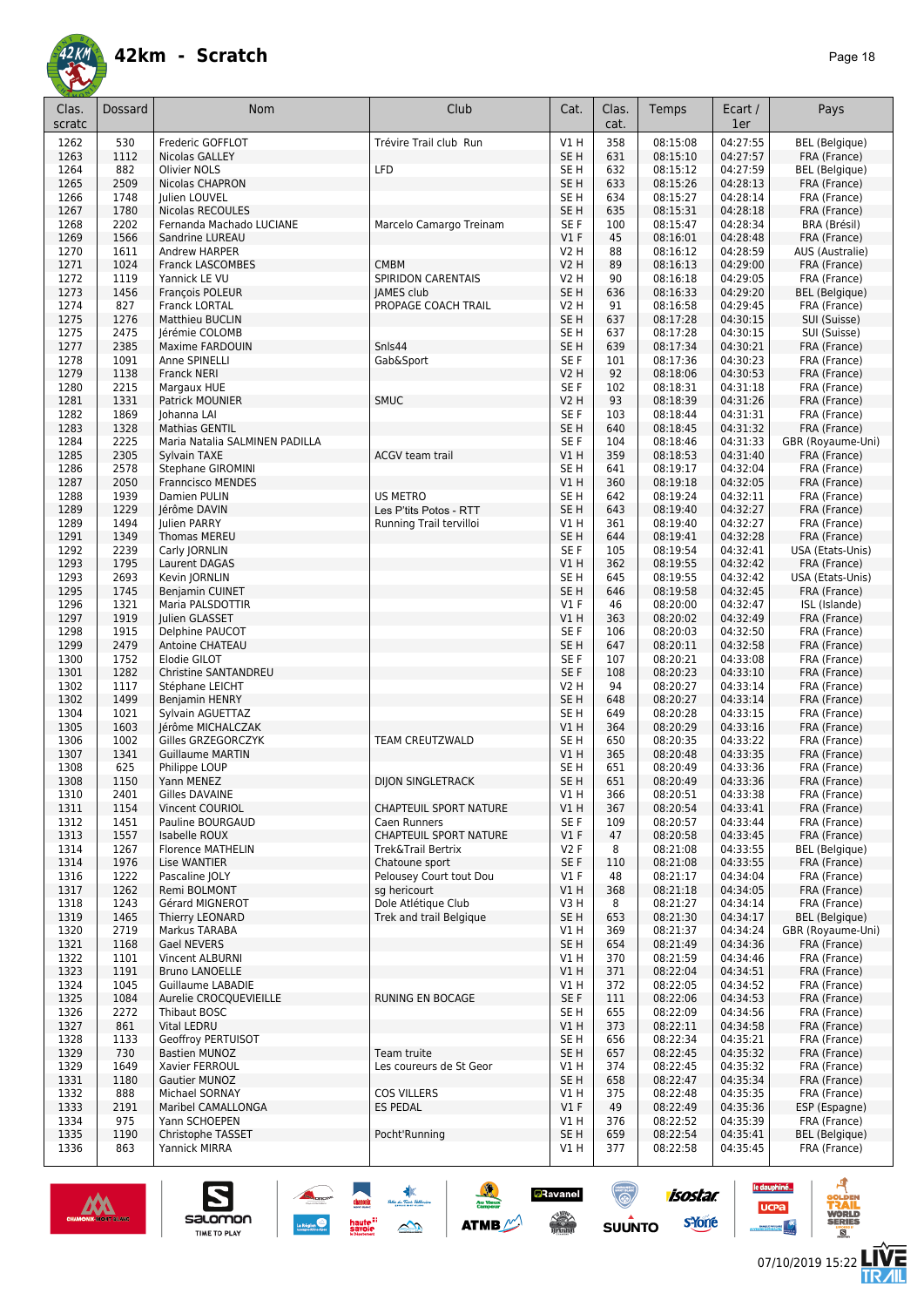

| Clas.<br>scratc | Dossard      | <b>Nom</b>                                           | Club                                    | Cat.                               | Clas.<br>cat. | Temps                | Ecart /<br>1er       | Pays                             |
|-----------------|--------------|------------------------------------------------------|-----------------------------------------|------------------------------------|---------------|----------------------|----------------------|----------------------------------|
| 1262            | 530          | Frederic GOFFLOT                                     | Trévire Trail club Run                  | V1H                                | 358           | 08:15:08             | 04:27:55             | <b>BEL</b> (Belgique)            |
| 1263            | 1112         | Nicolas GALLEY                                       |                                         | SE <sub>H</sub>                    | 631           | 08:15:10             | 04:27:57             | FRA (France)                     |
| 1264            | 882          | <b>Olivier NOLS</b>                                  | LFD                                     | SE H                               | 632           | 08:15:12             | 04:27:59             | <b>BEL</b> (Belgique)            |
| 1265            | 2509         | <b>Nicolas CHAPRON</b>                               |                                         | SE <sub>H</sub>                    | 633           | 08:15:26             | 04:28:13             | FRA (France)                     |
| 1266            | 1748         | Julien LOUVEL                                        |                                         | SE H                               | 634           | 08:15:27             | 04:28:14             | FRA (France)                     |
| 1267            | 1780         | Nicolas RECOULES                                     |                                         | SE <sub>H</sub>                    | 635           | 08:15:31             | 04:28:18             | FRA (France)                     |
| 1268            | 2202         | Fernanda Machado LUCIANE                             | Marcelo Camargo Treinam                 | SE <sub>F</sub>                    | 100           | 08:15:47             | 04:28:34             | BRA (Brésil)                     |
| 1269            | 1566         | Sandrine LUREAU                                      |                                         | $VI$ F                             | 45            | 08:16:01             | 04:28:48             | FRA (France)                     |
| 1270<br>1271    | 1611<br>1024 | Andrew HARPER<br><b>Franck LASCOMBES</b>             | <b>CMBM</b>                             | <b>V2 H</b><br><b>V2 H</b>         | 88<br>89      | 08:16:12<br>08:16:13 | 04:28:59<br>04:29:00 | AUS (Australie)<br>FRA (France)  |
| 1272            | 1119         | Yannick LE VU                                        | SPIRIDON CARENTAIS                      | V2 H                               | 90            | 08:16:18             | 04:29:05             | FRA (France)                     |
| 1273            | 1456         | François POLEUR                                      | <b>JAMES club</b>                       | SE <sub>H</sub>                    | 636           | 08:16:33             | 04:29:20             | <b>BEL</b> (Belgique)            |
| 1274            | 827          | <b>Franck LORTAL</b>                                 | PROPAGE COACH TRAIL                     | <b>V2 H</b>                        | 91            | 08:16:58             | 04:29:45             | FRA (France)                     |
| 1275            | 1276         | <b>Matthieu BUCLIN</b>                               |                                         | SE <sub>H</sub>                    | 637           | 08:17:28             | 04:30:15             | SUI (Suisse)                     |
| 1275            | 2475         | Jérémie COLOMB                                       |                                         | SE H                               | 637           | 08:17:28             | 04:30:15             | SUI (Suisse)                     |
| 1277            | 2385         | Maxime FARDOUIN                                      | Snls44                                  | SE <sub>H</sub>                    | 639           | 08:17:34             | 04:30:21             | FRA (France)                     |
| 1278<br>1279    | 1091<br>1138 | Anne SPINELLI<br>Franck NERI                         | Gab&Sport                               | SE F<br>V2 H                       | 101<br>92     | 08:17:36<br>08:18:06 | 04:30:23<br>04:30:53 | FRA (France)<br>FRA (France)     |
| 1280            | 2215         | Margaux HUE                                          |                                         | SE F                               | 102           | 08:18:31             | 04:31:18             | FRA (France)                     |
| 1281            | 1331         | <b>Patrick MOUNIER</b>                               | <b>SMUC</b>                             | V2 H                               | 93            | 08:18:39             | 04:31:26             | FRA (France)                     |
| 1282            | 1869         | Johanna LAI                                          |                                         | SE F                               | 103           | 08:18:44             | 04:31:31             | FRA (France)                     |
| 1283            | 1328         | <b>Mathias GENTIL</b>                                |                                         | SE <sub>H</sub>                    | 640           | 08:18:45             | 04:31:32             | FRA (France)                     |
| 1284            | 2225         | Maria Natalia SALMINEN PADILLA                       |                                         | SE F                               | 104           | 08:18:46             | 04:31:33             | GBR (Royaume-Uni)                |
| 1285            | 2305         | Sylvain TAXE                                         | <b>ACGV team trail</b>                  | VIH                                | 359           | 08:18:53             | 04:31:40             | FRA (France)                     |
| 1286<br>1287    | 2578<br>2050 | <b>Stephane GIROMINI</b><br><b>Franncisco MENDES</b> |                                         | SE <sub>H</sub><br>VIH             | 641<br>360    | 08:19:17<br>08:19:18 | 04:32:04<br>04:32:05 | FRA (France)<br>FRA (France)     |
| 1288            | 1939         | <b>Damien PULIN</b>                                  | <b>US METRO</b>                         | SE H                               | 642           | 08:19:24             | 04:32:11             | FRA (France)                     |
| 1289            | 1229         | Jérôme DAVIN                                         | Les P'tits Potos - RTT                  | SE <sub>H</sub>                    | 643           | 08:19:40             | 04:32:27             | FRA (France)                     |
| 1289            | 1494         | Julien PARRY                                         | Running Trail tervilloi                 | V1 H                               | 361           | 08:19:40             | 04:32:27             | FRA (France)                     |
| 1291            | 1349         | Thomas MEREU                                         |                                         | SE <sub>H</sub>                    | 644           | 08:19:41             | 04:32:28             | FRA (France)                     |
| 1292            | 2239         | Carly JORNLIN                                        |                                         | SE F                               | 105           | 08:19:54             | 04:32:41             | USA (Etats-Unis)                 |
| 1293            | 1795         | Laurent DAGAS                                        |                                         | V1H                                | 362           | 08:19:55             | 04:32:42             | FRA (France)                     |
| 1293<br>1295    | 2693<br>1745 | Kevin JORNLIN<br>Benjamin CUINET                     |                                         | SE <sub>H</sub><br>SE <sub>H</sub> | 645<br>646    | 08:19:55<br>08:19:58 | 04:32:42<br>04:32:45 | USA (Etats-Unis)<br>FRA (France) |
| 1296            | 1321         | Maria PALSDOTTIR                                     |                                         | $VI$ F                             | 46            | 08:20:00             | 04:32:47             | ISL (Islande)                    |
| 1297            | 1919         | Julien GLASSET                                       |                                         | V1H                                | 363           | 08:20:02             | 04:32:49             | FRA (France)                     |
| 1298            | 1915         | Delphine PAUCOT                                      |                                         | SE F                               | 106           | 08:20:03             | 04:32:50             | FRA (France)                     |
| 1299            | 2479         | Antoine CHATEAU                                      |                                         | SE <sub>H</sub>                    | 647           | 08:20:11             | 04:32:58             | FRA (France)                     |
| 1300            | 1752         | Elodie GILOT                                         |                                         | SE F                               | 107           | 08:20:21             | 04:33:08             | FRA (France)                     |
| 1301<br>1302    | 1282<br>1117 | Christine SANTANDREU<br>Stéphane LEICHT              |                                         | SE F<br>V2 H                       | 108<br>94     | 08:20:23<br>08:20:27 | 04:33:10<br>04:33:14 | FRA (France)<br>FRA (France)     |
| 1302            | 1499         | Benjamin HENRY                                       |                                         | SE H                               | 648           | 08:20:27             | 04:33:14             | FRA (France)                     |
| 1304            | 1021         | Sylvain AGUETTAZ                                     |                                         | SE H                               | 649           | 08:20:28             | 04:33:15             | FRA (France)                     |
| 1305            | 1603         | Jérôme MICHALCZAK                                    |                                         | VIH                                | 364           | 08:20:29             | 04:33:16             | FRA (France)                     |
| 1306            | 1002         | Gilles GRZEGORCZYK                                   | TEAM CREUTZWALD                         | SE H                               | 650           | 08:20:35             | 04:33:22             | FRA (France)                     |
| 1307            | 1341         | <b>Guillaume MARTIN</b>                              |                                         | VIH                                | 365           | 08:20:48             | 04:33:35             | FRA (France)                     |
| 1308<br>1308    | 625<br>1150  | Philippe LOUP<br>Yann MENEZ                          | <b>DIJON SINGLETRACK</b>                | SE H<br>SE <sub>H</sub>            | 651<br>651    | 08:20:49<br>08:20:49 | 04:33:36<br>04:33:36 | FRA (France)<br>FRA (France)     |
| 1310            | 2401         | <b>Gilles DAVAINE</b>                                |                                         | VIH                                | 366           | 08:20:51             | 04:33:38             | FRA (France)                     |
| 1311            | 1154         | Vincent COURIOL                                      | <b>CHAPTEUIL SPORT NATURE</b>           | V1H                                | 367           | 08:20:54             | 04:33:41             | FRA (France)                     |
| 1312            | 1451         | Pauline BOURGAUD                                     | Caen Runners                            | SE F                               | 109           | 08:20:57             | 04:33:44             | FRA (France)                     |
| 1313            | 1557         | Isabelle ROUX                                        | <b>CHAPTEUIL SPORT NATURE</b>           | $VI$ F                             | 47            | 08:20:58             | 04:33:45             | FRA (France)                     |
| 1314            | 1267         | Florence MATHELIN                                    | Trek&Trail Bertrix                      | V2F                                | 8             | 08:21:08             | 04:33:55             | <b>BEL</b> (Belgique)            |
| 1314            | 1976         | Lise WANTIER                                         | Chatoune sport                          | SE F                               | 110           | 08:21:08             | 04:33:55             | FRA (France)                     |
| 1316<br>1317    | 1222<br>1262 | Pascaline JOLY<br>Remi BOLMONT                       | Pelousey Court tout Dou<br>sg hericourt | $VI$ F<br>V1H                      | 48<br>368     | 08:21:17<br>08:21:18 | 04:34:04<br>04:34:05 | FRA (France)<br>FRA (France)     |
| 1318            | 1243         | Gérard MIGNEROT                                      | Dole Atlétique Club                     | V3H                                | 8             | 08:21:27             | 04:34:14             | FRA (France)                     |
| 1319            | 1465         | Thierry LEONARD                                      | Trek and trail Belgique                 | SE <sub>H</sub>                    | 653           | 08:21:30             | 04:34:17             | <b>BEL</b> (Belgique)            |
| 1320            | 2719         | Markus TARABA                                        |                                         | V1 H                               | 369           | 08:21:37             | 04:34:24             | GBR (Royaume-Uni)                |
| 1321            | 1168         | Gael NEVERS                                          |                                         | SE <sub>H</sub>                    | 654           | 08:21:49             | 04:34:36             | FRA (France)                     |
| 1322            | 1101         | Vincent ALBURNI                                      |                                         | V1 H                               | 370           | 08:21:59             | 04:34:46             | FRA (France)                     |
| 1323            | 1191         | <b>Bruno LANOELLE</b>                                |                                         | V1H                                | 371           | 08:22:04             | 04:34:51             | FRA (France)                     |
| 1324<br>1325    | 1045<br>1084 | <b>Guillaume LABADIE</b><br>Aurelie CROCQUEVIEILLE   | RUNING EN BOCAGE                        | V1 H<br>SE F                       | 372<br>111    | 08:22:05<br>08:22:06 | 04:34:52<br>04:34:53 | FRA (France)<br>FRA (France)     |
| 1326            | 2272         | Thibaut BOSC                                         |                                         | SE H                               | 655           | 08:22:09             | 04:34:56             | FRA (France)                     |
| 1327            | 861          | Vital LEDRU                                          |                                         | V1 H                               | 373           | 08:22:11             | 04:34:58             | FRA (France)                     |
| 1328            | 1133         | Geoffroy PERTUISOT                                   |                                         | SE <sub>H</sub>                    | 656           | 08:22:34             | 04:35:21             | FRA (France)                     |
| 1329            | 730          | <b>Bastien MUNOZ</b>                                 | Team truite                             | SE <sub>H</sub>                    | 657           | 08:22:45             | 04:35:32             | FRA (France)                     |
| 1329            | 1649         | Xavier FERROUL                                       | Les coureurs de St Geor                 | V1 H                               | 374           | 08:22:45             | 04:35:32             | FRA (France)                     |
| 1331            | 1180         | Gautier MUNOZ                                        |                                         | SE <sub>H</sub>                    | 658           | 08:22:47             | 04:35:34             | FRA (France)                     |
| 1332<br>1333    | 888<br>2191  | Michael SORNAY<br>Maribel CAMALLONGA                 | <b>COS VILLERS</b><br><b>ES PEDAL</b>   | V1 H<br>V1F                        | 375<br>49     | 08:22:48<br>08:22:49 | 04:35:35<br>04:35:36 | FRA (France)<br>ESP (Espagne)    |
| 1334            | 975          | Yann SCHOEPEN                                        |                                         | V1 H                               | 376           | 08:22:52             | 04:35:39             | FRA (France)                     |
| 1335            | 1190         | Christophe TASSET                                    | Pocht'Running                           | SE <sub>H</sub>                    | 659           | 08:22:54             | 04:35:41             | <b>BEL</b> (Belgique)            |
| 1336            | 863          | Yannick MIRRA                                        |                                         | V1 H                               | 377           | 08:22:58             | 04:35:45             | FRA (France)                     |

 $\rightarrow$ 

 $\frac{1}{\sqrt{2}}$ 

**ATMB** 



 $\sum_{\text{SALOMOM}}$ 

le dauphiné...

ucpa

*<u>Antibook</u>* 

**isostar** 

sYone

 $\bigcirc$ 

**SUUNTO** 

**a**Ravanel

 $\frac{1}{\sqrt{2}}$ 



**AT<br>SOLDEN<br>FRAIL** 

**VORLD**<br>ERIES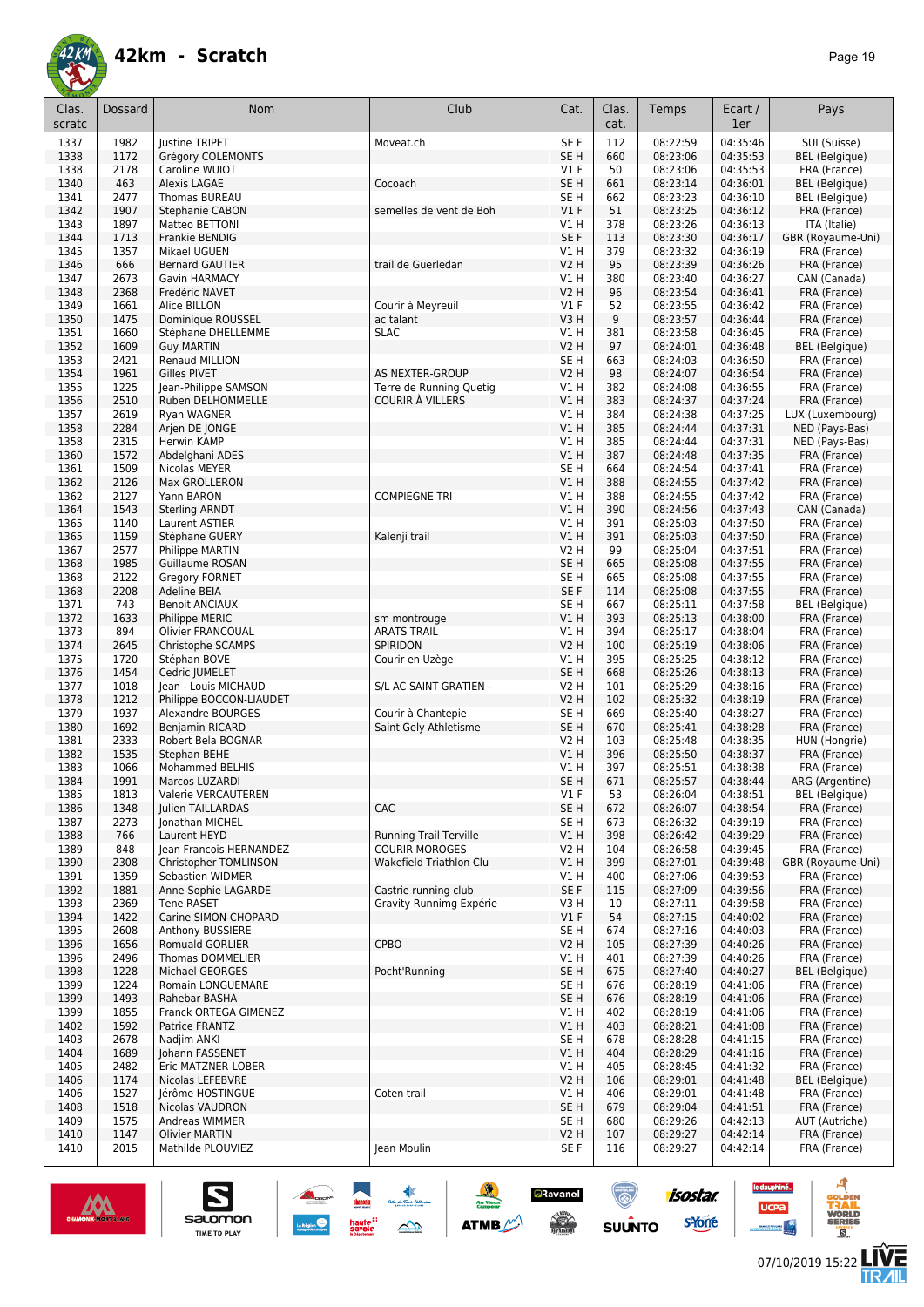

| Clas.        | Dossard      | Nom                                        | Club                                        | Cat.                      | Clas.      | Temps                | Ecart /              | Pays                                  |
|--------------|--------------|--------------------------------------------|---------------------------------------------|---------------------------|------------|----------------------|----------------------|---------------------------------------|
| scratc       |              |                                            |                                             |                           | cat.       |                      | 1er                  |                                       |
| 1337         | 1982         | <b>Justine TRIPET</b>                      | Moveat.ch                                   | SE F                      | 112        | 08:22:59             | 04:35:46             | SUI (Suisse)                          |
| 1338<br>1338 | 1172<br>2178 | Grégory COLEMONTS<br>Caroline WUIOT        |                                             | SE H<br>$VI$ F            | 660<br>50  | 08:23:06<br>08:23:06 | 04:35:53<br>04:35:53 | <b>BEL</b> (Belgique)<br>FRA (France) |
| 1340         | 463          | <b>Alexis LAGAE</b>                        | Cocoach                                     | SE H                      | 661        | 08:23:14             | 04:36:01             | <b>BEL</b> (Belgique)                 |
| 1341         | 2477         | Thomas BUREAU                              |                                             | SE H                      | 662        | 08:23:23             | 04:36:10             | <b>BEL</b> (Belgique)                 |
| 1342         | 1907         | Stephanie CABON                            | semelles de vent de Boh                     | V1F                       | 51         | 08:23:25             | 04:36:12             | FRA (France)                          |
| 1343         | 1897         | Matteo BETTONI                             |                                             | V1 H                      | 378        | 08:23:26             | 04:36:13             | ITA (Italie)                          |
| 1344         | 1713         | Frankie BENDIG                             |                                             | SE F                      | 113        | 08:23:30             | 04:36:17             | GBR (Royaume-Uni)                     |
| 1345         | 1357         | Mikael UGUEN                               |                                             | V1 H                      | 379        | 08:23:32             | 04:36:19             | FRA (France)                          |
| 1346         | 666          | <b>Bernard GAUTIER</b>                     | trail de Guerledan                          | V2 H                      | 95         | 08:23:39             | 04:36:26             | FRA (France)                          |
| 1347<br>1348 | 2673<br>2368 | <b>Gavin HARMACY</b><br>Frédéric NAVET     |                                             | V1 H<br>V2 H              | 380<br>96  | 08:23:40<br>08:23:54 | 04:36:27<br>04:36:41 | CAN (Canada)<br>FRA (France)          |
| 1349         | 1661         | Alice BILLON                               | Courir à Meyreuil                           | $VI$ F                    | 52         | 08:23:55             | 04:36:42             | FRA (France)                          |
| 1350         | 1475         | Dominique ROUSSEL                          | ac talant                                   | V3 H                      | 9          | 08:23:57             | 04:36:44             | FRA (France)                          |
| 1351         | 1660         | Stéphane DHELLEMME                         | <b>SLAC</b>                                 | V1 H                      | 381        | 08:23:58             | 04:36:45             | FRA (France)                          |
| 1352         | 1609         | <b>Guy MARTIN</b>                          |                                             | V2 H                      | 97         | 08:24:01             | 04:36:48             | <b>BEL</b> (Belgique)                 |
| 1353         | 2421         | Renaud MILLION                             |                                             | SE H                      | 663        | 08:24:03             | 04:36:50             | FRA (France)                          |
| 1354<br>1355 | 1961<br>1225 | Gilles PIVET                               | AS NEXTER-GROUP                             | <b>V2 H</b>               | 98         | 08:24:07             | 04:36:54             | FRA (France)                          |
| 1356         | 2510         | Jean-Philippe SAMSON<br>Ruben DELHOMMELLE  | Terre de Running Quetig<br>COURIR À VILLERS | V1 H<br>V1H               | 382<br>383 | 08:24:08<br>08:24:37 | 04:36:55<br>04:37:24 | FRA (France)<br>FRA (France)          |
| 1357         | 2619         | Ryan WAGNER                                |                                             | V1 H                      | 384        | 08:24:38             | 04:37:25             | LUX (Luxembourg)                      |
| 1358         | 2284         | Arien DE JONGE                             |                                             | V1H                       | 385        | 08:24:44             | 04:37:31             | NED (Pays-Bas)                        |
| 1358         | 2315         | <b>Herwin KAMP</b>                         |                                             | V1 H                      | 385        | 08:24:44             | 04:37:31             | NED (Pays-Bas)                        |
| 1360         | 1572         | Abdelghani ADES                            |                                             | V1H                       | 387        | 08:24:48             | 04:37:35             | FRA (France)                          |
| 1361         | 1509         | Nicolas MEYER                              |                                             | SE <sub>H</sub>           | 664        | 08:24:54             | 04:37:41             | FRA (France)                          |
| 1362         | 2126         | Max GROLLERON                              |                                             | VIH                       | 388        | 08:24:55             | 04:37:42             | FRA (France)                          |
| 1362<br>1364 | 2127<br>1543 | Yann BARON                                 | <b>COMPIEGNE TRI</b>                        | V1 H<br>V1 H              | 388<br>390 | 08:24:55<br>08:24:56 | 04:37:42<br>04:37:43 | FRA (France)<br>CAN (Canada)          |
| 1365         | 1140         | Sterling ARNDT<br>Laurent ASTIER           |                                             | V1 H                      | 391        | 08:25:03             | 04:37:50             | FRA (France)                          |
| 1365         | 1159         | Stéphane GUERY                             | Kalenji trail                               | VIH                       | 391        | 08:25:03             | 04:37:50             | FRA (France)                          |
| 1367         | 2577         | Philippe MARTIN                            |                                             | <b>V2 H</b>               | 99         | 08:25:04             | 04:37:51             | FRA (France)                          |
| 1368         | 1985         | <b>Guillaume ROSAN</b>                     |                                             | SE <sub>H</sub>           | 665        | 08:25:08             | 04:37:55             | FRA (France)                          |
| 1368         | 2122         | Gregory FORNET                             |                                             | SE H                      | 665        | 08:25:08             | 04:37:55             | FRA (France)                          |
| 1368         | 2208         | Adeline BEIA                               |                                             | SE F                      | 114        | 08:25:08             | 04:37:55             | FRA (France)                          |
| 1371<br>1372 | 743<br>1633  | <b>Benoit ANCIAUX</b>                      |                                             | SE <sub>H</sub><br>V1 H   | 667<br>393 | 08:25:11<br>08:25:13 | 04:37:58<br>04:38:00 | <b>BEL</b> (Belgique)                 |
| 1373         | 894          | Philippe MERIC<br>Olivier FRANCOUAL        | sm montrouge<br><b>ARATS TRAIL</b>          | V1 H                      | 394        | 08:25:17             | 04:38:04             | FRA (France)<br>FRA (France)          |
| 1374         | 2645         | Christophe SCAMPS                          | SPIRIDON                                    | V2 H                      | 100        | 08:25:19             | 04:38:06             | FRA (France)                          |
| 1375         | 1720         | Stéphan BOVE                               | Courir en Uzège                             | V1 H                      | 395        | 08:25:25             | 04:38:12             | FRA (France)                          |
| 1376         | 1454         | Cedric JUMELET                             |                                             | SE H                      | 668        | 08:25:26             | 04:38:13             | FRA (France)                          |
| 1377         | 1018         | Jean - Louis MICHAUD                       | S/L AC SAINT GRATIEN -                      | V2 H                      | 101        | 08:25:29             | 04:38:16             | FRA (France)                          |
| 1378         | 1212         | Philippe BOCCON-LIAUDET                    |                                             | V2 H                      | 102        | 08:25:32             | 04:38:19             | FRA (France)                          |
| 1379<br>1380 | 1937<br>1692 | Alexandre BOURGES<br>Benjamin RICARD       | Courir à Chantepie<br>Saint Gely Athletisme | SE H<br>SE <sub>H</sub>   | 669<br>670 | 08:25:40<br>08:25:41 | 04:38:27<br>04:38:28 | FRA (France)<br>FRA (France)          |
| 1381         | 2333         | Robert Bela BOGNAR                         |                                             | <b>V2 H</b>               | 103        | 08:25:48             | 04:38:35             | HUN (Hongrie)                         |
| 1382         | 1535         | Stephan BEHE                               |                                             | VIH                       | 396        | 08:25:50             | 04:38:37             | FRA (France)                          |
| 1383         | 1066         | Mohammed BELHIS                            |                                             | V1 H                      | 397        | 08:25:51             | 04:38:38             | FRA (France)                          |
| 1384         | 1991         | Marcos LUZARDI                             |                                             | SE <sub>H</sub>           | 671        | 08:25:57             | 04:38:44             | ARG (Argentine)                       |
| 1385         | 1813         | Valerie VERCAUTEREN                        |                                             | $VI$ F                    | 53         | 08:26:04             | 04:38:51             | <b>BEL</b> (Belgique)                 |
| 1386<br>1387 | 1348         | Julien TAILLARDAS                          | CAC                                         | SE H                      | 672        | 08:26:07<br>08:26:32 | 04:38:54<br>04:39:19 | FRA (France)<br>FRA (France)          |
| 1388         | 2273<br>766  | Jonathan MICHEL<br>Laurent HEYD            | <b>Running Trail Terville</b>               | SE <sub>H</sub><br>V1 H   | 673<br>398 | 08:26:42             | 04:39:29             | FRA (France)                          |
| 1389         | 848          | Jean Francois HERNANDEZ                    | <b>COURIR MOROGES</b>                       | V <sub>2</sub> H          | 104        | 08:26:58             | 04:39:45             | FRA (France)                          |
| 1390         | 2308         | Christopher TOMLINSON                      | Wakefield Triathlon Clu                     | V1H                       | 399        | 08:27:01             | 04:39:48             | GBR (Royaume-Uni)                     |
| 1391         | 1359         | Sebastien WIDMER                           |                                             | V1 H                      | 400        | 08:27:06             | 04:39:53             | FRA (France)                          |
| 1392         | 1881         | Anne-Sophie LAGARDE                        | Castrie running club                        | SE F                      | 115        | 08:27:09             | 04:39:56             | FRA (France)                          |
| 1393         | 2369         | <b>Tene RASET</b>                          | Gravity Runnimg Expérie                     | V3H                       | 10         | 08:27:11             | 04:39:58             | FRA (France)                          |
| 1394<br>1395 | 1422<br>2608 | Carine SIMON-CHOPARD<br>Anthony BUSSIERE   |                                             | $VI$ F<br>SE <sub>H</sub> | 54<br>674  | 08:27:15<br>08:27:16 | 04:40:02<br>04:40:03 | FRA (France)<br>FRA (France)          |
| 1396         | 1656         | <b>Romuald GORLIER</b>                     | CPBO                                        | <b>V2 H</b>               | 105        | 08:27:39             | 04:40:26             | FRA (France)                          |
| 1396         | 2496         | Thomas DOMMELIER                           |                                             | V1 H                      | 401        | 08:27:39             | 04:40:26             | FRA (France)                          |
| 1398         | 1228         | Michael GEORGES                            | Pocht'Running                               | SE H                      | 675        | 08:27:40             | 04:40:27             | <b>BEL</b> (Belgique)                 |
| 1399         | 1224         | Romain LONGUEMARE                          |                                             | SE H                      | 676        | 08:28:19             | 04:41:06             | FRA (France)                          |
| 1399         | 1493         | Rahebar BASHA                              |                                             | SE H                      | 676        | 08:28:19             | 04:41:06             | FRA (France)                          |
| 1399         | 1855         | Franck ORTEGA GIMENEZ                      |                                             | V1 H                      | 402        | 08:28:19             | 04:41:06             | FRA (France)                          |
| 1402<br>1403 | 1592<br>2678 | Patrice FRANTZ<br>Nadjim ANKI              |                                             | V1H<br>SE H               | 403<br>678 | 08:28:21<br>08:28:28 | 04:41:08<br>04:41:15 | FRA (France)<br>FRA (France)          |
| 1404         | 1689         | Johann FASSENET                            |                                             | V1H                       | 404        | 08:28:29             | 04:41:16             | FRA (France)                          |
| 1405         | 2482         | Eric MATZNER-LOBER                         |                                             | V1 H                      | 405        | 08:28:45             | 04:41:32             | FRA (France)                          |
| 1406         | 1174         | Nicolas LEFEBVRE                           |                                             | <b>V2 H</b>               | 106        | 08:29:01             | 04:41:48             | <b>BEL</b> (Belgique)                 |
| 1406         | 1527         | Jérôme HOSTINGUE                           | Coten trail                                 | V1 H                      | 406        | 08:29:01             | 04:41:48             | FRA (France)                          |
| 1408         | 1518         | Nicolas VAUDRON                            |                                             | SE H                      | 679        | 08:29:04             | 04:41:51             | FRA (France)                          |
| 1409         | 1575         | Andreas WIMMER                             |                                             | SE H                      | 680        | 08:29:26             | 04:42:13<br>04:42:14 | AUT (Autriche)                        |
| 1410<br>1410 | 1147<br>2015 | <b>Olivier MARTIN</b><br>Mathilde PLOUVIEZ | Jean Moulin                                 | <b>V2 H</b><br>SE F       | 107<br>116 | 08:29:27<br>08:29:27 | 04:42:14             | FRA (France)<br>FRA (France)          |
|              |              |                                            |                                             |                           |            |                      |                      |                                       |

 $\rightarrow$ 

ATMB



 $\sum_{\text{SALOMOM}}$ 

le dauphiné...

**UCPa** 

*<u>Antibook</u>* 

**isostar** 

**s**Yone

(@)

**SUUNTO** 

**a**Ravanel

 $\frac{1}{\sqrt{2}}$ 



**AT<br>OLDEN**<br>TRAIL

**VORLD**<br>ERIES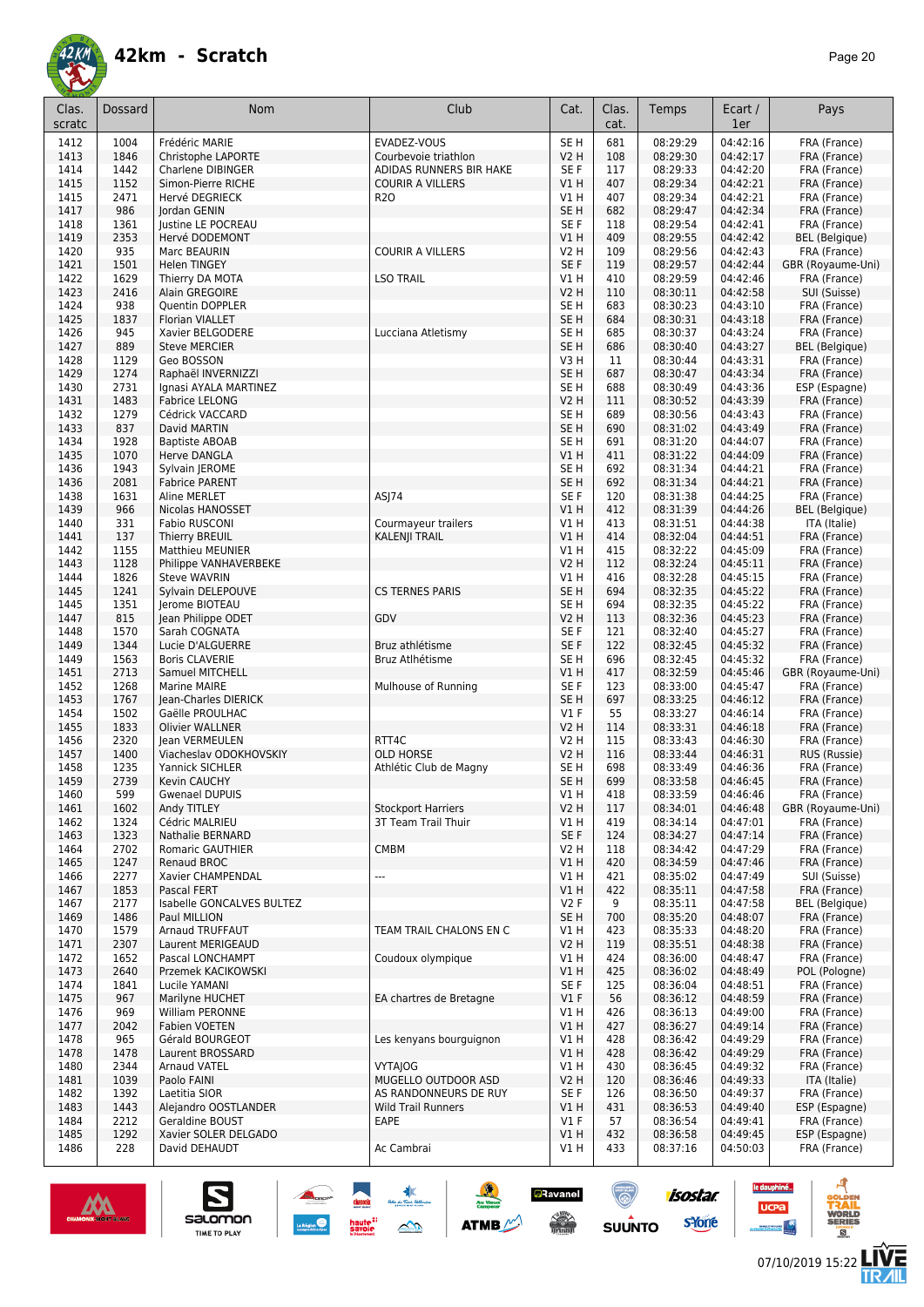

| Clas.<br>scratc | <b>Dossard</b> | <b>Nom</b>                                | Club                                         | Cat.                           | Clas.<br>cat. | Temps                | Ecart /<br>1er       | Pays                                  |
|-----------------|----------------|-------------------------------------------|----------------------------------------------|--------------------------------|---------------|----------------------|----------------------|---------------------------------------|
| 1412            | 1004           | Frédéric MARIE                            | EVADEZ-VOUS                                  | SE <sub>H</sub>                | 681           | 08:29:29             | 04:42:16             | FRA (France)                          |
| 1413            | 1846           | Christophe LAPORTE                        | Courbevoie triathlon                         | <b>V2 H</b>                    | 108           | 08:29:30             | 04:42:17             | FRA (France)                          |
| 1414            | 1442           | Charlene DIBINGER                         | ADIDAS RUNNERS BIR HAKE                      | SE <sub>F</sub>                | 117           | 08:29:33             | 04:42:20             | FRA (France)                          |
| 1415            | 1152           | Simon-Pierre RICHE                        | <b>COURIR A VILLERS</b>                      | VIH                            | 407           | 08:29:34             | 04:42:21             | FRA (France)                          |
| 1415            | 2471           | Hervé DEGRIECK                            | <b>R20</b>                                   | V1 H                           | 407           | 08:29:34             | 04:42:21             | FRA (France)                          |
| 1417            | 986            | Jordan GENIN                              |                                              | SE <sub>H</sub>                | 682           | 08:29:47             | 04:42:34             | FRA (France)                          |
| 1418<br>1419    | 1361<br>2353   | Justine LE POCREAU                        |                                              | SE <sub>F</sub><br>VIH         | 118<br>409    | 08:29:54<br>08:29:55 | 04:42:41<br>04:42:42 | FRA (France)<br><b>BEL</b> (Belgique) |
| 1420            | 935            | Hervé DODEMONT<br>Marc BEAURIN            | <b>COURIR A VILLERS</b>                      | <b>V2 H</b>                    | 109           | 08:29:56             | 04:42:43             | FRA (France)                          |
| 1421            | 1501           | Helen TINGEY                              |                                              | SE F                           | 119           | 08:29:57             | 04:42:44             | GBR (Royaume-Uni)                     |
| 1422            | 1629           | Thierry DA MOTA                           | <b>LSO TRAIL</b>                             | V1 H                           | 410           | 08:29:59             | 04:42:46             | FRA (France)                          |
| 1423            | 2416           | Alain GREGOIRE                            |                                              | <b>V2 H</b>                    | 110           | 08:30:11             | 04:42:58             | SUI (Suisse)                          |
| 1424            | 938            | Quentin DOPPLER                           |                                              | SE <sub>H</sub>                | 683           | 08:30:23             | 04:43:10             | FRA (France)                          |
| 1425            | 1837           | <b>Florian VIALLET</b>                    |                                              | SE <sub>H</sub>                | 684           | 08:30:31             | 04:43:18             | FRA (France)                          |
| 1426            | 945            | Xavier BELGODERE                          | Lucciana Atletismy                           | SE <sub>H</sub>                | 685           | 08:30:37             | 04:43:24             | FRA (France)                          |
| 1427            | 889            | <b>Steve MERCIER</b>                      |                                              | SE <sub>H</sub>                | 686           | 08:30:40             | 04:43:27             | <b>BEL</b> (Belgique)                 |
| 1428            | 1129           | Geo BOSSON                                |                                              | V3H                            | 11            | 08:30:44             | 04:43:31             | FRA (France)                          |
| 1429            | 1274           | Raphaël INVERNIZZI                        |                                              | SE <sub>H</sub>                | 687           | 08:30:47             | 04:43:34             | FRA (France)                          |
| 1430            | 2731           | Ignasi AYALA MARTINEZ                     |                                              | SE <sub>H</sub>                | 688           | 08:30:49             | 04:43:36             | ESP (Espagne)                         |
| 1431<br>1432    | 1483<br>1279   | <b>Fabrice LELONG</b><br>Cédrick VACCARD  |                                              | <b>V2 H</b><br>SE <sub>H</sub> | 111<br>689    | 08:30:52<br>08:30:56 | 04:43:39<br>04:43:43 | FRA (France)<br>FRA (France)          |
| 1433            | 837            | David MARTIN                              |                                              | SE <sub>H</sub>                | 690           | 08:31:02             | 04:43:49             | FRA (France)                          |
| 1434            | 1928           | <b>Baptiste ABOAB</b>                     |                                              | SE H                           | 691           | 08:31:20             | 04:44:07             | FRA (France)                          |
| 1435            | 1070           | Herve DANGLA                              |                                              | V1 H                           | 411           | 08:31:22             | 04:44:09             | FRA (France)                          |
| 1436            | 1943           | Sylvain JEROME                            |                                              | SE <sub>H</sub>                | 692           | 08:31:34             | 04:44:21             | FRA (France)                          |
| 1436            | 2081           | <b>Fabrice PARENT</b>                     |                                              | SE <sub>H</sub>                | 692           | 08:31:34             | 04:44:21             | FRA (France)                          |
| 1438            | 1631           | Aline MERLET                              | AS 74                                        | SE <sub>F</sub>                | 120           | 08:31:38             | 04:44:25             | FRA (France)                          |
| 1439            | 966            | Nicolas HANOSSET                          |                                              | VIH                            | 412           | 08:31:39             | 04:44:26             | <b>BEL</b> (Belgique)                 |
| 1440            | 331            | <b>Fabio RUSCONI</b>                      | Courmayeur trailers                          | V1 H                           | 413           | 08:31:51             | 04:44:38             | ITA (Italie)                          |
| 1441            | 137            | Thierry BREUIL                            | <b>KALENJI TRAIL</b>                         | VIH                            | 414           | 08:32:04             | 04:44:51             | FRA (France)                          |
| 1442            | 1155           | <b>Matthieu MEUNIER</b>                   |                                              | V1H                            | 415           | 08:32:22             | 04:45:09             | FRA (France)                          |
| 1443            | 1128           | Philippe VANHAVERBEKE                     |                                              | <b>V2 H</b>                    | 112           | 08:32:24             | 04:45:11             | FRA (France)                          |
| 1444            | 1826           | <b>Steve WAVRIN</b>                       |                                              | V1H                            | 416           | 08:32:28             | 04:45:15             | FRA (France)                          |
| 1445<br>1445    | 1241<br>1351   | Sylvain DELEPOUVE<br>Jerome BIOTEAU       | <b>CS TERNES PARIS</b>                       | SE <sub>H</sub><br>SE H        | 694<br>694    | 08:32:35<br>08:32:35 | 04:45:22<br>04:45:22 | FRA (France)<br>FRA (France)          |
| 1447            | 815            | Jean Philippe ODET                        | GDV                                          | V2 H                           | 113           | 08:32:36             | 04:45:23             | FRA (France)                          |
| 1448            | 1570           | Sarah COGNATA                             |                                              | SE F                           | 121           | 08:32:40             | 04:45:27             | FRA (France)                          |
| 1449            | 1344           | Lucie D'ALGUERRE                          | Bruz athlétisme                              | SE F                           | 122           | 08:32:45             | 04:45:32             | FRA (France)                          |
| 1449            | 1563           | <b>Boris CLAVERIE</b>                     | Bruz Atlhétisme                              | SE <sub>H</sub>                | 696           | 08:32:45             | 04:45:32             | FRA (France)                          |
| 1451            | 2713           | Samuel MITCHELL                           |                                              | V1H                            | 417           | 08:32:59             | 04:45:46             | GBR (Royaume-Uni)                     |
| 1452            | 1268           | <b>Marine MAIRE</b>                       | Mulhouse of Running                          | SE F                           | 123           | 08:33:00             | 04:45:47             | FRA (France)                          |
| 1453            | 1767           | Jean-Charles DIERICK                      |                                              | SE <sub>H</sub>                | 697           | 08:33:25             | 04:46:12             | FRA (France)                          |
| 1454            | 1502           | Gaëlle PROULHAC                           |                                              | $VI$ F                         | 55            | 08:33:27             | 04:46:14             | FRA (France)                          |
| 1455            | 1833           | <b>Olivier WALLNER</b>                    |                                              | <b>V2 H</b>                    | 114           | 08:33:31             | 04:46:18             | FRA (France)                          |
| 1456<br>1457    | 2320<br>1400   | Jean VERMEULEN<br>Viacheslav ODOKHOVSKIY  | RTT4C<br><b>OLD HORSE</b>                    | <b>V2 H</b><br>V2 H            | 115<br>116    | 08:33:43<br>08:33:44 | 04:46:30<br>04:46:31 | FRA (France)                          |
| 1458            | 1235           | Yannick SICHLER                           | Athlétic Club de Magny                       | SE H                           | 698           | 08:33:49             | 04:46:36             | RUS (Russie)<br>FRA (France)          |
| 1459            | 2739           | Kevin CAUCHY                              |                                              | SE H                           | 699           | 08:33:58             | 04:46:45             | FRA (France)                          |
| 1460            | 599            | <b>Gwenael DUPUIS</b>                     |                                              | V1 H                           | 418           | 08:33:59             | 04:46:46             | FRA (France)                          |
| 1461            | 1602           | Andy TITLEY                               | <b>Stockport Harriers</b>                    | <b>V2 H</b>                    | 117           | 08:34:01             | 04:46:48             | GBR (Royaume-Uni)                     |
| 1462            | 1324           | Cédric MALRIEU                            | 3T Team Trail Thuir                          | V1 H                           | 419           | 08:34:14             | 04:47:01             | FRA (France)                          |
| 1463            | 1323           | Nathalie BERNARD                          |                                              | SE F                           | 124           | 08:34:27             | 04:47:14             | FRA (France)                          |
| 1464            | 2702           | Romaric GAUTHIER                          | <b>CMBM</b>                                  | V2 H                           | 118           | 08:34:42             | 04:47:29             | FRA (France)                          |
| 1465            | 1247           | Renaud BROC                               |                                              | V1H                            | 420           | 08:34:59             | 04:47:46             | FRA (France)                          |
| 1466            | 2277           | Xavier CHAMPENDAL                         | $\overline{\phantom{a}}$                     | V1 H                           | 421           | 08:35:02             | 04:47:49             | SUI (Suisse)                          |
| 1467            | 1853           | Pascal FERT                               |                                              | V1H                            | 422           | 08:35:11             | 04:47:58             | FRA (France)                          |
| 1467<br>1469    | 2177<br>1486   | Isabelle GONCALVES BULTEZ<br>Paul MILLION |                                              | V2F<br>SE <sub>H</sub>         | 9<br>700      | 08:35:11<br>08:35:20 | 04:47:58<br>04:48:07 | <b>BEL</b> (Belgique)<br>FRA (France) |
| 1470            | 1579           | Arnaud TRUFFAUT                           | TEAM TRAIL CHALONS EN C                      | V1H                            | 423           | 08:35:33             | 04:48:20             | FRA (France)                          |
| 1471            | 2307           | <b>Laurent MERIGEAUD</b>                  |                                              | <b>V2 H</b>                    | 119           | 08:35:51             | 04:48:38             | FRA (France)                          |
| 1472            | 1652           | Pascal LONCHAMPT                          | Coudoux olympique                            | V1 H                           | 424           | 08:36:00             | 04:48:47             | FRA (France)                          |
| 1473            | 2640           | Przemek KACIKOWSKI                        |                                              | V1H                            | 425           | 08:36:02             | 04:48:49             | POL (Pologne)                         |
| 1474            | 1841           | Lucile YAMANI                             |                                              | SE F                           | 125           | 08:36:04             | 04:48:51             | FRA (France)                          |
| 1475            | 967            | Marilyne HUCHET                           | EA chartres de Bretagne                      | V1F                            | 56            | 08:36:12             | 04:48:59             | FRA (France)                          |
| 1476            | 969            | William PERONNE                           |                                              | V1 H                           | 426           | 08:36:13             | 04:49:00             | FRA (France)                          |
| 1477            | 2042           | <b>Fabien VOETEN</b>                      |                                              | VIH                            | 427           | 08:36:27             | 04:49:14             | FRA (France)                          |
| 1478            | 965            | Gérald BOURGEOT                           | Les kenyans bourguignon                      | V1 H                           | 428           | 08:36:42             | 04:49:29             | FRA (France)                          |
| 1478            | 1478           | Laurent BROSSARD                          |                                              | V1H                            | 428           | 08:36:42             | 04:49:29             | FRA (France)                          |
| 1480            | 2344           | <b>Arnaud VATEL</b>                       | <b>VYTAIOG</b>                               | V1 H                           | 430           | 08:36:45             | 04:49:32             | FRA (France)                          |
| 1481<br>1482    | 1039<br>1392   | Paolo FAINI<br>Laetitia SIOR              | MUGELLO OUTDOOR ASD<br>AS RANDONNEURS DE RUY | <b>V2 H</b><br>SE F            | 120<br>126    | 08:36:46<br>08:36:50 | 04:49:33<br>04:49:37 | ITA (Italie)<br>FRA (France)          |
| 1483            | 1443           | Alejandro OOSTLANDER                      | <b>Wild Trail Runners</b>                    | V1 H                           | 431           | 08:36:53             | 04:49:40             | ESP (Espagne)                         |
| 1484            | 2212           | Geraldine BOUST                           | EAPE                                         | $VI$ F                         | 57            | 08:36:54             | 04:49:41             | FRA (France)                          |
| 1485            | 1292           | Xavier SOLER DELGADO                      |                                              | V1H                            | 432           | 08:36:58             | 04:49:45             | ESP (Espagne)                         |
| 1486            | 228            | David DEHAUDT                             | Ac Cambrai                                   | V1 H                           | 433           | 08:37:16             | 04:50:03             | FRA (France)                          |

 $\rightarrow$ 

ATMB



 $\sum_{\text{SALOMOM}}$ 

**isostar** 

**s**Yone

(@)

**SUUNTO** 

**a**Ravanel

 $\frac{1}{\sqrt{2}}$ 

le dauphiné...

**UCPa** 

**Excession Contract** 



A<br>oup

**VORLD**<br>ERIES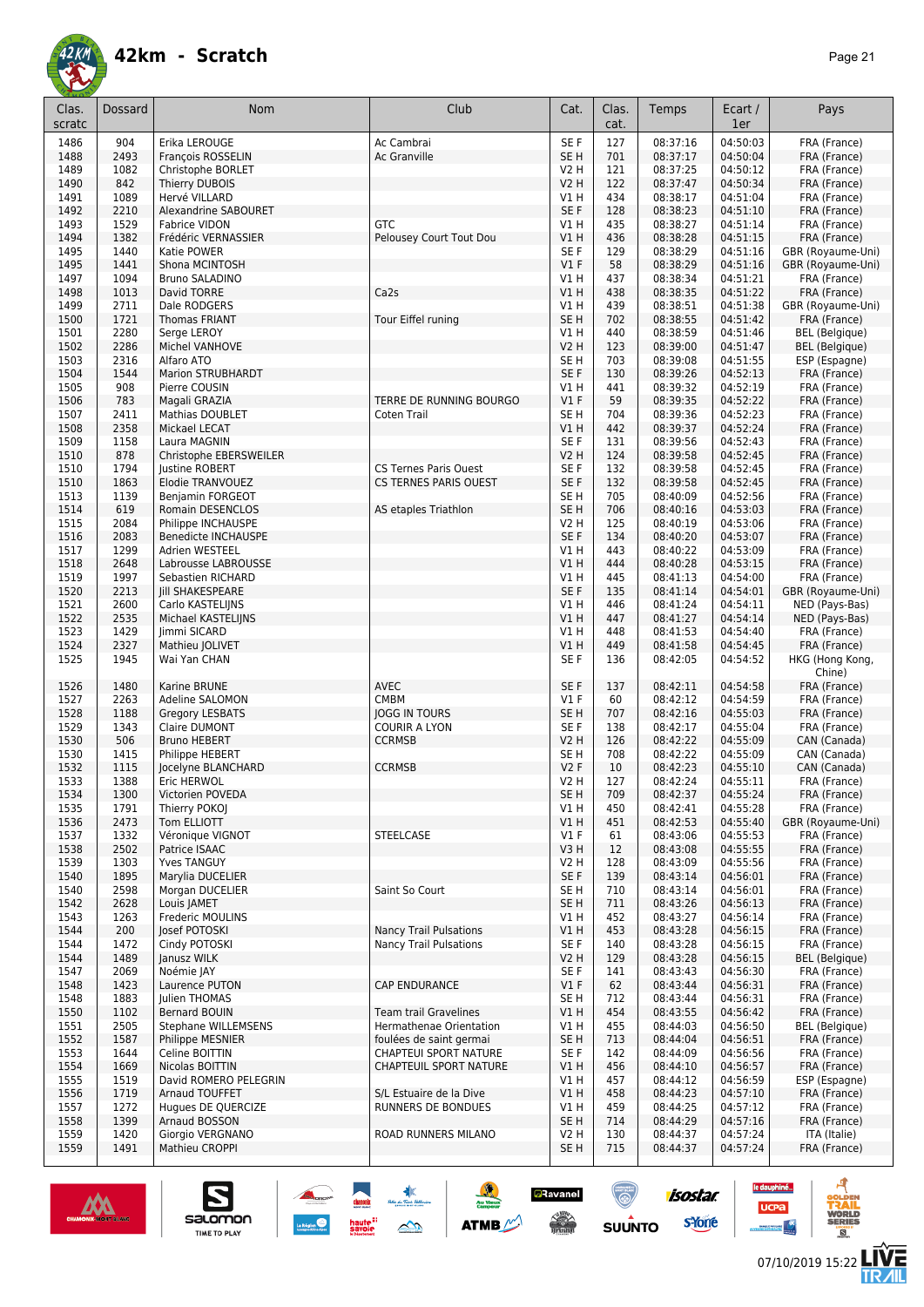

| Clas.<br>scratc | Dossard      | <b>Nom</b>                            | Club                              | Cat.                    | Clas.<br>cat. | Temps                | Ecart /<br>1er       | Pays                                  |
|-----------------|--------------|---------------------------------------|-----------------------------------|-------------------------|---------------|----------------------|----------------------|---------------------------------------|
|                 |              |                                       |                                   |                         |               |                      |                      |                                       |
| 1486<br>1488    | 904<br>2493  | Erika LEROUGE<br>François ROSSELIN    | Ac Cambrai<br><b>Ac Granville</b> | SE F<br>SE <sub>H</sub> | 127<br>701    | 08:37:16<br>08:37:17 | 04:50:03<br>04:50:04 | FRA (France)<br>FRA (France)          |
| 1489            | 1082         | Christophe BORLET                     |                                   | V2 H                    | 121           | 08:37:25             | 04:50:12             | FRA (France)                          |
| 1490            | 842          | Thierry DUBOIS                        |                                   | V2 H                    | 122           | 08:37:47             | 04:50:34             | FRA (France)                          |
| 1491            | 1089         | Hervé VILLARD                         |                                   | V1 H                    | 434           | 08:38:17             | 04:51:04             | FRA (France)                          |
| 1492            | 2210         | Alexandrine SABOURET                  |                                   | SE F                    | 128           | 08:38:23             | 04:51:10             | FRA (France)                          |
| 1493            | 1529         | <b>Fabrice VIDON</b>                  | <b>GTC</b>                        | V1H                     | 435           | 08:38:27             | 04:51:14             | FRA (France)                          |
| 1494            | 1382         | Frédéric VERNASSIER                   | Pelousey Court Tout Dou           | VIH                     | 436           | 08:38:28             | 04:51:15             | FRA (France)                          |
| 1495            | 1440         | Katie POWER                           |                                   | SE F                    | 129           | 08:38:29             | 04:51:16             | GBR (Royaume-Uni)                     |
| 1495            | 1441         | Shona MCINTOSH                        |                                   | $VI$ F                  | 58            | 08:38:29             | 04:51:16             | GBR (Royaume-Uni)                     |
| 1497            | 1094         | Bruno SALADINO                        |                                   | V1 H                    | 437           | 08:38:34             | 04:51:21             | FRA (France)                          |
| 1498            | 1013         | David TORRE                           | Ca <sub>2s</sub>                  | V1 H                    | 438           | 08:38:35             | 04:51:22             | FRA (France)                          |
| 1499<br>1500    | 2711<br>1721 | Dale RODGERS<br><b>Thomas FRIANT</b>  | Tour Eiffel runing                | V1H<br>SE <sub>H</sub>  | 439<br>702    | 08:38:51<br>08:38:55 | 04:51:38<br>04:51:42 | GBR (Royaume-Uni)                     |
| 1501            | 2280         | Serge LEROY                           |                                   | V1 H                    | 440           | 08:38:59             | 04:51:46             | FRA (France)<br><b>BEL</b> (Belgique) |
| 1502            | 2286         | Michel VANHOVE                        |                                   | V2 H                    | 123           | 08:39:00             | 04:51:47             | <b>BEL</b> (Belgique)                 |
| 1503            | 2316         | Alfaro ATO                            |                                   | SE H                    | 703           | 08:39:08             | 04:51:55             | ESP (Espagne)                         |
| 1504            | 1544         | <b>Marion STRUBHARDT</b>              |                                   | SE F                    | 130           | 08:39:26             | 04:52:13             | FRA (France)                          |
| 1505            | 908          | Pierre COUSIN                         |                                   | V1 H                    | 441           | 08:39:32             | 04:52:19             | FRA (France)                          |
| 1506            | 783          | Magali GRAZIA                         | TERRE DE RUNNING BOURGO           | $VI$ F                  | 59            | 08:39:35             | 04:52:22             | FRA (France)                          |
| 1507            | 2411         | <b>Mathias DOUBLET</b>                | Coten Trail                       | SE H                    | 704           | 08:39:36             | 04:52:23             | FRA (France)                          |
| 1508            | 2358         | Mickael LECAT                         |                                   | VIH                     | 442           | 08:39:37             | 04:52:24             | FRA (France)                          |
| 1509            | 1158         | Laura MAGNIN                          |                                   | SE F                    | 131           | 08:39:56             | 04:52:43             | FRA (France)                          |
| 1510            | 878          | Christophe EBERSWEILER                |                                   | V2 H                    | 124           | 08:39:58             | 04:52:45             | FRA (France)                          |
| 1510            | 1794         | Justine ROBERT                        | <b>CS Ternes Paris Ouest</b>      | SE F                    | 132           | 08:39:58             | 04:52:45             | FRA (France)                          |
| 1510<br>1513    | 1863<br>1139 | Elodie TRANVOUEZ<br>Benjamin FORGEOT  | <b>CS TERNES PARIS OUEST</b>      | SE F<br>SE H            | 132<br>705    | 08:39:58<br>08:40:09 | 04:52:45<br>04:52:56 | FRA (France)<br>FRA (France)          |
| 1514            | 619          | Romain DESENCLOS                      | AS etaples Triathlon              | SE H                    | 706           | 08:40:16             | 04:53:03             | FRA (France)                          |
| 1515            | 2084         | Philippe INCHAUSPE                    |                                   | V2 H                    | 125           | 08:40:19             | 04:53:06             | FRA (France)                          |
| 1516            | 2083         | <b>Benedicte INCHAUSPE</b>            |                                   | SE F                    | 134           | 08:40:20             | 04:53:07             | FRA (France)                          |
| 1517            | 1299         | Adrien WESTEEL                        |                                   | V1H                     | 443           | 08:40:22             | 04:53:09             | FRA (France)                          |
| 1518            | 2648         | Labrousse LABROUSSE                   |                                   | V1H                     | 444           | 08:40:28             | 04:53:15             | FRA (France)                          |
| 1519            | 1997         | Sebastien RICHARD                     |                                   | V1H                     | 445           | 08:41:13             | 04:54:00             | FRA (France)                          |
| 1520            | 2213         | <b>Jill SHAKESPEARE</b>               |                                   | SE F                    | 135           | 08:41:14             | 04:54:01             | GBR (Royaume-Uni)                     |
| 1521            | 2600         | Carlo KASTELIJNS                      |                                   | V1 H                    | 446           | 08:41:24             | 04:54:11             | NED (Pays-Bas)                        |
| 1522            | 2535         | Michael KASTELIJNS                    |                                   | VIH                     | 447           | 08:41:27             | 04:54:14             | NED (Pays-Bas)                        |
| 1523            | 1429         | Jimmi SICARD                          |                                   | V1 H                    | 448           | 08:41:53             | 04:54:40             | FRA (France)                          |
| 1524            | 2327         | Mathieu JOLIVET                       |                                   | V1 H                    | 449           | 08:41:58             | 04:54:45             | FRA (France)                          |
| 1525            | 1945         | Wai Yan CHAN                          |                                   | SE F                    | 136           | 08:42:05             | 04:54:52             | HKG (Hong Kong,<br>Chine)             |
| 1526            | 1480         | Karine BRUNE                          | <b>AVEC</b>                       | SE F                    | 137           | 08:42:11             | 04:54:58             | FRA (France)                          |
| 1527            | 2263         | Adeline SALOMON                       | <b>CMBM</b>                       | $VI$ F                  | 60            | 08:42:12             | 04:54:59             | FRA (France)                          |
| 1528            | 1188         | Gregory LESBATS                       | <b>JOGG IN TOURS</b>              | SE <sub>H</sub>         | 707           | 08:42:16             | 04:55:03             | FRA (France)                          |
| 1529            | 1343         | <b>Claire DUMONT</b>                  | <b>COURIR A LYON</b>              | SE F                    | 138           | 08:42:17             | 04:55:04             | FRA (France)                          |
| 1530<br>1530    | 506<br>1415  | <b>Bruno HEBERT</b>                   | <b>CCRMSB</b>                     | <b>V2 H</b><br>SE H     | 126<br>708    | 08:42:22<br>08:42:22 | 04:55:09<br>04:55:09 | CAN (Canada)<br>CAN (Canada)          |
| 1532            | 1115         | Philippe HEBERT<br>Jocelyne BLANCHARD | <b>CCRMSB</b>                     | V2F                     | 10            | 08:42:23             | 04:55:10             | CAN (Canada)                          |
| 1533            | 1388         | Eric HERWOL                           |                                   | V2 H                    | 127           | 08:42:24             | 04:55:11             | FRA (France)                          |
| 1534            | 1300         | Victorien POVEDA                      |                                   | SE H                    | 709           | 08:42:37             | 04:55:24             | FRA (France)                          |
| 1535            | 1791         | Thierry POKOJ                         |                                   | V1 H                    | 450           | 08:42:41             | 04:55:28             | FRA (France)                          |
| 1536            | 2473         | Tom ELLIOTT                           |                                   | VIH                     | 451           | 08:42:53             | 04:55:40             | GBR (Royaume-Uni)                     |
| 1537            | 1332         | Véronique VIGNOT                      | <b>STEELCASE</b>                  | V1 F                    | 61            | 08:43:06             | 04:55:53             | FRA (France)                          |
| 1538            | 2502         | Patrice ISAAC                         |                                   | V3 H                    | 12            | 08:43:08             | 04:55:55             | FRA (France)                          |
| 1539            | 1303         | <b>Yves TANGUY</b>                    |                                   | V <sub>2</sub> H        | 128           | 08:43:09             | 04:55:56             | FRA (France)                          |
| 1540            | 1895         | Marylia DUCELIER                      |                                   | SE F                    | 139           | 08:43:14             | 04:56:01             | FRA (France)                          |
| 1540            | 2598         | Morgan DUCELIER                       | Saint So Court                    | SE H                    | 710           | 08:43:14             | 04:56:01             | FRA (France)                          |
| 1542            | 2628         | Louis JAMET                           |                                   | SE <sub>H</sub>         | 711           | 08:43:26             | 04:56:13             | FRA (France)                          |
| 1543            | 1263         | Frederic MOULINS<br>Josef POTOSKI     | <b>Nancy Trail Pulsations</b>     | V1 H                    | 452           | 08:43:27             | 04:56:14             | FRA (France)                          |
| 1544<br>1544    | 200<br>1472  | Cindy POTOSKI                         | <b>Nancy Trail Pulsations</b>     | V1 H<br>SE F            | 453<br>140    | 08:43:28<br>08:43:28 | 04:56:15<br>04:56:15 | FRA (France)<br>FRA (France)          |
| 1544            | 1489         | Janusz WILK                           |                                   | V2 H                    | 129           | 08:43:28             | 04:56:15             | <b>BEL</b> (Belgique)                 |
| 1547            | 2069         | Noémie JAY                            |                                   | SE F                    | 141           | 08:43:43             | 04:56:30             | FRA (France)                          |
| 1548            | 1423         | Laurence PUTON                        | <b>CAP ENDURANCE</b>              | $VI$ F                  | 62            | 08:43:44             | 04:56:31             | FRA (France)                          |
| 1548            | 1883         | Julien THOMAS                         |                                   | SE H                    | 712           | 08:43:44             | 04:56:31             | FRA (France)                          |
| 1550            | 1102         | Bernard BOUIN                         | <b>Team trail Gravelines</b>      | V1H                     | 454           | 08:43:55             | 04:56:42             | FRA (France)                          |
| 1551            | 2505         | Stephane WILLEMSENS                   | Hermathenae Orientation           | V1 H                    | 455           | 08:44:03             | 04:56:50             | <b>BEL</b> (Belgique)                 |
| 1552            | 1587         | Philippe MESNIER                      | foulées de saint germai           | SE H                    | 713           | 08:44:04             | 04:56:51             | FRA (France)                          |
| 1553            | 1644         | Celine BOITTIN                        | CHAPTEUI SPORT NATURE             | SE F                    | 142           | 08:44:09             | 04:56:56             | FRA (France)                          |
| 1554            | 1669         | Nicolas BOITTIN                       | CHAPTEUIL SPORT NATURE            | V1H                     | 456           | 08:44:10             | 04:56:57             | FRA (France)                          |
| 1555            | 1519         | David ROMERO PELEGRIN                 |                                   | V1 H                    | 457           | 08:44:12             | 04:56:59             | ESP (Espagne)                         |
| 1556            | 1719         | Arnaud TOUFFET                        | S/L Estuaire de la Dive           | V1H                     | 458           | 08:44:23             | 04:57:10             | FRA (France)                          |
| 1557<br>1558    | 1272<br>1399 | Hugues DE QUERCIZE<br>Arnaud BOSSON   | RUNNERS DE BONDUES                | V1 H<br>SE <sub>H</sub> | 459<br>714    | 08:44:25<br>08:44:29 | 04:57:12<br>04:57:16 | FRA (France)<br>FRA (France)          |
| 1559            | 1420         | Giorgio VERGNANO                      | ROAD RUNNERS MILANO               | V2 H                    | 130           | 08:44:37             | 04:57:24             | ITA (Italie)                          |
| 1559            | 1491         | Mathieu CROPPI                        |                                   | SE H                    | 715           | 08:44:37             | 04:57:24             | FRA (France)                          |
|                 |              |                                       |                                   |                         |               |                      |                      |                                       |

الا<mark>≱</mark><br>مەنتەنبە

 $\rightarrow$ 

 $\frac{1}{\sqrt{2}}$ 

**ATMB** 

**a**Ravanel

 $\frac{1}{\sqrt{2}}$ 



 $\sum_{\text{SALOMOM}}$ 

le dauphiné...

**UCPa** 

**Excession Contract** 

isostar.

**s**Yone

 $\overline{\circ}$ 

**SUUNTO** 



**HANGER**<br>TRAIL

WORLD<br>SERIES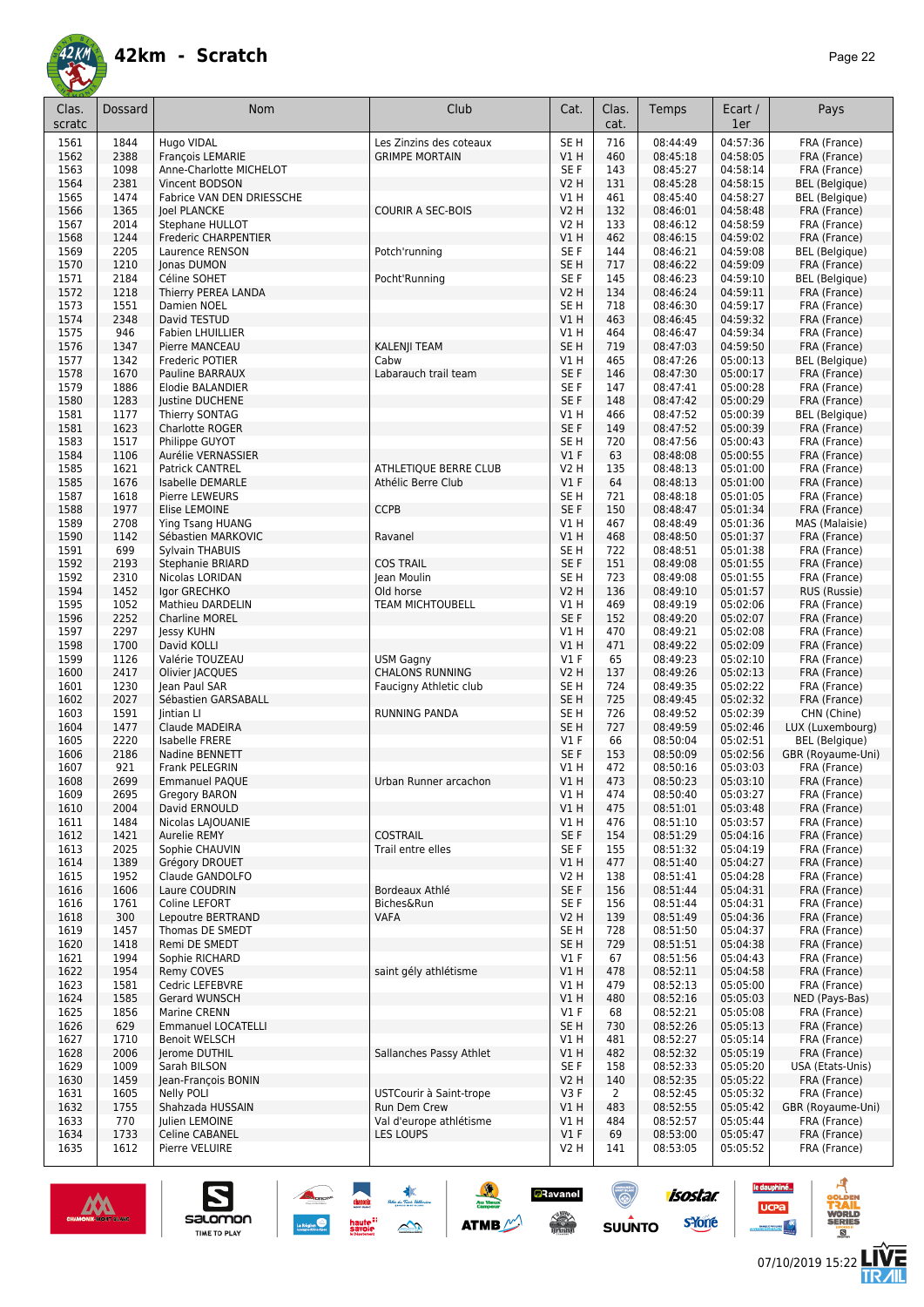### **42km - Scratch** *Page 22*



| Clas.        | Dossard      | <b>Nom</b>                                | Club                     | Cat.                           | Clas.          | Temps                | Ecart /              | Pays                                      |
|--------------|--------------|-------------------------------------------|--------------------------|--------------------------------|----------------|----------------------|----------------------|-------------------------------------------|
| scratc       |              |                                           |                          |                                | cat.           |                      | 1er                  |                                           |
| 1561         | 1844         | Hugo VIDAL                                | Les Zinzins des coteaux  | SE <sub>H</sub>                | 716            | 08:44:49             | 04:57:36             | FRA (France)                              |
| 1562         | 2388         | François LEMARIE                          | <b>GRIMPE MORTAIN</b>    | VIH                            | 460            | 08:45:18             | 04:58:05             | FRA (France)                              |
| 1563         | 1098<br>2381 | Anne-Charlotte MICHELOT<br>Vincent BODSON |                          | SE <sub>F</sub><br><b>V2 H</b> | 143<br>131     | 08:45:27             | 04:58:14             | FRA (France)<br><b>BEL</b> (Belgique)     |
| 1564<br>1565 | 1474         | Fabrice VAN DEN DRIESSCHE                 |                          | <b>V1 H</b>                    | 461            | 08:45:28<br>08:45:40 | 04:58:15<br>04:58:27 | <b>BEL</b> (Belgique)                     |
| 1566         | 1365         | <b>Joel PLANCKE</b>                       | <b>COURIR A SEC-BOIS</b> | <b>V2 H</b>                    | 132            | 08:46:01             | 04:58:48             | FRA (France)                              |
| 1567         | 2014         | Stephane HULLOT                           |                          | <b>V2 H</b>                    | 133            | 08:46:12             | 04:58:59             | FRA (France)                              |
| 1568         | 1244         | <b>Frederic CHARPENTIER</b>               |                          | V1H                            | 462            | 08:46:15             | 04:59:02             | FRA (France)                              |
| 1569         | 2205         | Laurence RENSON                           | Potch'running            | SE F                           | 144            | 08:46:21             | 04:59:08             | BEL (Belgique)                            |
| 1570         | 1210         | Jonas DUMON                               |                          | SE <sub>H</sub>                | 717            | 08:46:22             | 04:59:09             | FRA (France)                              |
| 1571         | 2184         | Céline SOHET                              | Pocht'Running            | SE F                           | 145            | 08:46:23             | 04:59:10             | <b>BEL</b> (Belgique)                     |
| 1572         | 1218         | Thierry PEREA LANDA                       |                          | V2 H                           | 134            | 08:46:24             | 04:59:11             | FRA (France)                              |
| 1573         | 1551         | Damien NOEL                               |                          | SE H                           | 718            | 08:46:30             | 04:59:17             | FRA (France)                              |
| 1574         | 2348         | David TESTUD                              |                          | V1 H                           | 463            | 08:46:45             | 04:59:32             | FRA (France)                              |
| 1575         | 946          | Fabien LHUILLIER                          |                          | V1 H                           | 464            | 08:46:47             | 04:59:34             | FRA (France)                              |
| 1576         | 1347         | Pierre MANCEAU                            | <b>KALENJI TEAM</b>      | SE <sub>H</sub>                | 719            | 08:47:03             | 04:59:50             | FRA (France)                              |
| 1577         | 1342         | Frederic POTIER                           | Cabw                     | V1 H                           | 465            | 08:47:26             | 05:00:13             | <b>BEL</b> (Belgique)                     |
| 1578         | 1670         | Pauline BARRAUX                           | Labarauch trail team     | SE <sub>F</sub>                | 146            | 08:47:30             | 05:00:17             | FRA (France)                              |
| 1579         | 1886         | Elodie BALANDIER                          |                          | SE <sub>F</sub>                | 147            | 08:47:41             | 05:00:28             | FRA (France)                              |
| 1580         | 1283         | Justine DUCHENE                           |                          | SE <sub>F</sub>                | 148            | 08:47:42             | 05:00:29             | FRA (France)                              |
| 1581         | 1177         | Thierry SONTAG                            |                          | V1H                            | 466            | 08:47:52             | 05:00:39             | BEL (Belgique)                            |
| 1581         | 1623         | Charlotte ROGER                           |                          | SE F                           | 149            | 08:47:52             | 05:00:39             | FRA (France)                              |
| 1583         | 1517         | Philippe GUYOT                            |                          | SE H                           | 720            | 08:47:56             | 05:00:43             | FRA (France)                              |
| 1584         | 1106         | Aurélie VERNASSIER                        | ATHLETIQUE BERRE CLUB    | $VI$ F                         | 63             | 08:48:08<br>08:48:13 | 05:00:55             | FRA (France)                              |
| 1585         | 1621         | Patrick CANTREL                           | Athélic Berre Club       | <b>V2 H</b><br>$VI$ F          | 135<br>64      |                      | 05:01:00             | FRA (France)<br>FRA (France)              |
| 1585<br>1587 | 1676<br>1618 | Isabelle DEMARLE<br>Pierre LEWEURS        |                          | SE <sub>H</sub>                | 721            | 08:48:13<br>08:48:18 | 05:01:00<br>05:01:05 | FRA (France)                              |
| 1588         | 1977         | Elise LEMOINE                             | <b>CCPB</b>              | SE F                           | 150            | 08:48:47             | 05:01:34             | FRA (France)                              |
| 1589         | 2708         | Ying Tsang HUANG                          |                          | V1H                            | 467            | 08:48:49             | 05:01:36             | MAS (Malaisie)                            |
| 1590         | 1142         | Sébastien MARKOVIC                        | Ravanel                  | V1H                            | 468            | 08:48:50             | 05:01:37             | FRA (France)                              |
| 1591         | 699          | Sylvain THABUIS                           |                          | SE H                           | 722            | 08:48:51             | 05:01:38             | FRA (France)                              |
| 1592         | 2193         | Stephanie BRIARD                          | <b>COS TRAIL</b>         | SE F                           | 151            | 08:49:08             | 05:01:55             | FRA (France)                              |
| 1592         | 2310         | Nicolas LORIDAN                           | Jean Moulin              | SE <sub>H</sub>                | 723            | 08:49:08             | 05:01:55             | FRA (France)                              |
| 1594         | 1452         | Igor GRECHKO                              | Old horse                | V2 H                           | 136            | 08:49:10             | 05:01:57             | RUS (Russie)                              |
| 1595         | 1052         | Mathieu DARDELIN                          | <b>TEAM MICHTOUBELL</b>  | V1 H                           | 469            | 08:49:19             | 05:02:06             | FRA (France)                              |
| 1596         | 2252         | <b>Charline MOREL</b>                     |                          | SE F                           | 152            | 08:49:20             | 05:02:07             | FRA (France)                              |
| 1597         | 2297         | Jessy KUHN                                |                          | VIH                            | 470            | 08:49:21             | 05:02:08             | FRA (France)                              |
| 1598         | 1700         | David KOLLI                               |                          | V1 H                           | 471            | 08:49:22             | 05:02:09             | FRA (France)                              |
| 1599         | 1126         | Valérie TOUZEAU                           | <b>USM Gagny</b>         | $VI$ F                         | 65             | 08:49:23             | 05:02:10             | FRA (France)                              |
| 1600         | 2417         | Olivier JACQUES                           | <b>CHALONS RUNNING</b>   | V2 H                           | 137            | 08:49:26             | 05:02:13             | FRA (France)                              |
| 1601         | 1230         | Jean Paul SAR                             | Faucigny Athletic club   | SE H                           | 724            | 08:49:35             | 05:02:22             | FRA (France)                              |
| 1602         | 2027         | Sébastien GARSABALL                       |                          | SE <sub>H</sub>                | 725            | 08:49:45             | 05:02:32             | FRA (France)                              |
| 1603         | 1591         | Jintian Ll                                | <b>RUNNING PANDA</b>     | SE H<br>SE <sub>H</sub>        | 726<br>727     | 08:49:52             | 05:02:39<br>05:02:46 | CHN (Chine)                               |
| 1604<br>1605 | 1477<br>2220 | Claude MADEIRA<br><b>Isabelle FRERE</b>   |                          | $VI$ F                         | 66             | 08:49:59<br>08:50:04 | 05:02:51             | LUX (Luxembourg)<br><b>BEL</b> (Belgique) |
| 1606         | 2186         | Nadine BENNETT                            |                          | SE <sub>F</sub>                | 153            | 08:50:09             | 05:02:56             | GBR (Royaume-Uni)                         |
| 1607         | 921          | Frank PELEGRIN                            |                          | VIH                            | 472            | 08:50:16             | 05:03:03             | FRA (France)                              |
| 1608         | 2699         | <b>Emmanuel PAQUE</b>                     | Urban Runner arcachon    | VIH                            | 473            | 08:50:23             | 05:03:10             | FRA (France)                              |
| 1609         | 2695         | <b>Gregory BARON</b>                      |                          | VIH                            | 474            | 08:50:40             | 05:03:27             | FRA (France)                              |
| 1610         | 2004         | David ERNOULD                             |                          | V1H                            | 475            | 08:51:01             | 05:03:48             | FRA (France)                              |
| 1611         | 1484         | Nicolas LAJOUANIE                         |                          | VIH                            | 476            | 08:51:10             | 05:03:57             | FRA (France)                              |
| 1612         | 1421         | Aurelie REMY                              | <b>COSTRAIL</b>          | SE F                           | 154            | 08:51:29             | 05:04:16             | FRA (France)                              |
| 1613         | 2025         | Sophie CHAUVIN                            | Trail entre elles        | SE F                           | 155            | 08:51:32             | 05:04:19             | FRA (France)                              |
| 1614         | 1389         | Grégory DROUET                            |                          | V1H                            | 477            | 08:51:40             | 05:04:27             | FRA (France)                              |
| 1615         | 1952         | Claude GANDOLFO                           |                          | <b>V2 H</b>                    | 138            | 08:51:41             | 05:04:28             | FRA (France)                              |
| 1616         | 1606         | Laure COUDRIN                             | Bordeaux Athlé           | SE F                           | 156            | 08:51:44             | 05:04:31             | FRA (France)                              |
| 1616         | 1761         | Coline LEFORT                             | Biches&Run               | SE F                           | 156            | 08:51:44             | 05:04:31             | FRA (France)                              |
| 1618         | 300          | Lepoutre BERTRAND                         | VAFA                     | V2 H                           | 139            | 08:51:49             | 05:04:36             | FRA (France)                              |
| 1619         | 1457         | Thomas DE SMEDT                           |                          | SE H                           | 728            | 08:51:50             | 05:04:37             | FRA (France)                              |
| 1620         | 1418         | Remi DE SMEDT                             |                          | SE <sub>H</sub><br>$VI$ F      | 729            | 08:51:51             | 05:04:38             | FRA (France)<br>FRA (France)              |
| 1621         | 1994         | Sophie RICHARD                            |                          |                                | 67             | 08:51:56             | 05:04:43             |                                           |
| 1622<br>1623 | 1954<br>1581 | Remy COVES<br>Cedric LEFEBVRE             | saint gély athlétisme    | V1H<br>V1 H                    | 478<br>479     | 08:52:11<br>08:52:13 | 05:04:58<br>05:05:00 | FRA (France)<br>FRA (France)              |
| 1624         | 1585         | Gerard WUNSCH                             |                          | V1H                            | 480            | 08:52:16             | 05:05:03             | NED (Pays-Bas)                            |
| 1625         | 1856         | Marine CRENN                              |                          | $VI$ F                         | 68             | 08:52:21             | 05:05:08             | FRA (France)                              |
| 1626         | 629          | <b>Emmanuel LOCATELLI</b>                 |                          | SE <sub>H</sub>                | 730            | 08:52:26             | 05:05:13             | FRA (France)                              |
| 1627         | 1710         | <b>Benoit WELSCH</b>                      |                          | V1 H                           | 481            | 08:52:27             | 05:05:14             | FRA (France)                              |
| 1628         | 2006         | <b>lerome DUTHIL</b>                      | Sallanches Passy Athlet  | V1H                            | 482            | 08:52:32             | 05:05:19             | FRA (France)                              |
| 1629         | 1009         | Sarah BILSON                              |                          | SE F                           | 158            | 08:52:33             | 05:05:20             | USA (Etats-Unis)                          |
| 1630         | 1459         | Jean-François BONIN                       |                          | <b>V2 H</b>                    | 140            | 08:52:35             | 05:05:22             | FRA (France)                              |
| 1631         | 1605         | <b>Nelly POLI</b>                         | USTCourir à Saint-trope  | V3F                            | $\overline{2}$ | 08:52:45             | 05:05:32             | FRA (France)                              |
| 1632         | 1755         | Shahzada HUSSAIN                          | Run Dem Crew             | VIH                            | 483            | 08:52:55             | 05:05:42             | GBR (Royaume-Uni)                         |
| 1633         | 770          | Julien LEMOINE                            | Val d'europe athlétisme  | V1 H                           | 484            | 08:52:57             | 05:05:44             | FRA (France)                              |
| 1634         | 1733         | Celine CABANEL                            | LES LOUPS                | $VI$ F                         | 69             | 08:53:00             | 05:05:47             | FRA (France)                              |
| 1635         | 1612         | Pierre VELUIRE                            |                          | V2 H                           | 141            | 08:53:05             | 05:05:52             | FRA (France)                              |
|              |              |                                           |                          |                                |                |                      |                      |                                           |



 $\sum_{\text{SALOMOM}}$ 



07/10/2019 15:22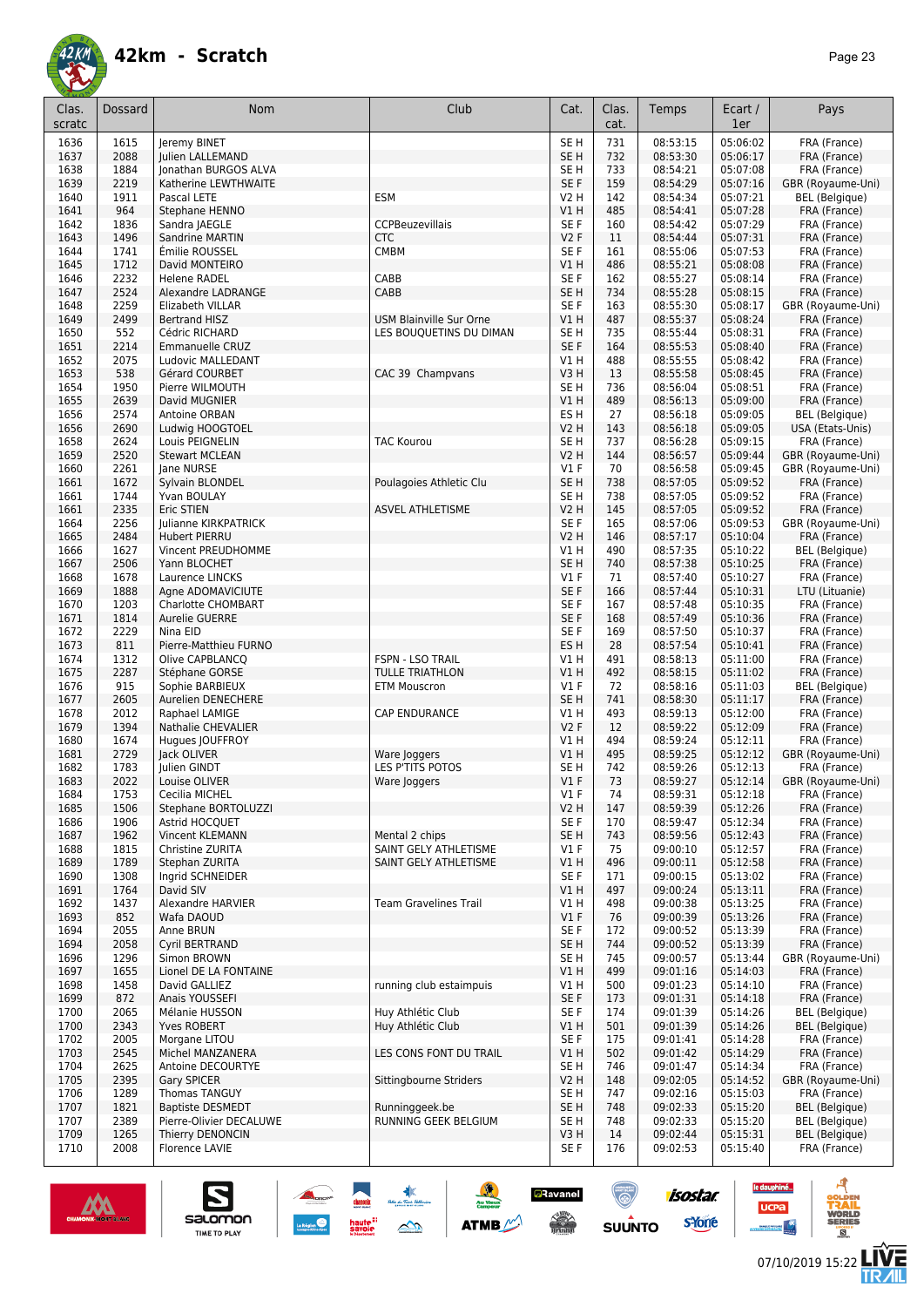

#### **42km - Scratch** *Page 23*

| Clas.<br>scratc | Dossard      | Nom                                                | Club                                          | Cat.                      | Clas.<br>cat. | Temps                | Ecart /<br>1er       | Pays                                           |
|-----------------|--------------|----------------------------------------------------|-----------------------------------------------|---------------------------|---------------|----------------------|----------------------|------------------------------------------------|
| 1636            | 1615         | Jeremy BINET                                       |                                               | SE <sub>H</sub>           | 731           | 08:53:15             | 05:06:02             | FRA (France)                                   |
| 1637            | 2088         | Julien LALLEMAND                                   |                                               | SE <sub>H</sub>           | 732           | 08:53:30             | 05:06:17             | FRA (France)                                   |
| 1638            | 1884         | Jonathan BURGOS ALVA                               |                                               | SE <sub>H</sub>           | 733           | 08:54:21             | 05:07:08             | FRA (France)                                   |
| 1639            | 2219         | Katherine LEWTHWAITE                               |                                               | SE F                      | 159           | 08:54:29             | 05:07:16             | GBR (Royaume-Uni)                              |
| 1640            | 1911         | Pascal LETE                                        | <b>ESM</b>                                    | V2 H                      | 142           | 08:54:34             | 05:07:21             | <b>BEL</b> (Belgique)                          |
| 1641<br>1642    | 964<br>1836  | Stephane HENNO                                     | CCPBeuzevillais                               | V1 H<br>SE F              | 485<br>160    | 08:54:41<br>08:54:42 | 05:07:28<br>05:07:29 | FRA (France)                                   |
| 1643            | 1496         | Sandra JAEGLE<br>Sandrine MARTIN                   | <b>CTC</b>                                    | <b>V2F</b>                | 11            | 08:54:44             | 05:07:31             | FRA (France)<br>FRA (France)                   |
| 1644            | 1741         | Émilie ROUSSEL                                     | CMBM                                          | SE <sub>F</sub>           | 161           | 08:55:06             | 05:07:53             | FRA (France)                                   |
| 1645            | 1712         | David MONTEIRO                                     |                                               | VIH                       | 486           | 08:55:21             | 05:08:08             | FRA (France)                                   |
| 1646            | 2232         | <b>Helene RADEL</b>                                | CABB                                          | SE <sub>F</sub>           | 162           | 08:55:27             | 05:08:14             | FRA (France)                                   |
| 1647            | 2524         | Alexandre LADRANGE                                 | CABB                                          | SE <sub>H</sub>           | 734           | 08:55:28             | 05:08:15             | FRA (France)                                   |
| 1648            | 2259         | Elizabeth VILLAR                                   |                                               | SE <sub>F</sub>           | 163           | 08:55:30             | 05:08:17             | GBR (Royaume-Uni)                              |
| 1649            | 2499         | <b>Bertrand HISZ</b>                               | <b>USM Blainville Sur Orne</b>                | VIH                       | 487           | 08:55:37             | 05:08:24             | FRA (France)                                   |
| 1650<br>1651    | 552<br>2214  | Cédric RICHARD<br>Emmanuelle CRUZ                  | LES BOUQUETINS DU DIMAN                       | SE <sub>H</sub><br>SE F   | 735<br>164    | 08:55:44<br>08:55:53 | 05:08:31<br>05:08:40 | FRA (France)<br>FRA (France)                   |
| 1652            | 2075         | Ludovic MALLEDANT                                  |                                               | V1 H                      | 488           | 08:55:55             | 05:08:42             | FRA (France)                                   |
| 1653            | 538          | Gérard COURBET                                     | CAC 39 Champvans                              | V3H                       | 13            | 08:55:58             | 05:08:45             | FRA (France)                                   |
| 1654            | 1950         | Pierre WILMOUTH                                    |                                               | SE <sub>H</sub>           | 736           | 08:56:04             | 05:08:51             | FRA (France)                                   |
| 1655            | 2639         | David MUGNIER                                      |                                               | V1 H                      | 489           | 08:56:13             | 05:09:00             | FRA (France)                                   |
| 1656            | 2574         | Antoine ORBAN                                      |                                               | ES <sub>H</sub>           | 27            | 08:56:18             | 05:09:05             | BEL (Belgique)                                 |
| 1656            | 2690         | Ludwig HOOGTOEL                                    |                                               | <b>V2 H</b>               | 143           | 08:56:18             | 05:09:05             | USA (Etats-Unis)                               |
| 1658            | 2624<br>2520 | Louis PEIGNELIN                                    | <b>TAC Kourou</b>                             | SE <sub>H</sub>           | 737           | 08:56:28<br>08:56:57 | 05:09:15<br>05:09:44 | FRA (France)                                   |
| 1659<br>1660    | 2261         | <b>Stewart MCLEAN</b><br>Jane NURSE                |                                               | V2 H<br>$VI$ F            | 144<br>70     | 08:56:58             | 05:09:45             | GBR (Royaume-Uni)<br>GBR (Royaume-Uni)         |
| 1661            | 1672         | Sylvain BLONDEL                                    | Poulagoies Athletic Clu                       | SE <sub>H</sub>           | 738           | 08:57:05             | 05:09:52             | FRA (France)                                   |
| 1661            | 1744         | Yvan BOULAY                                        |                                               | SE <sub>H</sub>           | 738           | 08:57:05             | 05:09:52             | FRA (France)                                   |
| 1661            | 2335         | Eric STIEN                                         | <b>ASVEL ATHLETISME</b>                       | <b>V2 H</b>               | 145           | 08:57:05             | 05:09:52             | FRA (France)                                   |
| 1664            | 2256         | Julianne KIRKPATRICK                               |                                               | SE F                      | 165           | 08:57:06             | 05:09:53             | GBR (Royaume-Uni)                              |
| 1665            | 2484         | <b>Hubert PIERRU</b>                               |                                               | <b>V2 H</b>               | 146           | 08:57:17             | 05:10:04             | FRA (France)                                   |
| 1666            | 1627         | Vincent PREUDHOMME                                 |                                               | V1 H                      | 490           | 08:57:35             | 05:10:22             | <b>BEL</b> (Belgique)                          |
| 1667            | 2506<br>1678 | Yann BLOCHET                                       |                                               | SE <sub>H</sub><br>$VI$ F | 740<br>71     | 08:57:38             | 05:10:25             | FRA (France)                                   |
| 1668<br>1669    | 1888         | Laurence LINCKS<br>Agne ADOMAVICIUTE               |                                               | SE F                      | 166           | 08:57:40<br>08:57:44 | 05:10:27<br>05:10:31 | FRA (France)<br>LTU (Lituanie)                 |
| 1670            | 1203         | <b>Charlotte CHOMBART</b>                          |                                               | SE <sub>F</sub>           | 167           | 08:57:48             | 05:10:35             | FRA (France)                                   |
| 1671            | 1814         | <b>Aurelie GUERRE</b>                              |                                               | SE <sub>F</sub>           | 168           | 08:57:49             | 05:10:36             | FRA (France)                                   |
| 1672            | 2229         | Nina EID                                           |                                               | SE <sub>F</sub>           | 169           | 08:57:50             | 05:10:37             | FRA (France)                                   |
| 1673            | 811          | Pierre-Matthieu FURNO                              |                                               | ES <sub>H</sub>           | 28            | 08:57:54             | 05:10:41             | FRA (France)                                   |
| 1674            | 1312         | Olive CAPBLANCQ                                    | FSPN - LSO TRAIL                              | V1 H                      | 491           | 08:58:13             | 05:11:00             | FRA (France)                                   |
| 1675<br>1676    | 2287<br>915  | Stéphane GORSE<br>Sophie BARBIEUX                  | <b>TULLE TRIATHLON</b><br><b>ETM Mouscron</b> | VIH<br>$VI$ F             | 492<br>72     | 08:58:15<br>08:58:16 | 05:11:02<br>05:11:03 | FRA (France)<br>BEL (Belgique)                 |
| 1677            | 2605         | <b>Aurelien DENECHERE</b>                          |                                               | SE <sub>H</sub>           | 741           | 08:58:30             | 05:11:17             | FRA (France)                                   |
| 1678            | 2012         | Raphael LAMIGE                                     | CAP ENDURANCE                                 | V1 H                      | 493           | 08:59:13             | 05:12:00             | FRA (France)                                   |
| 1679            | 1394         | Nathalie CHEVALIER                                 |                                               | V2 F                      | 12            | 08:59:22             | 05:12:09             | FRA (France)                                   |
| 1680            | 1674         | Hugues   OUFFROY                                   |                                               | V1 H                      | 494           | 08:59:24             | 05:12:11             | FRA (France)                                   |
| 1681            | 2729         | Jack OLIVER                                        | Ware Joggers                                  | V1 H                      | 495           | 08:59:25             | 05:12:12             | GBR (Royaume-Uni)                              |
| 1682            | 1783         | Julien GINDT                                       | LES P'TITS POTOS                              | SE H                      | 742           | 08:59:26<br>08:59:27 | 05:12:13             | FRA (France)                                   |
| 1683<br>1684    | 2022<br>1753 | Louise OLIVER<br>Cecilia MICHEL                    | Ware Joggers                                  | $VI$ F<br>$VI$ F          | 73<br>74      | 08:59:31             | 05:12:14<br>05:12:18 | GBR (Royaume-Uni)                              |
| 1685            | 1506         | Stephane BORTOLUZZI                                |                                               | V2 H                      | 147           | 08:59:39             | 05:12:26             | FRA (France)<br>FRA (France)                   |
| 1686            | 1906         | Astrid HOCQUET                                     |                                               | SE F                      | 170           | 08:59:47             | 05:12:34             | FRA (France)                                   |
| 1687            | 1962         | Vincent KLEMANN                                    | Mental 2 chips                                | SE H                      | 743           | 08:59:56             | 05:12:43             | FRA (France)                                   |
| 1688            | 1815         | Christine ZURITA                                   | SAINT GELY ATHLETISME                         | $VI$ F                    | 75            | 09:00:10             | 05:12:57             | FRA (France)                                   |
| 1689            | 1789         | Stephan ZURITA                                     | SAINT GELY ATHLETISME                         | V1 H                      | 496           | 09:00:11             | 05:12:58             | FRA (France)                                   |
| 1690            | 1308         | Ingrid SCHNEIDER                                   |                                               | SE F                      | 171           | 09:00:15             | 05:13:02             | FRA (France)                                   |
| 1691<br>1692    | 1764<br>1437 | David SIV<br>Alexandre HARVIER                     | <b>Team Gravelines Trail</b>                  | V1 H<br>V1 H              | 497<br>498    | 09:00:24<br>09:00:38 | 05:13:11<br>05:13:25 | FRA (France)<br>FRA (France)                   |
| 1693            | 852          | Wafa DAOUD                                         |                                               | V1F                       | 76            | 09:00:39             | 05:13:26             | FRA (France)                                   |
| 1694            | 2055         | Anne BRUN                                          |                                               | SE F                      | 172           | 09:00:52             | 05:13:39             | FRA (France)                                   |
| 1694            | 2058         | Cyril BERTRAND                                     |                                               | SE <sub>H</sub>           | 744           | 09:00:52             | 05:13:39             | FRA (France)                                   |
| 1696            | 1296         | Simon BROWN                                        |                                               | SE H                      | 745           | 09:00:57             | 05:13:44             | GBR (Royaume-Uni)                              |
| 1697            | 1655         | Lionel DE LA FONTAINE                              |                                               | V1 H                      | 499           | 09:01:16             | 05:14:03             | FRA (France)                                   |
| 1698<br>1699    | 1458         | David GALLIEZ                                      | running club estaimpuis                       | V1 H<br>SE F              | 500           | 09:01:23<br>09:01:31 | 05:14:10<br>05:14:18 | FRA (France)                                   |
| 1700            | 872<br>2065  | Anais YOUSSEFI<br>Mélanie HUSSON                   | Huy Athlétic Club                             | SE F                      | 173<br>174    | 09:01:39             | 05:14:26             | FRA (France)<br><b>BEL</b> (Belgique)          |
| 1700            | 2343         | Yves ROBERT                                        | Huy Athlétic Club                             | V1 H                      | 501           | 09:01:39             | 05:14:26             | <b>BEL</b> (Belgique)                          |
| 1702            | 2005         | Morgane LITOU                                      |                                               | SE F                      | 175           | 09:01:41             | 05:14:28             | FRA (France)                                   |
| 1703            | 2545         | Michel MANZANERA                                   | LES CONS FONT DU TRAIL                        | V1 H                      | 502           | 09:01:42             | 05:14:29             | FRA (France)                                   |
| 1704            | 2625         | Antoine DECOURTYE                                  |                                               | SE H                      | 746           | 09:01:47             | 05:14:34             | FRA (France)                                   |
| 1705            | 2395         | Gary SPICER                                        | Sittingbourne Striders                        | V2 H                      | 148           | 09:02:05             | 05:14:52             | GBR (Royaume-Uni)                              |
| 1706            | 1289         | Thomas TANGUY                                      |                                               | SE H                      | 747           | 09:02:16             | 05:15:03             | FRA (France)                                   |
| 1707<br>1707    | 1821<br>2389 | <b>Baptiste DESMEDT</b><br>Pierre-Olivier DECALUWE | Runninggeek.be<br>RUNNING GEEK BELGIUM        | SE <sub>H</sub><br>SE H   | 748<br>748    | 09:02:33<br>09:02:33 | 05:15:20<br>05:15:20 | <b>BEL</b> (Belgique)<br><b>BEL</b> (Belgique) |
| 1709            | 1265         | Thierry DENONCIN                                   |                                               | V3 H                      | 14            | 09:02:44             | 05:15:31             | <b>BEL</b> (Belgique)                          |
| 1710            | 2008         | Florence LAVIE                                     |                                               | SE F                      | 176           | 09:02:53             | 05:15:40             | FRA (France)                                   |

忽

 $\rightarrow$ 

 $\frac{1}{\sqrt{2}}$ 

**ATMB** 

**a**Ravanel

**SERVICE** 

 $\bigcirc$ 

**SUUNTO** 



S

Salomon

isostar.

**s**Yone

le dauphiné...

**UCPa** 

G



ه

**VORLD**<br>ERIES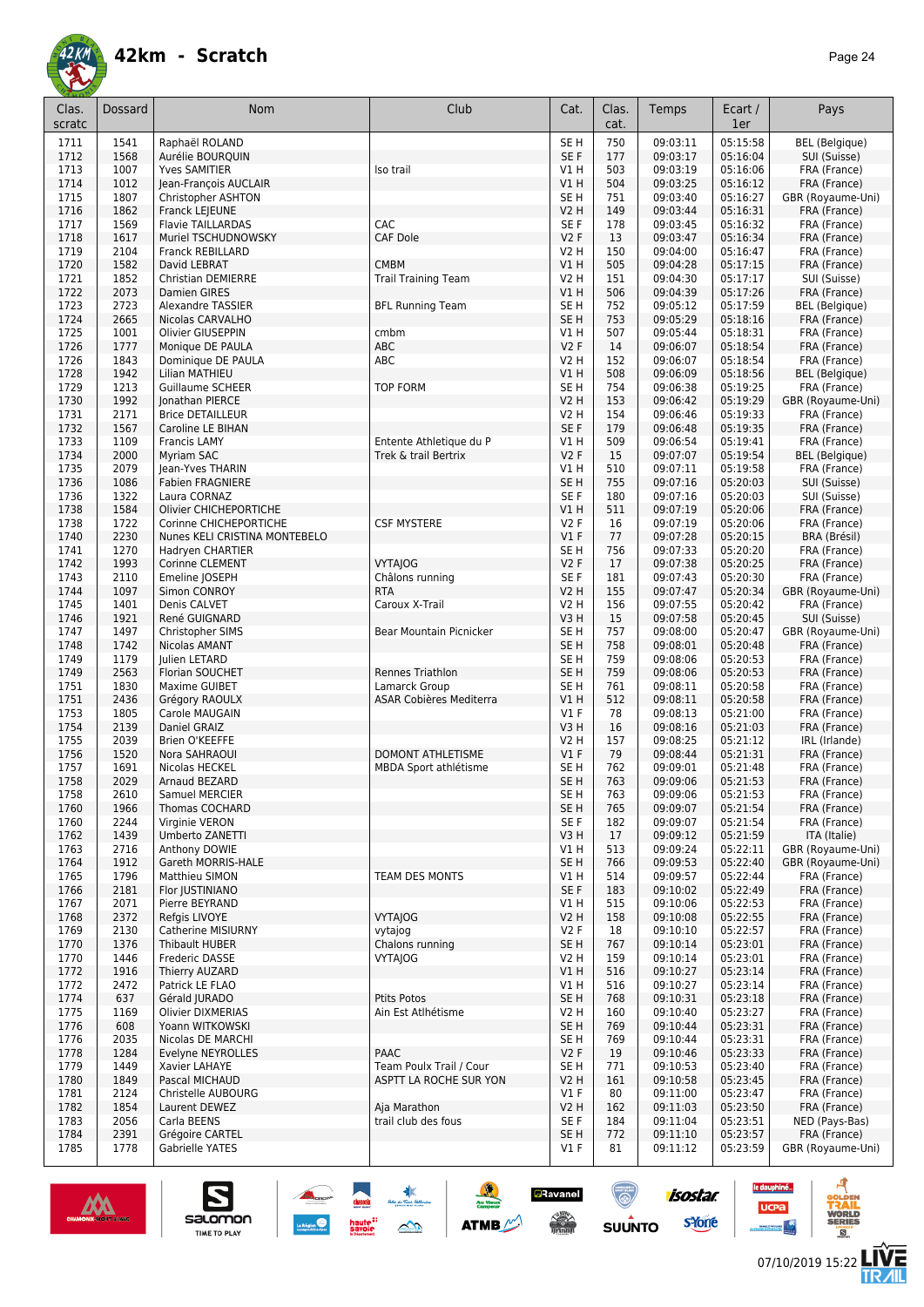

| Clas.        | Dossard      | <b>Nom</b>                                      | Club                                            | Cat.                   | Clas.      | Temps                | Ecart /              | Pays                                  |
|--------------|--------------|-------------------------------------------------|-------------------------------------------------|------------------------|------------|----------------------|----------------------|---------------------------------------|
| scratc       |              |                                                 |                                                 |                        | cat.       |                      | 1er                  |                                       |
| 1711         | 1541         | Raphaël ROLAND                                  |                                                 | SE <sub>H</sub>        | 750        | 09:03:11             | 05:15:58             | <b>BEL</b> (Belgique)                 |
| 1712<br>1713 | 1568<br>1007 | Aurélie BOURQUIN<br><b>Yves SAMITIER</b>        | Iso trail                                       | SE F<br>V1 H           | 177<br>503 | 09:03:17<br>09:03:19 | 05:16:04<br>05:16:06 | SUI (Suisse)<br>FRA (France)          |
| 1714         | 1012         | Jean-François AUCLAIR                           |                                                 | <b>V1 H</b>            | 504        | 09:03:25             | 05:16:12             | FRA (France)                          |
| 1715         | 1807         | Christopher ASHTON                              |                                                 | SE H                   | 751        | 09:03:40             | 05:16:27             | GBR (Royaume-Uni)                     |
| 1716         | 1862         | Franck LEJEUNE                                  |                                                 | V2 H                   | 149        | 09:03:44             | 05:16:31             | FRA (France)                          |
| 1717         | 1569         | <b>Flavie TAILLARDAS</b>                        | CAC                                             | SE F                   | 178        | 09:03:45             | 05:16:32             | FRA (France)                          |
| 1718         | 1617         | Muriel TSCHUDNOWSKY                             | <b>CAF Dole</b>                                 | <b>V2F</b>             | 13         | 09:03:47             | 05:16:34             | FRA (France)                          |
| 1719         | 2104         | Franck REBILLARD                                |                                                 | V2 H                   | 150        | 09:04:00             | 05:16:47             | FRA (France)                          |
| 1720         | 1582         | David LEBRAT                                    | <b>CMBM</b>                                     | <b>V1 H</b>            | 505        | 09:04:28             | 05:17:15             | FRA (France)                          |
| 1721         | 1852         | <b>Christian DEMIERRE</b>                       | <b>Trail Training Team</b>                      | <b>V2 H</b>            | 151        | 09:04:30             | 05:17:17             | SUI (Suisse)                          |
| 1722         | 2073<br>2723 | <b>Damien GIRES</b><br><b>Alexandre TASSIER</b> |                                                 | V1 H<br>SE H           | 506<br>752 | 09:04:39<br>09:05:12 | 05:17:26             | FRA (France)                          |
| 1723<br>1724 | 2665         | Nicolas CARVALHO                                | <b>BFL Running Team</b>                         | SE H                   | 753        | 09:05:29             | 05:17:59<br>05:18:16 | <b>BEL</b> (Belgique)<br>FRA (France) |
| 1725         | 1001         | Olivier GIUSEPPIN                               | cmbm                                            | V1 H                   | 507        | 09:05:44             | 05:18:31             | FRA (France)                          |
| 1726         | 1777         | Monique DE PAULA                                | ABC                                             | <b>V2F</b>             | 14         | 09:06:07             | 05:18:54             | FRA (France)                          |
| 1726         | 1843         | Dominique DE PAULA                              | ABC                                             | <b>V2 H</b>            | 152        | 09:06:07             | 05:18:54             | FRA (France)                          |
| 1728         | 1942         | Lilian MATHIEU                                  |                                                 | <b>V1 H</b>            | 508        | 09:06:09             | 05:18:56             | <b>BEL</b> (Belgique)                 |
| 1729         | 1213         | <b>Guillaume SCHEER</b>                         | <b>TOP FORM</b>                                 | SE H                   | 754        | 09:06:38             | 05:19:25             | FRA (France)                          |
| 1730         | 1992         | Jonathan PIERCE                                 |                                                 | V2 H                   | 153        | 09:06:42             | 05:19:29             | GBR (Royaume-Uni)                     |
| 1731         | 2171<br>1567 | <b>Brice DETAILLEUR</b><br>Caroline LE BIHAN    |                                                 | V2 H<br>SE F           | 154<br>179 | 09:06:46<br>09:06:48 | 05:19:33<br>05:19:35 | FRA (France)                          |
| 1732<br>1733 | 1109         | <b>Francis LAMY</b>                             | Entente Athletique du P                         | V1 H                   | 509        | 09:06:54             | 05:19:41             | FRA (France)<br>FRA (France)          |
| 1734         | 2000         | Myriam SAC                                      | Trek & trail Bertrix                            | V2F                    | 15         | 09:07:07             | 05:19:54             | <b>BEL</b> (Belgique)                 |
| 1735         | 2079         | Jean-Yves THARIN                                |                                                 | V1 H                   | 510        | 09:07:11             | 05:19:58             | FRA (France)                          |
| 1736         | 1086         | <b>Fabien FRAGNIERE</b>                         |                                                 | SE H                   | 755        | 09:07:16             | 05:20:03             | SUI (Suisse)                          |
| 1736         | 1322         | Laura CORNAZ                                    |                                                 | SE F                   | 180        | 09:07:16             | 05:20:03             | SUI (Suisse)                          |
| 1738         | 1584         | Olivier CHICHEPORTICHE                          |                                                 | <b>V1 H</b>            | 511        | 09:07:19             | 05:20:06             | FRA (France)                          |
| 1738         | 1722         | Corinne CHICHEPORTICHE                          | <b>CSF MYSTERE</b>                              | V2F                    | 16         | 09:07:19             | 05:20:06             | FRA (France)                          |
| 1740         | 2230         | Nunes KELI CRISTINA MONTEBELO                   |                                                 | $VI$ F                 | 77         | 09:07:28             | 05:20:15             | BRA (Brésil)                          |
| 1741<br>1742 | 1270<br>1993 | Hadryen CHARTIER                                | <b>VYTAJOG</b>                                  | SE H<br><b>V2F</b>     | 756<br>17  | 09:07:33<br>09:07:38 | 05:20:20<br>05:20:25 | FRA (France)<br>FRA (France)          |
| 1743         | 2110         | Corinne CLEMENT<br>Emeline JOSEPH               | Châlons running                                 | SE <sub>F</sub>        | 181        | 09:07:43             | 05:20:30             | FRA (France)                          |
| 1744         | 1097         | Simon CONROY                                    | <b>RTA</b>                                      | V2 H                   | 155        | 09:07:47             | 05:20:34             | GBR (Royaume-Uni)                     |
| 1745         | 1401         | Denis CALVET                                    | Caroux X-Trail                                  | <b>V2 H</b>            | 156        | 09:07:55             | 05:20:42             | FRA (France)                          |
| 1746         | 1921         | René GUIGNARD                                   |                                                 | V3H                    | 15         | 09:07:58             | 05:20:45             | SUI (Suisse)                          |
| 1747         | 1497         | Christopher SIMS                                | Bear Mountain Picnicker                         | SE H                   | 757        | 09:08:00             | 05:20:47             | GBR (Royaume-Uni)                     |
| 1748         | 1742         | Nicolas AMANT                                   |                                                 | SE H                   | 758        | 09:08:01             | 05:20:48             | FRA (France)                          |
| 1749         | 1179         | Julien LETARD                                   |                                                 | SE H                   | 759        | 09:08:06             | 05:20:53             | FRA (France)                          |
| 1749         | 2563         | Florian SOUCHET                                 | Rennes Triathlon                                | SE H                   | 759        | 09:08:06             | 05:20:53             | FRA (France)                          |
| 1751<br>1751 | 1830<br>2436 | Maxime GUIBET<br>Grégory RAOULX                 | Lamarck Group<br><b>ASAR Cobières Mediterra</b> | SE H<br>V1H            | 761<br>512 | 09:08:11<br>09:08:11 | 05:20:58<br>05:20:58 | FRA (France)<br>FRA (France)          |
| 1753         | 1805         | Carole MAUGAIN                                  |                                                 | $VI$ F                 | 78         | 09:08:13             | 05:21:00             | FRA (France)                          |
| 1754         | 2139         | Daniel GRAIZ                                    |                                                 | V <sub>3</sub> H       | 16         | 09:08:16             | 05:21:03             | FRA (France)                          |
| 1755         | 2039         | Brien O'KEEFFE                                  |                                                 | <b>V2 H</b>            | 157        | 09:08:25             | 05:21:12             | IRL (Irlande)                         |
| 1756         | 1520         | Nora SAHRAOUI                                   | <b>DOMONT ATHLETISME</b>                        | $VI$ F                 | 79         | 09:08:44             | 05:21:31             | FRA (France)                          |
| 1757         | 1691         | Nicolas HECKEL                                  | MBDA Sport athlétisme                           | SE H                   | 762        | 09:09:01             | 05:21:48             | FRA (France)                          |
| 1758         | 2029         | Arnaud BEZARD                                   |                                                 | SE <sub>H</sub>        | 763        | 09:09:06             | 05:21:53             | FRA (France)                          |
| 1758         | 2610         | Samuel MERCIER                                  |                                                 | SE <sub>H</sub>        | 763        | 09:09:06             | 05:21:53             | FRA (France)                          |
| 1760<br>1760 | 1966<br>2244 | Thomas COCHARD<br>Virginie VERON                |                                                 | SE H<br>SE F           | 765<br>182 | 09:09:07<br>09:09:07 | 05:21:54<br>05:21:54 | FRA (France)<br>FRA (France)          |
| 1762         | 1439         | Umberto ZANETTI                                 |                                                 | V3H                    | 17         | 09:09:12             | 05:21:59             | ITA (Italie)                          |
| 1763         | 2716         | Anthony DOWIE                                   |                                                 | V1 H                   | 513        | 09:09:24             | 05:22:11             | GBR (Royaume-Uni)                     |
| 1764         | 1912         | <b>Gareth MORRIS-HALE</b>                       |                                                 | SE <sub>H</sub>        | 766        | 09:09:53             | 05:22:40             | GBR (Royaume-Uni)                     |
| 1765         | 1796         | Matthieu SIMON                                  | <b>TEAM DES MONTS</b>                           | V1 H                   | 514        | 09:09:57             | 05:22:44             | FRA (France)                          |
| 1766         | 2181         | Flor JUSTINIANO                                 |                                                 | SE F                   | 183        | 09:10:02             | 05:22:49             | FRA (France)                          |
| 1767         | 2071         | Pierre BEYRAND                                  |                                                 | V1 H                   | 515        | 09:10:06             | 05:22:53             | FRA (France)                          |
| 1768         | 2372         | Refgis LIVOYE                                   | <b>VYTAJOG</b>                                  | <b>V2 H</b>            | 158        | 09:10:08             | 05:22:55             | FRA (France)                          |
| 1769<br>1770 | 2130<br>1376 | Catherine MISIURNY<br><b>Thibault HUBER</b>     | vytajog<br>Chalons running                      | V2F<br>SE <sub>H</sub> | 18<br>767  | 09:10:10<br>09:10:14 | 05:22:57<br>05:23:01 | FRA (France)<br>FRA (France)          |
| 1770         | 1446         | Frederic DASSE                                  | <b>VYTAJOG</b>                                  | V2 H                   | 159        | 09:10:14             | 05:23:01             | FRA (France)                          |
| 1772         | 1916         | Thierry AUZARD                                  |                                                 | V1 H                   | 516        | 09:10:27             | 05:23:14             | FRA (France)                          |
| 1772         | 2472         | Patrick LE FLAO                                 |                                                 | V1 H                   | 516        | 09:10:27             | 05:23:14             | FRA (France)                          |
| 1774         | 637          | Gérald JURADO                                   | Ptits Potos                                     | SE H                   | 768        | 09:10:31             | 05:23:18             | FRA (France)                          |
| 1775         | 1169         | <b>Olivier DIXMERIAS</b>                        | Ain Est Atlhétisme                              | V2 H                   | 160        | 09:10:40             | 05:23:27             | FRA (France)                          |
| 1776         | 608          | Yoann WITKOWSKI                                 |                                                 | SE <sub>H</sub>        | 769        | 09:10:44             | 05:23:31             | FRA (France)                          |
| 1776         | 2035         | Nicolas DE MARCHI                               |                                                 | SE H                   | 769        | 09:10:44             | 05:23:31             | FRA (France)                          |
| 1778<br>1779 | 1284         | <b>Evelyne NEYROLLES</b>                        | PAAC<br>Team Poulx Trail / Cour                 | V2F                    | 19         | 09:10:46             | 05:23:33<br>05:23:40 | FRA (France)                          |
| 1780         | 1449<br>1849 | Xavier LAHAYE<br>Pascal MICHAUD                 | ASPTT LA ROCHE SUR YON                          | SE H<br><b>V2 H</b>    | 771<br>161 | 09:10:53<br>09:10:58 | 05:23:45             | FRA (France)<br>FRA (France)          |
| 1781         | 2124         | Christelle AUBOURG                              |                                                 | V1F                    | 80         | 09:11:00             | 05:23:47             | FRA (France)                          |
| 1782         | 1854         | Laurent DEWEZ                                   | Aja Marathon                                    | <b>V2 H</b>            | 162        | 09:11:03             | 05:23:50             | FRA (France)                          |
| 1783         | 2056         | Carla BEENS                                     | trail club des fous                             | SE F                   | 184        | 09:11:04             | 05:23:51             | NED (Pays-Bas)                        |
| 1784         | 2391         | Grégoire CARTEL                                 |                                                 | SE H                   | 772        | 09:11:10             | 05:23:57             | FRA (France)                          |
| 1785         | 1778         | Gabrielle YATES                                 |                                                 | V1 F                   | 81         | 09:11:12             | 05:23:59             | GBR (Royaume-Uni)                     |

東

 $\rightarrow$ 

ATMB

**a**Ravanel

**SERVICE** 

 $\bigcirc$ 

**SUUNTO** 



S

Salomon

**isostar** 

**s**Yone

le dauphiné...

**UCPa** 

*<u>Antibook</u>* 



م<br>أولية

**VORLD**<br>ERIES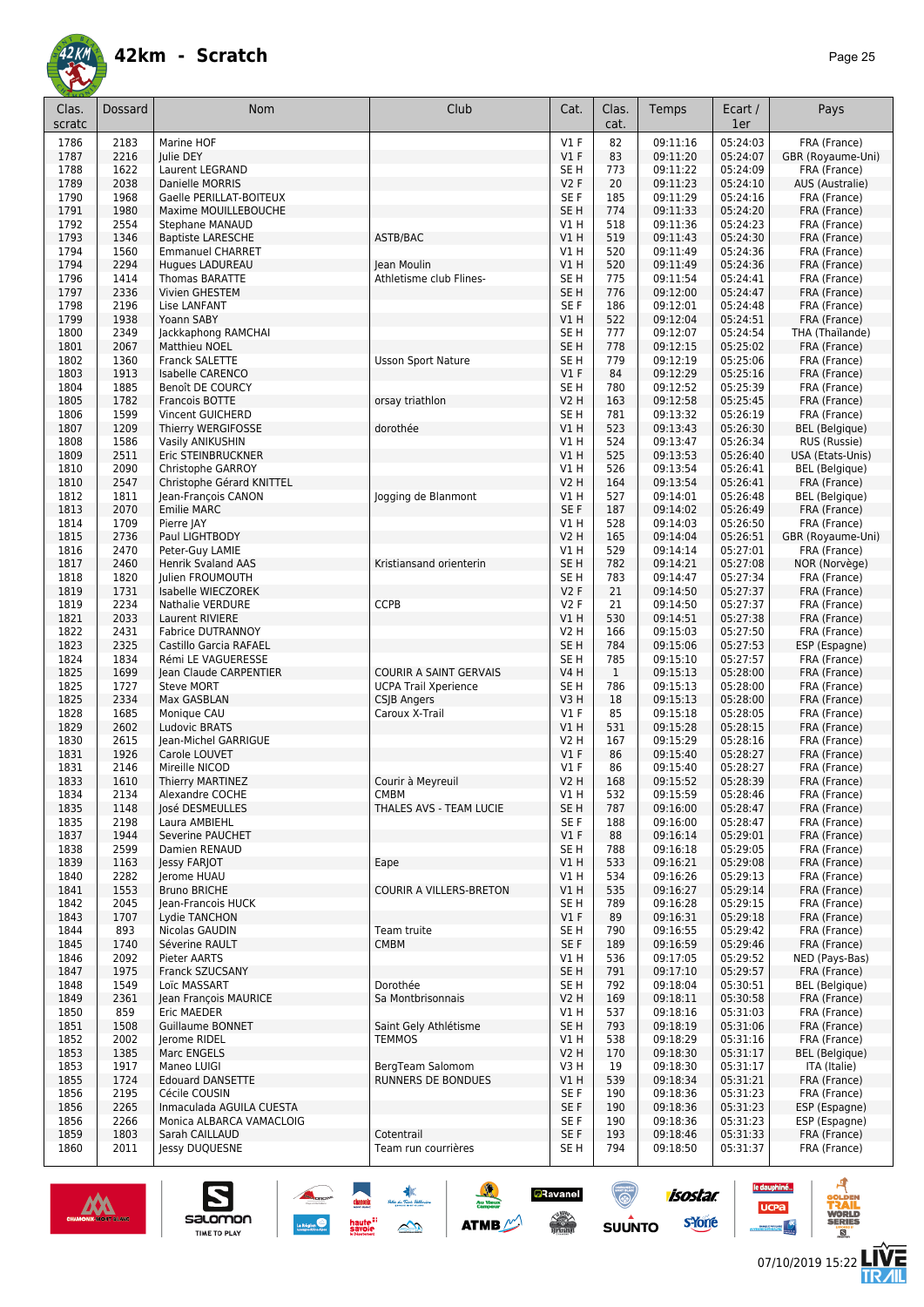

#### **42km - Scratch** *Page 25*

| Clas.<br>scratc | Dossard      | Nom                                          | Club                          | Cat.                    | Clas.<br>cat. | Temps                | Ecart /<br>1er       | Pays                                  |
|-----------------|--------------|----------------------------------------------|-------------------------------|-------------------------|---------------|----------------------|----------------------|---------------------------------------|
| 1786            | 2183         | Marine HOF                                   |                               | $VI$ F                  | 82            | 09:11:16             | 05:24:03             | FRA (France)                          |
| 1787            | 2216         | <b>Iulie DEY</b>                             |                               | $VI$ F                  | 83            | 09:11:20             | 05:24:07             | GBR (Royaume-Uni)                     |
| 1788            | 1622         | Laurent LEGRAND                              |                               | SE H                    | 773           | 09:11:22             | 05:24:09             | FRA (France)                          |
| 1789            | 2038         | Danielle MORRIS                              |                               | V2F                     | 20            | 09:11:23             | 05:24:10             | AUS (Australie)                       |
| 1790<br>1791    | 1968<br>1980 | Gaelle PERILLAT-BOITEUX                      |                               | SE F<br>SE <sub>H</sub> | 185<br>774    | 09:11:29             | 05:24:16<br>05:24:20 | FRA (France)<br>FRA (France)          |
| 1792            | 2554         | Maxime MOUILLEBOUCHE<br>Stephane MANAUD      |                               | V1H                     | 518           | 09:11:33<br>09:11:36 | 05:24:23             | FRA (France)                          |
| 1793            | 1346         | <b>Baptiste LARESCHE</b>                     | ASTB/BAC                      | VIH                     | 519           | 09:11:43             | 05:24:30             | FRA (France)                          |
| 1794            | 1560         | <b>Emmanuel CHARRET</b>                      |                               | V1 H                    | 520           | 09:11:49             | 05:24:36             | FRA (France)                          |
| 1794            | 2294         | Hugues LADUREAU                              | <b>Iean Moulin</b>            | V1H                     | 520           | 09:11:49             | 05:24:36             | FRA (France)                          |
| 1796            | 1414         | Thomas BARATTE                               | Athletisme club Flines-       | SE <sub>H</sub>         | 775           | 09:11:54             | 05:24:41             | FRA (France)                          |
| 1797            | 2336         | Vivien GHESTEM                               |                               | SE <sub>H</sub>         | 776           | 09:12:00             | 05:24:47             | FRA (France)                          |
| 1798<br>1799    | 2196<br>1938 | Lise LANFANT<br>Yoann SABY                   |                               | SE F<br>V1 H            | 186<br>522    | 09:12:01<br>09:12:04 | 05:24:48<br>05:24:51 | FRA (France)<br>FRA (France)          |
| 1800            | 2349         | Jackkaphong RAMCHAI                          |                               | SE H                    | 777           | 09:12:07             | 05:24:54             | THA (Thaïlande)                       |
| 1801            | 2067         | Matthieu NOEL                                |                               | SE <sub>H</sub>         | 778           | 09:12:15             | 05:25:02             | FRA (France)                          |
| 1802            | 1360         | Franck SALETTE                               | <b>Usson Sport Nature</b>     | SE H                    | 779           | 09:12:19             | 05:25:06             | FRA (France)                          |
| 1803            | 1913         | <b>Isabelle CARENCO</b>                      |                               | V1F                     | 84            | 09:12:29             | 05:25:16             | FRA (France)                          |
| 1804            | 1885         | Benoît DE COURCY                             |                               | SE H                    | 780           | 09:12:52             | 05:25:39             | FRA (France)                          |
| 1805            | 1782         | Francois BOTTE                               | orsay triathlon               | V2 H                    | 163           | 09:12:58             | 05:25:45             | FRA (France)                          |
| 1806            | 1599<br>1209 | Vincent GUICHERD                             |                               | SE H<br>V1H             | 781           | 09:13:32<br>09:13:43 | 05:26:19             | FRA (France)                          |
| 1807<br>1808    | 1586         | Thierry WERGIFOSSE<br>Vasily ANIKUSHIN       | dorothée                      | V1 H                    | 523<br>524    | 09:13:47             | 05:26:30<br>05:26:34 | <b>BEL</b> (Belgique)<br>RUS (Russie) |
| 1809            | 2511         | Eric STEINBRUCKNER                           |                               | VIH                     | 525           | 09:13:53             | 05:26:40             | USA (Etats-Unis)                      |
| 1810            | 2090         | Christophe GARROY                            |                               | V1 H                    | 526           | 09:13:54             | 05:26:41             | <b>BEL</b> (Belgique)                 |
| 1810            | 2547         | Christophe Gérard KNITTEL                    |                               | <b>V2 H</b>             | 164           | 09:13:54             | 05:26:41             | FRA (France)                          |
| 1812            | 1811         | Jean-François CANON                          | Jogging de Blanmont           | V1 H                    | 527           | 09:14:01             | 05:26:48             | <b>BEL</b> (Belgique)                 |
| 1813            | 2070         | <b>Emilie MARC</b>                           |                               | SE F                    | 187           | 09:14:02             | 05:26:49             | FRA (France)                          |
| 1814            | 1709         | Pierre JAY                                   |                               | V1 H                    | 528           | 09:14:03             | 05:26:50             | FRA (France)                          |
| 1815            | 2736         | Paul LIGHTBODY                               |                               | <b>V2 H</b>             | 165           | 09:14:04             | 05:26:51             | GBR (Royaume-Uni)                     |
| 1816            | 2470         | Peter-Guy LAMIE<br><b>Henrik Svaland AAS</b> |                               | V1H<br>SE <sub>H</sub>  | 529           | 09:14:14             | 05:27:01<br>05:27:08 | FRA (France)                          |
| 1817<br>1818    | 2460<br>1820 | Julien FROUMOUTH                             | Kristiansand orienterin       | SE H                    | 782<br>783    | 09:14:21<br>09:14:47 | 05:27:34             | NOR (Norvège)<br>FRA (France)         |
| 1819            | 1731         | Isabelle WIECZOREK                           |                               | V2F                     | 21            | 09:14:50             | 05:27:37             | FRA (France)                          |
| 1819            | 2234         | Nathalie VERDURE                             | <b>CCPB</b>                   | V2F                     | 21            | 09:14:50             | 05:27:37             | FRA (France)                          |
| 1821            | 2033         | Laurent RIVIERE                              |                               | VIH                     | 530           | 09:14:51             | 05:27:38             | FRA (France)                          |
| 1822            | 2431         | <b>Fabrice DUTRANNOY</b>                     |                               | <b>V2 H</b>             | 166           | 09:15:03             | 05:27:50             | FRA (France)                          |
| 1823            | 2325         | Castillo Garcia RAFAEL                       |                               | SE <sub>H</sub>         | 784           | 09:15:06             | 05:27:53             | ESP (Espagne)                         |
| 1824            | 1834         | Rémi LE VAGUERESSE                           |                               | SE H                    | 785           | 09:15:10             | 05:27:57             | FRA (France)                          |
| 1825            | 1699         | Jean Claude CARPENTIER                       | COURIR A SAINT GERVAIS        | V4 H                    | $\mathbf{1}$  | 09:15:13             | 05:28:00             | FRA (France)                          |
| 1825            | 1727<br>2334 | <b>Steve MORT</b>                            | <b>UCPA Trail Xperience</b>   | SE H<br>V3H             | 786<br>18     | 09:15:13<br>09:15:13 | 05:28:00<br>05:28:00 | FRA (France)                          |
| 1825<br>1828    | 1685         | Max GASBLAN<br>Monique CAU                   | CSJB Angers<br>Caroux X-Trail | $VI$ F                  | 85            | 09:15:18             | 05:28:05             | FRA (France)<br>FRA (France)          |
| 1829            | 2602         | <b>Ludovic BRATS</b>                         |                               | VIH                     | 531           | 09:15:28             | 05:28:15             | FRA (France)                          |
| 1830            | 2615         | Jean-Michel GARRIGUE                         |                               | <b>V2 H</b>             | 167           | 09:15:29             | 05:28:16             | FRA (France)                          |
| 1831            | 1926         | Carole LOUVET                                |                               | $VI$ F                  | 86            | 09:15:40             | 05:28:27             | FRA (France)                          |
| 1831            | 2146         | Mireille NICOD                               |                               | $VI$ F                  | 86            | 09:15:40             | 05:28:27             | FRA (France)                          |
| 1833            | 1610         | Thierry MARTINEZ                             | Courir à Meyreuil             | <b>V2 H</b>             | 168           | 09:15:52             | 05:28:39             | FRA (France)                          |
| 1834            | 2134         | Alexandre COCHE                              | CMBM                          | V1 H                    | 532           | 09:15:59             | 05:28:46             | FRA (France)                          |
| 1835<br>1835    | 1148<br>2198 | José DESMEULLES<br>Laura AMBIEHL             | THALES AVS - TEAM LUCIE       | SE <sub>H</sub><br>SE F | 787<br>188    | 09:16:00<br>09:16:00 | 05:28:47<br>05:28:47 | FRA (France)<br>FRA (France)          |
| 1837            | 1944         | Severine PAUCHET                             |                               | $VI$ F                  | 88            | 09:16:14             | 05:29:01             | FRA (France)                          |
| 1838            | 2599         | Damien RENAUD                                |                               | SE H                    | 788           | 09:16:18             | 05:29:05             | FRA (France)                          |
| 1839            | 1163         | Jessy FARJOT                                 | Eape                          | V1H                     | 533           | 09:16:21             | 05:29:08             | FRA (France)                          |
| 1840            | 2282         | <b>Ierome HUAU</b>                           |                               | V1 H                    | 534           | 09:16:26             | 05:29:13             | FRA (France)                          |
| 1841            | 1553         | <b>Bruno BRICHE</b>                          | COURIR A VILLERS-BRETON       | V1H                     | 535           | 09:16:27             | 05:29:14             | FRA (France)                          |
| 1842            | 2045         | Jean-Francois HUCK                           |                               | SE H                    | 789           | 09:16:28             | 05:29:15             | FRA (France)                          |
| 1843            | 1707         | Lydie TANCHON                                |                               | $VI$ F                  | 89            | 09:16:31             | 05:29:18             | FRA (France)                          |
| 1844<br>1845    | 893<br>1740  | Nicolas GAUDIN<br>Séverine RAULT             | Team truite<br><b>CMBM</b>    | SE H<br>SE F            | 790<br>189    | 09:16:55<br>09:16:59 | 05:29:42<br>05:29:46 | FRA (France)<br>FRA (France)          |
| 1846            | 2092         | Pieter AARTS                                 |                               | V1 H                    | 536           | 09:17:05             | 05:29:52             | NED (Pays-Bas)                        |
| 1847            | 1975         | Franck SZUCSANY                              |                               | SE <sub>H</sub>         | 791           | 09:17:10             | 05:29:57             | FRA (France)                          |
| 1848            | 1549         | Loïc MASSART                                 | Dorothée                      | SE H                    | 792           | 09:18:04             | 05:30:51             | <b>BEL</b> (Belgique)                 |
| 1849            | 2361         | Jean François MAURICE                        | Sa Montbrisonnais             | V <sub>2</sub> H        | 169           | 09:18:11             | 05:30:58             | FRA (France)                          |
| 1850            | 859          | Eric MAEDER                                  |                               | V1 H                    | 537           | 09:18:16             | 05:31:03             | FRA (France)                          |
| 1851            | 1508         | Guillaume BONNET                             | Saint Gely Athlétisme         | SE <sub>H</sub>         | 793           | 09:18:19             | 05:31:06             | FRA (France)                          |
| 1852            | 2002         | Jerome RIDEL                                 | TEMMOS                        | V1 H                    | 538           | 09:18:29             | 05:31:16             | FRA (France)                          |
| 1853            | 1385         | Marc ENGELS                                  | BergTeam Salomom              | <b>V2 H</b>             | 170           | 09:18:30             | 05:31:17             | <b>BEL</b> (Belgique)                 |
| 1853<br>1855    | 1917<br>1724 | Maneo LUIGI<br><b>Edouard DANSETTE</b>       | RUNNERS DE BONDUES            | V3H<br>V1H              | 19<br>539     | 09:18:30<br>09:18:34 | 05:31:17<br>05:31:21 | ITA (Italie)<br>FRA (France)          |
| 1856            | 2195         | Cécile COUSIN                                |                               | SE F                    | 190           | 09:18:36             | 05:31:23             | FRA (France)                          |
| 1856            | 2265         | Inmaculada AGUILA CUESTA                     |                               | SE F                    | 190           | 09:18:36             | 05:31:23             | ESP (Espagne)                         |
| 1856            | 2266         | Monica ALBARCA VAMACLOIG                     |                               | SE F                    | 190           | 09:18:36             | 05:31:23             | ESP (Espagne)                         |
| 1859            | 1803         | Sarah CAILLAUD                               | Cotentrail                    | SE F                    | 193           | 09:18:46             | 05:31:33             | FRA (France)                          |
| 1860            | 2011         | Jessy DUQUESNE                               | Team run courrières           | SE H                    | 794           | 09:18:50             | 05:31:37             | FRA (France)                          |

 $\rightarrow$ 

 $\frac{1}{2}$ 

**ATMB** 



 $\n \ \, \underbrace{\sum\limits_{\text{SQUOMOM}}$ 

 $\liminf_{k \to \infty} \sup_{\theta \in \Theta_k} \frac{\theta_k}{\theta_k}$ 

le dauphiné...

ucpa

**Continue** 

**isostar** 

sYone

 $\bigcirc$ 

**SUUNTO** 

**a**Ravanel

 $\frac{1}{\sqrt{2}}$ 

A

WORLD<br>SERIES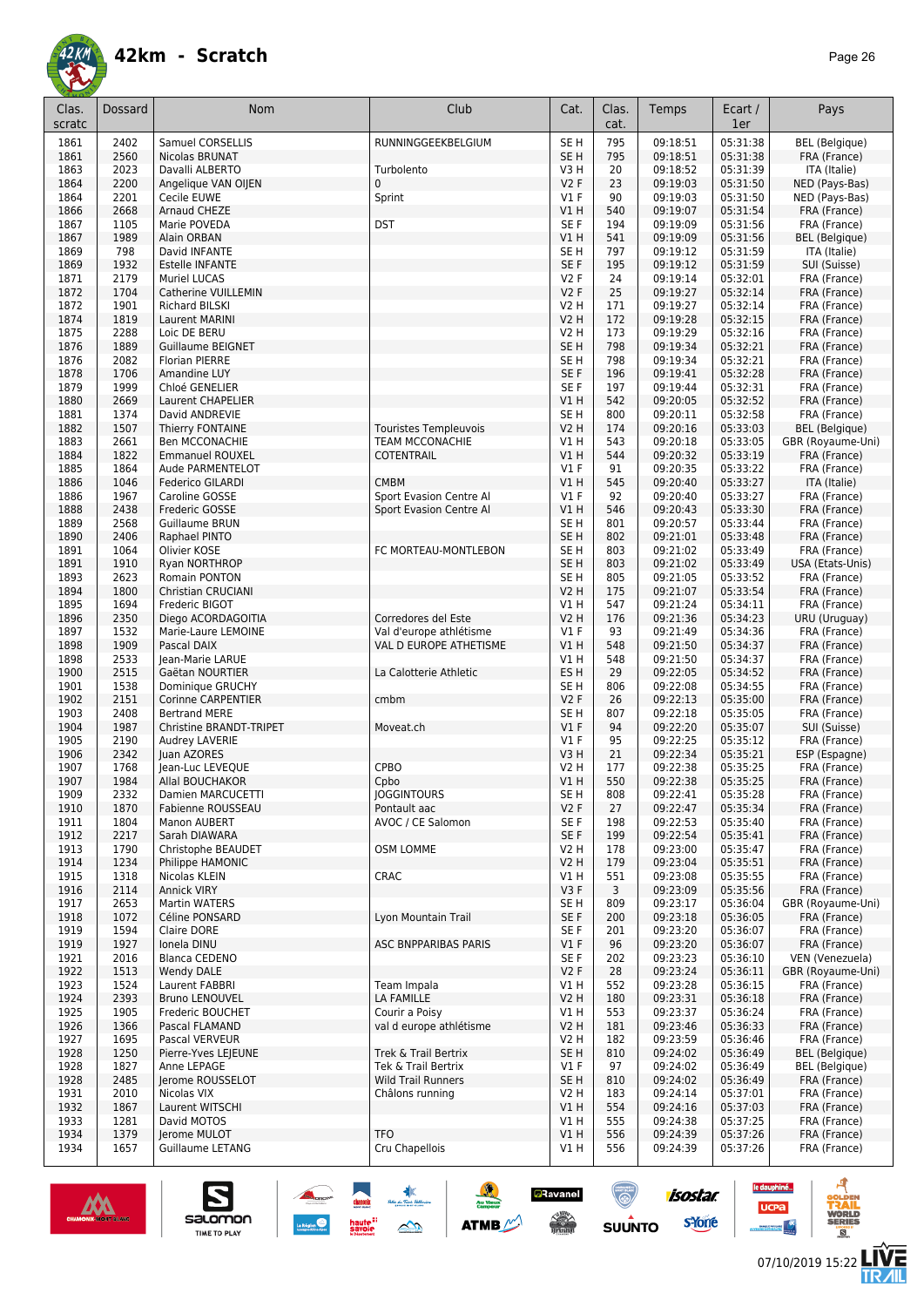

| Clas.<br>scratc | Dossard      | Nom                                               | Club                         | Cat.                    | Clas.<br>cat. | Temps                | Ecart /<br>1er       | Pays                                  |
|-----------------|--------------|---------------------------------------------------|------------------------------|-------------------------|---------------|----------------------|----------------------|---------------------------------------|
| 1861            | 2402         | Samuel CORSELLIS                                  | RUNNINGGEEKBELGIUM           | SE <sub>H</sub>         | 795           | 09:18:51             | 05:31:38             | <b>BEL</b> (Belgique)                 |
| 1861            | 2560         | Nicolas BRUNAT                                    |                              | SE <sub>H</sub>         | 795           | 09:18:51             | 05:31:38             | FRA (France)                          |
| 1863            | 2023         | Davalli ALBERTO                                   | Turbolento                   | V3 H                    | 20            | 09:18:52             | 05:31:39             | ITA (Italie)                          |
| 1864            | 2200         | Angelique VAN OIJEN                               | 0                            | V2F                     | 23            | 09:19:03             | 05:31:50             | NED (Pays-Bas)                        |
| 1864            | 2201         | Cecile EUWE                                       | Sprint                       | <b>V1 F</b>             | 90            | 09:19:03             | 05:31:50             | NED (Pays-Bas)                        |
| 1866            | 2668         | Arnaud CHEZE                                      |                              | V1 H                    | 540           | 09:19:07             | 05:31:54             | FRA (France)                          |
| 1867<br>1867    | 1105<br>1989 | Marie POVEDA<br>Alain ORBAN                       | <b>DST</b>                   | SE <sub>F</sub><br>V1 H | 194<br>541    | 09:19:09<br>09:19:09 | 05:31:56<br>05:31:56 | FRA (France)<br><b>BEL</b> (Belgique) |
| 1869            | 798          | David INFANTE                                     |                              | SE H                    | 797           | 09:19:12             | 05:31:59             | ITA (Italie)                          |
| 1869            | 1932         | <b>Estelle INFANTE</b>                            |                              | SE F                    | 195           | 09:19:12             | 05:31:59             | SUI (Suisse)                          |
| 1871            | 2179         | <b>Muriel LUCAS</b>                               |                              | V2F                     | 24            | 09:19:14             | 05:32:01             | FRA (France)                          |
| 1872            | 1704         | Catherine VUILLEMIN                               |                              | V2F                     | 25            | 09:19:27             | 05:32:14             | FRA (France)                          |
| 1872            | 1901         | <b>Richard BILSKI</b>                             |                              | V2 H                    | 171           | 09:19:27             | 05:32:14             | FRA (France)                          |
| 1874            | 1819         | Laurent MARINI                                    |                              | V2 H                    | 172           | 09:19:28             | 05:32:15             | FRA (France)                          |
| 1875            | 2288<br>1889 | Loic DE BERU                                      |                              | V2 H<br>SE <sub>H</sub> | 173           | 09:19:29<br>09:19:34 | 05:32:16<br>05:32:21 | FRA (France)                          |
| 1876<br>1876    | 2082         | <b>Guillaume BEIGNET</b><br><b>Florian PIERRE</b> |                              | SE <sub>H</sub>         | 798<br>798    | 09:19:34             | 05:32:21             | FRA (France)<br>FRA (France)          |
| 1878            | 1706         | Amandine LUY                                      |                              | SE F                    | 196           | 09:19:41             | 05:32:28             | FRA (France)                          |
| 1879            | 1999         | Chloé GENELIER                                    |                              | SE F                    | 197           | 09:19:44             | 05:32:31             | FRA (France)                          |
| 1880            | 2669         | Laurent CHAPELIER                                 |                              | V1 H                    | 542           | 09:20:05             | 05:32:52             | FRA (France)                          |
| 1881            | 1374         | David ANDREVIE                                    |                              | SE H                    | 800           | 09:20:11             | 05:32:58             | FRA (France)                          |
| 1882            | 1507         | Thierry FONTAINE                                  | <b>Touristes Templeuvois</b> | V2 H                    | 174           | 09:20:16             | 05:33:03             | <b>BEL</b> (Belgique)                 |
| 1883            | 2661         | <b>Ben MCCONACHIE</b>                             | <b>TEAM MCCONACHIE</b>       | V1 H                    | 543           | 09:20:18             | 05:33:05             | GBR (Royaume-Uni)                     |
| 1884<br>1885    | 1822<br>1864 | <b>Emmanuel ROUXEL</b><br>Aude PARMENTELOT        | <b>COTENTRAIL</b>            | V1H<br>V1F              | 544<br>91     | 09:20:32<br>09:20:35 | 05:33:19<br>05:33:22 | FRA (France)<br>FRA (France)          |
| 1886            | 1046         | <b>Federico GILARDI</b>                           | <b>CMBM</b>                  | V1 H                    | 545           | 09:20:40             | 05:33:27             | ITA (Italie)                          |
| 1886            | 1967         | Caroline GOSSE                                    | Sport Evasion Centre Al      | <b>V1 F</b>             | 92            | 09:20:40             | 05:33:27             | FRA (France)                          |
| 1888            | 2438         | Frederic GOSSE                                    | Sport Evasion Centre Al      | VIH                     | 546           | 09:20:43             | 05:33:30             | FRA (France)                          |
| 1889            | 2568         | Guillaume BRUN                                    |                              | SE <sub>H</sub>         | 801           | 09:20:57             | 05:33:44             | FRA (France)                          |
| 1890            | 2406         | Raphael PINTO                                     |                              | SE <sub>H</sub>         | 802           | 09:21:01             | 05:33:48             | FRA (France)                          |
| 1891<br>1891    | 1064<br>1910 | Olivier KOSE<br>Ryan NORTHROP                     | FC MORTEAU-MONTLEBON         | SE H<br>SE <sub>H</sub> | 803<br>803    | 09:21:02<br>09:21:02 | 05:33:49<br>05:33:49 | FRA (France)<br>USA (Etats-Unis)      |
| 1893            | 2623         | Romain PONTON                                     |                              | SE H                    | 805           | 09:21:05             | 05:33:52             | FRA (France)                          |
| 1894            | 1800         | Christian CRUCIANI                                |                              | V2 H                    | 175           | 09:21:07             | 05:33:54             | FRA (France)                          |
| 1895            | 1694         | Frederic BIGOT                                    |                              | V1 H                    | 547           | 09:21:24             | 05:34:11             | FRA (France)                          |
| 1896            | 2350         | Diego ACORDAGOITIA                                | Corredores del Este          | <b>V2 H</b>             | 176           | 09:21:36             | 05:34:23             | URU (Uruguay)                         |
| 1897            | 1532         | Marie-Laure LEMOINE                               | Val d'europe athlétisme      | $VI$ F                  | 93            | 09:21:49             | 05:34:36             | FRA (France)                          |
| 1898<br>1898    | 1909<br>2533 | Pascal DAIX<br>Jean-Marie LARUE                   | VAL D EUROPE ATHETISME       | V1 H<br>V1 H            | 548<br>548    | 09:21:50<br>09:21:50 | 05:34:37<br>05:34:37 | FRA (France)<br>FRA (France)          |
| 1900            | 2515         | Gaëtan NOURTIER                                   | La Calotterie Athletic       | ES <sub>H</sub>         | 29            | 09:22:05             | 05:34:52             | FRA (France)                          |
| 1901            | 1538         | Dominique GRUCHY                                  |                              | SE <sub>H</sub>         | 806           | 09:22:08             | 05:34:55             | FRA (France)                          |
| 1902            | 2151         | Corinne CARPENTIER                                | cmbm                         | V2F                     | 26            | 09:22:13             | 05:35:00             | FRA (France)                          |
| 1903            | 2408         | <b>Bertrand MERE</b>                              |                              | SE <sub>H</sub>         | 807           | 09:22:18             | 05:35:05             | FRA (France)                          |
| 1904<br>1905    | 1987<br>2190 | Christine BRANDT-TRIPET<br>Audrey LAVERIE         | Moveat.ch                    | $VI$ F<br>$VI$ F        | 94<br>95      | 09:22:20<br>09:22:25 | 05:35:07<br>05:35:12 | SUI (Suisse)<br>FRA (France)          |
| 1906            | 2342         | Juan AZORES                                       |                              | V3H                     | 21            | 09:22:34             | 05:35:21             | ESP (Espagne)                         |
| 1907            | 1768         | Jean-Luc LEVEQUE                                  | CPBO                         | V2 H                    | 177           | 09:22:38             | 05:35:25             | FRA (France)                          |
| 1907            | 1984         | <b>Allal BOUCHAKOR</b>                            | Cpbo                         | VIH                     | 550           | 09:22:38             | 05:35:25             | FRA (France)                          |
| 1909            | 2332         | Damien MARCUCETTI                                 | <b>JOGGINTOURS</b>           | SE H                    | 808           | 09:22:41             | 05:35:28             | FRA (France)                          |
| 1910            | 1870         | Fabienne ROUSSEAU                                 | Pontault aac                 | V2F                     | 27            | 09:22:47             | 05:35:34             | FRA (France)                          |
| 1911<br>1912    | 1804<br>2217 | Manon AUBERT<br>Sarah DIAWARA                     | AVOC / CE Salomon            | SE F<br>SE F            | 198<br>199    | 09:22:53<br>09:22:54 | 05:35:40<br>05:35:41 | FRA (France)<br>FRA (France)          |
| 1913            | 1790         | Christophe BEAUDET                                | <b>OSM LOMME</b>             | V2 H                    | 178           | 09:23:00             | 05:35:47             | FRA (France)                          |
| 1914            | 1234         | Philippe HAMONIC                                  |                              | <b>V2 H</b>             | 179           | 09:23:04             | 05:35:51             | FRA (France)                          |
| 1915            | 1318         | Nicolas KLEIN                                     | CRAC                         | V1 H                    | 551           | 09:23:08             | 05:35:55             | FRA (France)                          |
| 1916            | 2114         | Annick VIRY                                       |                              | V3F                     | 3             | 09:23:09             | 05:35:56             | FRA (France)                          |
| 1917            | 2653         | <b>Martin WATERS</b>                              |                              | SE H                    | 809           | 09:23:17             | 05:36:04             | GBR (Royaume-Uni)                     |
| 1918<br>1919    | 1072<br>1594 | Céline PONSARD<br>Claire DORE                     | Lyon Mountain Trail          | SE F<br>SE F            | 200<br>201    | 09:23:18<br>09:23:20 | 05:36:05<br>05:36:07 | FRA (France)<br>FRA (France)          |
| 1919            | 1927         | Ionela DINU                                       | <b>ASC BNPPARIBAS PARIS</b>  | $VI$ F                  | 96            | 09:23:20             | 05:36:07             | FRA (France)                          |
| 1921            | 2016         | Blanca CEDENO                                     |                              | SE F                    | 202           | 09:23:23             | 05:36:10             | VEN (Venezuela)                       |
| 1922            | 1513         | Wendy DALE                                        |                              | V2F                     | 28            | 09:23:24             | 05:36:11             | GBR (Royaume-Uni)                     |
| 1923            | 1524         | Laurent FABBRI                                    | Team Impala                  | V1 H                    | 552           | 09:23:28             | 05:36:15             | FRA (France)                          |
| 1924<br>1925    | 2393<br>1905 | <b>Bruno LENOUVEL</b><br>Frederic BOUCHET         | LA FAMILLE<br>Courir a Poisy | <b>V2 H</b><br>V1 H     | 180<br>553    | 09:23:31<br>09:23:37 | 05:36:18<br>05:36:24 | FRA (France)<br>FRA (France)          |
| 1926            | 1366         | Pascal FLAMAND                                    | val d europe athlétisme      | V2 H                    | 181           | 09:23:46             | 05:36:33             | FRA (France)                          |
| 1927            | 1695         | Pascal VERVEUR                                    |                              | V2 H                    | 182           | 09:23:59             | 05:36:46             | FRA (France)                          |
| 1928            | 1250         | Pierre-Yves LEJEUNE                               | Trek & Trail Bertrix         | SE H                    | 810           | 09:24:02             | 05:36:49             | <b>BEL</b> (Belgique)                 |
| 1928            | 1827         | Anne LEPAGE                                       | Tek & Trail Bertrix          | $VI$ F                  | 97            | 09:24:02             | 05:36:49             | BEL (Belgique)                        |
| 1928            | 2485         | Jerome ROUSSELOT                                  | <b>Wild Trail Runners</b>    | SE H                    | 810           | 09:24:02             | 05:36:49             | FRA (France)                          |
| 1931<br>1932    | 2010<br>1867 | Nicolas VIX<br>Laurent WITSCHI                    | Châlons running              | V2 H<br>V1 H            | 183<br>554    | 09:24:14<br>09:24:16 | 05:37:01<br>05:37:03 | FRA (France)<br>FRA (France)          |
| 1933            | 1281         | David MOTOS                                       |                              | V1 H                    | 555           | 09:24:38             | 05:37:25             | FRA (France)                          |
| 1934            | 1379         | Jerome MULOT                                      | <b>TFO</b>                   | V1 H                    | 556           | 09:24:39             | 05:37:26             | FRA (France)                          |
| 1934            | 1657         | Guillaume LETANG                                  | Cru Chapellois               | V1 H                    | 556           | 09:24:39             | 05:37:26             | FRA (France)                          |

≫<br>ستمب

 $\rightarrow$ 

**ATMB** 



 $\sum_{\text{SALOMOM}}$ 

**isostar** 

sYone

(@)

**SUUNTO** 

**a**Ravanel

**SERVICE** 

le dauphiné...

**UCPa** 

*<u>Antibook</u>* 

م<br>اقتا<u>ہ</u>

**VORLD**<br>ERIES